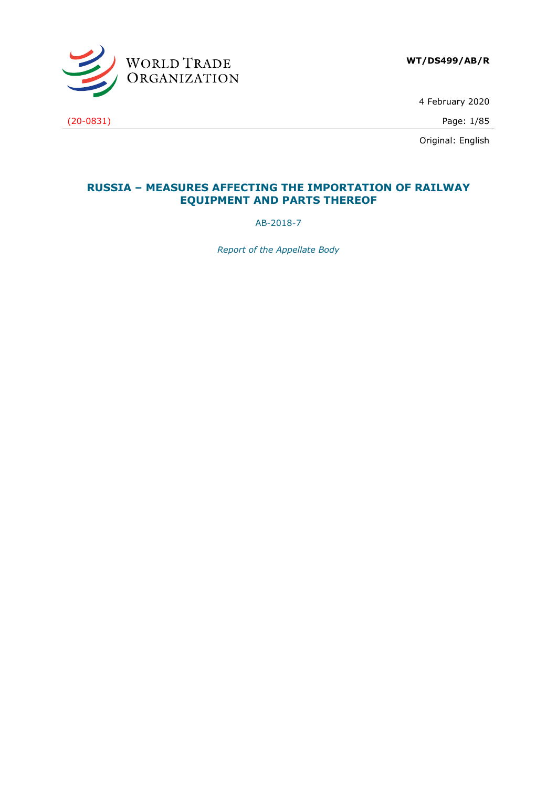

4 February 2020

Original: English

## **RUSSIA – MEASURES AFFECTING THE IMPORTATION OF RAILWAY EQUIPMENT AND PARTS THEREOF**

AB-2018-7

*Report of the Appellate Body*

(20-0831) Page: 1/85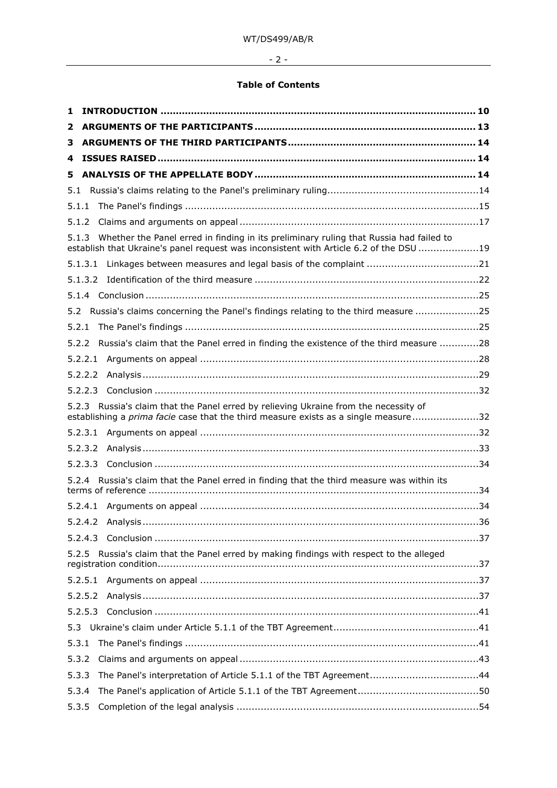# $-2$  -

#### **Table of Contents**

| 1     |                                                                                                                                                                                  |  |
|-------|----------------------------------------------------------------------------------------------------------------------------------------------------------------------------------|--|
| 2     |                                                                                                                                                                                  |  |
| з     |                                                                                                                                                                                  |  |
| 4     |                                                                                                                                                                                  |  |
| 5     |                                                                                                                                                                                  |  |
| 5.1   |                                                                                                                                                                                  |  |
| 5.1.1 |                                                                                                                                                                                  |  |
| 5.1.2 |                                                                                                                                                                                  |  |
| 5.1.3 | Whether the Panel erred in finding in its preliminary ruling that Russia had failed to<br>establish that Ukraine's panel request was inconsistent with Article 6.2 of the DSU 19 |  |
|       | 5.1.3.1                                                                                                                                                                          |  |
|       | 5.1.3.2                                                                                                                                                                          |  |
|       |                                                                                                                                                                                  |  |
|       | 5.2 Russia's claims concerning the Panel's findings relating to the third measure 25                                                                                             |  |
| 5.2.1 |                                                                                                                                                                                  |  |
| 5.2.2 | Russia's claim that the Panel erred in finding the existence of the third measure 28                                                                                             |  |
|       | 5.2.2.1                                                                                                                                                                          |  |
|       | 5.2.2.2                                                                                                                                                                          |  |
|       | 5.2.2.3                                                                                                                                                                          |  |
|       | 5.2.3 Russia's claim that the Panel erred by relieving Ukraine from the necessity of<br>establishing a prima facie case that the third measure exists as a single measure32      |  |
|       | 5.2.3.1                                                                                                                                                                          |  |
|       | 5.2.3.2                                                                                                                                                                          |  |
|       | 5.2.3.3                                                                                                                                                                          |  |
|       | 5.2.4 Russia's claim that the Panel erred in finding that the third measure was within its                                                                                       |  |
|       |                                                                                                                                                                                  |  |
|       |                                                                                                                                                                                  |  |
|       |                                                                                                                                                                                  |  |
| 5.2.5 | Russia's claim that the Panel erred by making findings with respect to the alleged                                                                                               |  |
|       |                                                                                                                                                                                  |  |
|       | 5.2.5.2                                                                                                                                                                          |  |
|       | 5.2.5.3                                                                                                                                                                          |  |
| 5.3   |                                                                                                                                                                                  |  |
| 5.3.1 |                                                                                                                                                                                  |  |
| 5.3.2 |                                                                                                                                                                                  |  |
| 5.3.3 |                                                                                                                                                                                  |  |
| 5.3.4 |                                                                                                                                                                                  |  |
| 5.3.5 |                                                                                                                                                                                  |  |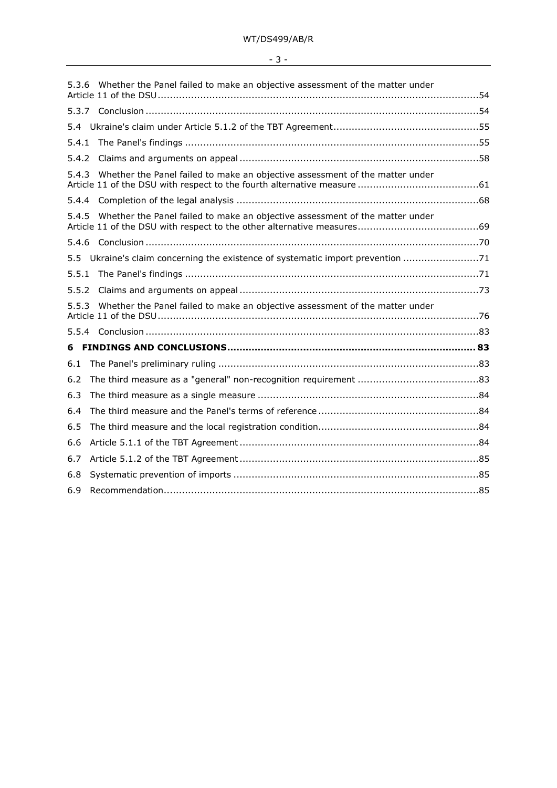| - |  |  |
|---|--|--|
|   |  |  |

| 5.3.6 | Whether the Panel failed to make an objective assessment of the matter under    |  |
|-------|---------------------------------------------------------------------------------|--|
|       |                                                                                 |  |
|       |                                                                                 |  |
| 5.4.1 |                                                                                 |  |
| 5.4.2 |                                                                                 |  |
| 5.4.3 | Whether the Panel failed to make an objective assessment of the matter under    |  |
|       |                                                                                 |  |
| 5.4.5 | Whether the Panel failed to make an objective assessment of the matter under    |  |
|       |                                                                                 |  |
|       | 5.5 Ukraine's claim concerning the existence of systematic import prevention 71 |  |
| 5.5.1 |                                                                                 |  |
| 5.5.2 |                                                                                 |  |
| 5.5.3 | Whether the Panel failed to make an objective assessment of the matter under    |  |
|       |                                                                                 |  |
|       |                                                                                 |  |
| 6.1   |                                                                                 |  |
| 6.2   |                                                                                 |  |
| 6.3   |                                                                                 |  |
| 6.4   |                                                                                 |  |
| 6.5   |                                                                                 |  |
| 6.6   |                                                                                 |  |
| 6.7   |                                                                                 |  |
| 6.8   |                                                                                 |  |
| 6.9   |                                                                                 |  |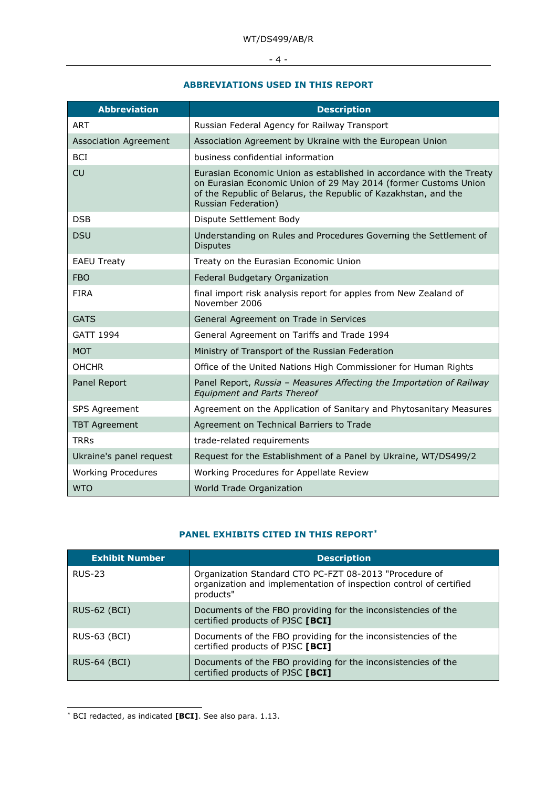- 4 -

#### **ABBREVIATIONS USED IN THIS REPORT**

| <b>Abbreviation</b>          | <b>Description</b>                                                                                                                                                                                                                       |
|------------------------------|------------------------------------------------------------------------------------------------------------------------------------------------------------------------------------------------------------------------------------------|
| <b>ART</b>                   | Russian Federal Agency for Railway Transport                                                                                                                                                                                             |
| <b>Association Agreement</b> | Association Agreement by Ukraine with the European Union                                                                                                                                                                                 |
| <b>BCI</b>                   | business confidential information                                                                                                                                                                                                        |
| <b>CU</b>                    | Eurasian Economic Union as established in accordance with the Treaty<br>on Eurasian Economic Union of 29 May 2014 (former Customs Union<br>of the Republic of Belarus, the Republic of Kazakhstan, and the<br><b>Russian Federation)</b> |
| <b>DSB</b>                   | Dispute Settlement Body                                                                                                                                                                                                                  |
| <b>DSU</b>                   | Understanding on Rules and Procedures Governing the Settlement of<br><b>Disputes</b>                                                                                                                                                     |
| <b>EAEU Treaty</b>           | Treaty on the Eurasian Economic Union                                                                                                                                                                                                    |
| <b>FBO</b>                   | Federal Budgetary Organization                                                                                                                                                                                                           |
| <b>FIRA</b>                  | final import risk analysis report for apples from New Zealand of<br>November 2006                                                                                                                                                        |
| <b>GATS</b>                  | General Agreement on Trade in Services                                                                                                                                                                                                   |
| <b>GATT 1994</b>             | General Agreement on Tariffs and Trade 1994                                                                                                                                                                                              |
| <b>MOT</b>                   | Ministry of Transport of the Russian Federation                                                                                                                                                                                          |
| <b>OHCHR</b>                 | Office of the United Nations High Commissioner for Human Rights                                                                                                                                                                          |
| Panel Report                 | Panel Report, Russia - Measures Affecting the Importation of Railway<br><b>Equipment and Parts Thereof</b>                                                                                                                               |
| SPS Agreement                | Agreement on the Application of Sanitary and Phytosanitary Measures                                                                                                                                                                      |
| <b>TBT Agreement</b>         | Agreement on Technical Barriers to Trade                                                                                                                                                                                                 |
| <b>TRRs</b>                  | trade-related requirements                                                                                                                                                                                                               |
| Ukraine's panel request      | Request for the Establishment of a Panel by Ukraine, WT/DS499/2                                                                                                                                                                          |
| <b>Working Procedures</b>    | Working Procedures for Appellate Review                                                                                                                                                                                                  |
| <b>WTO</b>                   | World Trade Organization                                                                                                                                                                                                                 |

#### **PANEL EXHIBITS CITED IN THIS REPOR[T\\*](#page-3-0)**

| <b>Exhibit Number</b> | <b>Description</b>                                                                                                                        |
|-----------------------|-------------------------------------------------------------------------------------------------------------------------------------------|
| <b>RUS-23</b>         | Organization Standard CTO PC-FZT 08-2013 "Procedure of<br>organization and implementation of inspection control of certified<br>products" |
| <b>RUS-62 (BCI)</b>   | Documents of the FBO providing for the inconsistencies of the<br>certified products of PJSC [BCI]                                         |
| RUS-63 (BCI)          | Documents of the FBO providing for the inconsistencies of the<br>certified products of PJSC [BCI]                                         |
| <b>RUS-64 (BCI)</b>   | Documents of the FBO providing for the inconsistencies of the<br>certified products of PJSC [BCI]                                         |

<span id="page-3-0"></span>\* BCI redacted, as indicated **[BCI]**. See also para. 1.13.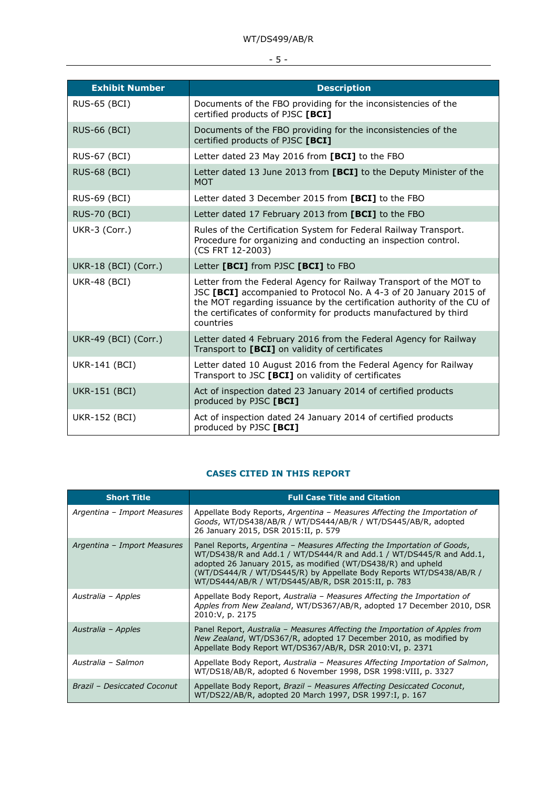# - 5 -

| <b>Exhibit Number</b> | <b>Description</b>                                                                                                                                                                                                                                                                                  |
|-----------------------|-----------------------------------------------------------------------------------------------------------------------------------------------------------------------------------------------------------------------------------------------------------------------------------------------------|
| <b>RUS-65 (BCI)</b>   | Documents of the FBO providing for the inconsistencies of the<br>certified products of PJSC [BCI]                                                                                                                                                                                                   |
| <b>RUS-66 (BCI)</b>   | Documents of the FBO providing for the inconsistencies of the<br>certified products of PJSC [BCI]                                                                                                                                                                                                   |
| <b>RUS-67 (BCI)</b>   | Letter dated 23 May 2016 from [BCI] to the FBO                                                                                                                                                                                                                                                      |
| <b>RUS-68 (BCI)</b>   | Letter dated 13 June 2013 from [BCI] to the Deputy Minister of the<br><b>MOT</b>                                                                                                                                                                                                                    |
| <b>RUS-69 (BCI)</b>   | Letter dated 3 December 2015 from [BCI] to the FBO                                                                                                                                                                                                                                                  |
| <b>RUS-70 (BCI)</b>   | Letter dated 17 February 2013 from [BCI] to the FBO                                                                                                                                                                                                                                                 |
| UKR-3 (Corr.)         | Rules of the Certification System for Federal Railway Transport.<br>Procedure for organizing and conducting an inspection control.<br>(CS FRT 12-2003)                                                                                                                                              |
| UKR-18 (BCI) (Corr.)  | Letter [BCI] from PJSC [BCI] to FBO                                                                                                                                                                                                                                                                 |
| <b>UKR-48 (BCI)</b>   | Letter from the Federal Agency for Railway Transport of the MOT to<br>JSC [BCI] accompanied to Protocol No. A 4-3 of 20 January 2015 of<br>the MOT regarding issuance by the certification authority of the CU of<br>the certificates of conformity for products manufactured by third<br>countries |
| UKR-49 (BCI) (Corr.)  | Letter dated 4 February 2016 from the Federal Agency for Railway<br>Transport to [BCI] on validity of certificates                                                                                                                                                                                  |
| UKR-141 (BCI)         | Letter dated 10 August 2016 from the Federal Agency for Railway<br>Transport to JSC [BCI] on validity of certificates                                                                                                                                                                               |
| <b>UKR-151 (BCI)</b>  | Act of inspection dated 23 January 2014 of certified products<br>produced by PJSC [BCI]                                                                                                                                                                                                             |
| <b>UKR-152 (BCI)</b>  | Act of inspection dated 24 January 2014 of certified products<br>produced by PJSC [BCI]                                                                                                                                                                                                             |

## **CASES CITED IN THIS REPORT**

| <b>Short Title</b>          | <b>Full Case Title and Citation</b>                                                                                                                                                                                                                                                                                                         |
|-----------------------------|---------------------------------------------------------------------------------------------------------------------------------------------------------------------------------------------------------------------------------------------------------------------------------------------------------------------------------------------|
| Argentina - Import Measures | Appellate Body Reports, Argentina - Measures Affecting the Importation of<br>Goods, WT/DS438/AB/R / WT/DS444/AB/R / WT/DS445/AB/R, adopted<br>26 January 2015, DSR 2015:II, p. 579                                                                                                                                                          |
| Argentina - Import Measures | Panel Reports, Argentina – Measures Affecting the Importation of Goods,<br>WT/DS438/R and Add.1 / WT/DS444/R and Add.1 / WT/DS445/R and Add.1,<br>adopted 26 January 2015, as modified (WT/DS438/R) and upheld<br>(WT/DS444/R / WT/DS445/R) by Appellate Body Reports WT/DS438/AB/R /<br>WT/DS444/AB/R / WT/DS445/AB/R, DSR 2015:II, p. 783 |
| Australia - Apples          | Appellate Body Report, Australia - Measures Affecting the Importation of<br>Apples from New Zealand, WT/DS367/AB/R, adopted 17 December 2010, DSR<br>2010: V, p. 2175                                                                                                                                                                       |
| Australia – Apples          | Panel Report, Australia – Measures Affecting the Importation of Apples from<br>New Zealand, WT/DS367/R, adopted 17 December 2010, as modified by<br>Appellate Body Report WT/DS367/AB/R, DSR 2010:VI, p. 2371                                                                                                                               |
| Australia - Salmon          | Appellate Body Report, Australia - Measures Affecting Importation of Salmon,<br>WT/DS18/AB/R, adopted 6 November 1998, DSR 1998: VIII, p. 3327                                                                                                                                                                                              |
| Brazil - Desiccated Coconut | Appellate Body Report, Brazil - Measures Affecting Desiccated Coconut,<br>WT/DS22/AB/R, adopted 20 March 1997, DSR 1997:I, p. 167                                                                                                                                                                                                           |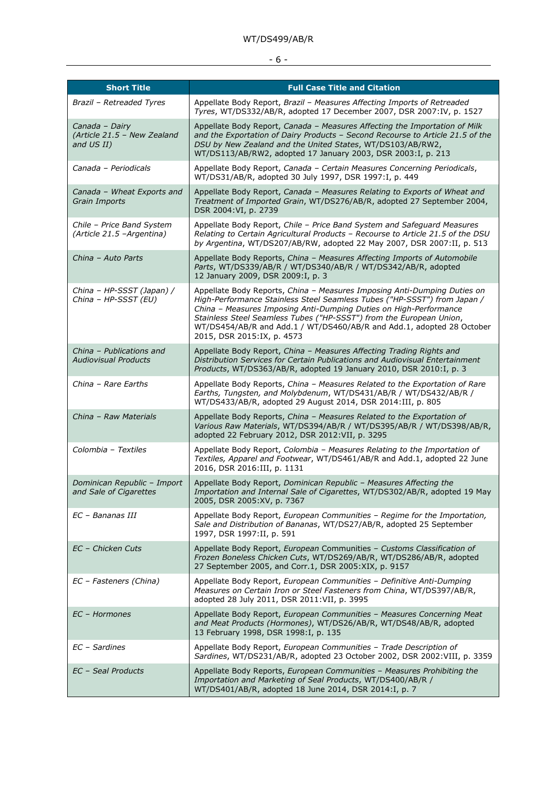# - 6 <u>-</u> <u>- 100 - 100 - 100 - 100 - 100 - 100 - 100 - 100 - 100 - 100 - 100 - 100 - 100 - 100 - 100 - 100 - 100 - 100 - 100 - 100 - 100 - 100 - 100 - 100 - 100 - 100 - 100 - 100 - 100 - 100 - 100 - 100 - 100 - 100 - 100 - 1</u>

| <b>Short Title</b>                                          | <b>Full Case Title and Citation</b>                                                                                                                                                                                                                                                                                                                                                                     |
|-------------------------------------------------------------|---------------------------------------------------------------------------------------------------------------------------------------------------------------------------------------------------------------------------------------------------------------------------------------------------------------------------------------------------------------------------------------------------------|
| Brazil - Retreaded Tyres                                    | Appellate Body Report, Brazil - Measures Affecting Imports of Retreaded<br>Tyres, WT/DS332/AB/R, adopted 17 December 2007, DSR 2007:IV, p. 1527                                                                                                                                                                                                                                                         |
| Canada - Dairy<br>(Article 21.5 - New Zealand<br>and US II) | Appellate Body Report, Canada - Measures Affecting the Importation of Milk<br>and the Exportation of Dairy Products - Second Recourse to Article 21.5 of the<br>DSU by New Zealand and the United States, WT/DS103/AB/RW2,<br>WT/DS113/AB/RW2, adopted 17 January 2003, DSR 2003:I, p. 213                                                                                                              |
| Canada - Periodicals                                        | Appellate Body Report, Canada - Certain Measures Concerning Periodicals,<br>WT/DS31/AB/R, adopted 30 July 1997, DSR 1997:I, p. 449                                                                                                                                                                                                                                                                      |
| Canada - Wheat Exports and<br>Grain Imports                 | Appellate Body Report, Canada - Measures Relating to Exports of Wheat and<br>Treatment of Imported Grain, WT/DS276/AB/R, adopted 27 September 2004,<br>DSR 2004:VI, p. 2739                                                                                                                                                                                                                             |
| Chile - Price Band System<br>(Article 21.5 - Argentina)     | Appellate Body Report, Chile - Price Band System and Safeguard Measures<br>Relating to Certain Agricultural Products - Recourse to Article 21.5 of the DSU<br>by Argentina, WT/DS207/AB/RW, adopted 22 May 2007, DSR 2007:II, p. 513                                                                                                                                                                    |
| China - Auto Parts                                          | Appellate Body Reports, China - Measures Affecting Imports of Automobile<br>Parts, WT/DS339/AB/R / WT/DS340/AB/R / WT/DS342/AB/R, adopted<br>12 January 2009, DSR 2009: I, p. 3                                                                                                                                                                                                                         |
| China - HP-SSST (Japan) /<br>China - HP-SSST (EU)           | Appellate Body Reports, China - Measures Imposing Anti-Dumping Duties on<br>High-Performance Stainless Steel Seamless Tubes ("HP-SSST") from Japan /<br>China - Measures Imposing Anti-Dumping Duties on High-Performance<br>Stainless Steel Seamless Tubes ("HP-SSST") from the European Union,<br>WT/DS454/AB/R and Add.1 / WT/DS460/AB/R and Add.1, adopted 28 October<br>2015, DSR 2015:IX, p. 4573 |
| China - Publications and<br><b>Audiovisual Products</b>     | Appellate Body Report, China - Measures Affecting Trading Rights and<br>Distribution Services for Certain Publications and Audiovisual Entertainment<br>Products, WT/DS363/AB/R, adopted 19 January 2010, DSR 2010:I, p. 3                                                                                                                                                                              |
| China - Rare Earths                                         | Appellate Body Reports, China - Measures Related to the Exportation of Rare<br>Earths, Tungsten, and Molybdenum, WT/DS431/AB/R / WT/DS432/AB/R /<br>WT/DS433/AB/R, adopted 29 August 2014, DSR 2014:III, p. 805                                                                                                                                                                                         |
| China - Raw Materials                                       | Appellate Body Reports, China - Measures Related to the Exportation of<br>Various Raw Materials, WT/DS394/AB/R / WT/DS395/AB/R / WT/DS398/AB/R,<br>adopted 22 February 2012, DSR 2012:VII, p. 3295                                                                                                                                                                                                      |
| Colombia - Textiles                                         | Appellate Body Report, Colombia - Measures Relating to the Importation of<br>Textiles, Apparel and Footwear, WT/DS461/AB/R and Add.1, adopted 22 June<br>2016, DSR 2016:III, p. 1131                                                                                                                                                                                                                    |
| Dominican Republic - Import<br>and Sale of Cigarettes       | Appellate Body Report, Dominican Republic - Measures Affecting the<br>Importation and Internal Sale of Cigarettes, WT/DS302/AB/R, adopted 19 May<br>2005, DSR 2005:XV, p. 7367                                                                                                                                                                                                                          |
| EC - Bananas III                                            | Appellate Body Report, European Communities - Regime for the Importation,<br>Sale and Distribution of Bananas, WT/DS27/AB/R, adopted 25 September<br>1997, DSR 1997:II, p. 591                                                                                                                                                                                                                          |
| EC - Chicken Cuts                                           | Appellate Body Report, European Communities - Customs Classification of<br>Frozen Boneless Chicken Cuts, WT/DS269/AB/R, WT/DS286/AB/R, adopted<br>27 September 2005, and Corr.1, DSR 2005:XIX, p. 9157                                                                                                                                                                                                  |
| EC - Fasteners (China)                                      | Appellate Body Report, European Communities - Definitive Anti-Dumping<br>Measures on Certain Iron or Steel Fasteners from China, WT/DS397/AB/R,<br>adopted 28 July 2011, DSR 2011:VII, p. 3995                                                                                                                                                                                                          |
| EC - Hormones                                               | Appellate Body Report, European Communities - Measures Concerning Meat<br>and Meat Products (Hormones), WT/DS26/AB/R, WT/DS48/AB/R, adopted<br>13 February 1998, DSR 1998: I, p. 135                                                                                                                                                                                                                    |
| EC - Sardines                                               | Appellate Body Report, European Communities - Trade Description of<br>Sardines, WT/DS231/AB/R, adopted 23 October 2002, DSR 2002: VIII, p. 3359                                                                                                                                                                                                                                                         |
| EC - Seal Products                                          | Appellate Body Reports, European Communities - Measures Prohibiting the<br>Importation and Marketing of Seal Products, WT/DS400/AB/R /<br>WT/DS401/AB/R, adopted 18 June 2014, DSR 2014:I, p. 7                                                                                                                                                                                                         |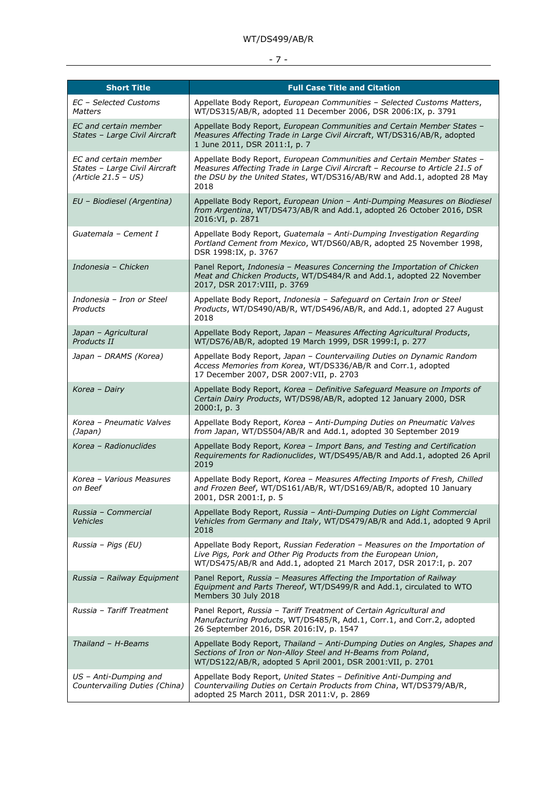## $-7 -$

| <b>Short Title</b>                                                              | <b>Full Case Title and Citation</b>                                                                                                                                                                                                         |
|---------------------------------------------------------------------------------|---------------------------------------------------------------------------------------------------------------------------------------------------------------------------------------------------------------------------------------------|
| <b>EC</b> - Selected Customs<br><b>Matters</b>                                  | Appellate Body Report, European Communities - Selected Customs Matters,<br>WT/DS315/AB/R, adopted 11 December 2006, DSR 2006:IX, p. 3791                                                                                                    |
| EC and certain member<br>States - Large Civil Aircraft                          | Appellate Body Report, European Communities and Certain Member States -<br>Measures Affecting Trade in Large Civil Aircraft, WT/DS316/AB/R, adopted<br>1 June 2011, DSR 2011:I, p. 7                                                        |
| EC and certain member<br>States - Large Civil Aircraft<br>$(Article 21.5 - US)$ | Appellate Body Report, European Communities and Certain Member States -<br>Measures Affecting Trade in Large Civil Aircraft - Recourse to Article 21.5 of<br>the DSU by the United States, WT/DS316/AB/RW and Add.1, adopted 28 May<br>2018 |
| EU - Biodiesel (Argentina)                                                      | Appellate Body Report, European Union - Anti-Dumping Measures on Biodiesel<br>from Argentina, WT/DS473/AB/R and Add.1, adopted 26 October 2016, DSR<br>2016:VI, p. 2871                                                                     |
| Guatemala - Cement I                                                            | Appellate Body Report, Guatemala - Anti-Dumping Investigation Regarding<br>Portland Cement from Mexico, WT/DS60/AB/R, adopted 25 November 1998,<br>DSR 1998:IX, p. 3767                                                                     |
| Indonesia - Chicken                                                             | Panel Report, Indonesia - Measures Concerning the Importation of Chicken<br>Meat and Chicken Products, WT/DS484/R and Add.1, adopted 22 November<br>2017, DSR 2017: VIII, p. 3769                                                           |
| Indonesia - Iron or Steel<br>Products                                           | Appellate Body Report, Indonesia - Safeguard on Certain Iron or Steel<br>Products, WT/DS490/AB/R, WT/DS496/AB/R, and Add.1, adopted 27 August<br>2018                                                                                       |
| Japan - Agricultural<br>Products II                                             | Appellate Body Report, Japan - Measures Affecting Agricultural Products,<br>WT/DS76/AB/R, adopted 19 March 1999, DSR 1999:I, p. 277                                                                                                         |
| Japan - DRAMS (Korea)                                                           | Appellate Body Report, Japan - Countervailing Duties on Dynamic Random<br>Access Memories from Korea, WT/DS336/AB/R and Corr.1, adopted<br>17 December 2007, DSR 2007: VII, p. 2703                                                         |
| Korea - Dairy                                                                   | Appellate Body Report, Korea - Definitive Safeguard Measure on Imports of<br>Certain Dairy Products, WT/DS98/AB/R, adopted 12 January 2000, DSR<br>2000:I, p. 3                                                                             |
| Korea - Pneumatic Valves<br>(Japan)                                             | Appellate Body Report, Korea - Anti-Dumping Duties on Pneumatic Valves<br>from Japan, WT/DS504/AB/R and Add.1, adopted 30 September 2019                                                                                                    |
| Korea - Radionuclides                                                           | Appellate Body Report, Korea - Import Bans, and Testing and Certification<br>Requirements for Radionuclides, WT/DS495/AB/R and Add.1, adopted 26 April<br>2019                                                                              |
| Korea - Various Measures<br>on Beef                                             | Appellate Body Report, Korea - Measures Affecting Imports of Fresh, Chilled<br>and Frozen Beef, WT/DS161/AB/R, WT/DS169/AB/R, adopted 10 January<br>2001, DSR 2001:I, p. 5                                                                  |
| Russia - Commercial<br><b>Vehicles</b>                                          | Appellate Body Report, Russia - Anti-Dumping Duties on Light Commercial<br>Vehicles from Germany and Italy, WT/DS479/AB/R and Add.1, adopted 9 April<br>2018                                                                                |
| Russia - Pigs (EU)                                                              | Appellate Body Report, Russian Federation - Measures on the Importation of<br>Live Pigs, Pork and Other Pig Products from the European Union,<br>WT/DS475/AB/R and Add.1, adopted 21 March 2017, DSR 2017:I, p. 207                         |
| Russia - Railway Equipment                                                      | Panel Report, Russia - Measures Affecting the Importation of Railway<br>Equipment and Parts Thereof, WT/DS499/R and Add.1, circulated to WTO<br>Members 30 July 2018                                                                        |
| Russia - Tariff Treatment                                                       | Panel Report, Russia - Tariff Treatment of Certain Agricultural and<br>Manufacturing Products, WT/DS485/R, Add.1, Corr.1, and Corr.2, adopted<br>26 September 2016, DSR 2016:IV, p. 1547                                                    |
| Thailand - H-Beams                                                              | Appellate Body Report, Thailand - Anti-Dumping Duties on Angles, Shapes and<br>Sections of Iron or Non-Alloy Steel and H-Beams from Poland,<br>WT/DS122/AB/R, adopted 5 April 2001, DSR 2001:VII, p. 2701                                   |
| US - Anti-Dumping and<br>Countervailing Duties (China)                          | Appellate Body Report, United States - Definitive Anti-Dumping and<br>Countervailing Duties on Certain Products from China, WT/DS379/AB/R,<br>adopted 25 March 2011, DSR 2011:V, p. 2869                                                    |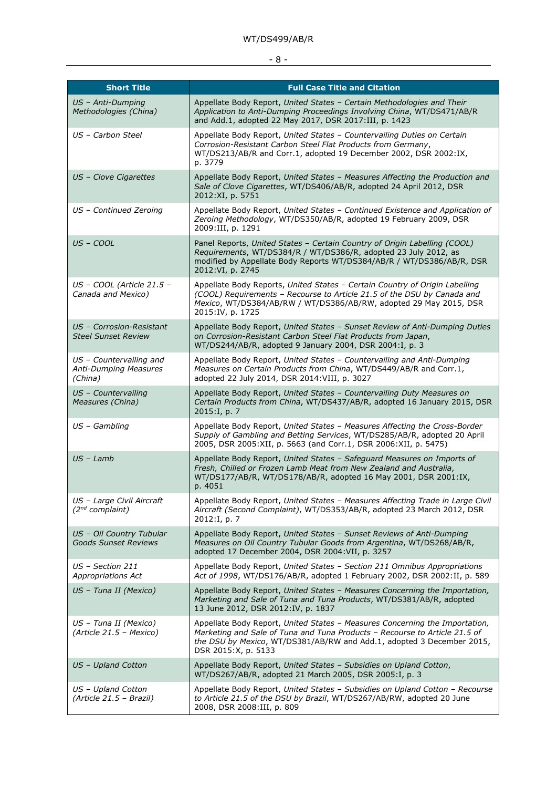## - 8 -

| <b>Short Title</b>                                                 | <b>Full Case Title and Citation</b>                                                                                                                                                                                                                       |
|--------------------------------------------------------------------|-----------------------------------------------------------------------------------------------------------------------------------------------------------------------------------------------------------------------------------------------------------|
| US - Anti-Dumping<br>Methodologies (China)                         | Appellate Body Report, United States - Certain Methodologies and Their<br>Application to Anti-Dumping Proceedings Involving China, WT/DS471/AB/R<br>and Add.1, adopted 22 May 2017, DSR 2017:III, p. 1423                                                 |
| US - Carbon Steel                                                  | Appellate Body Report, United States - Countervailing Duties on Certain<br>Corrosion-Resistant Carbon Steel Flat Products from Germany,<br>WT/DS213/AB/R and Corr.1, adopted 19 December 2002, DSR 2002:IX,<br>p. 3779                                    |
| US - Clove Cigarettes                                              | Appellate Body Report, United States - Measures Affecting the Production and<br>Sale of Clove Cigarettes, WT/DS406/AB/R, adopted 24 April 2012, DSR<br>2012:XI, p. 5751                                                                                   |
| US - Continued Zeroing                                             | Appellate Body Report, United States - Continued Existence and Application of<br>Zeroing Methodology, WT/DS350/AB/R, adopted 19 February 2009, DSR<br>2009:III, p. 1291                                                                                   |
| US - COOL                                                          | Panel Reports, United States - Certain Country of Origin Labelling (COOL)<br>Requirements, WT/DS384/R / WT/DS386/R, adopted 23 July 2012, as<br>modified by Appellate Body Reports WT/DS384/AB/R / WT/DS386/AB/R, DSR<br>2012:VI, p. 2745                 |
| US - COOL (Article 21.5 -<br>Canada and Mexico)                    | Appellate Body Reports, United States - Certain Country of Origin Labelling<br>(COOL) Requirements - Recourse to Article 21.5 of the DSU by Canada and<br>Mexico, WT/DS384/AB/RW / WT/DS386/AB/RW, adopted 29 May 2015, DSR<br>2015:IV, p. 1725           |
| US - Corrosion-Resistant<br><b>Steel Sunset Review</b>             | Appellate Body Report, United States - Sunset Review of Anti-Dumping Duties<br>on Corrosion-Resistant Carbon Steel Flat Products from Japan,<br>WT/DS244/AB/R, adopted 9 January 2004, DSR 2004:I, p. 3                                                   |
| US - Countervailing and<br><b>Anti-Dumping Measures</b><br>(China) | Appellate Body Report, United States - Countervailing and Anti-Dumping<br>Measures on Certain Products from China, WT/DS449/AB/R and Corr.1,<br>adopted 22 July 2014, DSR 2014: VIII, p. 3027                                                             |
| US - Countervailing<br>Measures (China)                            | Appellate Body Report, United States - Countervailing Duty Measures on<br>Certain Products from China, WT/DS437/AB/R, adopted 16 January 2015, DSR<br>2015:I, p. 7                                                                                        |
| $US - Gambling$                                                    | Appellate Body Report, United States - Measures Affecting the Cross-Border<br>Supply of Gambling and Betting Services, WT/DS285/AB/R, adopted 20 April<br>2005, DSR 2005:XII, p. 5663 (and Corr.1, DSR 2006:XII, p. 5475)                                 |
| $US - Lamb$                                                        | Appellate Body Report, United States - Safeguard Measures on Imports of<br>Fresh, Chilled or Frozen Lamb Meat from New Zealand and Australia,<br>WT/DS177/AB/R, WT/DS178/AB/R, adopted 16 May 2001, DSR 2001:IX,<br>p. 4051                               |
| US - Large Civil Aircraft<br>$(2^{nd}$ complaint)                  | Appellate Body Report, United States - Measures Affecting Trade in Large Civil<br>Aircraft (Second Complaint), WT/DS353/AB/R, adopted 23 March 2012, DSR<br>2012:I, p. 7                                                                                  |
| US - Oil Country Tubular<br><b>Goods Sunset Reviews</b>            | Appellate Body Report, United States - Sunset Reviews of Anti-Dumping<br>Measures on Oil Country Tubular Goods from Argentina, WT/DS268/AB/R,<br>adopted 17 December 2004, DSR 2004: VII, p. 3257                                                         |
| US - Section 211<br>Appropriations Act                             | Appellate Body Report, United States - Section 211 Omnibus Appropriations<br>Act of 1998, WT/DS176/AB/R, adopted 1 February 2002, DSR 2002:II, p. 589                                                                                                     |
| US - Tuna II (Mexico)                                              | Appellate Body Report, United States - Measures Concerning the Importation,<br>Marketing and Sale of Tuna and Tuna Products, WT/DS381/AB/R, adopted<br>13 June 2012, DSR 2012:IV, p. 1837                                                                 |
| US - Tuna II (Mexico)<br>(Article 21.5 - Mexico)                   | Appellate Body Report, United States - Measures Concerning the Importation,<br>Marketing and Sale of Tuna and Tuna Products - Recourse to Article 21.5 of<br>the DSU by Mexico, WT/DS381/AB/RW and Add.1, adopted 3 December 2015,<br>DSR 2015:X, p. 5133 |
| US - Upland Cotton                                                 | Appellate Body Report, United States - Subsidies on Upland Cotton,<br>WT/DS267/AB/R, adopted 21 March 2005, DSR 2005:I, p. 3                                                                                                                              |
| US - Upland Cotton<br>(Article 21.5 - Brazil)                      | Appellate Body Report, United States - Subsidies on Upland Cotton - Recourse<br>to Article 21.5 of the DSU by Brazil, WT/DS267/AB/RW, adopted 20 June<br>2008, DSR 2008:III, p. 809                                                                       |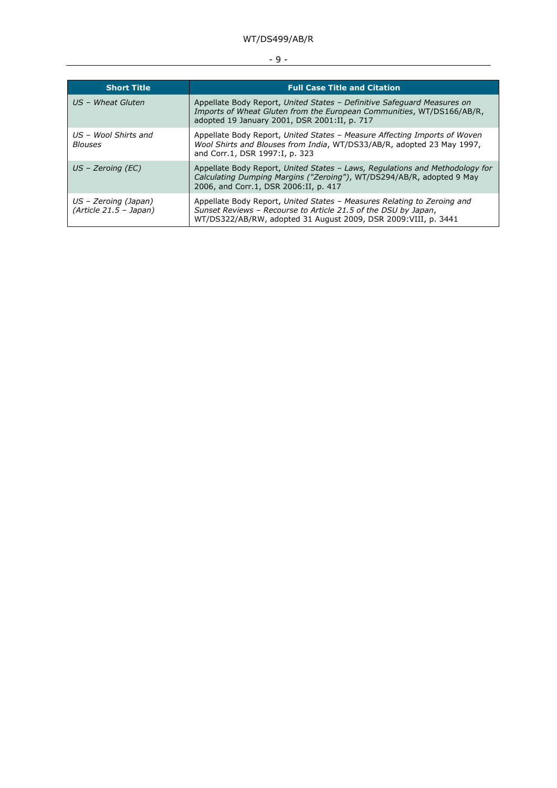## - 9 -

| <b>Short Title</b>                               | <b>Full Case Title and Citation</b>                                                                                                                                                                          |
|--------------------------------------------------|--------------------------------------------------------------------------------------------------------------------------------------------------------------------------------------------------------------|
| US - Wheat Gluten                                | Appellate Body Report, United States - Definitive Safeguard Measures on<br>Imports of Wheat Gluten from the European Communities, WT/DS166/AB/R,<br>adopted 19 January 2001, DSR 2001:II, p. 717             |
| US – Wool Shirts and<br><b>Blouses</b>           | Appellate Body Report, United States - Measure Affecting Imports of Woven<br>Wool Shirts and Blouses from India, WT/DS33/AB/R, adopted 23 May 1997,<br>and Corr.1, DSR 1997:I, p. 323                        |
| $US$ – Zeroing (EC)                              | Appellate Body Report, United States - Laws, Regulations and Methodology for<br>Calculating Dumping Margins ("Zeroing"), WT/DS294/AB/R, adopted 9 May<br>2006, and Corr.1, DSR 2006:II, p. 417               |
| US – Zeroing (Japan)<br>$(Article 21.5 - Japan)$ | Appellate Body Report, United States - Measures Relating to Zeroing and<br>Sunset Reviews - Recourse to Article 21.5 of the DSU by Japan,<br>WT/DS322/AB/RW, adopted 31 August 2009, DSR 2009: VIII, p. 3441 |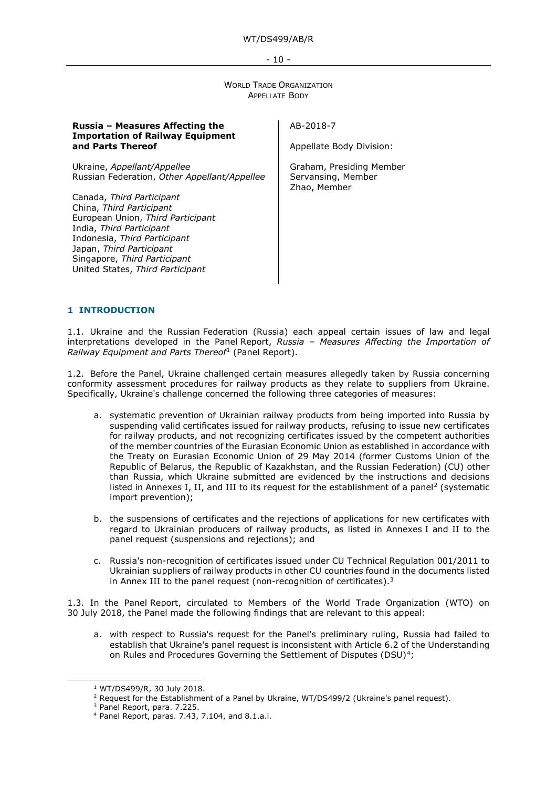#### - 10 -

WORLD TRADE ORGANIZATION APPELLATE BODY

| Russia - Measures Affecting the<br><b>Importation of Railway Equipment</b>                                                                                                                                                                             | AB-2018-7                                                      |
|--------------------------------------------------------------------------------------------------------------------------------------------------------------------------------------------------------------------------------------------------------|----------------------------------------------------------------|
| and Parts Thereof                                                                                                                                                                                                                                      | Appellate Body Division:                                       |
| Ukraine, Appellant/Appellee<br>Russian Federation, Other Appellant/Appellee                                                                                                                                                                            | Graham, Presiding Member<br>Servansing, Member<br>Zhao, Member |
| Canada, Third Participant<br>China, Third Participant<br>European Union, Third Participant<br>India, Third Participant<br>Indonesia, Third Participant<br>Japan, Third Participant<br>Singapore, Third Participant<br>United States, Third Participant |                                                                |

#### <span id="page-9-0"></span>**1 INTRODUCTION**

1.1. Ukraine and the Russian Federation (Russia) each appeal certain issues of law and legal interpretations developed in the Panel Report, *Russia – Measures Affecting the Importation of Railway Equipment and Parts Thereof*[1](#page-9-1) (Panel Report).

1.2. Before the Panel, Ukraine challenged certain measures allegedly taken by Russia concerning conformity assessment procedures for railway products as they relate to suppliers from Ukraine. Specifically, Ukraine's challenge concerned the following three categories of measures:

- a. systematic prevention of Ukrainian railway products from being imported into Russia by suspending valid certificates issued for railway products, refusing to issue new certificates for railway products, and not recognizing certificates issued by the competent authorities of the member countries of the Eurasian Economic Union as established in accordance with the Treaty on Eurasian Economic Union of 29 May 2014 (former Customs Union of the Republic of Belarus, the Republic of Kazakhstan, and the Russian Federation) (CU) other than Russia, which Ukraine submitted are evidenced by the instructions and decisions listed in Annexes I, II, and III to its request for the establishment of a panel<sup>[2](#page-9-2)</sup> (systematic import prevention);
- b. the suspensions of certificates and the rejections of applications for new certificates with regard to Ukrainian producers of railway products, as listed in Annexes I and II to the panel request (suspensions and rejections); and
- c. Russia's non-recognition of certificates issued under CU Technical Regulation 001/2011 to Ukrainian suppliers of railway products in other CU countries found in the documents listed in Annex III to the panel request (non-recognition of certificates).<sup>[3](#page-9-3)</sup>

1.3. In the Panel Report, circulated to Members of the World Trade Organization (WTO) on 30 July 2018, the Panel made the following findings that are relevant to this appeal:

a. with respect to Russia's request for the Panel's preliminary ruling, Russia had failed to establish that Ukraine's panel request is inconsistent with Article 6.2 of the Understanding on Rules and Procedures Governing the Settlement of Disputes (DSU)<sup>4</sup>;

<span id="page-9-1"></span><sup>1</sup> WT/DS499/R, 30 July 2018.

<span id="page-9-2"></span><sup>&</sup>lt;sup>2</sup> Request for the Establishment of a Panel by Ukraine, WT/DS499/2 (Ukraine's panel request).

<sup>3</sup> Panel Report, para. 7.225.

<span id="page-9-4"></span><span id="page-9-3"></span><sup>4</sup> Panel Report, paras. 7.43, 7.104, and 8.1.a.i.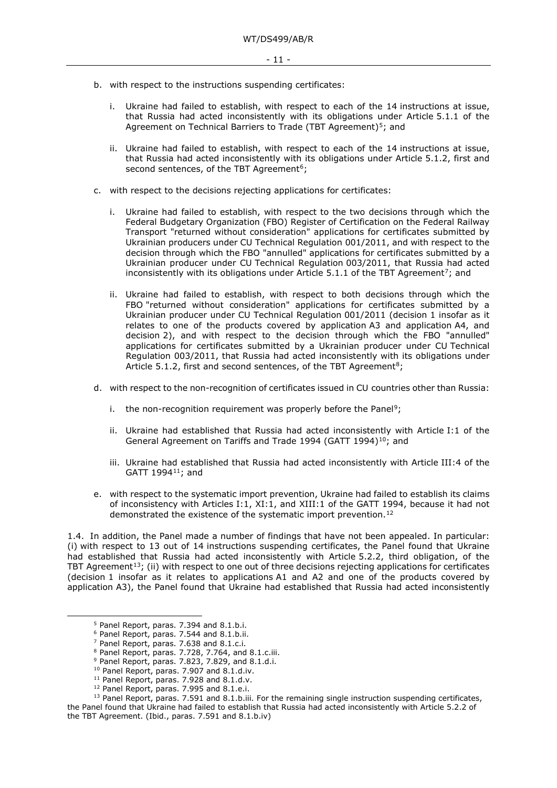- b. with respect to the instructions suspending certificates:
	- i. Ukraine had failed to establish, with respect to each of the 14 instructions at issue, that Russia had acted inconsistently with its obligations under Article 5.1.1 of the Agreement on Technical Barriers to Trade (TBT Agreement)<sup>5</sup>; and
	- ii. Ukraine had failed to establish, with respect to each of the 14 instructions at issue, that Russia had acted inconsistently with its obligations under Article 5.1.2, first and second sentences, of the TBT Agreement<sup>6</sup>;
- c. with respect to the decisions rejecting applications for certificates:
	- i. Ukraine had failed to establish, with respect to the two decisions through which the Federal Budgetary Organization (FBO) Register of Certification on the Federal Railway Transport "returned without consideration" applications for certificates submitted by Ukrainian producers under CU Technical Regulation 001/2011, and with respect to the decision through which the FBO "annulled" applications for certificates submitted by a Ukrainian producer under CU Technical Regulation 003/2011, that Russia had acted inconsistently with its obligations under Article  $5.1.1$  of the TBT Agreement<sup>[7](#page-10-2)</sup>; and
	- ii. Ukraine had failed to establish, with respect to both decisions through which the FBO "returned without consideration" applications for certificates submitted by a Ukrainian producer under CU Technical Regulation 001/2011 (decision 1 insofar as it relates to one of the products covered by application A3 and application A4, and decision 2), and with respect to the decision through which the FBO "annulled" applications for certificates submitted by a Ukrainian producer under CU Technical Regulation 003/2011, that Russia had acted inconsistently with its obligations under Article 5.1.2, first and second sentences, of the TBT Agreement<sup>8</sup>;
- d. with respect to the non-recognition of certificates issued in CU countries other than Russia:
	- i. the non-recognition requirement was properly before the Panel<sup>[9](#page-10-4)</sup>;
	- ii. Ukraine had established that Russia had acted inconsistently with Article I:1 of the General Agreement on Tariffs and Trade 1994 (GATT 1994)<sup>10</sup>; and
	- iii. Ukraine had established that Russia had acted inconsistently with Article III:4 of the GATT 1994[11;](#page-10-6) and
- e. with respect to the systematic import prevention, Ukraine had failed to establish its claims of inconsistency with Articles I:1, XI:1, and XIII:1 of the GATT 1994, because it had not demonstrated the existence of the systematic import prevention.<sup>[12](#page-10-7)</sup>

1.4. In addition, the Panel made a number of findings that have not been appealed. In particular: (i) with respect to 13 out of 14 instructions suspending certificates, the Panel found that Ukraine had established that Russia had acted inconsistently with Article 5.2.2, third obligation, of the TBT Agreement<sup>[13](#page-10-8)</sup>; (ii) with respect to one out of three decisions rejecting applications for certificates (decision 1 insofar as it relates to applications A1 and A2 and one of the products covered by application A3), the Panel found that Ukraine had established that Russia had acted inconsistently

<span id="page-10-8"></span><span id="page-10-7"></span><span id="page-10-6"></span><span id="page-10-5"></span><span id="page-10-4"></span><span id="page-10-3"></span><span id="page-10-2"></span> $13$  Panel Report, paras. 7.591 and 8.1.b.iii. For the remaining single instruction suspending certificates, the Panel found that Ukraine had failed to establish that Russia had acted inconsistently with Article 5.2.2 of the TBT Agreement. (Ibid., paras. 7.591 and 8.1.b.iv)

<span id="page-10-1"></span><span id="page-10-0"></span><sup>5</sup> Panel Report, paras. 7.394 and 8.1.b.i.

<sup>6</sup> Panel Report, paras. 7.544 and 8.1.b.ii.

<sup>7</sup> Panel Report, paras. 7.638 and 8.1.c.i.

<sup>&</sup>lt;sup>8</sup> Panel Report, paras. 7.728, 7.764, and 8.1.c.iii.

 $9$  Panel Report, paras. 7.823, 7.829, and 8.1.d.i.

<sup>&</sup>lt;sup>10</sup> Panel Report, paras. 7.907 and 8.1.d.iv.

<sup>&</sup>lt;sup>11</sup> Panel Report, paras. 7.928 and 8.1.d.v.

<sup>&</sup>lt;sup>12</sup> Panel Report, paras. 7.995 and 8.1.e.i.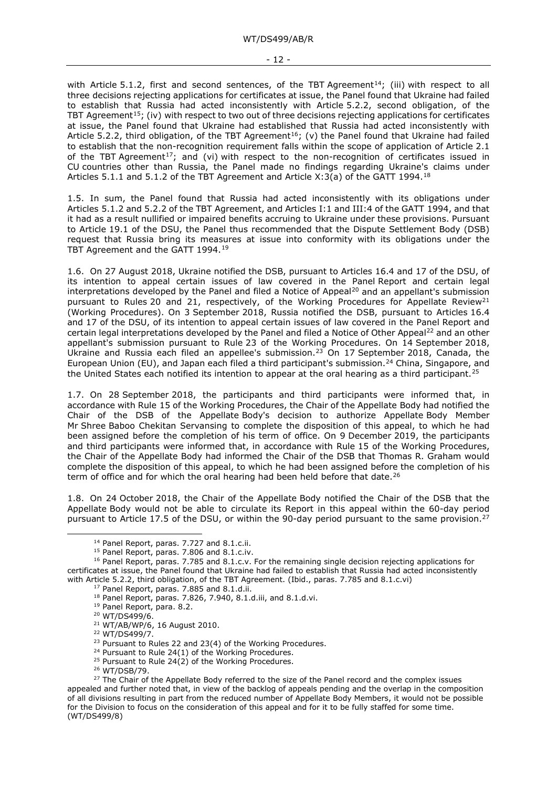#### - 12 -

with Article 5.1.2, first and second sentences, of the TBT Agreement<sup>14</sup>; (iii) with respect to all three decisions rejecting applications for certificates at issue, the Panel found that Ukraine had failed to establish that Russia had acted inconsistently with Article 5.2.2, second obligation, of the TBT Agreement<sup>[15](#page-11-1)</sup>; (iv) with respect to two out of three decisions rejecting applications for certificates at issue, the Panel found that Ukraine had established that Russia had acted inconsistently with Article 5.2.2, third obligation, of the TBT Agreement<sup>16</sup>; (v) the Panel found that Ukraine had failed to establish that the non-recognition requirement falls within the scope of application of Article 2.1 of the TBT Agreement<sup>17</sup>; and (vi) with respect to the non-recognition of certificates issued in CU countries other than Russia, the Panel made no findings regarding Ukraine's claims under Articles 5.1.1 and 5.1.2 of the TBT Agreement and Article  $X:3(a)$  of the GATT 1994.<sup>[18](#page-11-4)</sup>

1.5. In sum, the Panel found that Russia had acted inconsistently with its obligations under Articles 5.1.2 and 5.2.2 of the TBT Agreement, and Articles I:1 and III:4 of the GATT 1994, and that it had as a result nullified or impaired benefits accruing to Ukraine under these provisions. Pursuant to Article 19.1 of the DSU, the Panel thus recommended that the Dispute Settlement Body (DSB) request that Russia bring its measures at issue into conformity with its obligations under the TBT Agreement and the GATT 1994.[19](#page-11-5)

1.6. On 27 August 2018, Ukraine notified the DSB, pursuant to Articles 16.4 and 17 of the DSU, of its intention to appeal certain issues of law covered in the Panel Report and certain legal interpretations developed by the Panel and filed a Notice of Appeal<sup>[20](#page-11-6)</sup> and an appellant's submission pursuant to Rules 20 and [21](#page-11-7), respectively, of the Working Procedures for Appellate Review<sup>21</sup> (Working Procedures). On 3 September 2018, Russia notified the DSB, pursuant to Articles 16.4 and 17 of the DSU, of its intention to appeal certain issues of law covered in the Panel Report and certain legal interpretations developed by the Panel and filed a Notice of Other Appeal<sup>[22](#page-11-8)</sup> and an other appellant's submission pursuant to Rule 23 of the Working Procedures. On 14 September 2018, Ukraine and Russia each filed an appellee's submission.[23](#page-11-9) On 17 September 2018, Canada, the European Union (EU), and Japan each filed a third participant's submission.<sup>[24](#page-11-10)</sup> China, Singapore, and the United States each notified its intention to appear at the oral hearing as a third participant.<sup>[25](#page-11-11)</sup>

1.7. On 28 September 2018, the participants and third participants were informed that, in accordance with Rule 15 of the Working Procedures, the Chair of the Appellate Body had notified the Chair of the DSB of the Appellate Body's decision to authorize Appellate Body Member Mr Shree Baboo Chekitan Servansing to complete the disposition of this appeal, to which he had been assigned before the completion of his term of office. On 9 December 2019, the participants and third participants were informed that, in accordance with Rule 15 of the Working Procedures, the Chair of the Appellate Body had informed the Chair of the DSB that Thomas R. Graham would complete the disposition of this appeal, to which he had been assigned before the completion of his term of office and for which the oral hearing had been held before that date.<sup>[26](#page-11-12)</sup>

1.8. On 24 October 2018, the Chair of the Appellate Body notified the Chair of the DSB that the Appellate Body would not be able to circulate its Report in this appeal within the 60-day period pursuant to Article 17.5 of the DSU, or within the 90-day period pursuant to the same provision.<sup>[27](#page-11-13)</sup>

- <sup>19</sup> Panel Report, para. 8.2.
- <sup>20</sup> WT/DS499/6.

<sup>22</sup> WT/DS499/7.

<sup>&</sup>lt;sup>14</sup> Panel Report, paras. 7.727 and 8.1.c.ii.

<sup>&</sup>lt;sup>15</sup> Panel Report, paras. 7.806 and 8.1.c.iv.

<span id="page-11-6"></span><span id="page-11-5"></span><span id="page-11-4"></span><span id="page-11-3"></span><span id="page-11-2"></span><span id="page-11-1"></span><span id="page-11-0"></span><sup>16</sup> Panel Report, paras. 7.785 and 8.1.c.v. For the remaining single decision rejecting applications for certificates at issue, the Panel found that Ukraine had failed to establish that Russia had acted inconsistently with Article 5.2.2, third obligation, of the TBT Agreement. (Ibid., paras. 7.785 and 8.1.c.vi)

<sup>&</sup>lt;sup>17</sup> Panel Report, paras. 7.885 and 8.1.d.ii.

<sup>18</sup> Panel Report, paras. 7.826, 7.940, 8.1.d.iii, and 8.1.d.vi.

<sup>21</sup> WT/AB/WP/6, 16 August 2010.

<sup>&</sup>lt;sup>23</sup> Pursuant to Rules 22 and 23(4) of the Working Procedures.

<sup>&</sup>lt;sup>24</sup> Pursuant to Rule 24(1) of the Working Procedures.

<sup>&</sup>lt;sup>25</sup> Pursuant to Rule  $24(2)$  of the Working Procedures.

<sup>26</sup> WT/DSB/79.

<span id="page-11-13"></span><span id="page-11-12"></span><span id="page-11-11"></span><span id="page-11-10"></span><span id="page-11-9"></span><span id="page-11-8"></span><span id="page-11-7"></span><sup>&</sup>lt;sup>27</sup> The Chair of the Appellate Body referred to the size of the Panel record and the complex issues appealed and further noted that, in view of the backlog of appeals pending and the overlap in the composition of all divisions resulting in part from the reduced number of Appellate Body Members, it would not be possible for the Division to focus on the consideration of this appeal and for it to be fully staffed for some time. (WT/DS499/8)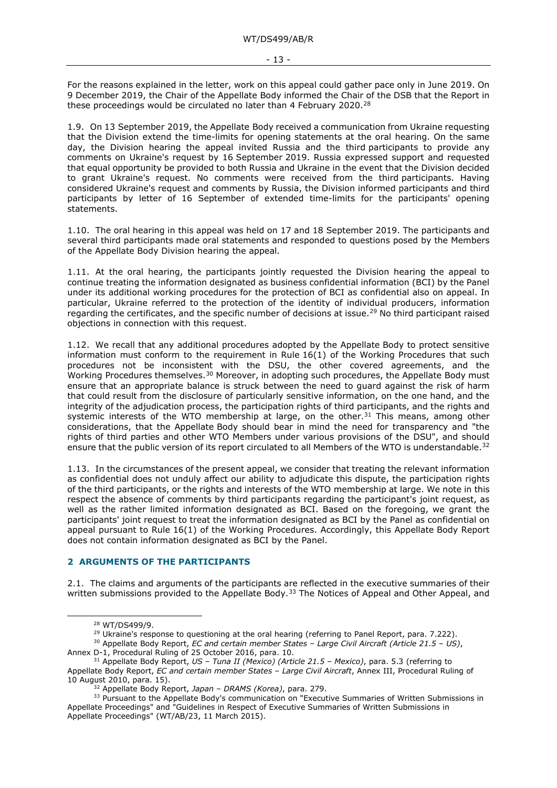For the reasons explained in the letter, work on this appeal could gather pace only in June 2019. On 9 December 2019, the Chair of the Appellate Body informed the Chair of the DSB that the Report in these proceedings would be circulated no later than 4 February 2020.<sup>[28](#page-12-1)</sup>

1.9. On 13 September 2019, the Appellate Body received a communication from Ukraine requesting that the Division extend the time-limits for opening statements at the oral hearing. On the same day, the Division hearing the appeal invited Russia and the third participants to provide any comments on Ukraine's request by 16 September 2019. Russia expressed support and requested that equal opportunity be provided to both Russia and Ukraine in the event that the Division decided to grant Ukraine's request. No comments were received from the third participants. Having considered Ukraine's request and comments by Russia, the Division informed participants and third participants by letter of 16 September of extended time-limits for the participants' opening statements.

1.10. The oral hearing in this appeal was held on 17 and 18 September 2019. The participants and several third participants made oral statements and responded to questions posed by the Members of the Appellate Body Division hearing the appeal.

1.11. At the oral hearing, the participants jointly requested the Division hearing the appeal to continue treating the information designated as business confidential information (BCI) by the Panel under its additional working procedures for the protection of BCI as confidential also on appeal. In particular, Ukraine referred to the protection of the identity of individual producers, information regarding the certificates, and the specific number of decisions at issue.<sup>29</sup> No third participant raised objections in connection with this request.

1.12. We recall that any additional procedures adopted by the Appellate Body to protect sensitive information must conform to the requirement in Rule 16(1) of the Working Procedures that such procedures not be inconsistent with the DSU, the other covered agreements, and the Working Procedures themselves.<sup>[30](#page-12-3)</sup> Moreover, in adopting such procedures, the Appellate Body must ensure that an appropriate balance is struck between the need to guard against the risk of harm that could result from the disclosure of particularly sensitive information, on the one hand, and the integrity of the adjudication process, the participation rights of third participants, and the rights and systemic interests of the WTO membership at large, on the other.<sup>[31](#page-12-4)</sup> This means, among other considerations, that the Appellate Body should bear in mind the need for transparency and "the rights of third parties and other WTO Members under various provisions of the DSU", and should ensure that the public version of its report circulated to all Members of the WTO is understandable.<sup>[32](#page-12-5)</sup>

1.13. In the circumstances of the present appeal, we consider that treating the relevant information as confidential does not unduly affect our ability to adjudicate this dispute, the participation rights of the third participants, or the rights and interests of the WTO membership at large. We note in this respect the absence of comments by third participants regarding the participant's joint request, as well as the rather limited information designated as BCI. Based on the foregoing, we grant the participants' joint request to treat the information designated as BCI by the Panel as confidential on appeal pursuant to Rule 16(1) of the Working Procedures. Accordingly, this Appellate Body Report does not contain information designated as BCI by the Panel.

#### <span id="page-12-0"></span>**2 ARGUMENTS OF THE PARTICIPANTS**

2.1. The claims and arguments of the participants are reflected in the executive summaries of their written submissions provided to the Appellate Body.<sup>[33](#page-12-6)</sup> The Notices of Appeal and Other Appeal, and

<sup>28</sup> WT/DS499/9.

<sup>&</sup>lt;sup>29</sup> Ukraine's response to questioning at the oral hearing (referring to Panel Report, para. 7.222).

<span id="page-12-3"></span><span id="page-12-2"></span><span id="page-12-1"></span><sup>30</sup> Appellate Body Report, *EC and certain member States – Large Civil Aircraft (Article 21.5 – US)*, Annex D-1, Procedural Ruling of 25 October 2016, para. 10.

<span id="page-12-4"></span><sup>31</sup> Appellate Body Report, *US – Tuna II (Mexico) (Article 21.5 – Mexico)*, para. 5.3 (referring to Appellate Body Report, *EC and certain member States – Large Civil Aircraft*, Annex III, Procedural Ruling of 10 August 2010, para. 15).

<sup>32</sup> Appellate Body Report, *Japan – DRAMS (Korea)*, para. 279.

<span id="page-12-6"></span><span id="page-12-5"></span><sup>&</sup>lt;sup>33</sup> Pursuant to the Appellate Body's communication on "Executive Summaries of Written Submissions in Appellate Proceedings" and "Guidelines in Respect of Executive Summaries of Written Submissions in Appellate Proceedings" (WT/AB/23, 11 March 2015).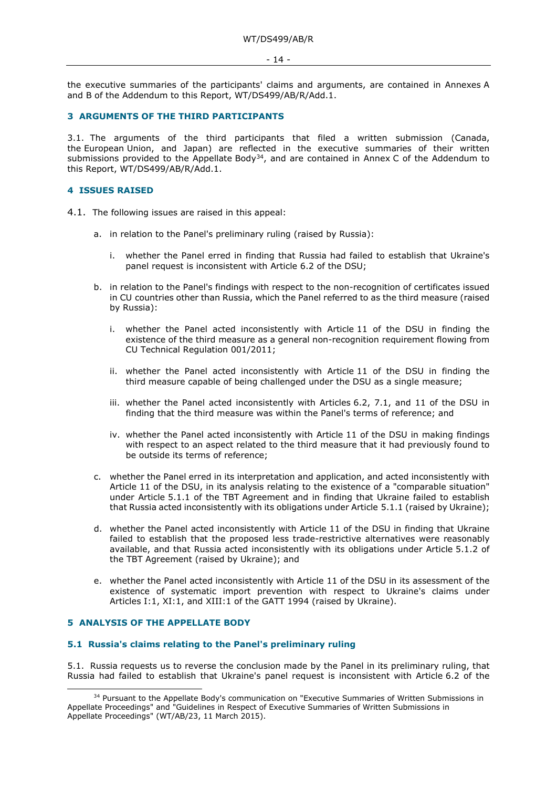#### - 14 -

the executive summaries of the participants' claims and arguments, are contained in Annexes A and B of the Addendum to this Report, WT/DS499/AB/R/Add.1.

#### <span id="page-13-0"></span>**3 ARGUMENTS OF THE THIRD PARTICIPANTS**

3.1. The arguments of the third participants that filed a written submission (Canada, the European Union, and Japan) are reflected in the executive summaries of their written submissions provided to the Appellate Body<sup>34</sup>, and are contained in Annex C of the Addendum to this Report, WT/DS499/AB/R/Add.1.

#### <span id="page-13-1"></span>**4 ISSUES RAISED**

- 4.1. The following issues are raised in this appeal:
	- a. in relation to the Panel's preliminary ruling (raised by Russia):
		- i. whether the Panel erred in finding that Russia had failed to establish that Ukraine's panel request is inconsistent with Article 6.2 of the DSU;
	- b. in relation to the Panel's findings with respect to the non-recognition of certificates issued in CU countries other than Russia, which the Panel referred to as the third measure (raised by Russia):
		- i. whether the Panel acted inconsistently with Article 11 of the DSU in finding the existence of the third measure as a general non-recognition requirement flowing from CU Technical Regulation 001/2011;
		- ii. whether the Panel acted inconsistently with Article 11 of the DSU in finding the third measure capable of being challenged under the DSU as a single measure;
		- iii. whether the Panel acted inconsistently with Articles 6.2, 7.1, and 11 of the DSU in finding that the third measure was within the Panel's terms of reference; and
		- iv. whether the Panel acted inconsistently with Article 11 of the DSU in making findings with respect to an aspect related to the third measure that it had previously found to be outside its terms of reference;
	- c. whether the Panel erred in its interpretation and application, and acted inconsistently with Article 11 of the DSU, in its analysis relating to the existence of a "comparable situation" under Article 5.1.1 of the TBT Agreement and in finding that Ukraine failed to establish that Russia acted inconsistently with its obligations under Article 5.1.1 (raised by Ukraine);
	- d. whether the Panel acted inconsistently with Article 11 of the DSU in finding that Ukraine failed to establish that the proposed less trade-restrictive alternatives were reasonably available, and that Russia acted inconsistently with its obligations under Article 5.1.2 of the TBT Agreement (raised by Ukraine); and
	- e. whether the Panel acted inconsistently with Article 11 of the DSU in its assessment of the existence of systematic import prevention with respect to Ukraine's claims under Articles I:1, XI:1, and XIII:1 of the GATT 1994 (raised by Ukraine).

#### <span id="page-13-2"></span>**5 ANALYSIS OF THE APPELLATE BODY**

#### <span id="page-13-3"></span>**5.1 Russia's claims relating to the Panel's preliminary ruling**

5.1. Russia requests us to reverse the conclusion made by the Panel in its preliminary ruling, that Russia had failed to establish that Ukraine's panel request is inconsistent with Article 6.2 of the

<span id="page-13-4"></span><sup>&</sup>lt;sup>34</sup> Pursuant to the Appellate Body's communication on "Executive Summaries of Written Submissions in Appellate Proceedings" and "Guidelines in Respect of Executive Summaries of Written Submissions in Appellate Proceedings" (WT/AB/23, 11 March 2015).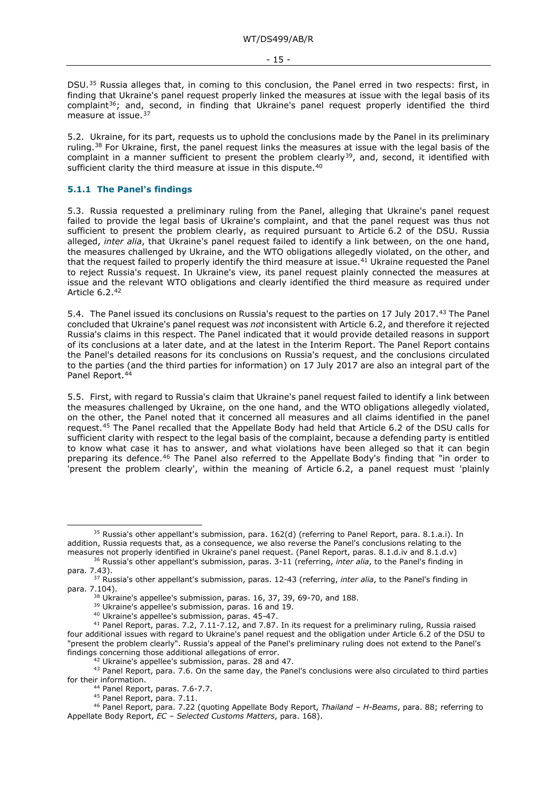DSU.<sup>[35](#page-14-1)</sup> Russia alleges that, in coming to this conclusion, the Panel erred in two respects: first, in finding that Ukraine's panel request properly linked the measures at issue with the legal basis of its complaint<sup>[36](#page-14-2)</sup>; and, second, in finding that Ukraine's panel request properly identified the third measure at issue.<sup>[37](#page-14-3)</sup>

5.2. Ukraine, for its part, requests us to uphold the conclusions made by the Panel in its preliminary ruling.[38](#page-14-4) For Ukraine, first, the panel request links the measures at issue with the legal basis of the complaint in a manner sufficient to present the problem clearly<sup>39</sup>, and, second, it identified with sufficient clarity the third measure at issue in this dispute.<sup>[40](#page-14-6)</sup>

#### <span id="page-14-0"></span>**5.1.1 The Panel's findings**

5.3. Russia requested a preliminary ruling from the Panel, alleging that Ukraine's panel request failed to provide the legal basis of Ukraine's complaint, and that the panel request was thus not sufficient to present the problem clearly, as required pursuant to Article 6.2 of the DSU. Russia alleged, *inter alia*, that Ukraine's panel request failed to identify a link between, on the one hand, the measures challenged by Ukraine, and the WTO obligations allegedly violated, on the other, and that the request failed to properly identify the third measure at issue.[41](#page-14-7) Ukraine requested the Panel to reject Russia's request. In Ukraine's view, its panel request plainly connected the measures at issue and the relevant WTO obligations and clearly identified the third measure as required under Article 6.2.[42](#page-14-8)

5.4. The Panel issued its conclusions on Russia's request to the parties on 17 July 2017.[43](#page-14-9) The Panel concluded that Ukraine's panel request was *not* inconsistent with Article 6.2, and therefore it rejected Russia's claims in this respect. The Panel indicated that it would provide detailed reasons in support of its conclusions at a later date, and at the latest in the Interim Report. The Panel Report contains the Panel's detailed reasons for its conclusions on Russia's request, and the conclusions circulated to the parties (and the third parties for information) on 17 July 2017 are also an integral part of the Panel Report.<sup>44</sup>

5.5. First, with regard to Russia's claim that Ukraine's panel request failed to identify a link between the measures challenged by Ukraine, on the one hand, and the WTO obligations allegedly violated, on the other, the Panel noted that it concerned all measures and all claims identified in the panel request.[45](#page-14-11) The Panel recalled that the Appellate Body had held that Article 6.2 of the DSU calls for sufficient clarity with respect to the legal basis of the complaint, because a defending party is entitled to know what case it has to answer, and what violations have been alleged so that it can begin preparing its defence.<sup>[46](#page-14-12)</sup> The Panel also referred to the Appellate Body's finding that "in order to 'present the problem clearly', within the meaning of Article 6.2, a panel request must 'plainly

<span id="page-14-1"></span><sup>35</sup> Russia's other appellant's submission, para. 162(d) (referring to Panel Report, para. 8.1.a.i). In addition, Russia requests that, as a consequence, we also reverse the Panel's conclusions relating to the measures not properly identified in Ukraine's panel request. (Panel Report, paras. 8.1.d.iv and 8.1.d.v)

<span id="page-14-2"></span><sup>36</sup> Russia's other appellant's submission, paras. 3-11 (referring, *inter alia*, to the Panel's finding in para. 7.43).

<span id="page-14-4"></span><span id="page-14-3"></span><sup>37</sup> Russia's other appellant's submission, paras. 12-43 (referring, *inter alia*, to the Panel's finding in para. 7.104).

<sup>&</sup>lt;sup>38</sup> Ukraine's appellee's submission, paras. 16, 37, 39, 69-70, and 188.

<sup>&</sup>lt;sup>39</sup> Ukraine's appellee's submission, paras. 16 and 19.

<sup>40</sup> Ukraine's appellee's submission, paras. 45-47.

<span id="page-14-7"></span><span id="page-14-6"></span><span id="page-14-5"></span><sup>41</sup> Panel Report, paras. 7.2, 7.11-7.12, and 7.87. In its request for a preliminary ruling, Russia raised four additional issues with regard to Ukraine's panel request and the obligation under Article 6.2 of the DSU to "present the problem clearly". Russia's appeal of the Panel's preliminary ruling does not extend to the Panel's findings concerning those additional allegations of error.

<sup>42</sup> Ukraine's appellee's submission, paras. 28 and 47.

<span id="page-14-9"></span><span id="page-14-8"></span><sup>43</sup> Panel Report, para. 7.6. On the same day, the Panel's conclusions were also circulated to third parties for their information.

<sup>44</sup> Panel Report, paras. 7.6-7.7.

<sup>45</sup> Panel Report, para. 7.11.

<span id="page-14-12"></span><span id="page-14-11"></span><span id="page-14-10"></span><sup>46</sup> Panel Report, para. 7.22 (quoting Appellate Body Report, *Thailand – H-Beams*, para. 88; referring to Appellate Body Report, *EC – Selected Customs Matters*, para. 168).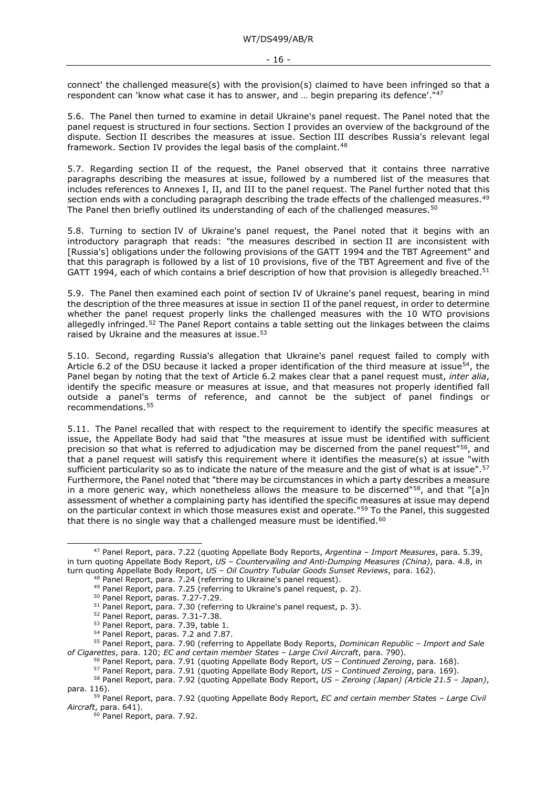connect' the challenged measure(s) with the provision(s) claimed to have been infringed so that a respondent can 'know what case it has to answer, and ... begin preparing its defence'.<sup>"[47](#page-15-0)</sup>

5.6. The Panel then turned to examine in detail Ukraine's panel request. The Panel noted that the panel request is structured in four sections. Section I provides an overview of the background of the dispute. Section II describes the measures at issue. Section III describes Russia's relevant legal framework. Section IV provides the legal basis of the complaint.<sup>[48](#page-15-1)</sup>

5.7. Regarding section II of the request, the Panel observed that it contains three narrative paragraphs describing the measures at issue, followed by a numbered list of the measures that includes references to Annexes I, II, and III to the panel request. The Panel further noted that this section ends with a concluding paragraph describing the trade effects of the challenged measures.<sup>[49](#page-15-2)</sup> The Panel then briefly outlined its understanding of each of the challenged measures.<sup>[50](#page-15-3)</sup>

5.8. Turning to section IV of Ukraine's panel request, the Panel noted that it begins with an introductory paragraph that reads: "the measures described in section II are inconsistent with [Russia's] obligations under the following provisions of the GATT 1994 and the TBT Agreement" and that this paragraph is followed by a list of 10 provisions, five of the TBT Agreement and five of the GATT 1994, each of which contains a brief description of how that provision is allegedly breached.<sup>[51](#page-15-4)</sup>

5.9. The Panel then examined each point of section IV of Ukraine's panel request, bearing in mind the description of the three measures at issue in section II of the panel request, in order to determine whether the panel request properly links the challenged measures with the 10 WTO provisions allegedly infringed.<sup>[52](#page-15-5)</sup> The Panel Report contains a table setting out the linkages between the claims raised by Ukraine and the measures at issue.<sup>[53](#page-15-6)</sup>

5.10. Second, regarding Russia's allegation that Ukraine's panel request failed to comply with Article 6.2 of the DSU because it lacked a proper identification of the third measure at issue<sup>54</sup>, the Panel began by noting that the text of Article 6.2 makes clear that a panel request must, *inter alia*, identify the specific measure or measures at issue, and that measures not properly identified fall outside a panel's terms of reference, and cannot be the subject of panel findings or recommendations.[55](#page-15-8)

5.11. The Panel recalled that with respect to the requirement to identify the specific measures at issue, the Appellate Body had said that "the measures at issue must be identified with sufficient precision so that what is referred to adjudication may be discerned from the panel request"<sup>56</sup>, and that a panel request will satisfy this requirement where it identifies the measure(s) at issue "with sufficient particularity so as to indicate the nature of the measure and the gist of what is at issue".<sup>[57](#page-15-10)</sup> Furthermore, the Panel noted that "there may be circumstances in which a party describes a measure in a more generic way, which nonetheless allows the measure to be discerned" $58$ , and that "[a]n assessment of whether a complaining party has identified the specific measures at issue may depend on the particular context in which those measures exist and operate."[59](#page-15-12) To the Panel, this suggested that there is no single way that a challenged measure must be identified. $60$ 

<span id="page-15-2"></span><span id="page-15-1"></span><span id="page-15-0"></span><sup>47</sup> Panel Report, para. 7.22 (quoting Appellate Body Reports, *Argentina – Import Measures*, para. 5.39, in turn quoting Appellate Body Report, *US – Countervailing and Anti-Dumping Measures (China)*, para. 4.8, in turn quoting Appellate Body Report, *US – Oil Country Tubular Goods Sunset Reviews*, para. 162).

<sup>48</sup> Panel Report, para. 7.24 (referring to Ukraine's panel request).

<sup>49</sup> Panel Report, para. 7.25 (referring to Ukraine's panel request, p. 2).

<sup>50</sup> Panel Report, paras. 7.27-7.29.

<sup>&</sup>lt;sup>51</sup> Panel Report, para. 7.30 (referring to Ukraine's panel request, p. 3).

<sup>52</sup> Panel Report, paras. 7.31-7.38.

<sup>53</sup> Panel Report, para. 7.39, table 1.

<sup>54</sup> Panel Report, paras. 7.2 and 7.87.

<span id="page-15-9"></span><span id="page-15-8"></span><span id="page-15-7"></span><span id="page-15-6"></span><span id="page-15-5"></span><span id="page-15-4"></span><span id="page-15-3"></span><sup>55</sup> Panel Report, para. 7.90 (referring to Appellate Body Reports, *Dominican Republic – Import and Sale of Cigarettes*, para. 120; *EC and certain member States – Large Civil Aircraft*, para. 790).

<sup>56</sup> Panel Report, para. 7.91 (quoting Appellate Body Report, *US – Continued Zeroing*, para. 168).

<sup>57</sup> Panel Report, para. 7.91 (quoting Appellate Body Report, *US – Continued Zeroing*, para. 169).

<span id="page-15-11"></span><span id="page-15-10"></span><sup>58</sup> Panel Report, para. 7.92 (quoting Appellate Body Report, *US – Zeroing (Japan) (Article 21.5 – Japan)*, para. 116).

<span id="page-15-13"></span><span id="page-15-12"></span><sup>59</sup> Panel Report, para. 7.92 (quoting Appellate Body Report, *EC and certain member States – Large Civil Aircraft*, para. 641).

<sup>&</sup>lt;sup>60</sup> Panel Report, para. 7.92.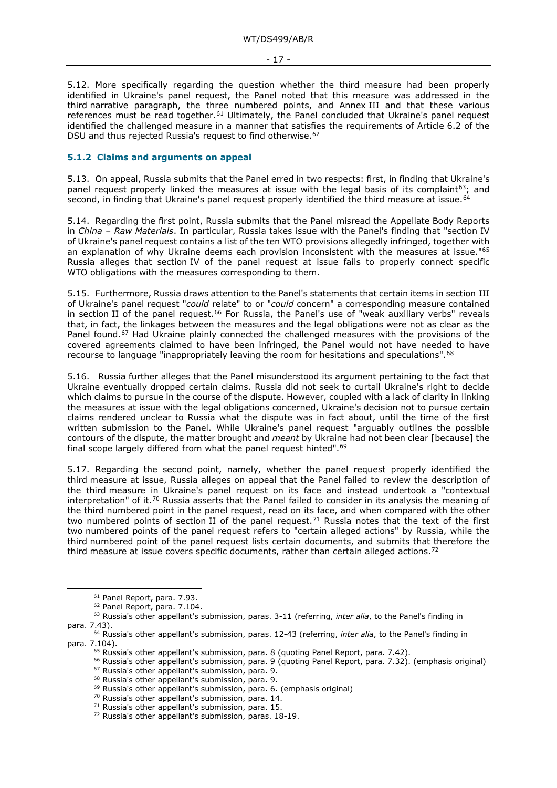- 17 -

5.12. More specifically regarding the question whether the third measure had been properly identified in Ukraine's panel request, the Panel noted that this measure was addressed in the third narrative paragraph, the three numbered points, and Annex III and that these various references must be read together.<sup>61</sup> Ultimately, the Panel concluded that Ukraine's panel request identified the challenged measure in a manner that satisfies the requirements of Article 6.2 of the DSU and thus rejected Russia's request to find otherwise.<sup>[62](#page-16-2)</sup>

#### <span id="page-16-0"></span>**5.1.2 Claims and arguments on appeal**

5.13. On appeal, Russia submits that the Panel erred in two respects: first, in finding that Ukraine's panel request properly linked the measures at issue with the legal basis of its complaint<sup>63</sup>; and second, in finding that Ukraine's panel request properly identified the third measure at issue.<sup>[64](#page-16-4)</sup>

5.14. Regarding the first point, Russia submits that the Panel misread the Appellate Body Reports in *China – Raw Materials*. In particular, Russia takes issue with the Panel's finding that "section IV of Ukraine's panel request contains a list of the ten WTO provisions allegedly infringed, together with an explanation of why Ukraine deems each provision inconsistent with the measures at issue."<sup>[65](#page-16-5)</sup> Russia alleges that section IV of the panel request at issue fails to properly connect specific WTO obligations with the measures corresponding to them.

5.15. Furthermore, Russia draws attention to the Panel's statements that certain items in section III of Ukraine's panel request "*could* relate" to or "*could* concern" a corresponding measure contained in section II of the panel request.<sup>[66](#page-16-6)</sup> For Russia, the Panel's use of "weak auxiliary verbs" reveals that, in fact, the linkages between the measures and the legal obligations were not as clear as the Panel found.<sup>[67](#page-16-7)</sup> Had Ukraine plainly connected the challenged measures with the provisions of the covered agreements claimed to have been infringed, the Panel would not have needed to have recourse to language "inappropriately leaving the room for hesitations and speculations"[.68](#page-16-8)

5.16. Russia further alleges that the Panel misunderstood its argument pertaining to the fact that Ukraine eventually dropped certain claims. Russia did not seek to curtail Ukraine's right to decide which claims to pursue in the course of the dispute. However, coupled with a lack of clarity in linking the measures at issue with the legal obligations concerned, Ukraine's decision not to pursue certain claims rendered unclear to Russia what the dispute was in fact about, until the time of the first written submission to the Panel. While Ukraine's panel request "arguably outlines the possible contours of the dispute, the matter brought and *meant* by Ukraine had not been clear [because] the final scope largely differed from what the panel request hinted".[69](#page-16-9)

5.17. Regarding the second point, namely, whether the panel request properly identified the third measure at issue, Russia alleges on appeal that the Panel failed to review the description of the third measure in Ukraine's panel request on its face and instead undertook a "contextual interpretation" of it.<sup>[70](#page-16-10)</sup> Russia asserts that the Panel failed to consider in its analysis the meaning of the third numbered point in the panel request, read on its face, and when compared with the other two numbered points of section II of the panel request.<sup>71</sup> Russia notes that the text of the first two numbered points of the panel request refers to "certain alleged actions" by Russia, while the third numbered point of the panel request lists certain documents, and submits that therefore the third measure at issue covers specific documents, rather than certain alleged actions.<sup>[72](#page-16-12)</sup>

- <sup>69</sup> Russia's other appellant's submission, para. 6. (emphasis original)
- <sup>70</sup> Russia's other appellant's submission, para. 14.
- <span id="page-16-11"></span> $71$  Russia's other appellant's submission, para. 15.

<sup>61</sup> Panel Report, para. 7.93.

<sup>62</sup> Panel Report, para. 7.104.

<span id="page-16-3"></span><span id="page-16-2"></span><span id="page-16-1"></span><sup>63</sup> Russia's other appellant's submission, paras. 3-11 (referring, *inter alia*, to the Panel's finding in para. 7.43).

<span id="page-16-10"></span><span id="page-16-9"></span><span id="page-16-8"></span><span id="page-16-7"></span><span id="page-16-6"></span><span id="page-16-5"></span><span id="page-16-4"></span><sup>64</sup> Russia's other appellant's submission, paras. 12-43 (referring, *inter alia*, to the Panel's finding in para. 7.104).

 $65$  Russia's other appellant's submission, para. 8 (quoting Panel Report, para. 7.42).

<sup>66</sup> Russia's other appellant's submission, para. 9 (quoting Panel Report, para. 7.32). (emphasis original)

<sup>67</sup> Russia's other appellant's submission, para. 9.

<sup>68</sup> Russia's other appellant's submission, para. 9.

<span id="page-16-12"></span><sup>72</sup> Russia's other appellant's submission, paras. 18-19.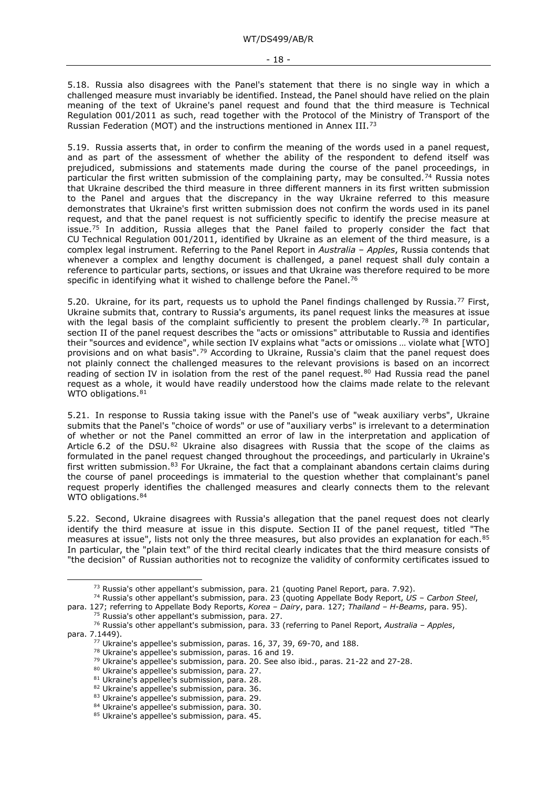5.18. Russia also disagrees with the Panel's statement that there is no single way in which a challenged measure must invariably be identified. Instead, the Panel should have relied on the plain meaning of the text of Ukraine's panel request and found that the third measure is Technical Regulation 001/2011 as such, read together with the Protocol of the Ministry of Transport of the Russian Federation (MOT) and the instructions mentioned in Annex III.[73](#page-17-0)

5.19. Russia asserts that, in order to confirm the meaning of the words used in a panel request, and as part of the assessment of whether the ability of the respondent to defend itself was prejudiced, submissions and statements made during the course of the panel proceedings, in particular the first written submission of the complaining party, may be consulted.<sup>[74](#page-17-1)</sup> Russia notes that Ukraine described the third measure in three different manners in its first written submission to the Panel and argues that the discrepancy in the way Ukraine referred to this measure demonstrates that Ukraine's first written submission does not confirm the words used in its panel request, and that the panel request is not sufficiently specific to identify the precise measure at issue.<sup>[75](#page-17-2)</sup> In addition, Russia alleges that the Panel failed to properly consider the fact that CU Technical Regulation 001/2011, identified by Ukraine as an element of the third measure, is a complex legal instrument. Referring to the Panel Report in *Australia – Apples*, Russia contends that whenever a complex and lengthy document is challenged, a panel request shall duly contain a reference to particular parts, sections, or issues and that Ukraine was therefore required to be more specific in identifying what it wished to challenge before the Panel.<sup>[76](#page-17-3)</sup>

5.20. Ukraine, for its part, requests us to uphold the Panel findings challenged by Russia.<sup>[77](#page-17-4)</sup> First, Ukraine submits that, contrary to Russia's arguments, its panel request links the measures at issue with the legal basis of the complaint sufficiently to present the problem clearly.<sup>[78](#page-17-5)</sup> In particular, section II of the panel request describes the "acts or omissions" attributable to Russia and identifies their "sources and evidence", while section IV explains what "acts or omissions … violate what [WTO] provisions and on what basis".[79](#page-17-6) According to Ukraine, Russia's claim that the panel request does not plainly connect the challenged measures to the relevant provisions is based on an incorrect reading of section IV in isolation from the rest of the panel request.<sup>[80](#page-17-7)</sup> Had Russia read the panel request as a whole, it would have readily understood how the claims made relate to the relevant WTO obligations.<sup>[81](#page-17-8)</sup>

5.21. In response to Russia taking issue with the Panel's use of "weak auxiliary verbs", Ukraine submits that the Panel's "choice of words" or use of "auxiliary verbs" is irrelevant to a determination of whether or not the Panel committed an error of law in the interpretation and application of Article 6.2 of the DSU.<sup>[82](#page-17-9)</sup> Ukraine also disagrees with Russia that the scope of the claims as formulated in the panel request changed throughout the proceedings, and particularly in Ukraine's first written submission. $83$  For Ukraine, the fact that a complainant abandons certain claims during the course of panel proceedings is immaterial to the question whether that complainant's panel request properly identifies the challenged measures and clearly connects them to the relevant WTO obligations. [84](#page-17-11)

5.22. Second, Ukraine disagrees with Russia's allegation that the panel request does not clearly identify the third measure at issue in this dispute. Section II of the panel request, titled "The measures at issue", lists not only the three measures, but also provides an explanation for each.<sup>[85](#page-17-12)</sup> In particular, the "plain text" of the third recital clearly indicates that the third measure consists of "the decision" of Russian authorities not to recognize the validity of conformity certificates issued to

<sup>77</sup> Ukraine's appellee's submission, paras. 16, 37, 39, 69-70, and 188.

<sup>&</sup>lt;sup>73</sup> Russia's other appellant's submission, para. 21 (quoting Panel Report, para. 7.92).

<sup>74</sup> Russia's other appellant's submission, para. 23 (quoting Appellate Body Report, *US – Carbon Steel*,

<span id="page-17-1"></span><span id="page-17-0"></span>para. 127; referring to Appellate Body Reports, *Korea – Dairy*, para. 127; *Thailand – H-Beams*, para. 95).

<sup>&</sup>lt;sup>75</sup> Russia's other appellant's submission, para. 27.

<span id="page-17-8"></span><span id="page-17-7"></span><span id="page-17-6"></span><span id="page-17-5"></span><span id="page-17-4"></span><span id="page-17-3"></span><span id="page-17-2"></span><sup>76</sup> Russia's other appellant's submission, para. 33 (referring to Panel Report, *Australia – Apples*, para. 7.1449).

<sup>78</sup> Ukraine's appellee's submission, paras. 16 and 19.

<sup>79</sup> Ukraine's appellee's submission, para. 20. See also ibid., paras. 21-22 and 27-28.

<sup>80</sup> Ukraine's appellee's submission, para. 27.

<sup>&</sup>lt;sup>81</sup> Ukraine's appellee's submission, para. 28.

<sup>82</sup> Ukraine's appellee's submission, para. 36.

<span id="page-17-11"></span><span id="page-17-10"></span><span id="page-17-9"></span><sup>83</sup> Ukraine's appellee's submission, para. 29.

<sup>84</sup> Ukraine's appellee's submission, para. 30.

<span id="page-17-12"></span><sup>85</sup> Ukraine's appellee's submission, para. 45.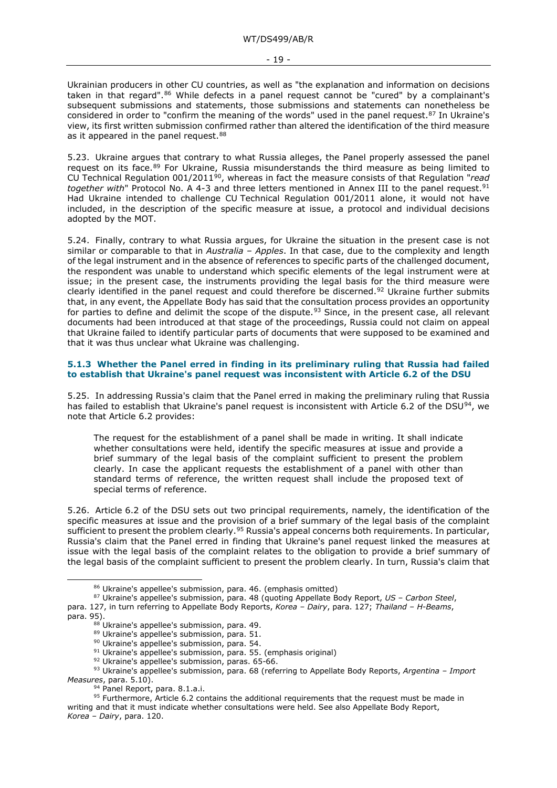Ukrainian producers in other CU countries, as well as "the explanation and information on decisions taken in that regard".<sup>[86](#page-18-1)</sup> While defects in a panel request cannot be "cured" by a complainant's subsequent submissions and statements, those submissions and statements can nonetheless be considered in order to "confirm the meaning of the words" used in the panel request.<sup>[87](#page-18-2)</sup> In Ukraine's view, its first written submission confirmed rather than altered the identification of the third measure as it appeared in the panel request.<sup>88</sup>

5.23. Ukraine argues that contrary to what Russia alleges, the Panel properly assessed the panel request on its face.<sup>[89](#page-18-4)</sup> For Ukraine, Russia misunderstands the third measure as being limited to CU Technical Regulation 001/2011[90,](#page-18-5) whereas in fact the measure consists of that Regulation "*read together with*" Protocol No. A 4-3 and three letters mentioned in Annex III to the panel request.<sup>[91](#page-18-6)</sup> Had Ukraine intended to challenge CU Technical Regulation 001/2011 alone, it would not have included, in the description of the specific measure at issue, a protocol and individual decisions adopted by the MOT.

5.24. Finally, contrary to what Russia argues, for Ukraine the situation in the present case is not similar or comparable to that in *Australia – Apples*. In that case, due to the complexity and length of the legal instrument and in the absence of references to specific parts of the challenged document, the respondent was unable to understand which specific elements of the legal instrument were at issue; in the present case, the instruments providing the legal basis for the third measure were clearly identified in the panel request and could therefore be discerned.<sup>[92](#page-18-7)</sup> Ukraine further submits that, in any event, the Appellate Body has said that the consultation process provides an opportunity for parties to define and delimit the scope of the dispute.<sup>[93](#page-18-8)</sup> Since, in the present case, all relevant documents had been introduced at that stage of the proceedings, Russia could not claim on appeal that Ukraine failed to identify particular parts of documents that were supposed to be examined and that it was thus unclear what Ukraine was challenging.

#### <span id="page-18-0"></span>**5.1.3 Whether the Panel erred in finding in its preliminary ruling that Russia had failed to establish that Ukraine's panel request was inconsistent with Article 6.2 of the DSU**

5.25. In addressing Russia's claim that the Panel erred in making the preliminary ruling that Russia has failed to establish that Ukraine's panel request is inconsistent with Article 6.2 of the DSU<sup>[94](#page-18-9)</sup>, we note that Article 6.2 provides:

The request for the establishment of a panel shall be made in writing. It shall indicate whether consultations were held, identify the specific measures at issue and provide a brief summary of the legal basis of the complaint sufficient to present the problem clearly. In case the applicant requests the establishment of a panel with other than standard terms of reference, the written request shall include the proposed text of special terms of reference.

5.26. Article 6.2 of the DSU sets out two principal requirements, namely, the identification of the specific measures at issue and the provision of a brief summary of the legal basis of the complaint sufficient to present the problem clearly.<sup>[95](#page-18-10)</sup> Russia's appeal concerns both requirements. In particular, Russia's claim that the Panel erred in finding that Ukraine's panel request linked the measures at issue with the legal basis of the complaint relates to the obligation to provide a brief summary of the legal basis of the complaint sufficient to present the problem clearly. In turn, Russia's claim that

<sup>92</sup> Ukraine's appellee's submission, paras. 65-66.

<sup>86</sup> Ukraine's appellee's submission, para. 46. (emphasis omitted)

<span id="page-18-3"></span><span id="page-18-2"></span><span id="page-18-1"></span><sup>87</sup> Ukraine's appellee's submission, para. 48 (quoting Appellate Body Report, *US – Carbon Steel*, para. 127, in turn referring to Appellate Body Reports, *Korea – Dairy*, para. 127; *Thailand – H-Beams*, para. 95).

<sup>88</sup> Ukraine's appellee's submission, para. 49.

<sup>89</sup> Ukraine's appellee's submission, para. 51.

<sup>90</sup> Ukraine's appellee's submission, para. 54.

<sup>&</sup>lt;sup>91</sup> Ukraine's appellee's submission, para. 55. (emphasis original)

<span id="page-18-8"></span><span id="page-18-7"></span><span id="page-18-6"></span><span id="page-18-5"></span><span id="page-18-4"></span><sup>93</sup> Ukraine's appellee's submission, para. 68 (referring to Appellate Body Reports, *Argentina – Import Measures*, para. 5.10).

<sup>&</sup>lt;sup>94</sup> Panel Report, para. 8.1.a.i.

<span id="page-18-10"></span><span id="page-18-9"></span><sup>95</sup> Furthermore, Article 6.2 contains the additional requirements that the request must be made in writing and that it must indicate whether consultations were held. See also Appellate Body Report, *Korea – Dairy*, para. 120.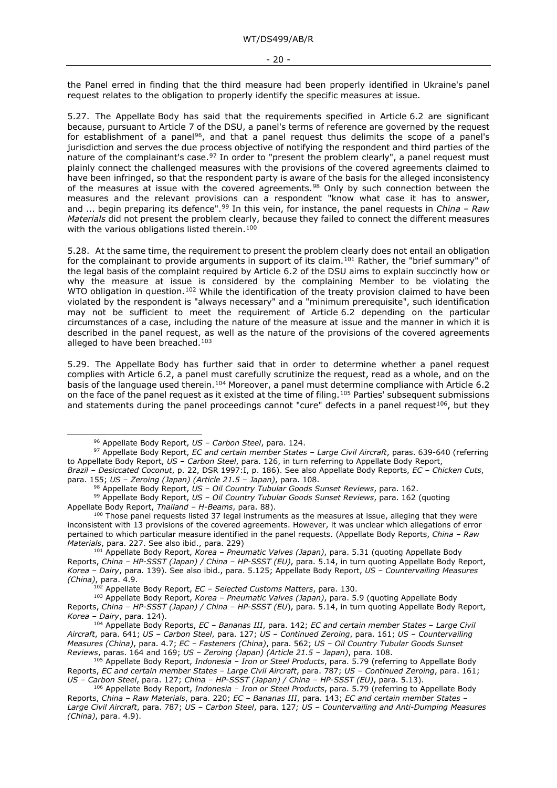the Panel erred in finding that the third measure had been properly identified in Ukraine's panel request relates to the obligation to properly identify the specific measures at issue.

5.27. The Appellate Body has said that the requirements specified in Article 6.2 are significant because, pursuant to Article 7 of the DSU, a panel's terms of reference are governed by the request for establishment of a panel<sup>96</sup>, and that a panel request thus delimits the scope of a panel's jurisdiction and serves the due process objective of notifying the respondent and third parties of the nature of the complainant's case.  $97$  In order to "present the problem clearly", a panel request must plainly connect the challenged measures with the provisions of the covered agreements claimed to have been infringed, so that the respondent party is aware of the basis for the alleged inconsistency of the measures at issue with the covered agreements.<sup>[98](#page-19-2)</sup> Only by such connection between the measures and the relevant provisions can a respondent "know what case it has to answer, and ... begin preparing its defence".[99](#page-19-3) In this vein, for instance, the panel requests in *China – Raw Materials* did not present the problem clearly, because they failed to connect the different measures with the various obligations listed therein.<sup>[100](#page-19-4)</sup>

5.28. At the same time, the requirement to present the problem clearly does not entail an obligation for the complainant to provide arguments in support of its claim.<sup>[101](#page-19-5)</sup> Rather, the "brief summary" of the legal basis of the complaint required by Article 6.2 of the DSU aims to explain succinctly how or why the measure at issue is considered by the complaining Member to be violating the WTO obligation in question.<sup>[102](#page-19-6)</sup> While the identification of the treaty provision claimed to have been violated by the respondent is "always necessary" and a "minimum prerequisite", such identification may not be sufficient to meet the requirement of Article 6.2 depending on the particular circumstances of a case, including the nature of the measure at issue and the manner in which it is described in the panel request, as well as the nature of the provisions of the covered agreements alleged to have been breached.<sup>[103](#page-19-7)</sup>

5.29. The Appellate Body has further said that in order to determine whether a panel request complies with Article 6.2, a panel must carefully scrutinize the request, read as a whole, and on the basis of the language used therein.<sup>[104](#page-19-8)</sup> Moreover, a panel must determine compliance with Article 6.2 on the face of the panel request as it existed at the time of filing.[105](#page-19-9) Parties' subsequent submissions and statements during the panel proceedings cannot "cure" defects in a panel request<sup>[106](#page-19-10)</sup>, but they

<sup>96</sup> Appellate Body Report, *US – Carbon Steel*, para. 124.

<span id="page-19-1"></span><span id="page-19-0"></span><sup>97</sup> Appellate Body Report, *EC and certain member States – Large Civil Aircraft*, paras. 639-640 (referring to Appellate Body Report, *US – Carbon Steel*, para. 126, in turn referring to Appellate Body Report,

*Brazil – Desiccated Coconut*, p. 22, DSR 1997:I, p. 186). See also Appellate Body Reports, *EC – Chicken Cuts*, para. 155; *US – Zeroing (Japan) (Article 21.5 – Japan)*, para. 108.

<sup>98</sup> Appellate Body Report, *US – Oil Country Tubular Goods Sunset Reviews*, para. 162.

<span id="page-19-3"></span><span id="page-19-2"></span><sup>99</sup> Appellate Body Report, *US – Oil Country Tubular Goods Sunset Reviews*, para. 162 (quoting Appellate Body Report, *Thailand – H-Beams*, para. 88).

<span id="page-19-4"></span> $100$  Those panel requests listed 37 legal instruments as the measures at issue, alleging that they were inconsistent with 13 provisions of the covered agreements. However, it was unclear which allegations of error pertained to which particular measure identified in the panel requests. (Appellate Body Reports, *China – Raw Materials*, para. 227. See also ibid., para. 229)

<span id="page-19-5"></span><sup>101</sup> Appellate Body Report, *Korea – Pneumatic Valves (Japan)*, para. 5.31 (quoting Appellate Body Reports, *China – HP-SSST (Japan) / China – HP-SSST (EU)*, para. 5.14, in turn quoting Appellate Body Report, *Korea – Dairy*, para. 139). See also ibid., para. 5.125; Appellate Body Report, *US – Countervailing Measures (China)*, para. 4.9.

<sup>102</sup> Appellate Body Report, *EC – Selected Customs Matters*, para. 130.

<span id="page-19-7"></span><span id="page-19-6"></span><sup>103</sup> Appellate Body Report, *Korea – Pneumatic Valves (Japan)*, para. 5.9 (quoting Appellate Body Reports, *China – HP-SSST (Japan) / China – HP-SSST (EU*), para. 5.14, in turn quoting Appellate Body Report, *Korea – Dairy*, para. 124).

<span id="page-19-8"></span><sup>104</sup> Appellate Body Reports, *EC – Bananas III*, para. 142; *EC and certain member States – Large Civil Aircraft*, para. 641; *US – Carbon Steel*, para. 127; *US – Continued Zeroing*, para. 161; *US – Countervailing Measures (China)*, para. 4.7; *EC – Fasteners (China)*, para. 562; *US – Oil Country Tubular Goods Sunset Reviews*, paras. 164 and 169; *US – Zeroing (Japan) (Article 21.5 – Japan)*, para. 108.

<span id="page-19-9"></span><sup>105</sup> Appellate Body Report, *Indonesia – Iron or Steel Products*, para. 5.79 (referring to Appellate Body Reports, *EC and certain member States – Large Civil Aircraft*, para. 787; *US – Continued Zeroing*, para. 161; *US – Carbon Steel*, para. 127; *China – HP-SSST (Japan) / China – HP-SSST (EU)*, para. 5.13).

<span id="page-19-10"></span><sup>106</sup> Appellate Body Report, *Indonesia – Iron or Steel Products*, para. 5.79 (referring to Appellate Body Reports, *China – Raw Materials*, para. 220; *EC – Bananas III*, para. 143; *EC and certain member States – Large Civil Aircraft*, para. 787; *US – Carbon Steel*, para. 127*; US – Countervailing and Anti-Dumping Measures (China)*, para. 4.9).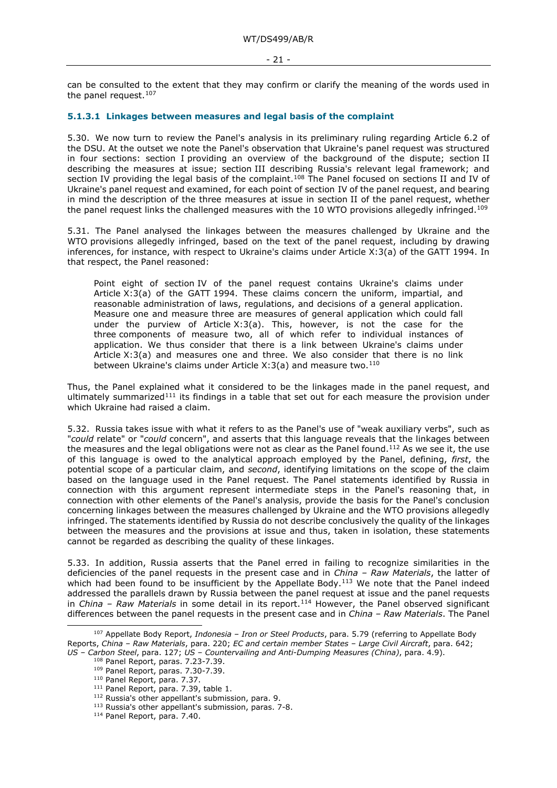can be consulted to the extent that they may confirm or clarify the meaning of the words used in the panel request.<sup>[107](#page-20-1)</sup>

#### <span id="page-20-0"></span>**5.1.3.1 Linkages between measures and legal basis of the complaint**

5.30. We now turn to review the Panel's analysis in its preliminary ruling regarding Article 6.2 of the DSU. At the outset we note the Panel's observation that Ukraine's panel request was structured in four sections: section I providing an overview of the background of the dispute; section II describing the measures at issue; section III describing Russia's relevant legal framework; and section IV providing the legal basis of the complaint.<sup>[108](#page-20-2)</sup> The Panel focused on sections II and IV of Ukraine's panel request and examined, for each point of section IV of the panel request, and bearing in mind the description of the three measures at issue in section II of the panel request, whether the panel request links the challenged measures with the 10 WTO provisions allegedly infringed.<sup>[109](#page-20-3)</sup>

5.31. The Panel analysed the linkages between the measures challenged by Ukraine and the WTO provisions allegedly infringed, based on the text of the panel request, including by drawing inferences, for instance, with respect to Ukraine's claims under Article X:3(a) of the GATT 1994. In that respect, the Panel reasoned:

Point eight of section IV of the panel request contains Ukraine's claims under Article X:3(a) of the GATT 1994. These claims concern the uniform, impartial, and reasonable administration of laws, regulations, and decisions of a general application. Measure one and measure three are measures of general application which could fall under the purview of Article X:3(a). This, however, is not the case for the three components of measure two, all of which refer to individual instances of application. We thus consider that there is a link between Ukraine's claims under Article X:3(a) and measures one and three. We also consider that there is no link between Ukraine's claims under Article X:3(a) and measure two[.110](#page-20-4)

Thus, the Panel explained what it considered to be the linkages made in the panel request, and ultimately summarized<sup>[111](#page-20-5)</sup> its findings in a table that set out for each measure the provision under which Ukraine had raised a claim.

5.32. Russia takes issue with what it refers to as the Panel's use of "weak auxiliary verbs", such as "*could* relate" or "*could* concern", and asserts that this language reveals that the linkages between the measures and the legal obligations were not as clear as the Panel found.<sup>[112](#page-20-6)</sup> As we see it, the use of this language is owed to the analytical approach employed by the Panel, defining, *first*, the potential scope of a particular claim, and *second*, identifying limitations on the scope of the claim based on the language used in the Panel request. The Panel statements identified by Russia in connection with this argument represent intermediate steps in the Panel's reasoning that, in connection with other elements of the Panel's analysis, provide the basis for the Panel's conclusion concerning linkages between the measures challenged by Ukraine and the WTO provisions allegedly infringed. The statements identified by Russia do not describe conclusively the quality of the linkages between the measures and the provisions at issue and thus, taken in isolation, these statements cannot be regarded as describing the quality of these linkages.

5.33. In addition, Russia asserts that the Panel erred in failing to recognize similarities in the deficiencies of the panel requests in the present case and in *China – Raw Materials*, the latter of which had been found to be insufficient by the Appellate Body.<sup>[113](#page-20-7)</sup> We note that the Panel indeed addressed the parallels drawn by Russia between the panel request at issue and the panel requests in *China – Raw Materials* in some detail in its report.[114](#page-20-8) However, the Panel observed significant differences between the panel requests in the present case and in *China – Raw Materials*. The Panel

<span id="page-20-6"></span><span id="page-20-5"></span><span id="page-20-4"></span><span id="page-20-3"></span><span id="page-20-2"></span><span id="page-20-1"></span><sup>107</sup> Appellate Body Report, *Indonesia – Iron or Steel Products*, para. 5.79 (referring to Appellate Body Reports, *China – Raw Materials*, para. 220; *EC and certain member States – Large Civil Aircraft*, para. 642; *US – Carbon Steel*, para. 127; *US – Countervailing and Anti-Dumping Measures (China)*, para. 4.9).

<sup>108</sup> Panel Report, paras. 7.23-7.39.

<sup>109</sup> Panel Report, paras. 7.30-7.39.

<sup>110</sup> Panel Report, para. 7.37.

<sup>&</sup>lt;sup>111</sup> Panel Report, para. 7.39, table 1.

<sup>112</sup> Russia's other appellant's submission, para. 9.

<span id="page-20-7"></span><sup>&</sup>lt;sup>113</sup> Russia's other appellant's submission, paras. 7-8.

<span id="page-20-8"></span><sup>114</sup> Panel Report, para. 7.40.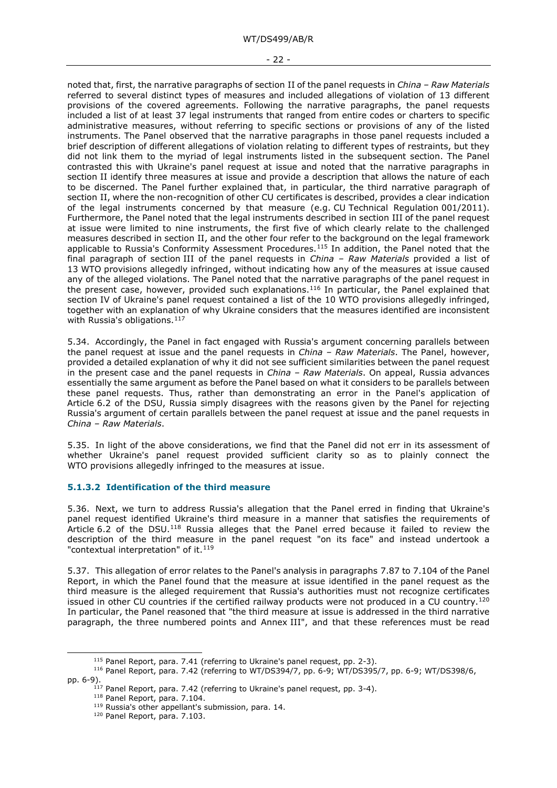#### - 22 -

noted that, first, the narrative paragraphs of section II of the panel requests in *China – Raw Materials* referred to several distinct types of measures and included allegations of violation of 13 different provisions of the covered agreements. Following the narrative paragraphs, the panel requests included a list of at least 37 legal instruments that ranged from entire codes or charters to specific administrative measures, without referring to specific sections or provisions of any of the listed instruments. The Panel observed that the narrative paragraphs in those panel requests included a brief description of different allegations of violation relating to different types of restraints, but they did not link them to the myriad of legal instruments listed in the subsequent section. The Panel contrasted this with Ukraine's panel request at issue and noted that the narrative paragraphs in section II identify three measures at issue and provide a description that allows the nature of each to be discerned. The Panel further explained that, in particular, the third narrative paragraph of section II, where the non-recognition of other CU certificates is described, provides a clear indication of the legal instruments concerned by that measure (e.g. CU Technical Regulation 001/2011). Furthermore, the Panel noted that the legal instruments described in section III of the panel request at issue were limited to nine instruments, the first five of which clearly relate to the challenged measures described in section II, and the other four refer to the background on the legal framework applicable to Russia's Conformity Assessment Procedures.<sup>[115](#page-21-1)</sup> In addition, the Panel noted that the final paragraph of section III of the panel requests in *China – Raw Materials* provided a list of 13 WTO provisions allegedly infringed, without indicating how any of the measures at issue caused any of the alleged violations. The Panel noted that the narrative paragraphs of the panel request in the present case, however, provided such explanations.[116](#page-21-2) In particular, the Panel explained that section IV of Ukraine's panel request contained a list of the 10 WTO provisions allegedly infringed, together with an explanation of why Ukraine considers that the measures identified are inconsistent with Russia's obligations.<sup>117</sup>

5.34. Accordingly, the Panel in fact engaged with Russia's argument concerning parallels between the panel request at issue and the panel requests in *China – Raw Materials*. The Panel, however, provided a detailed explanation of why it did not see sufficient similarities between the panel request in the present case and the panel requests in *China – Raw Materials*. On appeal, Russia advances essentially the same argument as before the Panel based on what it considers to be parallels between these panel requests. Thus, rather than demonstrating an error in the Panel's application of Article 6.2 of the DSU, Russia simply disagrees with the reasons given by the Panel for rejecting Russia's argument of certain parallels between the panel request at issue and the panel requests in *China – Raw Materials*.

5.35. In light of the above considerations, we find that the Panel did not err in its assessment of whether Ukraine's panel request provided sufficient clarity so as to plainly connect the WTO provisions allegedly infringed to the measures at issue.

#### <span id="page-21-0"></span>**5.1.3.2 Identification of the third measure**

5.36. Next, we turn to address Russia's allegation that the Panel erred in finding that Ukraine's panel request identified Ukraine's third measure in a manner that satisfies the requirements of Article 6.2 of the DSU.[118](#page-21-4) Russia alleges that the Panel erred because it failed to review the description of the third measure in the panel request "on its face" and instead undertook a "contextual interpretation" of it.<sup>[119](#page-21-5)</sup>

5.37. This allegation of error relates to the Panel's analysis in paragraphs 7.87 to 7.104 of the Panel Report, in which the Panel found that the measure at issue identified in the panel request as the third measure is the alleged requirement that Russia's authorities must not recognize certificates issued in other CU countries if the certified railway products were not produced in a CU country.<sup>[120](#page-21-6)</sup> In particular, the Panel reasoned that "the third measure at issue is addressed in the third narrative paragraph, the three numbered points and Annex III", and that these references must be read

<sup>&</sup>lt;sup>115</sup> Panel Report, para. 7.41 (referring to Ukraine's panel request, pp. 2-3).

<span id="page-21-6"></span><span id="page-21-5"></span><span id="page-21-4"></span><span id="page-21-3"></span><span id="page-21-2"></span><span id="page-21-1"></span><sup>116</sup> Panel Report, para. 7.42 (referring to WT/DS394/7, pp. 6-9; WT/DS395/7, pp. 6-9; WT/DS398/6, pp. 6-9).

 $117$  Panel Report, para. 7.42 (referring to Ukraine's panel request, pp. 3-4).

<sup>118</sup> Panel Report, para. 7.104.

<sup>119</sup> Russia's other appellant's submission, para. 14.

<sup>120</sup> Panel Report, para. 7.103.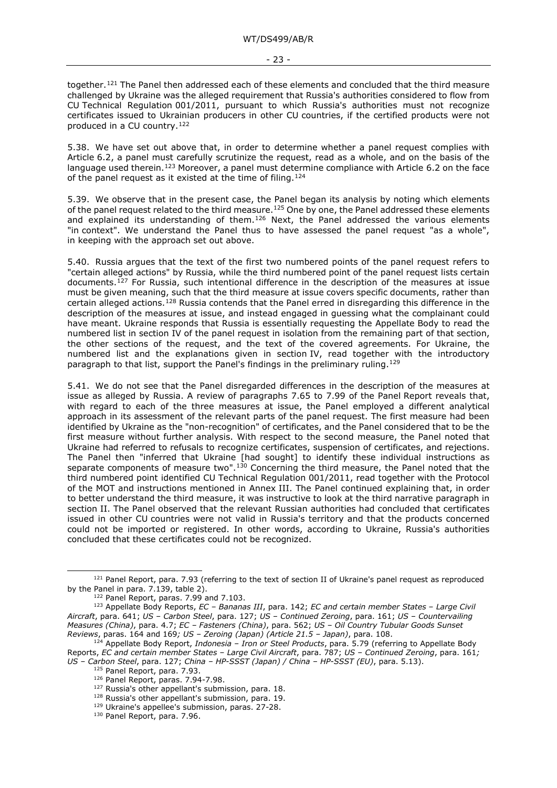together.<sup>[121](#page-22-0)</sup> The Panel then addressed each of these elements and concluded that the third measure challenged by Ukraine was the alleged requirement that Russia's authorities considered to flow from CU Technical Regulation 001/2011, pursuant to which Russia's authorities must not recognize certificates issued to Ukrainian producers in other CU countries, if the certified products were not produced in a CU country.[122](#page-22-1)

5.38. We have set out above that, in order to determine whether a panel request complies with Article 6.2, a panel must carefully scrutinize the request, read as a whole, and on the basis of the language used therein.<sup>[123](#page-22-2)</sup> Moreover, a panel must determine compliance with Article 6.2 on the face of the panel request as it existed at the time of filing.<sup>[124](#page-22-3)</sup>

5.39. We observe that in the present case, the Panel began its analysis by noting which elements of the panel request related to the third measure.<sup>[125](#page-22-4)</sup> One by one, the Panel addressed these elements and explained its understanding of them.<sup>[126](#page-22-5)</sup> Next, the Panel addressed the various elements "in context". We understand the Panel thus to have assessed the panel request "as a whole", in keeping with the approach set out above.

5.40. Russia argues that the text of the first two numbered points of the panel request refers to "certain alleged actions" by Russia, while the third numbered point of the panel request lists certain documents.[127](#page-22-6) For Russia, such intentional difference in the description of the measures at issue must be given meaning, such that the third measure at issue covers specific documents, rather than certain alleged actions.[128](#page-22-7) Russia contends that the Panel erred in disregarding this difference in the description of the measures at issue, and instead engaged in guessing what the complainant could have meant. Ukraine responds that Russia is essentially requesting the Appellate Body to read the numbered list in section IV of the panel request in isolation from the remaining part of that section, the other sections of the request, and the text of the covered agreements. For Ukraine, the numbered list and the explanations given in section IV, read together with the introductory paragraph to that list, support the Panel's findings in the preliminary ruling.[129](#page-22-8)

5.41. We do not see that the Panel disregarded differences in the description of the measures at issue as alleged by Russia. A review of paragraphs 7.65 to 7.99 of the Panel Report reveals that, with regard to each of the three measures at issue, the Panel employed a different analytical approach in its assessment of the relevant parts of the panel request. The first measure had been identified by Ukraine as the "non-recognition" of certificates, and the Panel considered that to be the first measure without further analysis. With respect to the second measure, the Panel noted that Ukraine had referred to refusals to recognize certificates, suspension of certificates, and rejections. The Panel then "inferred that Ukraine [had sought] to identify these individual instructions as separate components of measure two".[130](#page-22-9) Concerning the third measure, the Panel noted that the third numbered point identified CU Technical Regulation 001/2011, read together with the Protocol of the MOT and instructions mentioned in Annex III. The Panel continued explaining that, in order to better understand the third measure, it was instructive to look at the third narrative paragraph in section II. The Panel observed that the relevant Russian authorities had concluded that certificates issued in other CU countries were not valid in Russia's territory and that the products concerned could not be imported or registered. In other words, according to Ukraine, Russia's authorities concluded that these certificates could not be recognized.

<span id="page-22-0"></span><sup>121</sup> Panel Report, para. 7.93 (referring to the text of section II of Ukraine's panel request as reproduced by the Panel in para. 7.139, table 2).

<sup>&</sup>lt;sup>122</sup> Panel Report, paras. 7.99 and 7.103.

<span id="page-22-2"></span><span id="page-22-1"></span><sup>123</sup> Appellate Body Reports, *EC – Bananas III*, para. 142; *EC and certain member States – Large Civil Aircraft*, para. 641; *US – Carbon Steel*, para. 127; *US – Continued Zeroing*, para. 161; *US – Countervailing Measures (China)*, para. 4.7; *EC – Fasteners (China)*, para. 562; *US – Oil Country Tubular Goods Sunset Reviews*, paras. 164 and 169*; US – Zeroing (Japan) (Article 21.5 – Japan)*, para. 108.

<span id="page-22-8"></span><span id="page-22-7"></span><span id="page-22-6"></span><span id="page-22-5"></span><span id="page-22-4"></span><span id="page-22-3"></span><sup>124</sup> Appellate Body Report, *Indonesia – Iron or Steel Products*, para. 5.79 (referring to Appellate Body Reports, *EC and certain member States – Large Civil Aircraft*, para. 787; *US – Continued Zeroing*, para. 161*; US – Carbon Steel*, para. 127; *China – HP-SSST (Japan) / China – HP-SSST (EU)*, para. 5.13).

<sup>125</sup> Panel Report, para. 7.93.

<sup>126</sup> Panel Report, paras. 7.94-7.98.

<sup>&</sup>lt;sup>127</sup> Russia's other appellant's submission, para. 18.

<sup>128</sup> Russia's other appellant's submission, para. 19.

<sup>129</sup> Ukraine's appellee's submission, paras. 27-28.

<span id="page-22-9"></span><sup>130</sup> Panel Report, para. 7.96.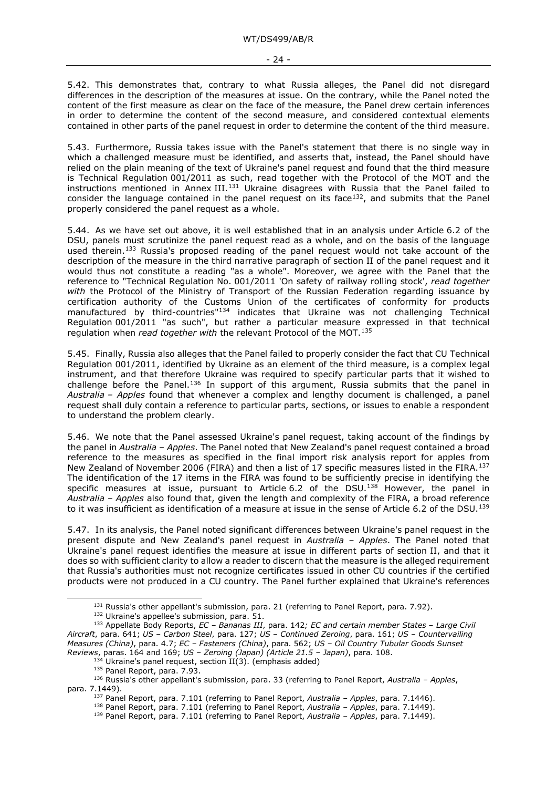5.42. This demonstrates that, contrary to what Russia alleges, the Panel did not disregard differences in the description of the measures at issue. On the contrary, while the Panel noted the content of the first measure as clear on the face of the measure, the Panel drew certain inferences in order to determine the content of the second measure, and considered contextual elements contained in other parts of the panel request in order to determine the content of the third measure.

5.43. Furthermore, Russia takes issue with the Panel's statement that there is no single way in which a challenged measure must be identified, and asserts that, instead, the Panel should have relied on the plain meaning of the text of Ukraine's panel request and found that the third measure is Technical Regulation 001/2011 as such, read together with the Protocol of the MOT and the instructions mentioned in Annex III.<sup>[131](#page-23-0)</sup> Ukraine disagrees with Russia that the Panel failed to consider the language contained in the panel request on its face<sup>[132](#page-23-1)</sup>, and submits that the Panel properly considered the panel request as a whole.

5.44. As we have set out above, it is well established that in an analysis under Article 6.2 of the DSU, panels must scrutinize the panel request read as a whole, and on the basis of the language used therein.<sup>[133](#page-23-2)</sup> Russia's proposed reading of the panel request would not take account of the description of the measure in the third narrative paragraph of section II of the panel request and it would thus not constitute a reading "as a whole". Moreover, we agree with the Panel that the reference to "Technical Regulation No. 001/2011 'On safety of railway rolling stock', *read together with* the Protocol of the Ministry of Transport of the Russian Federation regarding issuance by certification authority of the Customs Union of the certificates of conformity for products manufactured by third-countries"[134](#page-23-3) indicates that Ukraine was not challenging Technical Regulation 001/2011 "as such", but rather a particular measure expressed in that technical regulation when *read together with* the relevant Protocol of the MOT.[135](#page-23-4)

5.45. Finally, Russia also alleges that the Panel failed to properly consider the fact that CU Technical Regulation 001/2011, identified by Ukraine as an element of the third measure, is a complex legal instrument, and that therefore Ukraine was required to specify particular parts that it wished to challenge before the Panel.<sup>[136](#page-23-5)</sup> In support of this argument, Russia submits that the panel in *Australia – Apples* found that whenever a complex and lengthy document is challenged, a panel request shall duly contain a reference to particular parts, sections, or issues to enable a respondent to understand the problem clearly.

5.46. We note that the Panel assessed Ukraine's panel request, taking account of the findings by the panel in *Australia – Apples*. The Panel noted that New Zealand's panel request contained a broad reference to the measures as specified in the final import risk analysis report for apples from New Zealand of November 2006 (FIRA) and then a list of 17 specific measures listed in the FIRA.<sup>[137](#page-23-6)</sup> The identification of the 17 items in the FIRA was found to be sufficiently precise in identifying the specific measures at issue, pursuant to Article 6.2 of the DSU.<sup>138</sup> However, the panel in *Australia – Apples* also found that, given the length and complexity of the FIRA, a broad reference to it was insufficient as identification of a measure at issue in the sense of Article 6.2 of the DSU.<sup>[139](#page-23-8)</sup>

5.47. In its analysis, the Panel noted significant differences between Ukraine's panel request in the present dispute and New Zealand's panel request in *Australia – Apples*. The Panel noted that Ukraine's panel request identifies the measure at issue in different parts of section II, and that it does so with sufficient clarity to allow a reader to discern that the measure is the alleged requirement that Russia's authorities must not recognize certificates issued in other CU countries if the certified products were not produced in a CU country. The Panel further explained that Ukraine's references

 $131$  Russia's other appellant's submission, para. 21 (referring to Panel Report, para. 7.92).

<sup>132</sup> Ukraine's appellee's submission, para. 51.

<span id="page-23-2"></span><span id="page-23-1"></span><span id="page-23-0"></span><sup>133</sup> Appellate Body Reports, *EC – Bananas III*, para. 142*; EC and certain member States – Large Civil Aircraft*, para. 641; *US – Carbon Steel*, para. 127; *US – Continued Zeroing*, para. 161; *US – Countervailing Measures (China)*, para. 4.7; *EC – Fasteners (China)*, para. 562; *US – Oil Country Tubular Goods Sunset Reviews*, paras. 164 and 169; *US – Zeroing (Japan) (Article 21.5 – Japan)*, para. 108.

 $4$  Ukraine's panel request, section II(3). (emphasis added)

<sup>135</sup> Panel Report, para. 7.93.

<span id="page-23-8"></span><span id="page-23-7"></span><span id="page-23-6"></span><span id="page-23-5"></span><span id="page-23-4"></span><span id="page-23-3"></span><sup>136</sup> Russia's other appellant's submission, para. 33 (referring to Panel Report, *Australia – Apples*, para. 7.1449).

<sup>137</sup> Panel Report, para. 7.101 (referring to Panel Report, *Australia – Apples*, para. 7.1446).

<sup>138</sup> Panel Report, para. 7.101 (referring to Panel Report, *Australia – Apples*, para. 7.1449).

<sup>139</sup> Panel Report, para. 7.101 (referring to Panel Report, *Australia – Apples*, para. 7.1449).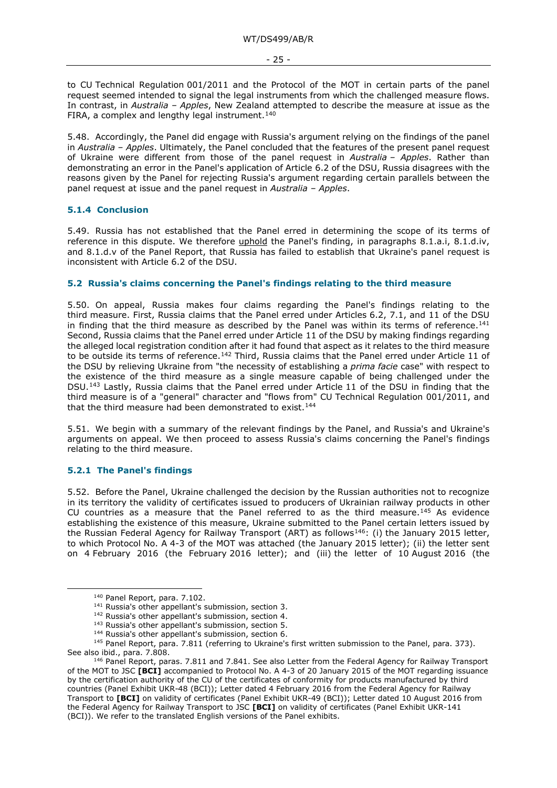to CU Technical Regulation 001/2011 and the Protocol of the MOT in certain parts of the panel request seemed intended to signal the legal instruments from which the challenged measure flows. In contrast, in *Australia – Apples*, New Zealand attempted to describe the measure at issue as the FIRA, a complex and lengthy legal instrument. $140$ 

5.48. Accordingly, the Panel did engage with Russia's argument relying on the findings of the panel in *Australia – Apples*. Ultimately, the Panel concluded that the features of the present panel request of Ukraine were different from those of the panel request in *Australia – Apples*. Rather than demonstrating an error in the Panel's application of Article 6.2 of the DSU, Russia disagrees with the reasons given by the Panel for rejecting Russia's argument regarding certain parallels between the panel request at issue and the panel request in *Australia – Apples*.

#### <span id="page-24-0"></span>**5.1.4 Conclusion**

5.49. Russia has not established that the Panel erred in determining the scope of its terms of reference in this dispute. We therefore uphold the Panel's finding, in paragraphs 8.1.a.i, 8.1.d.iv, and 8.1.d.v of the Panel Report, that Russia has failed to establish that Ukraine's panel request is inconsistent with Article 6.2 of the DSU.

#### <span id="page-24-1"></span>**5.2 Russia's claims concerning the Panel's findings relating to the third measure**

5.50. On appeal, Russia makes four claims regarding the Panel's findings relating to the third measure. First, Russia claims that the Panel erred under Articles 6.2, 7.1, and 11 of the DSU in finding that the third measure as described by the Panel was within its terms of reference.<sup>[141](#page-24-4)</sup> Second, Russia claims that the Panel erred under Article 11 of the DSU by making findings regarding the alleged local registration condition after it had found that aspect as it relates to the third measure to be outside its terms of reference.[142](#page-24-5) Third, Russia claims that the Panel erred under Article 11 of the DSU by relieving Ukraine from "the necessity of establishing a *prima facie* case" with respect to the existence of the third measure as a single measure capable of being challenged under the DSU.[143](#page-24-6) Lastly, Russia claims that the Panel erred under Article 11 of the DSU in finding that the third measure is of a "general" character and "flows from" CU Technical Regulation 001/2011, and that the third measure had been demonstrated to exist.<sup>[144](#page-24-7)</sup>

5.51. We begin with a summary of the relevant findings by the Panel, and Russia's and Ukraine's arguments on appeal. We then proceed to assess Russia's claims concerning the Panel's findings relating to the third measure.

### <span id="page-24-2"></span>**5.2.1 The Panel's findings**

5.52. Before the Panel, Ukraine challenged the decision by the Russian authorities not to recognize in its territory the validity of certificates issued to producers of Ukrainian railway products in other CU countries as a measure that the Panel referred to as the third measure.<sup>[145](#page-24-8)</sup> As evidence establishing the existence of this measure, Ukraine submitted to the Panel certain letters issued by the Russian Federal Agency for Railway Transport (ART) as follows<sup>146</sup>: (i) the January 2015 letter, to which Protocol No. A 4-3 of the MOT was attached (the January 2015 letter); (ii) the letter sent on 4 February 2016 (the February 2016 letter); and (iii) the letter of 10 August 2016 (the

<span id="page-24-8"></span><span id="page-24-7"></span><span id="page-24-6"></span><span id="page-24-5"></span><span id="page-24-4"></span><span id="page-24-3"></span><sup>145</sup> Panel Report, para. 7.811 (referring to Ukraine's first written submission to the Panel, para. 373). See also ibid., para. 7.808.

<sup>140</sup> Panel Report, para. 7.102.

<sup>141</sup> Russia's other appellant's submission, section 3.

<sup>142</sup> Russia's other appellant's submission, section 4.

<sup>&</sup>lt;sup>143</sup> Russia's other appellant's submission, section 5.

<sup>144</sup> Russia's other appellant's submission, section 6.

<span id="page-24-9"></span><sup>146</sup> Panel Report, paras. 7.811 and 7.841. See also Letter from the Federal Agency for Railway Transport of the MOT to JSC **[BCI]** accompanied to Protocol No. A 4-3 of 20 January 2015 of the MOT regarding issuance by the certification authority of the CU of the certificates of conformity for products manufactured by third countries (Panel Exhibit UKR-48 (BCI)); Letter dated 4 February 2016 from the Federal Agency for Railway Transport to **[BCI]** on validity of certificates (Panel Exhibit UKR-49 (BCI)); Letter dated 10 August 2016 from the Federal Agency for Railway Transport to JSC **[BCI]** on validity of certificates (Panel Exhibit UKR-141 (BCI)). We refer to the translated English versions of the Panel exhibits.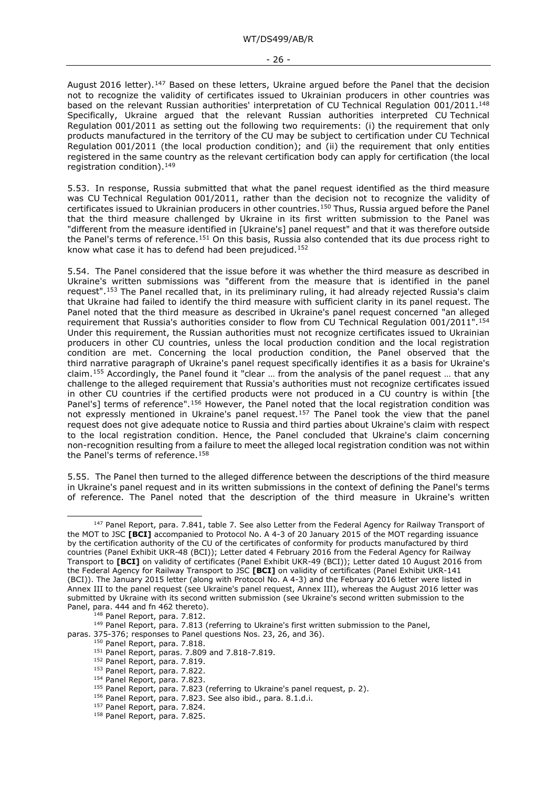August 2016 letter).<sup>147</sup> Based on these letters, Ukraine argued before the Panel that the decision not to recognize the validity of certificates issued to Ukrainian producers in other countries was based on the relevant Russian authorities' interpretation of CU Technical Regulation 001/2011.<sup>[148](#page-25-1)</sup> Specifically, Ukraine argued that the relevant Russian authorities interpreted CU Technical Regulation 001/2011 as setting out the following two requirements: (i) the requirement that only products manufactured in the territory of the CU may be subject to certification under CU Technical Regulation 001/2011 (the local production condition); and (ii) the requirement that only entities registered in the same country as the relevant certification body can apply for certification (the local registration condition).<sup>[149](#page-25-2)</sup>

5.53. In response, Russia submitted that what the panel request identified as the third measure was CU Technical Regulation 001/2011, rather than the decision not to recognize the validity of certificates issued to Ukrainian producers in other countries[.150](#page-25-3) Thus, Russia argued before the Panel that the third measure challenged by Ukraine in its first written submission to the Panel was "different from the measure identified in [Ukraine's] panel request" and that it was therefore outside the Panel's terms of reference.[151](#page-25-4) On this basis, Russia also contended that its due process right to know what case it has to defend had been prejudiced.[152](#page-25-5)

5.54. The Panel considered that the issue before it was whether the third measure as described in Ukraine's written submissions was "different from the measure that is identified in the panel request".[153](#page-25-6) The Panel recalled that, in its preliminary ruling, it had already rejected Russia's claim that Ukraine had failed to identify the third measure with sufficient clarity in its panel request. The Panel noted that the third measure as described in Ukraine's panel request concerned "an alleged requirement that Russia's authorities consider to flow from CU Technical Regulation 001/2011".[154](#page-25-7) Under this requirement, the Russian authorities must not recognize certificates issued to Ukrainian producers in other CU countries, unless the local production condition and the local registration condition are met. Concerning the local production condition, the Panel observed that the third narrative paragraph of Ukraine's panel request specifically identifies it as a basis for Ukraine's claim.[155](#page-25-8) Accordingly, the Panel found it "clear … from the analysis of the panel request … that any challenge to the alleged requirement that Russia's authorities must not recognize certificates issued in other CU countries if the certified products were not produced in a CU country is within [the Panel's] terms of reference".<sup>[156](#page-25-9)</sup> However, the Panel noted that the local registration condition was not expressly mentioned in Ukraine's panel request.[157](#page-25-10) The Panel took the view that the panel request does not give adequate notice to Russia and third parties about Ukraine's claim with respect to the local registration condition. Hence, the Panel concluded that Ukraine's claim concerning non-recognition resulting from a failure to meet the alleged local registration condition was not within the Panel's terms of reference.<sup>[158](#page-25-11)</sup>

5.55. The Panel then turned to the alleged difference between the descriptions of the third measure in Ukraine's panel request and in its written submissions in the context of defining the Panel's terms of reference. The Panel noted that the description of the third measure in Ukraine's written

<sup>148</sup> Panel Report, para. 7.812.

<span id="page-25-7"></span><span id="page-25-6"></span><span id="page-25-5"></span><span id="page-25-4"></span><span id="page-25-3"></span><span id="page-25-2"></span><span id="page-25-1"></span><sup>149</sup> Panel Report, para. 7.813 (referring to Ukraine's first written submission to the Panel, paras. 375-376; responses to Panel questions Nos. 23, 26, and 36).

<span id="page-25-0"></span><sup>&</sup>lt;sup>147</sup> Panel Report, para. 7.841, table 7. See also Letter from the Federal Agency for Railway Transport of the MOT to JSC **[BCI]** accompanied to Protocol No. A 4-3 of 20 January 2015 of the MOT regarding issuance by the certification authority of the CU of the certificates of conformity for products manufactured by third countries (Panel Exhibit UKR-48 (BCI)); Letter dated 4 February 2016 from the Federal Agency for Railway Transport to **[BCI]** on validity of certificates (Panel Exhibit UKR-49 (BCI)); Letter dated 10 August 2016 from the Federal Agency for Railway Transport to JSC **[BCI]** on validity of certificates (Panel Exhibit UKR-141 (BCI)). The January 2015 letter (along with Protocol No. A 4-3) and the February 2016 letter were listed in Annex III to the panel request (see Ukraine's panel request, Annex III), whereas the August 2016 letter was submitted by Ukraine with its second written submission (see Ukraine's second written submission to the Panel, para. 444 and fn 462 thereto).

<sup>150</sup> Panel Report, para. 7.818.

<sup>151</sup> Panel Report, paras. 7.809 and 7.818-7.819.

<sup>152</sup> Panel Report, para. 7.819.

<sup>153</sup> Panel Report, para. 7.822.

<sup>&</sup>lt;sup>154</sup> Panel Report, para. 7.823.

<span id="page-25-10"></span><span id="page-25-9"></span><span id="page-25-8"></span><sup>&</sup>lt;sup>155</sup> Panel Report, para. 7.823 (referring to Ukraine's panel request, p. 2).

<sup>156</sup> Panel Report, para. 7.823. See also ibid., para. 8.1.d.i.

<sup>&</sup>lt;sup>157</sup> Panel Report, para. 7.824.

<span id="page-25-11"></span><sup>158</sup> Panel Report, para. 7.825.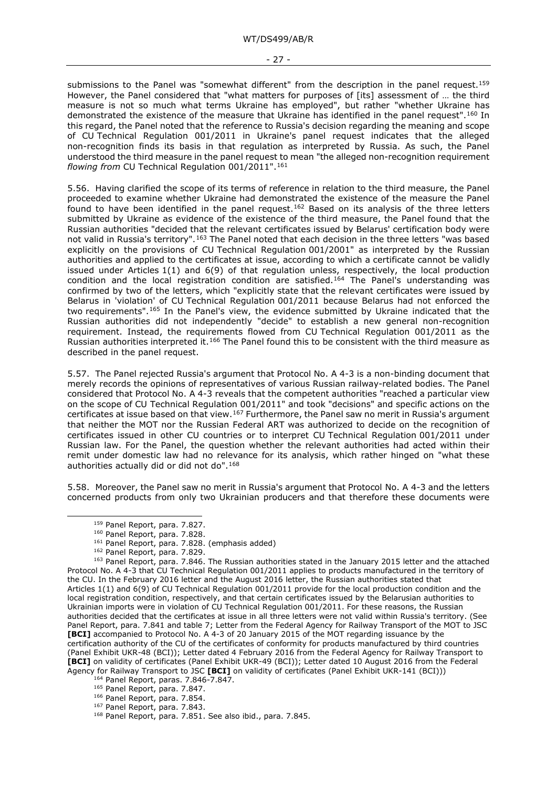submissions to the Panel was "somewhat different" from the description in the panel request.<sup>[159](#page-26-0)</sup> However, the Panel considered that "what matters for purposes of [its] assessment of ... the third measure is not so much what terms Ukraine has employed", but rather "whether Ukraine has demonstrated the existence of the measure that Ukraine has identified in the panel request".[160](#page-26-1) In this regard, the Panel noted that the reference to Russia's decision regarding the meaning and scope of CU Technical Regulation 001/2011 in Ukraine's panel request indicates that the alleged non-recognition finds its basis in that regulation as interpreted by Russia. As such, the Panel understood the third measure in the panel request to mean "the alleged non-recognition requirement *flowing from* CU Technical Regulation 001/2011".[161](#page-26-2)

5.56. Having clarified the scope of its terms of reference in relation to the third measure, the Panel proceeded to examine whether Ukraine had demonstrated the existence of the measure the Panel found to have been identified in the panel request.<sup>[162](#page-26-3)</sup> Based on its analysis of the three letters submitted by Ukraine as evidence of the existence of the third measure, the Panel found that the Russian authorities "decided that the relevant certificates issued by Belarus' certification body were not valid in Russia's territory".<sup>[163](#page-26-4)</sup> The Panel noted that each decision in the three letters "was based explicitly on the provisions of CU Technical Regulation 001/2001" as interpreted by the Russian authorities and applied to the certificates at issue, according to which a certificate cannot be validly issued under Articles 1(1) and 6(9) of that regulation unless, respectively, the local production condition and the local registration condition are satisfied.<sup>[164](#page-26-5)</sup> The Panel's understanding was confirmed by two of the letters, which "explicitly state that the relevant certificates were issued by Belarus in 'violation' of CU Technical Regulation 001/2011 because Belarus had not enforced the two requirements".[165](#page-26-6) In the Panel's view, the evidence submitted by Ukraine indicated that the Russian authorities did not independently "decide" to establish a new general non-recognition requirement. Instead, the requirements flowed from CU Technical Regulation 001/2011 as the Russian authorities interpreted it.[166](#page-26-7) The Panel found this to be consistent with the third measure as described in the panel request.

5.57. The Panel rejected Russia's argument that Protocol No. A 4-3 is a non-binding document that merely records the opinions of representatives of various Russian railway-related bodies. The Panel considered that Protocol No. A 4-3 reveals that the competent authorities "reached a particular view on the scope of CU Technical Regulation 001/2011" and took "decisions" and specific actions on the certificates at issue based on that view.[167](#page-26-8) Furthermore, the Panel saw no merit in Russia's argument that neither the MOT nor the Russian Federal ART was authorized to decide on the recognition of certificates issued in other CU countries or to interpret CU Technical Regulation 001/2011 under Russian law. For the Panel, the question whether the relevant authorities had acted within their remit under domestic law had no relevance for its analysis, which rather hinged on "what these authorities actually did or did not do".[168](#page-26-9)

5.58. Moreover, the Panel saw no merit in Russia's argument that Protocol No. A 4-3 and the letters concerned products from only two Ukrainian producers and that therefore these documents were

- <sup>161</sup> Panel Report, para. 7.828. (emphasis added)
- <sup>162</sup> Panel Report, para. 7.829.

- <sup>164</sup> Panel Report, paras. 7.846-7.847.
- <span id="page-26-6"></span><span id="page-26-5"></span><sup>165</sup> Panel Report, para. 7.847.
- <span id="page-26-7"></span><sup>166</sup> Panel Report, para. 7.854. <sup>167</sup> Panel Report, para. 7.843.
- 
- <span id="page-26-9"></span><span id="page-26-8"></span><sup>168</sup> Panel Report, para. 7.851. See also ibid., para. 7.845.

<sup>159</sup> Panel Report, para. 7.827.

<sup>160</sup> Panel Report, para. 7.828.

<span id="page-26-4"></span><span id="page-26-3"></span><span id="page-26-2"></span><span id="page-26-1"></span><span id="page-26-0"></span><sup>163</sup> Panel Report, para. 7.846. The Russian authorities stated in the January 2015 letter and the attached Protocol No. A 4-3 that CU Technical Regulation 001/2011 applies to products manufactured in the territory of the CU. In the February 2016 letter and the August 2016 letter, the Russian authorities stated that Articles 1(1) and 6(9) of CU Technical Regulation 001/2011 provide for the local production condition and the local registration condition, respectively, and that certain certificates issued by the Belarusian authorities to Ukrainian imports were in violation of CU Technical Regulation 001/2011. For these reasons, the Russian authorities decided that the certificates at issue in all three letters were not valid within Russia's territory. (See Panel Report, para. 7.841 and table 7; Letter from the Federal Agency for Railway Transport of the MOT to JSC **[BCI]** accompanied to Protocol No. A 4-3 of 20 January 2015 of the MOT regarding issuance by the certification authority of the CU of the certificates of conformity for products manufactured by third countries (Panel Exhibit UKR-48 (BCI)); Letter dated 4 February 2016 from the Federal Agency for Railway Transport to **[BCI]** on validity of certificates (Panel Exhibit UKR-49 (BCI)); Letter dated 10 August 2016 from the Federal Agency for Railway Transport to JSC **[BCI]** on validity of certificates (Panel Exhibit UKR-141 (BCI)))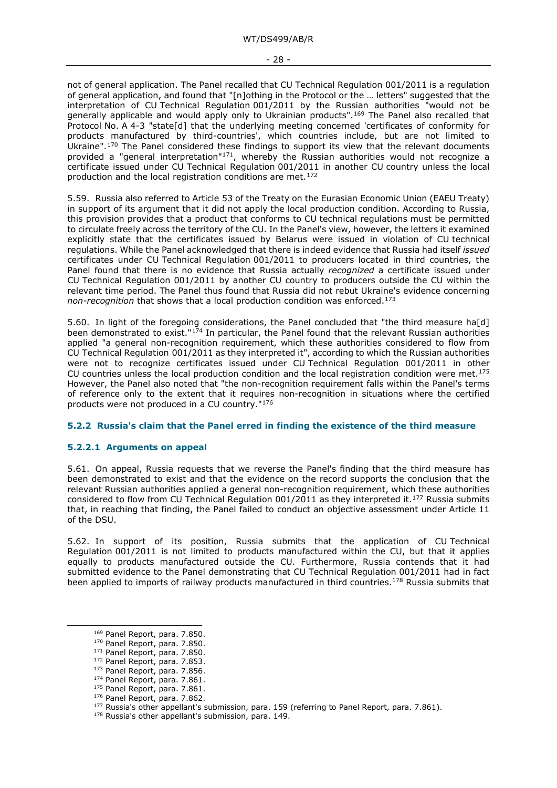not of general application. The Panel recalled that CU Technical Regulation 001/2011 is a regulation of general application, and found that "[n]othing in the Protocol or the … letters" suggested that the interpretation of CU Technical Regulation 001/2011 by the Russian authorities "would not be generally applicable and would apply only to Ukrainian products".[169](#page-27-2) The Panel also recalled that Protocol No. A 4-3 "state[d] that the underlying meeting concerned 'certificates of conformity for products manufactured by third-countries', which countries include, but are not limited to Ukraine".[170](#page-27-3) The Panel considered these findings to support its view that the relevant documents provided a "general interpretation"<sup>[171](#page-27-4)</sup>, whereby the Russian authorities would not recognize a certificate issued under CU Technical Regulation 001/2011 in another CU country unless the local production and the local registration conditions are met.<sup>[172](#page-27-5)</sup>

5.59. Russia also referred to Article 53 of the Treaty on the Eurasian Economic Union (EAEU Treaty) in support of its argument that it did not apply the local production condition. According to Russia, this provision provides that a product that conforms to CU technical regulations must be permitted to circulate freely across the territory of the CU. In the Panel's view, however, the letters it examined explicitly state that the certificates issued by Belarus were issued in violation of CU technical regulations. While the Panel acknowledged that there is indeed evidence that Russia had itself *issued* certificates under CU Technical Regulation 001/2011 to producers located in third countries, the Panel found that there is no evidence that Russia actually *recognized* a certificate issued under CU Technical Regulation 001/2011 by another CU country to producers outside the CU within the relevant time period. The Panel thus found that Russia did not rebut Ukraine's evidence concerning *non-recognition* that shows that a local production condition was enforced[.173](#page-27-6)

5.60. In light of the foregoing considerations, the Panel concluded that "the third measure ha[d] been demonstrated to exist."<sup>[174](#page-27-7)</sup> In particular, the Panel found that the relevant Russian authorities applied "a general non-recognition requirement, which these authorities considered to flow from CU Technical Regulation 001/2011 as they interpreted it", according to which the Russian authorities were not to recognize certificates issued under CU Technical Regulation 001/2011 in other CU countries unless the local production condition and the local registration condition were met.<sup>[175](#page-27-8)</sup> However, the Panel also noted that "the non-recognition requirement falls within the Panel's terms of reference only to the extent that it requires non-recognition in situations where the certified products were not produced in a CU country.["176](#page-27-9)

#### <span id="page-27-0"></span>**5.2.2 Russia's claim that the Panel erred in finding the existence of the third measure**

#### <span id="page-27-1"></span>**5.2.2.1 Arguments on appeal**

5.61. On appeal, Russia requests that we reverse the Panel's finding that the third measure has been demonstrated to exist and that the evidence on the record supports the conclusion that the relevant Russian authorities applied a general non-recognition requirement, which these authorities considered to flow from CU Technical Regulation 001/2011 as they interpreted it.[177](#page-27-10) Russia submits that, in reaching that finding, the Panel failed to conduct an objective assessment under Article 11 of the DSU.

5.62. In support of its position, Russia submits that the application of CU Technical Regulation 001/2011 is not limited to products manufactured within the CU, but that it applies equally to products manufactured outside the CU. Furthermore, Russia contends that it had submitted evidence to the Panel demonstrating that CU Technical Regulation 001/2011 had in fact been applied to imports of railway products manufactured in third countries.<sup>178</sup> Russia submits that

<sup>169</sup> Panel Report, para. 7.850.

<span id="page-27-3"></span><span id="page-27-2"></span><sup>170</sup> Panel Report, para. 7.850.

<span id="page-27-5"></span><span id="page-27-4"></span><sup>&</sup>lt;sup>171</sup> Panel Report, para. 7.850.

<sup>172</sup> Panel Report, para. 7.853.

<span id="page-27-6"></span><sup>173</sup> Panel Report, para. 7.856.

<span id="page-27-7"></span><sup>174</sup> Panel Report, para. 7.861.

<span id="page-27-8"></span><sup>175</sup> Panel Report, para. 7.861.

<sup>176</sup> Panel Report, para. 7.862.

<span id="page-27-11"></span><span id="page-27-10"></span><span id="page-27-9"></span><sup>&</sup>lt;sup>177</sup> Russia's other appellant's submission, para. 159 (referring to Panel Report, para. 7.861).

<sup>178</sup> Russia's other appellant's submission, para. 149.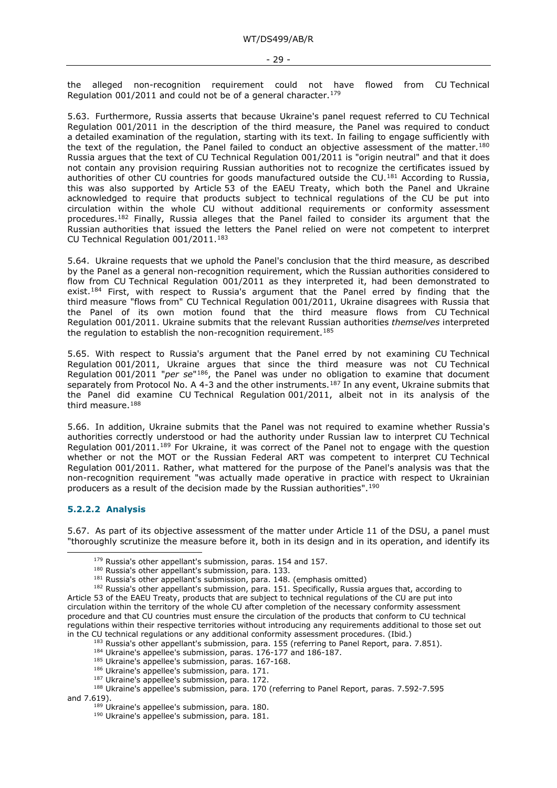the alleged non-recognition requirement could not have flowed from CU Technical Regulation 001/2011 and could not be of a general character.<sup>[179](#page-28-1)</sup>

5.63. Furthermore, Russia asserts that because Ukraine's panel request referred to CU Technical Regulation 001/2011 in the description of the third measure, the Panel was required to conduct a detailed examination of the regulation, starting with its text. In failing to engage sufficiently with the text of the regulation, the Panel failed to conduct an objective assessment of the matter.<sup>[180](#page-28-2)</sup> Russia argues that the text of CU Technical Regulation 001/2011 is "origin neutral" and that it does not contain any provision requiring Russian authorities not to recognize the certificates issued by authorities of other CU countries for goods manufactured outside the CU.<sup>[181](#page-28-3)</sup> According to Russia, this was also supported by Article 53 of the EAEU Treaty, which both the Panel and Ukraine acknowledged to require that products subject to technical regulations of the CU be put into circulation within the whole CU without additional requirements or conformity assessment procedures.[182](#page-28-4) Finally, Russia alleges that the Panel failed to consider its argument that the Russian authorities that issued the letters the Panel relied on were not competent to interpret CU Technical Regulation 001/2011.<sup>[183](#page-28-5)</sup>

5.64. Ukraine requests that we uphold the Panel's conclusion that the third measure, as described by the Panel as a general non-recognition requirement, which the Russian authorities considered to flow from CU Technical Regulation 001/2011 as they interpreted it, had been demonstrated to exist.[184](#page-28-6) First, with respect to Russia's argument that the Panel erred by finding that the third measure "flows from" CU Technical Regulation 001/2011, Ukraine disagrees with Russia that the Panel of its own motion found that the third measure flows from CU Technical Regulation 001/2011. Ukraine submits that the relevant Russian authorities *themselves* interpreted the regulation to establish the non-recognition requirement.<sup>[185](#page-28-7)</sup>

5.65. With respect to Russia's argument that the Panel erred by not examining CU Technical Regulation 001/2011, Ukraine argues that since the third measure was not CU Technical Regulation 001/2011 "*per se*"[186](#page-28-8), the Panel was under no obligation to examine that document separately from Protocol No. A 4-3 and the other instruments.<sup>[187](#page-28-9)</sup> In any event, Ukraine submits that the Panel did examine CU Technical Regulation 001/2011, albeit not in its analysis of the third measure.[188](#page-28-10)

5.66. In addition, Ukraine submits that the Panel was not required to examine whether Russia's authorities correctly understood or had the authority under Russian law to interpret CU Technical Regulation 001/2011.[189](#page-28-11) For Ukraine, it was correct of the Panel not to engage with the question whether or not the MOT or the Russian Federal ART was competent to interpret CU Technical Regulation 001/2011. Rather, what mattered for the purpose of the Panel's analysis was that the non-recognition requirement "was actually made operative in practice with respect to Ukrainian producers as a result of the decision made by the Russian authorities".[190](#page-28-12)

#### <span id="page-28-0"></span>**5.2.2.2 Analysis**

<span id="page-28-1"></span>5.67. As part of its objective assessment of the matter under Article 11 of the DSU, a panel must "thoroughly scrutinize the measure before it, both in its design and in its operation, and identify its

- <sup>184</sup> Ukraine's appellee's submission, paras. 176-177 and 186-187.
- 185 Ukraine's appellee's submission, paras. 167-168.
- <sup>186</sup> Ukraine's appellee's submission, para. 171.
- <sup>187</sup> Ukraine's appellee's submission, para. 172.

<sup>190</sup> Ukraine's appellee's submission, para. 181.

<sup>&</sup>lt;sup>179</sup> Russia's other appellant's submission, paras. 154 and 157.

<sup>&</sup>lt;sup>180</sup> Russia's other appellant's submission, para. 133.

<sup>181</sup> Russia's other appellant's submission, para. 148. (emphasis omitted)

<sup>&</sup>lt;sup>182</sup> Russia's other appellant's submission, para. 151. Specifically, Russia argues that, according to

<span id="page-28-4"></span><span id="page-28-3"></span><span id="page-28-2"></span>Article 53 of the EAEU Treaty, products that are subject to technical regulations of the CU are put into circulation within the territory of the whole CU after completion of the necessary conformity assessment procedure and that CU countries must ensure the circulation of the products that conform to CU technical regulations within their respective territories without introducing any requirements additional to those set out in the CU technical regulations or any additional conformity assessment procedures. (Ibid.)

<sup>&</sup>lt;sup>183</sup> Russia's other appellant's submission, para. 155 (referring to Panel Report, para. 7.851).

<span id="page-28-12"></span><span id="page-28-11"></span><span id="page-28-10"></span><span id="page-28-9"></span><span id="page-28-8"></span><span id="page-28-7"></span><span id="page-28-6"></span><span id="page-28-5"></span><sup>188</sup> Ukraine's appellee's submission, para. 170 (referring to Panel Report, paras. 7.592-7.595 and 7.619).

<sup>&</sup>lt;sup>189</sup> Ukraine's appellee's submission, para. 180.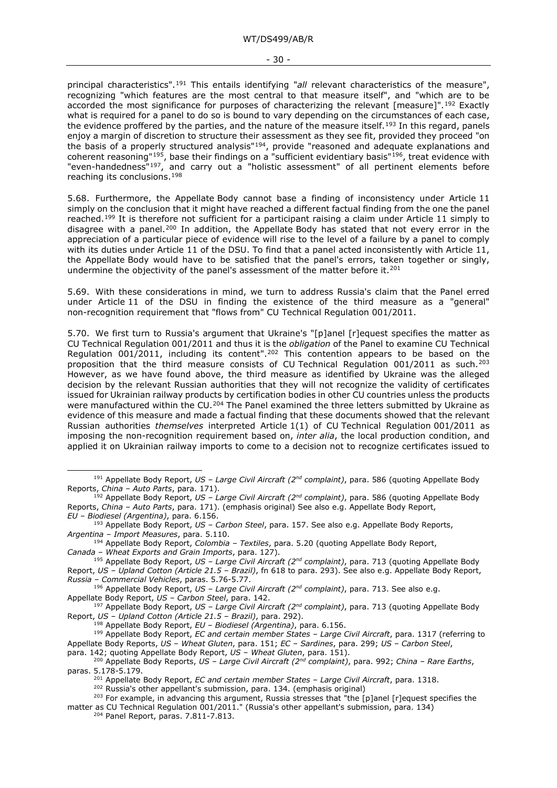principal characteristics".[191](#page-29-0) This entails identifying "*all* relevant characteristics of the measure", recognizing "which features are the most central to that measure itself", and "which are to be accorded the most significance for purposes of characterizing the relevant [measure]".<sup>[192](#page-29-1)</sup> Exactly what is required for a panel to do so is bound to vary depending on the circumstances of each case, the evidence proffered by the parties, and the nature of the measure itself.<sup>[193](#page-29-2)</sup> In this regard, panels enjoy a margin of discretion to structure their assessment as they see fit, provided they proceed "on the basis of a properly structured analysis"[194](#page-29-3), provide "reasoned and adequate explanations and coherent reasoning"[195](#page-29-4), base their findings on a "sufficient evidentiary basis"[196,](#page-29-5) treat evidence with "even-handedness"<sup>197</sup>, and carry out a "holistic assessment" of all pertinent elements before reaching its conclusions.<sup>[198](#page-29-7)</sup>

5.68. Furthermore, the Appellate Body cannot base a finding of inconsistency under Article 11 simply on the conclusion that it might have reached a different factual finding from the one the panel reached.<sup>[199](#page-29-8)</sup> It is therefore not sufficient for a participant raising a claim under Article 11 simply to disagree with a panel.<sup>[200](#page-29-9)</sup> In addition, the Appellate Body has stated that not every error in the appreciation of a particular piece of evidence will rise to the level of a failure by a panel to comply with its duties under Article 11 of the DSU. To find that a panel acted inconsistently with Article 11, the Appellate Body would have to be satisfied that the panel's errors, taken together or singly, undermine the objectivity of the panel's assessment of the matter before it.<sup>[201](#page-29-10)</sup>

5.69. With these considerations in mind, we turn to address Russia's claim that the Panel erred under Article 11 of the DSU in finding the existence of the third measure as a "general" non-recognition requirement that "flows from" CU Technical Regulation 001/2011.

5.70. We first turn to Russia's argument that Ukraine's "[p]anel [r]equest specifies the matter as CU Technical Regulation 001/2011 and thus it is the *obligation* of the Panel to examine CU Technical Regulation  $001/2011$ , including its content".<sup>[202](#page-29-11)</sup> This contention appears to be based on the proposition that the third measure consists of CU Technical Regulation  $001/2011$  as such.<sup>[203](#page-29-12)</sup> However, as we have found above, the third measure as identified by Ukraine was the alleged decision by the relevant Russian authorities that they will not recognize the validity of certificates issued for Ukrainian railway products by certification bodies in other CU countries unless the products were manufactured within the CU.<sup>[204](#page-29-13)</sup> The Panel examined the three letters submitted by Ukraine as evidence of this measure and made a factual finding that these documents showed that the relevant Russian authorities *themselves* interpreted Article 1(1) of CU Technical Regulation 001/2011 as imposing the non-recognition requirement based on, *inter alia*, the local production condition, and applied it on Ukrainian railway imports to come to a decision not to recognize certificates issued to

<span id="page-29-3"></span><sup>194</sup> Appellate Body Report, *Colombia – Textiles*, para. 5.20 (quoting Appellate Body Report, *Canada – Wheat Exports and Grain Imports*, para. 127).

<span id="page-29-4"></span><sup>195</sup> Appellate Body Report, *US – Large Civil Aircraft (2nd complaint)*, para. 713 (quoting Appellate Body Report, *US – Upland Cotton (Article 21.5 – Brazil)*, fn 618 to para. 293). See also e.g. Appellate Body Report, *Russia – Commercial Vehicles*, paras. 5.76-5.77.

<span id="page-29-5"></span><sup>196</sup> Appellate Body Report, *US – Large Civil Aircraft (2nd complaint)*, para. 713. See also e.g. Appellate Body Report, *US – Carbon Steel*, para. 142.

<span id="page-29-6"></span><sup>197</sup> Appellate Body Report, *US – Large Civil Aircraft (2nd complaint)*, para. 713 (quoting Appellate Body Report, *US – Upland Cotton (Article 21.5 – Brazil)*, para. 292).

<sup>198</sup> Appellate Body Report, *EU – Biodiesel (Argentina)*, para. 6.156.

<span id="page-29-8"></span><span id="page-29-7"></span><sup>199</sup> Appellate Body Report, *EC and certain member States – Large Civil Aircraft*, para. 1317 (referring to Appellate Body Reports, *US – Wheat Gluten*, para. 151; *EC – Sardines*, para. 299; *US – Carbon Steel*,

<span id="page-29-9"></span>para. 142; quoting Appellate Body Report, *US – Wheat Gluten*, para. 151).

<sup>202</sup> Russia's other appellant's submission, para. 134. (emphasis original)

<span id="page-29-0"></span><sup>191</sup> Appellate Body Report, *US – Large Civil Aircraft (2nd complaint)*, para. 586 (quoting Appellate Body Reports, *China – Auto Parts*, para. 171).

<span id="page-29-1"></span><sup>192</sup> Appellate Body Report, *US – Large Civil Aircraft (2nd complaint)*, para. 586 (quoting Appellate Body Reports, *China – Auto Parts*, para. 171). (emphasis original) See also e.g. Appellate Body Report, *EU – Biodiesel (Argentina)*, para. 6.156.

<span id="page-29-2"></span><sup>193</sup> Appellate Body Report, *US – Carbon Steel*, para. 157. See also e.g. Appellate Body Reports, *Argentina – Import Measures*, para. 5.110.

<span id="page-29-10"></span><sup>200</sup> Appellate Body Reports, *US – Large Civil Aircraft (2nd complaint)*, para. 992; *China – Rare Earths*, paras. 5.178-5.179.

<sup>201</sup> Appellate Body Report, *EC and certain member States – Large Civil Aircraft*, para. 1318.

 $^{203}$  For example, in advancing this argument, Russia stresses that "the [p]anel [r]equest specifies the

<span id="page-29-13"></span><span id="page-29-12"></span><span id="page-29-11"></span>matter as CU Technical Regulation 001/2011." (Russia's other appellant's submission, para. 134)

<sup>204</sup> Panel Report, paras. 7.811-7.813.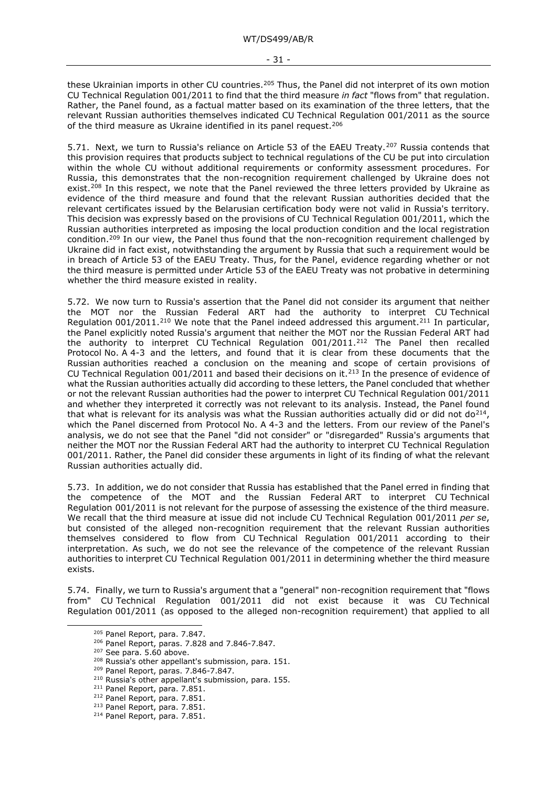these Ukrainian imports in other CU countries.<sup>[205](#page-30-0)</sup> Thus, the Panel did not interpret of its own motion CU Technical Regulation 001/2011 to find that the third measure *in fact* "flows from" that regulation. Rather, the Panel found, as a factual matter based on its examination of the three letters, that the relevant Russian authorities themselves indicated CU Technical Regulation 001/2011 as the source of the third measure as Ukraine identified in its panel request.[206](#page-30-1)

5.71. Next, we turn to Russia's reliance on Article 53 of the EAEU Treaty.<sup>[207](#page-30-2)</sup> Russia contends that this provision requires that products subject to technical regulations of the CU be put into circulation within the whole CU without additional requirements or conformity assessment procedures. For Russia, this demonstrates that the non-recognition requirement challenged by Ukraine does not exist.<sup>[208](#page-30-3)</sup> In this respect, we note that the Panel reviewed the three letters provided by Ukraine as evidence of the third measure and found that the relevant Russian authorities decided that the relevant certificates issued by the Belarusian certification body were not valid in Russia's territory. This decision was expressly based on the provisions of CU Technical Regulation 001/2011, which the Russian authorities interpreted as imposing the local production condition and the local registration condition.[209](#page-30-4) In our view, the Panel thus found that the non-recognition requirement challenged by Ukraine did in fact exist, notwithstanding the argument by Russia that such a requirement would be in breach of Article 53 of the EAEU Treaty. Thus, for the Panel, evidence regarding whether or not the third measure is permitted under Article 53 of the EAEU Treaty was not probative in determining whether the third measure existed in reality.

5.72. We now turn to Russia's assertion that the Panel did not consider its argument that neither the MOT nor the Russian Federal ART had the authority to interpret CU Technical Regulation 001/2011.<sup>[210](#page-30-5)</sup> We note that the Panel indeed addressed this argument.<sup>[211](#page-30-6)</sup> In particular, the Panel explicitly noted Russia's argument that neither the MOT nor the Russian Federal ART had the authority to interpret CU Technical Regulation 001/2011.[212](#page-30-7) The Panel then recalled Protocol No. A 4-3 and the letters, and found that it is clear from these documents that the Russian authorities reached a conclusion on the meaning and scope of certain provisions of CU Technical Regulation 001/2011 and based their decisions on it.<sup>[213](#page-30-8)</sup> In the presence of evidence of what the Russian authorities actually did according to these letters, the Panel concluded that whether or not the relevant Russian authorities had the power to interpret CU Technical Regulation 001/2011 and whether they interpreted it correctly was not relevant to its analysis. Instead, the Panel found that what is relevant for its analysis was what the Russian authorities actually did or did not do<sup>[214](#page-30-9)</sup>, which the Panel discerned from Protocol No. A 4-3 and the letters. From our review of the Panel's analysis, we do not see that the Panel "did not consider" or "disregarded" Russia's arguments that neither the MOT nor the Russian Federal ART had the authority to interpret CU Technical Regulation 001/2011. Rather, the Panel did consider these arguments in light of its finding of what the relevant Russian authorities actually did.

5.73. In addition, we do not consider that Russia has established that the Panel erred in finding that the competence of the MOT and the Russian Federal ART to interpret CU Technical Regulation 001/2011 is not relevant for the purpose of assessing the existence of the third measure. We recall that the third measure at issue did not include CU Technical Regulation 001/2011 *per se*, but consisted of the alleged non-recognition requirement that the relevant Russian authorities themselves considered to flow from CU Technical Regulation 001/2011 according to their interpretation. As such, we do not see the relevance of the competence of the relevant Russian authorities to interpret CU Technical Regulation 001/2011 in determining whether the third measure exists.

<span id="page-30-2"></span><span id="page-30-1"></span><span id="page-30-0"></span>5.74. Finally, we turn to Russia's argument that a "general" non-recognition requirement that "flows from" CU Technical Regulation 001/2011 did not exist because it was CU Technical Regulation 001/2011 (as opposed to the alleged non-recognition requirement) that applied to all

<sup>205</sup> Panel Report, para. 7.847.

<sup>206</sup> Panel Report, paras. 7.828 and 7.846-7.847.

<sup>207</sup> See para. 5.60 above.

<span id="page-30-3"></span><sup>&</sup>lt;sup>208</sup> Russia's other appellant's submission, para. 151.

<span id="page-30-4"></span><sup>209</sup> Panel Report, paras. 7.846-7.847.

<span id="page-30-5"></span><sup>210</sup> Russia's other appellant's submission, para. 155.

<span id="page-30-6"></span><sup>211</sup> Panel Report, para. 7.851.

<sup>212</sup> Panel Report, para. 7.851.

<span id="page-30-9"></span><span id="page-30-8"></span><span id="page-30-7"></span><sup>213</sup> Panel Report, para. 7.851.

<sup>214</sup> Panel Report, para. 7.851.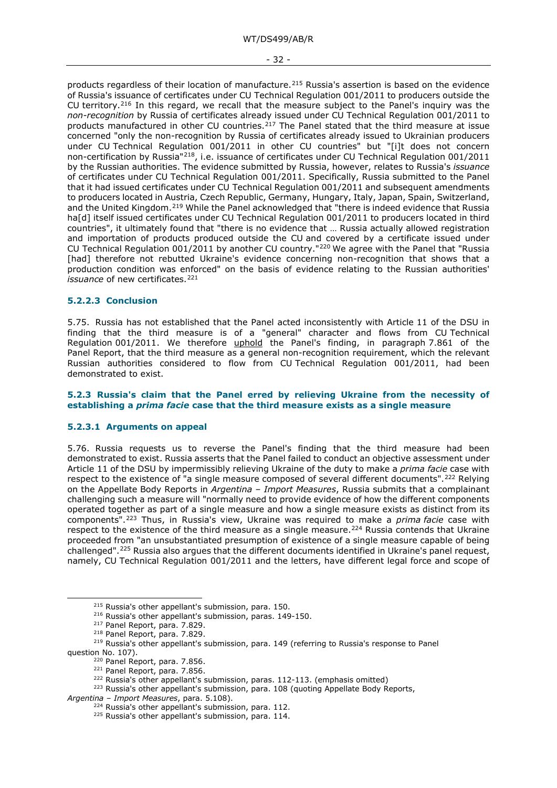products regardless of their location of manufacture.[215](#page-31-3) Russia's assertion is based on the evidence of Russia's issuance of certificates under CU Technical Regulation 001/2011 to producers outside the CU territory.<sup>[216](#page-31-4)</sup> In this regard, we recall that the measure subject to the Panel's inquiry was the *non-recognition* by Russia of certificates already issued under CU Technical Regulation 001/2011 to products manufactured in other CU countries.<sup>217</sup> The Panel stated that the third measure at issue concerned "only the non-recognition by Russia of certificates already issued to Ukrainian producers under CU Technical Regulation 001/2011 in other CU countries" but "[i]t does not concern non-certification by Russia"[218](#page-31-6), i.e. issuance of certificates under CU Technical Regulation 001/2011 by the Russian authorities. The evidence submitted by Russia, however, relates to Russia's *issuance* of certificates under CU Technical Regulation 001/2011. Specifically, Russia submitted to the Panel that it had issued certificates under CU Technical Regulation 001/2011 and subsequent amendments to producers located in Austria, Czech Republic, Germany, Hungary, Italy, Japan, Spain, Switzerland, and the United Kingdom.[219](#page-31-7) While the Panel acknowledged that "there is indeed evidence that Russia ha[d] itself issued certificates under CU Technical Regulation 001/2011 to producers located in third countries", it ultimately found that "there is no evidence that … Russia actually allowed registration and importation of products produced outside the CU and covered by a certificate issued under CU Technical Regulation 001/2011 by another CU country."[220](#page-31-8) We agree with the Panel that "Russia [had] therefore not rebutted Ukraine's evidence concerning non-recognition that shows that a production condition was enforced" on the basis of evidence relating to the Russian authorities' *issuance* of new certificates.<sup>[221](#page-31-9)</sup>

#### <span id="page-31-0"></span>**5.2.2.3 Conclusion**

5.75. Russia has not established that the Panel acted inconsistently with Article 11 of the DSU in finding that the third measure is of a "general" character and flows from CU Technical Regulation 001/2011. We therefore uphold the Panel's finding, in paragraph 7.861 of the Panel Report, that the third measure as a general non-recognition requirement, which the relevant Russian authorities considered to flow from CU Technical Regulation 001/2011, had been demonstrated to exist.

#### <span id="page-31-1"></span>**5.2.3 Russia's claim that the Panel erred by relieving Ukraine from the necessity of establishing a** *prima facie* **case that the third measure exists as a single measure**

#### <span id="page-31-2"></span>**5.2.3.1 Arguments on appeal**

5.76. Russia requests us to reverse the Panel's finding that the third measure had been demonstrated to exist. Russia asserts that the Panel failed to conduct an objective assessment under Article 11 of the DSU by impermissibly relieving Ukraine of the duty to make a *prima facie* case with respect to the existence of "a single measure composed of several different documents".<sup>222</sup> Relying on the Appellate Body Reports in *Argentina – Import Measures*, Russia submits that a complainant challenging such a measure will "normally need to provide evidence of how the different components operated together as part of a single measure and how a single measure exists as distinct from its components".[223](#page-31-11) Thus, in Russia's view, Ukraine was required to make a *prima facie* case with respect to the existence of the third measure as a single measure.<sup>[224](#page-31-12)</sup> Russia contends that Ukraine proceeded from "an unsubstantiated presumption of existence of a single measure capable of being challenged".[225](#page-31-13) Russia also argues that the different documents identified in Ukraine's panel request, namely, CU Technical Regulation 001/2011 and the letters, have different legal force and scope of

<sup>215</sup> Russia's other appellant's submission, para. 150.

<sup>216</sup> Russia's other appellant's submission, paras. 149-150.

<sup>217</sup> Panel Report, para. 7.829.

<sup>218</sup> Panel Report, para. 7.829.

<span id="page-31-8"></span><span id="page-31-7"></span><span id="page-31-6"></span><span id="page-31-5"></span><span id="page-31-4"></span><span id="page-31-3"></span><sup>&</sup>lt;sup>219</sup> Russia's other appellant's submission, para. 149 (referring to Russia's response to Panel question No. 107).

<sup>220</sup> Panel Report, para. 7.856.

<sup>221</sup> Panel Report, para. 7.856.

<sup>&</sup>lt;sup>222</sup> Russia's other appellant's submission, paras. 112-113. (emphasis omitted)

<span id="page-31-10"></span><span id="page-31-9"></span><sup>&</sup>lt;sup>223</sup> Russia's other appellant's submission, para. 108 (quoting Appellate Body Reports,

<span id="page-31-13"></span><span id="page-31-12"></span><span id="page-31-11"></span>*Argentina – Import Measures*, para. 5.108).

<sup>&</sup>lt;sup>224</sup> Russia's other appellant's submission, para. 112.

<sup>&</sup>lt;sup>225</sup> Russia's other appellant's submission, para. 114.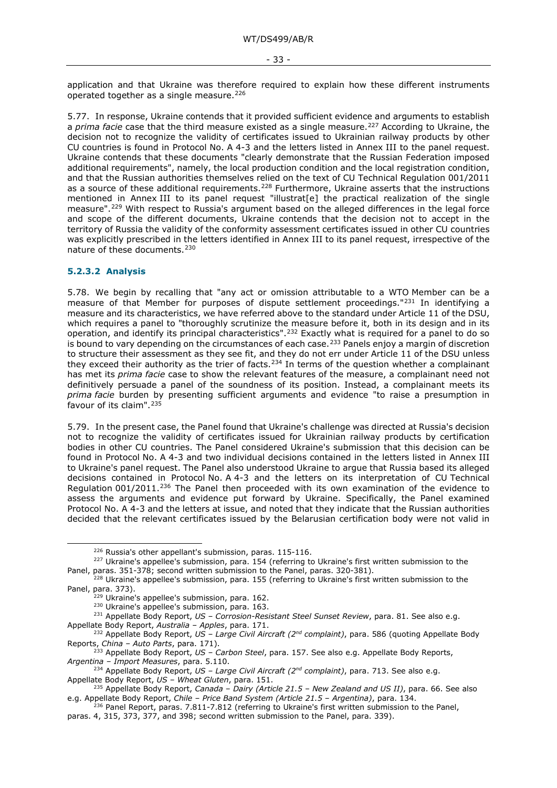application and that Ukraine was therefore required to explain how these different instruments operated together as a single measure.[226](#page-32-1)

5.77. In response, Ukraine contends that it provided sufficient evidence and arguments to establish a *prima facie* case that the third measure existed as a single measure[.227](#page-32-2) According to Ukraine, the decision not to recognize the validity of certificates issued to Ukrainian railway products by other CU countries is found in Protocol No. A 4-3 and the letters listed in Annex III to the panel request. Ukraine contends that these documents "clearly demonstrate that the Russian Federation imposed additional requirements", namely, the local production condition and the local registration condition, and that the Russian authorities themselves relied on the text of CU Technical Regulation 001/2011 as a source of these additional requirements.<sup>[228](#page-32-3)</sup> Furthermore, Ukraine asserts that the instructions mentioned in Annex III to its panel request "illustrat[e] the practical realization of the single measure".[229](#page-32-4) With respect to Russia's argument based on the alleged differences in the legal force and scope of the different documents, Ukraine contends that the decision not to accept in the territory of Russia the validity of the conformity assessment certificates issued in other CU countries was explicitly prescribed in the letters identified in Annex III to its panel request, irrespective of the nature of these documents.<sup>[230](#page-32-5)</sup>

#### <span id="page-32-0"></span>**5.2.3.2 Analysis**

5.78. We begin by recalling that "any act or omission attributable to a WTO Member can be a measure of that Member for purposes of dispute settlement proceedings."[231](#page-32-6) In identifying a measure and its characteristics, we have referred above to the standard under Article 11 of the DSU, which requires a panel to "thoroughly scrutinize the measure before it, both in its design and in its operation, and identify its principal characteristics".[232](#page-32-7) Exactly what is required for a panel to do so is bound to vary depending on the circumstances of each case.<sup>[233](#page-32-8)</sup> Panels enjoy a margin of discretion to structure their assessment as they see fit, and they do not err under Article 11 of the DSU unless they exceed their authority as the trier of facts.<sup>[234](#page-32-9)</sup> In terms of the question whether a complainant has met its *prima facie* case to show the relevant features of the measure, a complainant need not definitively persuade a panel of the soundness of its position. Instead, a complainant meets its *prima facie* burden by presenting sufficient arguments and evidence "to raise a presumption in favour of its claim". $235$ 

5.79. In the present case, the Panel found that Ukraine's challenge was directed at Russia's decision not to recognize the validity of certificates issued for Ukrainian railway products by certification bodies in other CU countries. The Panel considered Ukraine's submission that this decision can be found in Protocol No. A 4-3 and two individual decisions contained in the letters listed in Annex III to Ukraine's panel request. The Panel also understood Ukraine to argue that Russia based its alleged decisions contained in Protocol No. A 4-3 and the letters on its interpretation of CU Technical Regulation 001/2011.[236](#page-32-11) The Panel then proceeded with its own examination of the evidence to assess the arguments and evidence put forward by Ukraine. Specifically, the Panel examined Protocol No. A 4-3 and the letters at issue, and noted that they indicate that the Russian authorities decided that the relevant certificates issued by the Belarusian certification body were not valid in

<sup>226</sup> Russia's other appellant's submission, paras. 115-116.

<span id="page-32-2"></span><span id="page-32-1"></span><sup>227</sup> Ukraine's appellee's submission, para. 154 (referring to Ukraine's first written submission to the Panel, paras. 351-378; second written submission to the Panel, paras. 320-381).

<span id="page-32-4"></span><span id="page-32-3"></span><sup>&</sup>lt;sup>228</sup> Ukraine's appellee's submission, para. 155 (referring to Ukraine's first written submission to the Panel, para. 373).

<sup>&</sup>lt;sup>229</sup> Ukraine's appellee's submission, para. 162.

<sup>&</sup>lt;sup>230</sup> Ukraine's appellee's submission, para. 163.

<sup>231</sup> Appellate Body Report, *US – Corrosion-Resistant Steel Sunset Review*, para. 81. See also e.g.

<span id="page-32-5"></span>Appellate Body Report, *Australia – Apples*, para. 171.

<span id="page-32-7"></span><span id="page-32-6"></span><sup>232</sup> Appellate Body Report, *US – Large Civil Aircraft (2nd complaint)*, para. 586 (quoting Appellate Body Reports, *China – Auto Parts*, para. 171).

<span id="page-32-8"></span><sup>233</sup> Appellate Body Report, *US – Carbon Steel*, para. 157. See also e.g. Appellate Body Reports, *Argentina – Import Measures*, para. 5.110.

<span id="page-32-9"></span><sup>234</sup> Appellate Body Report, *US – Large Civil Aircraft (2nd complaint)*, para. 713. See also e.g. Appellate Body Report, *US – Wheat Gluten*, para. 151.

<span id="page-32-10"></span><sup>235</sup> Appellate Body Report, *Canada – Dairy (Article 21.5 – New Zealand and US II)*, para. 66. See also e.g. Appellate Body Report, *Chile – Price Band System (Article 21.5 – Argentina)*, para. 134.

<span id="page-32-11"></span> $236$  Panel Report, paras. 7.811-7.812 (referring to Ukraine's first written submission to the Panel, paras. 4, 315, 373, 377, and 398; second written submission to the Panel, para. 339).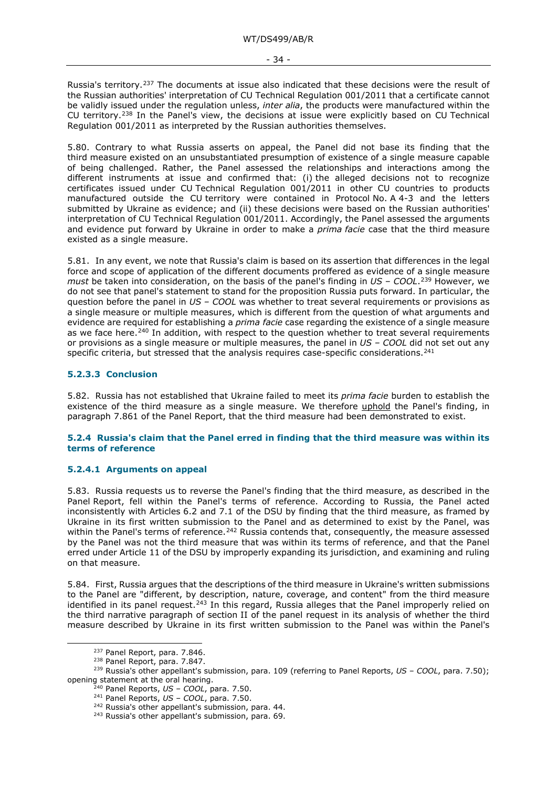Russia's territory.<sup>[237](#page-33-3)</sup> The documents at issue also indicated that these decisions were the result of the Russian authorities' interpretation of CU Technical Regulation 001/2011 that a certificate cannot be validly issued under the regulation unless, *inter alia*, the products were manufactured within the CU territory.[238](#page-33-4) In the Panel's view, the decisions at issue were explicitly based on CU Technical Regulation 001/2011 as interpreted by the Russian authorities themselves.

5.80. Contrary to what Russia asserts on appeal, the Panel did not base its finding that the third measure existed on an unsubstantiated presumption of existence of a single measure capable of being challenged. Rather, the Panel assessed the relationships and interactions among the different instruments at issue and confirmed that: (i) the alleged decisions not to recognize certificates issued under CU Technical Regulation 001/2011 in other CU countries to products manufactured outside the CU territory were contained in Protocol No. A 4-3 and the letters submitted by Ukraine as evidence; and (ii) these decisions were based on the Russian authorities' interpretation of CU Technical Regulation 001/2011. Accordingly, the Panel assessed the arguments and evidence put forward by Ukraine in order to make a *prima facie* case that the third measure existed as a single measure.

5.81. In any event, we note that Russia's claim is based on its assertion that differences in the legal force and scope of application of the different documents proffered as evidence of a single measure *must* be taken into consideration, on the basis of the panel's finding in *US – COOL*.[239](#page-33-5) However, we do not see that panel's statement to stand for the proposition Russia puts forward. In particular, the question before the panel in *US – COOL* was whether to treat several requirements or provisions as a single measure or multiple measures, which is different from the question of what arguments and evidence are required for establishing a *prima facie* case regarding the existence of a single measure as we face here.<sup>[240](#page-33-6)</sup> In addition, with respect to the question whether to treat several requirements or provisions as a single measure or multiple measures, the panel in *US – COOL* did not set out any specific criteria, but stressed that the analysis requires case-specific considerations.<sup>[241](#page-33-7)</sup>

#### <span id="page-33-0"></span>**5.2.3.3 Conclusion**

5.82. Russia has not established that Ukraine failed to meet its *prima facie* burden to establish the existence of the third measure as a single measure. We therefore uphold the Panel's finding, in paragraph 7.861 of the Panel Report, that the third measure had been demonstrated to exist.

#### <span id="page-33-1"></span>**5.2.4 Russia's claim that the Panel erred in finding that the third measure was within its terms of reference**

#### <span id="page-33-2"></span>**5.2.4.1 Arguments on appeal**

5.83. Russia requests us to reverse the Panel's finding that the third measure, as described in the Panel Report, fell within the Panel's terms of reference. According to Russia, the Panel acted inconsistently with Articles 6.2 and 7.1 of the DSU by finding that the third measure, as framed by Ukraine in its first written submission to the Panel and as determined to exist by the Panel, was within the Panel's terms of reference.<sup>[242](#page-33-8)</sup> Russia contends that, consequently, the measure assessed by the Panel was not the third measure that was within its terms of reference, and that the Panel erred under Article 11 of the DSU by improperly expanding its jurisdiction, and examining and ruling on that measure.

5.84. First, Russia argues that the descriptions of the third measure in Ukraine's written submissions to the Panel are "different, by description, nature, coverage, and content" from the third measure identified in its panel request.<sup>[243](#page-33-9)</sup> In this regard, Russia alleges that the Panel improperly relied on the third narrative paragraph of section II of the panel request in its analysis of whether the third measure described by Ukraine in its first written submission to the Panel was within the Panel's

<sup>&</sup>lt;sup>237</sup> Panel Report, para. 7.846.

<sup>238</sup> Panel Report, para. 7.847.

<span id="page-33-9"></span><span id="page-33-8"></span><span id="page-33-7"></span><span id="page-33-6"></span><span id="page-33-5"></span><span id="page-33-4"></span><span id="page-33-3"></span><sup>239</sup> Russia's other appellant's submission, para. 109 (referring to Panel Reports, *US – COOL*, para. 7.50); opening statement at the oral hearing.

<sup>240</sup> Panel Reports, *US – COOL*, para. 7.50.

<sup>241</sup> Panel Reports, *US – COOL*, para. 7.50.

<sup>&</sup>lt;sup>242</sup> Russia's other appellant's submission, para. 44.

<sup>243</sup> Russia's other appellant's submission, para. 69.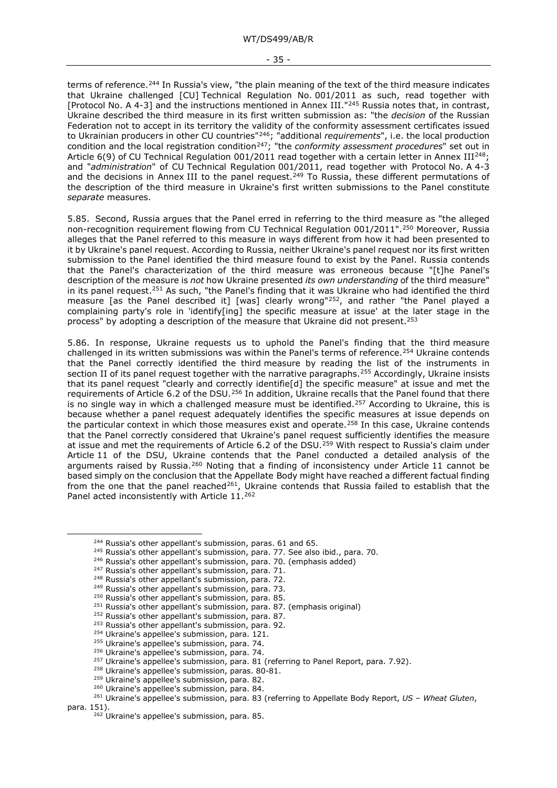terms of reference.<sup>[244](#page-34-0)</sup> In Russia's view, "the plain meaning of the text of the third measure indicates that Ukraine challenged [CU] Technical Regulation No. 001/2011 as such, read together with [Protocol No. A 4-3] and the instructions mentioned in Annex III.["245](#page-34-1) Russia notes that, in contrast, Ukraine described the third measure in its first written submission as: "the *decision* of the Russian Federation not to accept in its territory the validity of the conformity assessment certificates issued to Ukrainian producers in other CU countries"[246;](#page-34-2) "additional *requirements*", i.e. the local production condition and the local registration condition<sup>[247](#page-34-3)</sup>; "the *conformity assessment procedures*" set out in Article 6(9) of CU Technical Regulation 001/2011 read together with a certain letter in Annex III<sup>[248](#page-34-4)</sup>; and "*administration*" of CU Technical Regulation 001/2011, read together with Protocol No. A 4-3 and the decisions in Annex III to the panel request.<sup>[249](#page-34-5)</sup> To Russia, these different permutations of the description of the third measure in Ukraine's first written submissions to the Panel constitute *separate* measures.

5.85. Second, Russia argues that the Panel erred in referring to the third measure as "the alleged non-recognition requirement flowing from CU Technical Regulation 001/2011".[250](#page-34-6) Moreover, Russia alleges that the Panel referred to this measure in ways different from how it had been presented to it by Ukraine's panel request. According to Russia, neither Ukraine's panel request nor its first written submission to the Panel identified the third measure found to exist by the Panel. Russia contends that the Panel's characterization of the third measure was erroneous because "[t]he Panel's description of the measure is *not* how Ukraine presented *its own understanding* of the third measure" in its panel request.[251](#page-34-7) As such, "the Panel's finding that it was Ukraine who had identified the third measure [as the Panel described it] [was] clearly wrong["252](#page-34-8), and rather "the Panel played a complaining party's role in 'identify[ing] the specific measure at issue' at the later stage in the process" by adopting a description of the measure that Ukraine did not present.[253](#page-34-9)

5.86. In response, Ukraine requests us to uphold the Panel's finding that the third measure challenged in its written submissions was within the Panel's terms of reference.<sup>[254](#page-34-10)</sup> Ukraine contends that the Panel correctly identified the third measure by reading the list of the instruments in section II of its panel request together with the narrative paragraphs.<sup>255</sup> Accordingly, Ukraine insists that its panel request "clearly and correctly identifie[d] the specific measure" at issue and met the requirements of Article 6.2 of the DSU.<sup>[256](#page-34-12)</sup> In addition, Ukraine recalls that the Panel found that there is no single way in which a challenged measure must be identified.<sup>257</sup> According to Ukraine, this is because whether a panel request adequately identifies the specific measures at issue depends on the particular context in which those measures exist and operate.<sup>[258](#page-34-14)</sup> In this case, Ukraine contends that the Panel correctly considered that Ukraine's panel request sufficiently identifies the measure at issue and met the requirements of Article 6.2 of the DSU.[259](#page-34-15) With respect to Russia's claim under Article 11 of the DSU, Ukraine contends that the Panel conducted a detailed analysis of the arguments raised by Russia.<sup>[260](#page-34-16)</sup> Noting that a finding of inconsistency under Article 11 cannot be based simply on the conclusion that the Appellate Body might have reached a different factual finding from the one that the panel reached<sup>[261](#page-34-17)</sup>, Ukraine contends that Russia failed to establish that the Panel acted inconsistently with Article 11[.262](#page-34-18)

- <span id="page-34-2"></span><sup>246</sup> Russia's other appellant's submission, para. 70. (emphasis added)
- <span id="page-34-3"></span><sup>247</sup> Russia's other appellant's submission, para. 71.
- <span id="page-34-4"></span><sup>248</sup> Russia's other appellant's submission, para. 72.
- <span id="page-34-5"></span><sup>249</sup> Russia's other appellant's submission, para. 73.
- <sup>250</sup> Russia's other appellant's submission, para. 85.

- <sup>252</sup> Russia's other appellant's submission, para. 87.
- <span id="page-34-9"></span><span id="page-34-8"></span><sup>253</sup> Russia's other appellant's submission, para. 92.
- <sup>254</sup> Ukraine's appellee's submission, para. 121.
- <sup>255</sup> Ukraine's appellee's submission, para. 74.
- <sup>256</sup> Ukraine's appellee's submission, para. 74.
- <sup>257</sup> Ukraine's appellee's submission, para. 81 (referring to Panel Report, para. 7.92).
- <sup>258</sup> Ukraine's appellee's submission, paras. 80-81.
- <sup>259</sup> Ukraine's appellee's submission, para. 82.
- <sup>260</sup> Ukraine's appellee's submission, para. 84.

<span id="page-34-0"></span><sup>&</sup>lt;sup>244</sup> Russia's other appellant's submission, paras. 61 and 65.

<span id="page-34-1"></span><sup>&</sup>lt;sup>245</sup> Russia's other appellant's submission, para. 77. See also ibid., para. 70.

<span id="page-34-7"></span><span id="page-34-6"></span> $251$  Russia's other appellant's submission, para. 87. (emphasis original)

<span id="page-34-18"></span><span id="page-34-17"></span><span id="page-34-16"></span><span id="page-34-15"></span><span id="page-34-14"></span><span id="page-34-13"></span><span id="page-34-12"></span><span id="page-34-11"></span><span id="page-34-10"></span><sup>261</sup> Ukraine's appellee's submission, para. 83 (referring to Appellate Body Report, *US – Wheat Gluten*, para. 151).

<sup>&</sup>lt;sup>262</sup> Ukraine's appellee's submission, para. 85.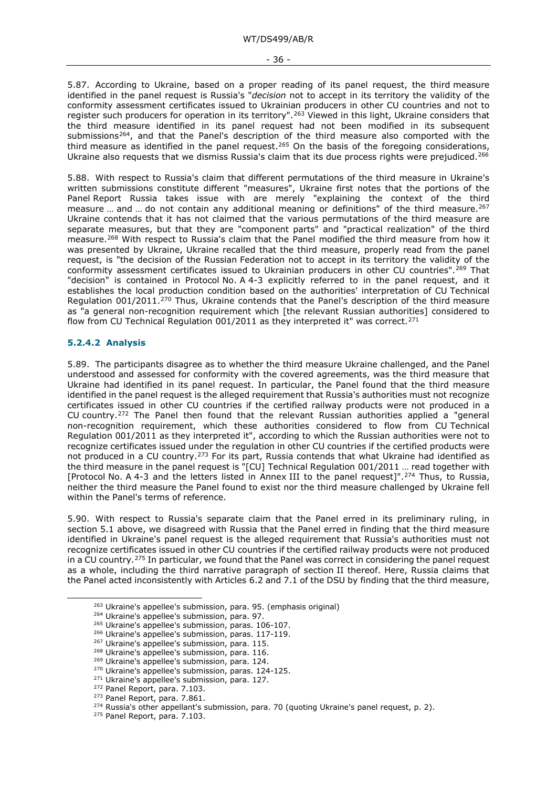- 36 -

5.87. According to Ukraine, based on a proper reading of its panel request, the third measure identified in the panel request is Russia's "*decision* not to accept in its territory the validity of the conformity assessment certificates issued to Ukrainian producers in other CU countries and not to register such producers for operation in its territory". <sup>[263](#page-35-1)</sup> Viewed in this light, Ukraine considers that the third measure identified in its panel request had not been modified in its subsequent submissions<sup>264</sup>, and that the Panel's description of the third measure also comported with the third measure as identified in the panel request.<sup>[265](#page-35-3)</sup> On the basis of the foregoing considerations, Ukraine also requests that we dismiss Russia's claim that its due process rights were prejudiced.<sup>[266](#page-35-4)</sup>

5.88. With respect to Russia's claim that different permutations of the third measure in Ukraine's written submissions constitute different "measures", Ukraine first notes that the portions of the Panel Report Russia takes issue with are merely "explaining the context of the third measure ... and ... do not contain any additional meaning or definitions" of the third measure.<sup>[267](#page-35-5)</sup> Ukraine contends that it has not claimed that the various permutations of the third measure are separate measures, but that they are "component parts" and "practical realization" of the third measure.[268](#page-35-6) With respect to Russia's claim that the Panel modified the third measure from how it was presented by Ukraine, Ukraine recalled that the third measure, properly read from the panel request, is "the decision of the Russian Federation not to accept in its territory the validity of the conformity assessment certificates issued to Ukrainian producers in other CU countries".[269](#page-35-7) That "decision" is contained in Protocol No. A 4-3 explicitly referred to in the panel request, and it establishes the local production condition based on the authorities' interpretation of CU Technical Regulation 001/2011.[270](#page-35-8) Thus, Ukraine contends that the Panel's description of the third measure as "a general non-recognition requirement which [the relevant Russian authorities] considered to flow from CU Technical Regulation 001/2011 as they interpreted it" was correct.<sup>[271](#page-35-9)</sup>

#### <span id="page-35-0"></span>**5.2.4.2 Analysis**

5.89. The participants disagree as to whether the third measure Ukraine challenged, and the Panel understood and assessed for conformity with the covered agreements, was the third measure that Ukraine had identified in its panel request. In particular, the Panel found that the third measure identified in the panel request is the alleged requirement that Russia's authorities must not recognize certificates issued in other CU countries if the certified railway products were not produced in a CU country.[272](#page-35-10) The Panel then found that the relevant Russian authorities applied a "general non-recognition requirement, which these authorities considered to flow from CU Technical Regulation 001/2011 as they interpreted it", according to which the Russian authorities were not to recognize certificates issued under the regulation in other CU countries if the certified products were not produced in a CU country.<sup>[273](#page-35-11)</sup> For its part, Russia contends that what Ukraine had identified as the third measure in the panel request is "[CU] Technical Regulation 001/2011 … read together with [Protocol No. A 4-3 and the letters listed in Annex III to the panel request]".[274](#page-35-12) Thus, to Russia, neither the third measure the Panel found to exist nor the third measure challenged by Ukraine fell within the Panel's terms of reference.

5.90. With respect to Russia's separate claim that the Panel erred in its preliminary ruling, in section 5.1 above, we disagreed with Russia that the Panel erred in finding that the third measure identified in Ukraine's panel request is the alleged requirement that Russia's authorities must not recognize certificates issued in other CU countries if the certified railway products were not produced in a CU country.<sup>[275](#page-35-13)</sup> In particular, we found that the Panel was correct in considering the panel request as a whole, including the third narrative paragraph of section II thereof. Here, Russia claims that the Panel acted inconsistently with Articles 6.2 and 7.1 of the DSU by finding that the third measure,

<span id="page-35-1"></span><sup>263</sup> Ukraine's appellee's submission, para. 95. (emphasis original)

<span id="page-35-2"></span><sup>264</sup> Ukraine's appellee's submission, para. 97.

<span id="page-35-3"></span><sup>265</sup> Ukraine's appellee's submission, paras. 106-107.

<span id="page-35-4"></span><sup>&</sup>lt;sup>266</sup> Ukraine's appellee's submission, paras. 117-119.<br><sup>267</sup> Ukraine's appellee's submission, para. 115.

<span id="page-35-6"></span><span id="page-35-5"></span><sup>&</sup>lt;sup>268</sup> Ukraine's appellee's submission, para. 116.

<span id="page-35-7"></span><sup>269</sup> Ukraine's appellee's submission, para. 124.

<span id="page-35-8"></span><sup>270</sup> Ukraine's appellee's submission, paras. 124-125.

<span id="page-35-9"></span><sup>&</sup>lt;sup>271</sup> Ukraine's appellee's submission, para. 127.

<span id="page-35-10"></span><sup>272</sup> Panel Report, para. 7.103.

<span id="page-35-11"></span><sup>&</sup>lt;sup>273</sup> Panel Report, para. 7.861.

<span id="page-35-12"></span> $274$  Russia's other appellant's submission, para. 70 (quoting Ukraine's panel request, p. 2).

<span id="page-35-13"></span><sup>&</sup>lt;sup>275</sup> Panel Report, para. 7.103.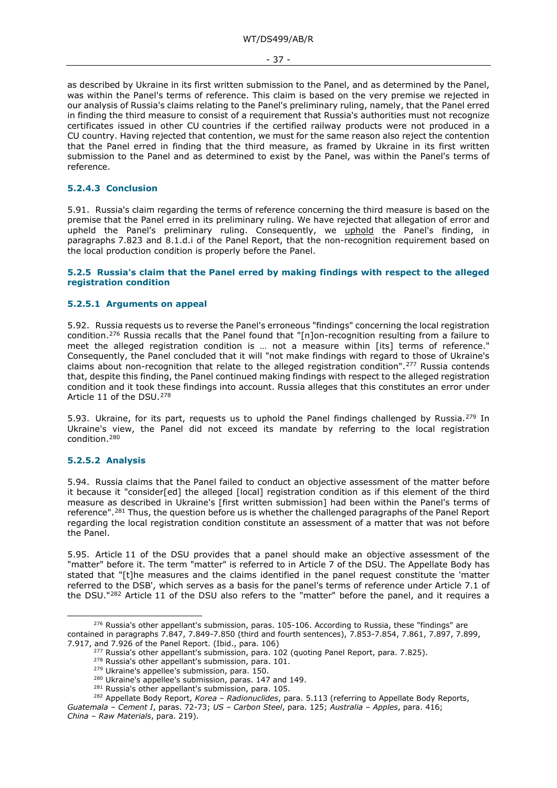- 37 -

as described by Ukraine in its first written submission to the Panel, and as determined by the Panel, was within the Panel's terms of reference. This claim is based on the very premise we rejected in our analysis of Russia's claims relating to the Panel's preliminary ruling, namely, that the Panel erred in finding the third measure to consist of a requirement that Russia's authorities must not recognize certificates issued in other CU countries if the certified railway products were not produced in a CU country. Having rejected that contention, we must for the same reason also reject the contention that the Panel erred in finding that the third measure, as framed by Ukraine in its first written submission to the Panel and as determined to exist by the Panel, was within the Panel's terms of reference.

# **5.2.4.3 Conclusion**

5.91. Russia's claim regarding the terms of reference concerning the third measure is based on the premise that the Panel erred in its preliminary ruling. We have rejected that allegation of error and upheld the Panel's preliminary ruling. Consequently, we uphold the Panel's finding, in paragraphs 7.823 and 8.1.d.i of the Panel Report, that the non-recognition requirement based on the local production condition is properly before the Panel.

## **5.2.5 Russia's claim that the Panel erred by making findings with respect to the alleged registration condition**

### **5.2.5.1 Arguments on appeal**

5.92. Russia requests us to reverse the Panel's erroneous "findings" concerning the local registration condition.[276](#page-36-0) Russia recalls that the Panel found that "[n]on-recognition resulting from a failure to meet the alleged registration condition is … not a measure within [its] terms of reference." Consequently, the Panel concluded that it will "not make findings with regard to those of Ukraine's claims about non-recognition that relate to the alleged registration condition".[277](#page-36-1) Russia contends that, despite this finding, the Panel continued making findings with respect to the alleged registration condition and it took these findings into account. Russia alleges that this constitutes an error under Article 11 of the DSU.[278](#page-36-2)

5.93. Ukraine, for its part, requests us to uphold the Panel findings challenged by Russia.<sup>[279](#page-36-3)</sup> In Ukraine's view, the Panel did not exceed its mandate by referring to the local registration condition.[280](#page-36-4)

## **5.2.5.2 Analysis**

5.94. Russia claims that the Panel failed to conduct an objective assessment of the matter before it because it "consider[ed] the alleged [local] registration condition as if this element of the third measure as described in Ukraine's [first written submission] had been within the Panel's terms of reference".<sup>[281](#page-36-5)</sup> Thus, the question before us is whether the challenged paragraphs of the Panel Report regarding the local registration condition constitute an assessment of a matter that was not before the Panel.

5.95. Article 11 of the DSU provides that a panel should make an objective assessment of the "matter" before it. The term "matter" is referred to in Article 7 of the DSU. The Appellate Body has stated that "[t]he measures and the claims identified in the panel request constitute the 'matter referred to the DSB', which serves as a basis for the panel's terms of reference under Article 7.1 of the DSU."[282](#page-36-6) Article 11 of the DSU also refers to the "matter" before the panel, and it requires a

<span id="page-36-2"></span><span id="page-36-1"></span><span id="page-36-0"></span> $276$  Russia's other appellant's submission, paras. 105-106. According to Russia, these "findings" are contained in paragraphs 7.847, 7.849-7.850 (third and fourth sentences), 7.853-7.854, 7.861, 7.897, 7.899, 7.917, and 7.926 of the Panel Report. (Ibid., para. 106)

 $277$  Russia's other appellant's submission, para. 102 (quoting Panel Report, para. 7.825).

<sup>278</sup> Russia's other appellant's submission, para. 101.

<sup>&</sup>lt;sup>279</sup> Ukraine's appellee's submission, para. 150.

<sup>&</sup>lt;sup>280</sup> Ukraine's appellee's submission, paras. 147 and 149.

<sup>&</sup>lt;sup>281</sup> Russia's other appellant's submission, para. 105.

<sup>282</sup> Appellate Body Report, *Korea – Radionuclides*, para. 5.113 (referring to Appellate Body Reports,

<span id="page-36-6"></span><span id="page-36-5"></span><span id="page-36-4"></span><span id="page-36-3"></span>*Guatemala – Cement I*, paras. 72-73; *US – Carbon Steel*, para. 125; *Australia – Apples*, para. 416;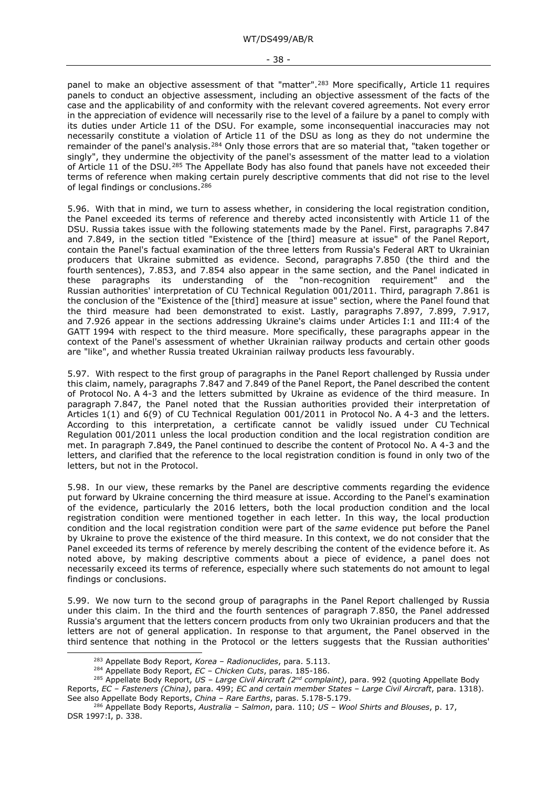panel to make an objective assessment of that "matter".<sup>[283](#page-37-0)</sup> More specifically, Article 11 requires panels to conduct an objective assessment, including an objective assessment of the facts of the case and the applicability of and conformity with the relevant covered agreements. Not every error in the appreciation of evidence will necessarily rise to the level of a failure by a panel to comply with its duties under Article 11 of the DSU. For example, some inconsequential inaccuracies may not necessarily constitute a violation of Article 11 of the DSU as long as they do not undermine the remainder of the panel's analysis.[284](#page-37-1) Only those errors that are so material that, "taken together or singly", they undermine the objectivity of the panel's assessment of the matter lead to a violation of Article 11 of the DSU.<sup>[285](#page-37-2)</sup> The Appellate Body has also found that panels have not exceeded their terms of reference when making certain purely descriptive comments that did not rise to the level of legal findings or conclusions.<sup>[286](#page-37-3)</sup>

5.96. With that in mind, we turn to assess whether, in considering the local registration condition, the Panel exceeded its terms of reference and thereby acted inconsistently with Article 11 of the DSU. Russia takes issue with the following statements made by the Panel. First, paragraphs 7.847 and 7.849, in the section titled "Existence of the [third] measure at issue" of the Panel Report, contain the Panel's factual examination of the three letters from Russia's Federal ART to Ukrainian producers that Ukraine submitted as evidence. Second, paragraphs 7.850 (the third and the fourth sentences), 7.853, and 7.854 also appear in the same section, and the Panel indicated in these paragraphs its understanding of the "non-recognition requirement" and the Russian authorities' interpretation of CU Technical Regulation 001/2011. Third, paragraph 7.861 is the conclusion of the "Existence of the [third] measure at issue" section, where the Panel found that the third measure had been demonstrated to exist. Lastly, paragraphs 7.897, 7.899, 7.917, and 7.926 appear in the sections addressing Ukraine's claims under Articles I:1 and III:4 of the GATT 1994 with respect to the third measure. More specifically, these paragraphs appear in the context of the Panel's assessment of whether Ukrainian railway products and certain other goods are "like", and whether Russia treated Ukrainian railway products less favourably.

5.97. With respect to the first group of paragraphs in the Panel Report challenged by Russia under this claim, namely, paragraphs 7.847 and 7.849 of the Panel Report, the Panel described the content of Protocol No. A 4-3 and the letters submitted by Ukraine as evidence of the third measure. In paragraph 7.847, the Panel noted that the Russian authorities provided their interpretation of Articles 1(1) and 6(9) of CU Technical Regulation 001/2011 in Protocol No. A 4-3 and the letters. According to this interpretation, a certificate cannot be validly issued under CU Technical Regulation 001/2011 unless the local production condition and the local registration condition are met. In paragraph 7.849, the Panel continued to describe the content of Protocol No. A 4-3 and the letters, and clarified that the reference to the local registration condition is found in only two of the letters, but not in the Protocol.

5.98. In our view, these remarks by the Panel are descriptive comments regarding the evidence put forward by Ukraine concerning the third measure at issue. According to the Panel's examination of the evidence, particularly the 2016 letters, both the local production condition and the local registration condition were mentioned together in each letter. In this way, the local production condition and the local registration condition were part of the *same* evidence put before the Panel by Ukraine to prove the existence of the third measure. In this context, we do not consider that the Panel exceeded its terms of reference by merely describing the content of the evidence before it. As noted above, by making descriptive comments about a piece of evidence, a panel does not necessarily exceed its terms of reference, especially where such statements do not amount to legal findings or conclusions.

5.99. We now turn to the second group of paragraphs in the Panel Report challenged by Russia under this claim. In the third and the fourth sentences of paragraph 7.850, the Panel addressed Russia's argument that the letters concern products from only two Ukrainian producers and that the letters are not of general application. In response to that argument, the Panel observed in the third sentence that nothing in the Protocol or the letters suggests that the Russian authorities'

<sup>283</sup> Appellate Body Report, *Korea – Radionuclides*, para. 5.113.

<sup>284</sup> Appellate Body Report, *EC – Chicken Cuts*, paras. 185-186.

<span id="page-37-2"></span><span id="page-37-1"></span><span id="page-37-0"></span><sup>285</sup> Appellate Body Report, *US – Large Civil Aircraft (2nd complaint)*, para. 992 (quoting Appellate Body Reports, *EC – Fasteners (China)*, para. 499; *EC and certain member States – Large Civil Aircraft*, para. 1318). See also Appellate Body Reports, *China – Rare Earths*, paras. 5.178-5.179.

<span id="page-37-3"></span><sup>286</sup> Appellate Body Reports, *Australia – Salmon*, para. 110; *US – Wool Shirts and Blouses*, p. 17, DSR 1997:I, p. 338.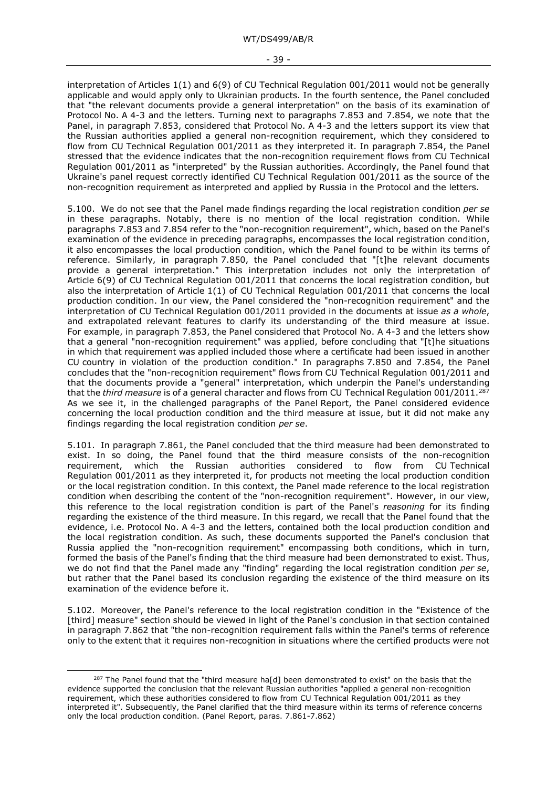interpretation of Articles 1(1) and 6(9) of CU Technical Regulation 001/2011 would not be generally applicable and would apply only to Ukrainian products. In the fourth sentence, the Panel concluded that "the relevant documents provide a general interpretation" on the basis of its examination of Protocol No. A 4-3 and the letters. Turning next to paragraphs 7.853 and 7.854, we note that the Panel, in paragraph 7.853, considered that Protocol No. A 4-3 and the letters support its view that the Russian authorities applied a general non-recognition requirement, which they considered to flow from CU Technical Regulation 001/2011 as they interpreted it. In paragraph 7.854, the Panel stressed that the evidence indicates that the non-recognition requirement flows from CU Technical Regulation 001/2011 as "interpreted" by the Russian authorities. Accordingly, the Panel found that Ukraine's panel request correctly identified CU Technical Regulation 001/2011 as the source of the non-recognition requirement as interpreted and applied by Russia in the Protocol and the letters.

5.100. We do not see that the Panel made findings regarding the local registration condition *per se* in these paragraphs. Notably, there is no mention of the local registration condition. While paragraphs 7.853 and 7.854 refer to the "non-recognition requirement", which, based on the Panel's examination of the evidence in preceding paragraphs, encompasses the local registration condition, it also encompasses the local production condition, which the Panel found to be within its terms of reference. Similarly, in paragraph 7.850, the Panel concluded that "[t]he relevant documents provide a general interpretation." This interpretation includes not only the interpretation of Article 6(9) of CU Technical Regulation 001/2011 that concerns the local registration condition, but also the interpretation of Article 1(1) of CU Technical Regulation 001/2011 that concerns the local production condition. In our view, the Panel considered the "non-recognition requirement" and the interpretation of CU Technical Regulation 001/2011 provided in the documents at issue *as a whole*, and extrapolated relevant features to clarify its understanding of the third measure at issue. For example, in paragraph 7.853, the Panel considered that Protocol No. A 4-3 and the letters show that a general "non-recognition requirement" was applied, before concluding that "[t]he situations in which that requirement was applied included those where a certificate had been issued in another CU country in violation of the production condition." In paragraphs 7.850 and 7.854, the Panel concludes that the "non-recognition requirement" flows from CU Technical Regulation 001/2011 and that the documents provide a "general" interpretation, which underpin the Panel's understanding that the *third measure* is of a general character and flows from CU Technical Regulation 001/2011.[287](#page-38-0) As we see it, in the challenged paragraphs of the Panel Report, the Panel considered evidence concerning the local production condition and the third measure at issue, but it did not make any findings regarding the local registration condition *per se*.

5.101. In paragraph 7.861, the Panel concluded that the third measure had been demonstrated to exist. In so doing, the Panel found that the third measure consists of the non-recognition requirement, which the Russian authorities considered to flow from CU Technical Regulation 001/2011 as they interpreted it, for products not meeting the local production condition or the local registration condition. In this context, the Panel made reference to the local registration condition when describing the content of the "non-recognition requirement". However, in our view, this reference to the local registration condition is part of the Panel's *reasoning* for its finding regarding the existence of the third measure. In this regard, we recall that the Panel found that the evidence, i.e. Protocol No. A 4-3 and the letters, contained both the local production condition and the local registration condition. As such, these documents supported the Panel's conclusion that Russia applied the "non-recognition requirement" encompassing both conditions, which in turn, formed the basis of the Panel's finding that the third measure had been demonstrated to exist. Thus, we do not find that the Panel made any "finding" regarding the local registration condition *per se*, but rather that the Panel based its conclusion regarding the existence of the third measure on its examination of the evidence before it.

5.102. Moreover, the Panel's reference to the local registration condition in the "Existence of the [third] measure" section should be viewed in light of the Panel's conclusion in that section contained in paragraph 7.862 that "the non-recognition requirement falls within the Panel's terms of reference only to the extent that it requires non-recognition in situations where the certified products were not

<span id="page-38-0"></span><sup>&</sup>lt;sup>287</sup> The Panel found that the "third measure ha[d] been demonstrated to exist" on the basis that the evidence supported the conclusion that the relevant Russian authorities "applied a general non-recognition requirement, which these authorities considered to flow from CU Technical Regulation 001/2011 as they interpreted it". Subsequently, the Panel clarified that the third measure within its terms of reference concerns only the local production condition. (Panel Report, paras. 7.861-7.862)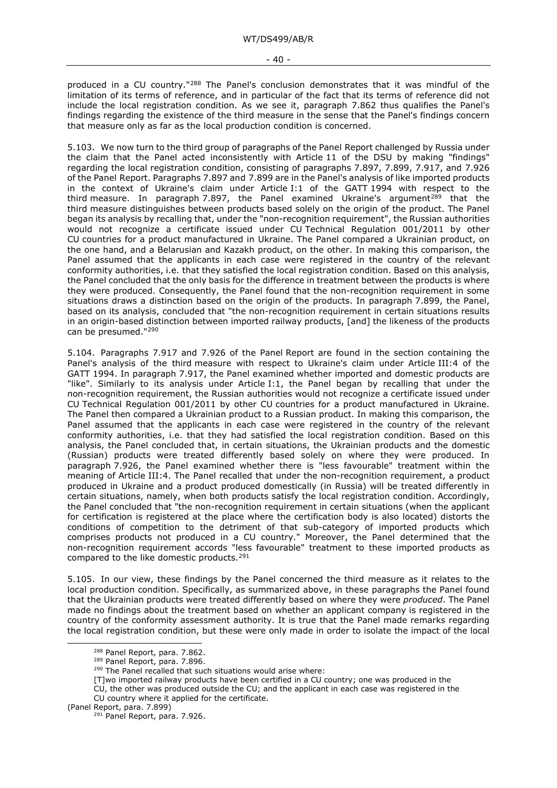produced in a CU country."[288](#page-39-0) The Panel's conclusion demonstrates that it was mindful of the limitation of its terms of reference, and in particular of the fact that its terms of reference did not include the local registration condition. As we see it, paragraph 7.862 thus qualifies the Panel's findings regarding the existence of the third measure in the sense that the Panel's findings concern that measure only as far as the local production condition is concerned.

5.103. We now turn to the third group of paragraphs of the Panel Report challenged by Russia under the claim that the Panel acted inconsistently with Article 11 of the DSU by making "findings" regarding the local registration condition, consisting of paragraphs 7.897, 7.899, 7.917, and 7.926 of the Panel Report. Paragraphs 7.897 and 7.899 are in the Panel's analysis of like imported products in the context of Ukraine's claim under Article I:1 of the GATT 1994 with respect to the third measure. In paragraph 7.897, the Panel examined Ukraine's argument<sup>[289](#page-39-1)</sup> that the third measure distinguishes between products based solely on the origin of the product. The Panel began its analysis by recalling that, under the "non-recognition requirement", the Russian authorities would not recognize a certificate issued under CU Technical Regulation 001/2011 by other CU countries for a product manufactured in Ukraine. The Panel compared a Ukrainian product, on the one hand, and a Belarusian and Kazakh product, on the other. In making this comparison, the Panel assumed that the applicants in each case were registered in the country of the relevant conformity authorities, i.e. that they satisfied the local registration condition. Based on this analysis, the Panel concluded that the only basis for the difference in treatment between the products is where they were produced. Consequently, the Panel found that the non-recognition requirement in some situations draws a distinction based on the origin of the products. In paragraph 7.899, the Panel, based on its analysis, concluded that "the non-recognition requirement in certain situations results in an origin-based distinction between imported railway products, [and] the likeness of the products can be presumed."[290](#page-39-2)

5.104. Paragraphs 7.917 and 7.926 of the Panel Report are found in the section containing the Panel's analysis of the third measure with respect to Ukraine's claim under Article III:4 of the GATT 1994. In paragraph 7.917, the Panel examined whether imported and domestic products are "like". Similarly to its analysis under Article I:1, the Panel began by recalling that under the non-recognition requirement, the Russian authorities would not recognize a certificate issued under CU Technical Regulation 001/2011 by other CU countries for a product manufactured in Ukraine. The Panel then compared a Ukrainian product to a Russian product. In making this comparison, the Panel assumed that the applicants in each case were registered in the country of the relevant conformity authorities, i.e. that they had satisfied the local registration condition. Based on this analysis, the Panel concluded that, in certain situations, the Ukrainian products and the domestic (Russian) products were treated differently based solely on where they were produced. In paragraph 7.926, the Panel examined whether there is "less favourable" treatment within the meaning of Article III:4. The Panel recalled that under the non-recognition requirement, a product produced in Ukraine and a product produced domestically (in Russia) will be treated differently in certain situations, namely, when both products satisfy the local registration condition. Accordingly, the Panel concluded that "the non-recognition requirement in certain situations (when the applicant for certification is registered at the place where the certification body is also located) distorts the conditions of competition to the detriment of that sub-category of imported products which comprises products not produced in a CU country." Moreover, the Panel determined that the non-recognition requirement accords "less favourable" treatment to these imported products as compared to the like domestic products.[291](#page-39-3)

5.105. In our view, these findings by the Panel concerned the third measure as it relates to the local production condition. Specifically, as summarized above, in these paragraphs the Panel found that the Ukrainian products were treated differently based on where they were *produced*. The Panel made no findings about the treatment based on whether an applicant company is registered in the country of the conformity assessment authority. It is true that the Panel made remarks regarding the local registration condition, but these were only made in order to isolate the impact of the local

- CU, the other was produced outside the CU; and the applicant in each case was registered in the CU country where it applied for the certificate.
- <span id="page-39-3"></span><span id="page-39-2"></span><span id="page-39-1"></span><span id="page-39-0"></span>(Panel Report, para. 7.899)

<sup>288</sup> Panel Report, para. 7.862.

<sup>289</sup> Panel Report, para. 7.896.

<sup>&</sup>lt;sup>290</sup> The Panel recalled that such situations would arise where:

<sup>[</sup>T]wo imported railway products have been certified in a CU country; one was produced in the

<sup>&</sup>lt;sup>291</sup> Panel Report, para. 7.926.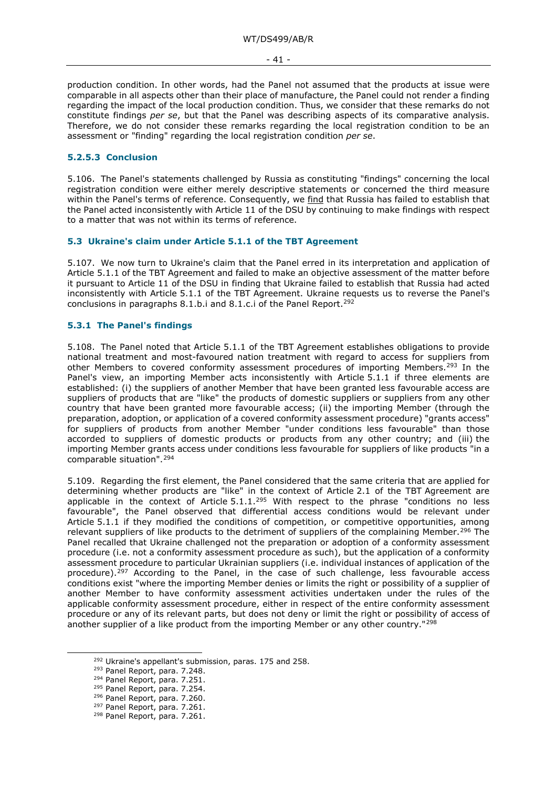- 41 -

production condition. In other words, had the Panel not assumed that the products at issue were comparable in all aspects other than their place of manufacture, the Panel could not render a finding regarding the impact of the local production condition. Thus, we consider that these remarks do not constitute findings *per se*, but that the Panel was describing aspects of its comparative analysis. Therefore, we do not consider these remarks regarding the local registration condition to be an assessment or "finding" regarding the local registration condition *per se*.

# **5.2.5.3 Conclusion**

5.106. The Panel's statements challenged by Russia as constituting "findings" concerning the local registration condition were either merely descriptive statements or concerned the third measure within the Panel's terms of reference. Consequently, we find that Russia has failed to establish that the Panel acted inconsistently with Article 11 of the DSU by continuing to make findings with respect to a matter that was not within its terms of reference.

## **5.3 Ukraine's claim under Article 5.1.1 of the TBT Agreement**

5.107. We now turn to Ukraine's claim that the Panel erred in its interpretation and application of Article 5.1.1 of the TBT Agreement and failed to make an objective assessment of the matter before it pursuant to Article 11 of the DSU in finding that Ukraine failed to establish that Russia had acted inconsistently with Article 5.1.1 of the TBT Agreement. Ukraine requests us to reverse the Panel's conclusions in paragraphs 8.1.b.i and 8.1.c.i of the Panel Report.<sup>292</sup>

## **5.3.1 The Panel's findings**

5.108. The Panel noted that Article 5.1.1 of the TBT Agreement establishes obligations to provide national treatment and most-favoured nation treatment with regard to access for suppliers from other Members to covered conformity assessment procedures of importing Members.<sup>293</sup> In the Panel's view, an importing Member acts inconsistently with Article 5.1.1 if three elements are established: (i) the suppliers of another Member that have been granted less favourable access are suppliers of products that are "like" the products of domestic suppliers or suppliers from any other country that have been granted more favourable access; (ii) the importing Member (through the preparation, adoption, or application of a covered conformity assessment procedure) "grants access" for suppliers of products from another Member "under conditions less favourable" than those accorded to suppliers of domestic products or products from any other country; and (iii) the importing Member grants access under conditions less favourable for suppliers of like products "in a comparable situation".[294](#page-40-2)

5.109. Regarding the first element, the Panel considered that the same criteria that are applied for determining whether products are "like" in the context of Article 2.1 of the TBT Agreement are applicable in the context of Article  $5.1.1^{295}$  $5.1.1^{295}$  $5.1.1^{295}$  With respect to the phrase "conditions no less favourable", the Panel observed that differential access conditions would be relevant under Article 5.1.1 if they modified the conditions of competition, or competitive opportunities, among relevant suppliers of like products to the detriment of suppliers of the complaining Member.<sup>[296](#page-40-4)</sup> The Panel recalled that Ukraine challenged not the preparation or adoption of a conformity assessment procedure (i.e. not a conformity assessment procedure as such), but the application of a conformity assessment procedure to particular Ukrainian suppliers (i.e. individual instances of application of the procedure).<sup>[297](#page-40-5)</sup> According to the Panel, in the case of such challenge, less favourable access conditions exist "where the importing Member denies or limits the right or possibility of a supplier of another Member to have conformity assessment activities undertaken under the rules of the applicable conformity assessment procedure, either in respect of the entire conformity assessment procedure or any of its relevant parts, but does not deny or limit the right or possibility of access of another supplier of a like product from the importing Member or any other country."<sup>[298](#page-40-6)</sup>

<span id="page-40-1"></span><span id="page-40-0"></span><sup>292</sup> Ukraine's appellant's submission, paras. 175 and 258.

<sup>293</sup> Panel Report, para. 7.248.

<span id="page-40-2"></span><sup>294</sup> Panel Report, para. 7.251.

<span id="page-40-3"></span><sup>295</sup> Panel Report, para. 7.254.

<span id="page-40-4"></span><sup>296</sup> Panel Report, para. 7.260.

<span id="page-40-5"></span><sup>297</sup> Panel Report, para. 7.261.

<span id="page-40-6"></span><sup>298</sup> Panel Report, para. 7.261.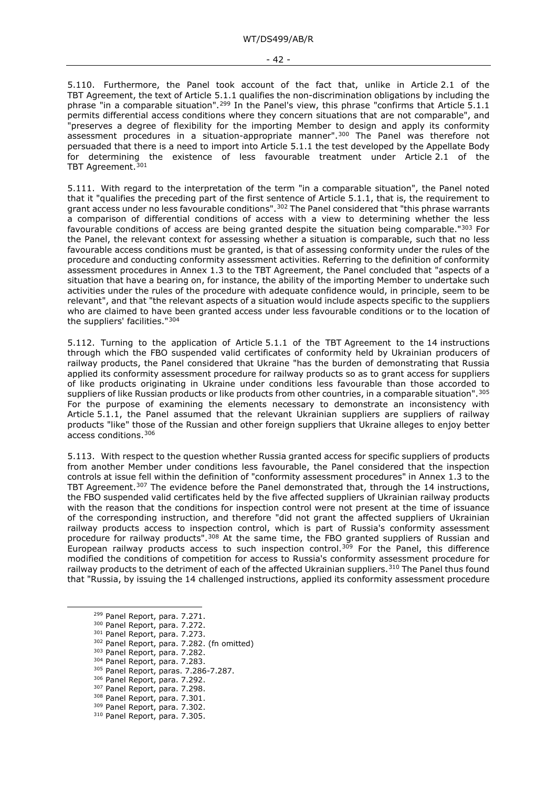5.110. Furthermore, the Panel took account of the fact that, unlike in Article 2.1 of the TBT Agreement, the text of Article 5.1.1 qualifies the non-discrimination obligations by including the phrase "in a comparable situation".<sup>[299](#page-41-0)</sup> In the Panel's view, this phrase "confirms that Article 5.1.1 permits differential access conditions where they concern situations that are not comparable", and "preserves a degree of flexibility for the importing Member to design and apply its conformity assessment procedures in a situation-appropriate manner".[300](#page-41-1) The Panel was therefore not persuaded that there is a need to import into Article 5.1.1 the test developed by the Appellate Body for determining the existence of less favourable treatment under Article 2.1 of the TBT Agreement.<sup>[301](#page-41-2)</sup>

5.111. With regard to the interpretation of the term "in a comparable situation", the Panel noted that it "qualifies the preceding part of the first sentence of Article 5.1.1, that is, the requirement to grant access under no less favourable conditions".<sup>[302](#page-41-3)</sup> The Panel considered that "this phrase warrants a comparison of differential conditions of access with a view to determining whether the less favourable conditions of access are being granted despite the situation being comparable.["303](#page-41-4) For the Panel, the relevant context for assessing whether a situation is comparable, such that no less favourable access conditions must be granted, is that of assessing conformity under the rules of the procedure and conducting conformity assessment activities. Referring to the definition of conformity assessment procedures in Annex 1.3 to the TBT Agreement, the Panel concluded that "aspects of a situation that have a bearing on, for instance, the ability of the importing Member to undertake such activities under the rules of the procedure with adequate confidence would, in principle, seem to be relevant", and that "the relevant aspects of a situation would include aspects specific to the suppliers who are claimed to have been granted access under less favourable conditions or to the location of the suppliers' facilities.["304](#page-41-5)

5.112. Turning to the application of Article 5.1.1 of the TBT Agreement to the 14 instructions through which the FBO suspended valid certificates of conformity held by Ukrainian producers of railway products, the Panel considered that Ukraine "has the burden of demonstrating that Russia applied its conformity assessment procedure for railway products so as to grant access for suppliers of like products originating in Ukraine under conditions less favourable than those accorded to suppliers of like Russian products or like products from other countries, in a comparable situation". [305](#page-41-6) For the purpose of examining the elements necessary to demonstrate an inconsistency with Article 5.1.1, the Panel assumed that the relevant Ukrainian suppliers are suppliers of railway products "like" those of the Russian and other foreign suppliers that Ukraine alleges to enjoy better access conditions.[306](#page-41-7)

5.113. With respect to the question whether Russia granted access for specific suppliers of products from another Member under conditions less favourable, the Panel considered that the inspection controls at issue fell within the definition of "conformity assessment procedures" in Annex 1.3 to the TBT Agreement.<sup>[307](#page-41-8)</sup> The evidence before the Panel demonstrated that, through the 14 instructions, the FBO suspended valid certificates held by the five affected suppliers of Ukrainian railway products with the reason that the conditions for inspection control were not present at the time of issuance of the corresponding instruction, and therefore "did not grant the affected suppliers of Ukrainian railway products access to inspection control, which is part of Russia's conformity assessment procedure for railway products".[308](#page-41-9) At the same time, the FBO granted suppliers of Russian and European railway products access to such inspection control.<sup>[309](#page-41-10)</sup> For the Panel, this difference modified the conditions of competition for access to Russia's conformity assessment procedure for railway products to the detriment of each of the affected Ukrainian suppliers.<sup>[310](#page-41-11)</sup> The Panel thus found that "Russia, by issuing the 14 challenged instructions, applied its conformity assessment procedure

- <span id="page-41-2"></span><sup>301</sup> Panel Report, para. 7.273.
- <span id="page-41-3"></span><sup>302</sup> Panel Report, para. 7.282. (fn omitted)
- <span id="page-41-4"></span><sup>303</sup> Panel Report, para. 7.282.
- <span id="page-41-5"></span><sup>304</sup> Panel Report, para. 7.283.
- <span id="page-41-6"></span><sup>305</sup> Panel Report, paras. 7.286-7.287.
- <span id="page-41-7"></span><sup>306</sup> Panel Report, para. 7.292.
- <span id="page-41-8"></span><sup>307</sup> Panel Report, para. 7.298.
- <span id="page-41-9"></span><sup>308</sup> Panel Report, para. 7.301.
- <span id="page-41-10"></span><sup>309</sup> Panel Report, para. 7.302.
- <span id="page-41-11"></span><sup>310</sup> Panel Report, para. 7.305.

<span id="page-41-0"></span><sup>299</sup> Panel Report, para. 7.271.

<span id="page-41-1"></span><sup>300</sup> Panel Report, para. 7.272.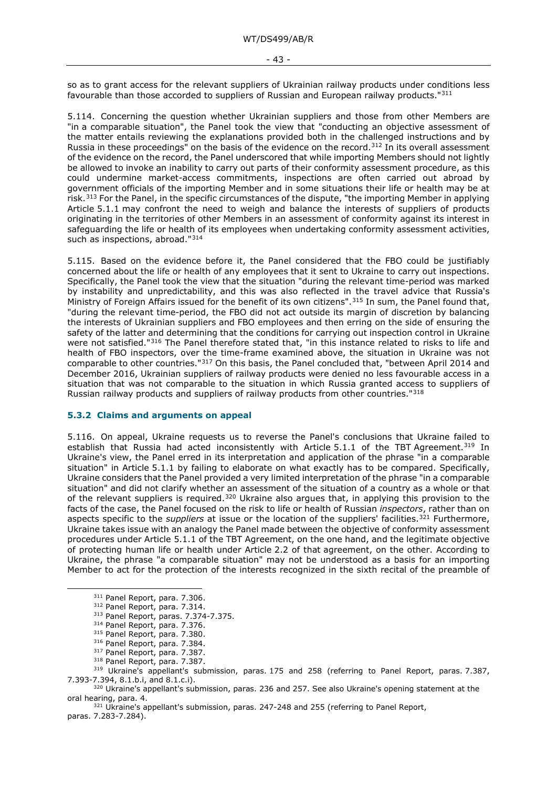so as to grant access for the relevant suppliers of Ukrainian railway products under conditions less favourable than those accorded to suppliers of Russian and European railway products."[311](#page-42-0)

5.114. Concerning the question whether Ukrainian suppliers and those from other Members are "in a comparable situation", the Panel took the view that "conducting an objective assessment of the matter entails reviewing the explanations provided both in the challenged instructions and by Russia in these proceedings" on the basis of the evidence on the record.<sup>[312](#page-42-1)</sup> In its overall assessment of the evidence on the record, the Panel underscored that while importing Members should not lightly be allowed to invoke an inability to carry out parts of their conformity assessment procedure, as this could undermine market-access commitments, inspections are often carried out abroad by government officials of the importing Member and in some situations their life or health may be at risk.<sup>[313](#page-42-2)</sup> For the Panel, in the specific circumstances of the dispute, "the importing Member in applying Article 5.1.1 may confront the need to weigh and balance the interests of suppliers of products originating in the territories of other Members in an assessment of conformity against its interest in safeguarding the life or health of its employees when undertaking conformity assessment activities, such as inspections, abroad."<sup>[314](#page-42-3)</sup>

5.115. Based on the evidence before it, the Panel considered that the FBO could be justifiably concerned about the life or health of any employees that it sent to Ukraine to carry out inspections. Specifically, the Panel took the view that the situation "during the relevant time-period was marked by instability and unpredictability, and this was also reflected in the travel advice that Russia's Ministry of Foreign Affairs issued for the benefit of its own citizens".<sup>[315](#page-42-4)</sup> In sum, the Panel found that, "during the relevant time-period, the FBO did not act outside its margin of discretion by balancing the interests of Ukrainian suppliers and FBO employees and then erring on the side of ensuring the safety of the latter and determining that the conditions for carrying out inspection control in Ukraine were not satisfied."<sup>[316](#page-42-5)</sup> The Panel therefore stated that, "in this instance related to risks to life and health of FBO inspectors, over the time-frame examined above, the situation in Ukraine was not comparable to other countries."[317](#page-42-6) On this basis, the Panel concluded that, "between April 2014 and December 2016, Ukrainian suppliers of railway products were denied no less favourable access in a situation that was not comparable to the situation in which Russia granted access to suppliers of Russian railway products and suppliers of railway products from other countries."[318](#page-42-7)

#### **5.3.2 Claims and arguments on appeal**

5.116. On appeal, Ukraine requests us to reverse the Panel's conclusions that Ukraine failed to establish that Russia had acted inconsistently with Article 5.1.1 of the TBT Agreement.<sup>[319](#page-42-8)</sup> In Ukraine's view, the Panel erred in its interpretation and application of the phrase "in a comparable situation" in Article 5.1.1 by failing to elaborate on what exactly has to be compared. Specifically, Ukraine considers that the Panel provided a very limited interpretation of the phrase "in a comparable situation" and did not clarify whether an assessment of the situation of a country as a whole or that of the relevant suppliers is required.<sup>[320](#page-42-9)</sup> Ukraine also argues that, in applying this provision to the facts of the case, the Panel focused on the risk to life or health of Russian *inspectors*, rather than on aspects specific to the *suppliers* at issue or the location of the suppliers' facilities.<sup>[321](#page-42-10)</sup> Furthermore, Ukraine takes issue with an analogy the Panel made between the objective of conformity assessment procedures under Article 5.1.1 of the TBT Agreement, on the one hand, and the legitimate objective of protecting human life or health under Article 2.2 of that agreement, on the other. According to Ukraine, the phrase "a comparable situation" may not be understood as a basis for an importing Member to act for the protection of the interests recognized in the sixth recital of the preamble of

<sup>311</sup> Panel Report, para. 7.306.

<span id="page-42-0"></span><sup>312</sup> Panel Report, para. 7.314.

<sup>313</sup> Panel Report, paras. 7.374-7.375.

<sup>314</sup> Panel Report, para. 7.376.

<sup>315</sup> Panel Report, para. 7.380.

<sup>316</sup> Panel Report, para. 7.384.

<sup>317</sup> Panel Report, para. 7.387.

<sup>318</sup> Panel Report, para. 7.387.

<span id="page-42-8"></span><span id="page-42-7"></span><span id="page-42-6"></span><span id="page-42-5"></span><span id="page-42-4"></span><span id="page-42-3"></span><span id="page-42-2"></span><span id="page-42-1"></span><sup>&</sup>lt;sup>319</sup> Ukraine's appellant's submission, paras. 175 and 258 (referring to Panel Report, paras. 7.387, 7.393-7.394, 8.1.b.i, and 8.1.c.i).

<span id="page-42-9"></span><sup>&</sup>lt;sup>320</sup> Ukraine's appellant's submission, paras. 236 and 257. See also Ukraine's opening statement at the oral hearing, para. 4.

<span id="page-42-10"></span><sup>&</sup>lt;sup>321</sup> Ukraine's appellant's submission, paras. 247-248 and 255 (referring to Panel Report, paras. 7.283-7.284).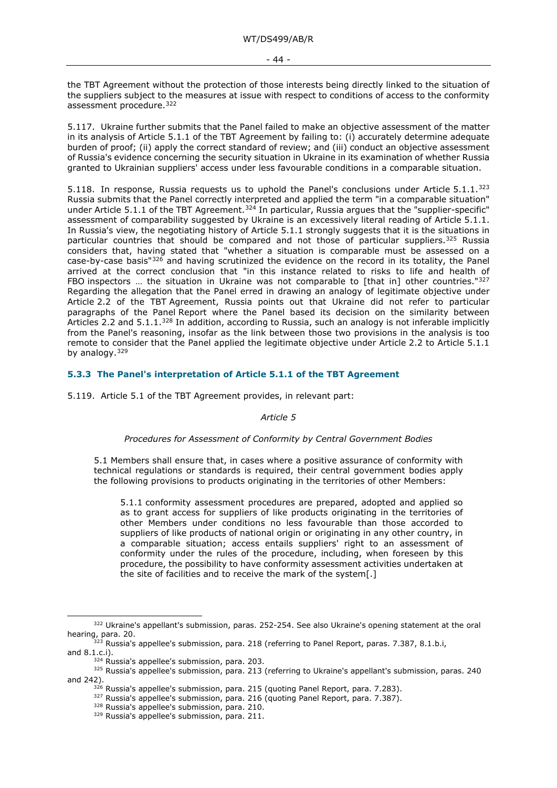- 44 -

the TBT Agreement without the protection of those interests being directly linked to the situation of the suppliers subject to the measures at issue with respect to conditions of access to the conformity assessment procedure. [322](#page-43-0)

5.117. Ukraine further submits that the Panel failed to make an objective assessment of the matter in its analysis of Article 5.1.1 of the TBT Agreement by failing to: (i) accurately determine adequate burden of proof; (ii) apply the correct standard of review; and (iii) conduct an objective assessment of Russia's evidence concerning the security situation in Ukraine in its examination of whether Russia granted to Ukrainian suppliers' access under less favourable conditions in a comparable situation.

5.118. In response, Russia requests us to uphold the Panel's conclusions under Article 5.1.1.[323](#page-43-1) Russia submits that the Panel correctly interpreted and applied the term "in a comparable situation" under Article 5.1.1 of the TBT Agreement.<sup>[324](#page-43-2)</sup> In particular, Russia argues that the "supplier-specific" assessment of comparability suggested by Ukraine is an excessively literal reading of Article 5.1.1. In Russia's view, the negotiating history of Article 5.1.1 strongly suggests that it is the situations in particular countries that should be compared and not those of particular suppliers.<sup>[325](#page-43-3)</sup> Russia considers that, having stated that "whether a situation is comparable must be assessed on a case-by-case basis" $326$  and having scrutinized the evidence on the record in its totality, the Panel arrived at the correct conclusion that "in this instance related to risks to life and health of FBO inspectors ... the situation in Ukraine was not comparable to [that in] other countries." $327$ Regarding the allegation that the Panel erred in drawing an analogy of legitimate objective under Article 2.2 of the TBT Agreement, Russia points out that Ukraine did not refer to particular paragraphs of the Panel Report where the Panel based its decision on the similarity between Articles 2.2 and 5.1.1.<sup>[328](#page-43-6)</sup> In addition, according to Russia, such an analogy is not inferable implicitly from the Panel's reasoning, insofar as the link between those two provisions in the analysis is too remote to consider that the Panel applied the legitimate objective under Article 2.2 to Article 5.1.1 by analogy. [329](#page-43-7)

# **5.3.3 The Panel's interpretation of Article 5.1.1 of the TBT Agreement**

5.119. Article 5.1 of the TBT Agreement provides, in relevant part:

#### *Article 5*

## *Procedures for Assessment of Conformity by Central Government Bodies*

5.1 Members shall ensure that, in cases where a positive assurance of conformity with technical regulations or standards is required, their central government bodies apply the following provisions to products originating in the territories of other Members:

5.1.1 conformity assessment procedures are prepared, adopted and applied so as to grant access for suppliers of like products originating in the territories of other Members under conditions no less favourable than those accorded to suppliers of like products of national origin or originating in any other country, in a comparable situation; access entails suppliers' right to an assessment of conformity under the rules of the procedure, including, when foreseen by this procedure, the possibility to have conformity assessment activities undertaken at the site of facilities and to receive the mark of the system[.]

<span id="page-43-0"></span><sup>&</sup>lt;sup>322</sup> Ukraine's appellant's submission, paras. 252-254. See also Ukraine's opening statement at the oral hearing, para. 20.

<span id="page-43-1"></span><sup>&</sup>lt;sup>323</sup> Russia's appellee's submission, para. 218 (referring to Panel Report, paras. 7.387, 8.1.b.i, and 8.1.c.i).

 $324$  Russia's appellee's submission, para. 203.

<span id="page-43-7"></span><span id="page-43-6"></span><span id="page-43-5"></span><span id="page-43-4"></span><span id="page-43-3"></span><span id="page-43-2"></span><sup>&</sup>lt;sup>325</sup> Russia's appellee's submission, para. 213 (referring to Ukraine's appellant's submission, paras. 240 and 242).

<sup>&</sup>lt;sup>326</sup> Russia's appellee's submission, para. 215 (quoting Panel Report, para. 7.283).

<sup>&</sup>lt;sup>327</sup> Russia's appellee's submission, para. 216 (quoting Panel Report, para. 7.387).

<sup>328</sup> Russia's appellee's submission, para. 210.

<sup>329</sup> Russia's appellee's submission, para. 211.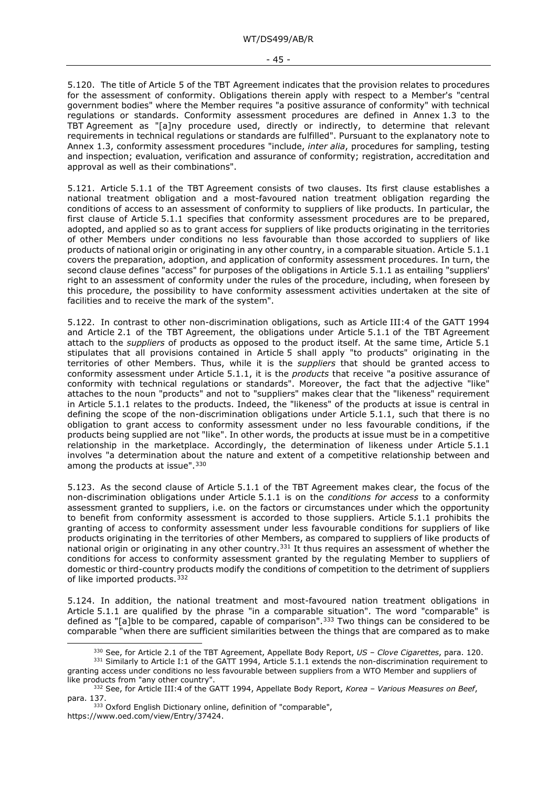- 45 -

5.120. The title of Article 5 of the TBT Agreement indicates that the provision relates to procedures for the assessment of conformity. Obligations therein apply with respect to a Member's "central government bodies" where the Member requires "a positive assurance of conformity" with technical regulations or standards. Conformity assessment procedures are defined in Annex 1.3 to the TBT Agreement as "[a]ny procedure used, directly or indirectly, to determine that relevant requirements in technical regulations or standards are fulfilled". Pursuant to the explanatory note to Annex 1.3, conformity assessment procedures "include, *inter alia*, procedures for sampling, testing and inspection; evaluation, verification and assurance of conformity; registration, accreditation and approval as well as their combinations".

5.121. Article 5.1.1 of the TBT Agreement consists of two clauses. Its first clause establishes a national treatment obligation and a most-favoured nation treatment obligation regarding the conditions of access to an assessment of conformity to suppliers of like products. In particular, the first clause of Article 5.1.1 specifies that conformity assessment procedures are to be prepared, adopted, and applied so as to grant access for suppliers of like products originating in the territories of other Members under conditions no less favourable than those accorded to suppliers of like products of national origin or originating in any other country, in a comparable situation. Article 5.1.1 covers the preparation, adoption, and application of conformity assessment procedures. In turn, the second clause defines "access" for purposes of the obligations in Article 5.1.1 as entailing "suppliers' right to an assessment of conformity under the rules of the procedure, including, when foreseen by this procedure, the possibility to have conformity assessment activities undertaken at the site of facilities and to receive the mark of the system".

5.122. In contrast to other non-discrimination obligations, such as Article III:4 of the GATT 1994 and Article 2.1 of the TBT Agreement, the obligations under Article 5.1.1 of the TBT Agreement attach to the *suppliers* of products as opposed to the product itself. At the same time, Article 5.1 stipulates that all provisions contained in Article 5 shall apply "to products" originating in the territories of other Members. Thus, while it is the *suppliers* that should be granted access to conformity assessment under Article 5.1.1, it is the *products* that receive "a positive assurance of conformity with technical regulations or standards". Moreover, the fact that the adjective "like" attaches to the noun "products" and not to "suppliers" makes clear that the "likeness" requirement in Article 5.1.1 relates to the products. Indeed, the "likeness" of the products at issue is central in defining the scope of the non-discrimination obligations under Article 5.1.1, such that there is no obligation to grant access to conformity assessment under no less favourable conditions, if the products being supplied are not "like". In other words, the products at issue must be in a competitive relationship in the marketplace. Accordingly, the determination of likeness under Article 5.1.1 involves "a determination about the nature and extent of a competitive relationship between and among the products at issue".<sup>[330](#page-44-0)</sup>

5.123. As the second clause of Article 5.1.1 of the TBT Agreement makes clear, the focus of the non-discrimination obligations under Article 5.1.1 is on the *conditions for access* to a conformity assessment granted to suppliers, i.e. on the factors or circumstances under which the opportunity to benefit from conformity assessment is accorded to those suppliers. Article 5.1.1 prohibits the granting of access to conformity assessment under less favourable conditions for suppliers of like products originating in the territories of other Members, as compared to suppliers of like products of national origin or originating in any other country.[331](#page-44-1) It thus requires an assessment of whether the conditions for access to conformity assessment granted by the regulating Member to suppliers of domestic or third-country products modify the conditions of competition to the detriment of suppliers of like imported products.<sup>[332](#page-44-2)</sup>

5.124. In addition, the national treatment and most-favoured nation treatment obligations in Article 5.1.1 are qualified by the phrase "in a comparable situation". The word "comparable" is defined as "[a]ble to be compared, capable of comparison".<sup>[333](#page-44-3)</sup> Two things can be considered to be comparable "when there are sufficient similarities between the things that are compared as to make

<sup>330</sup> See, for Article 2.1 of the TBT Agreement, Appellate Body Report, *US – Clove Cigarettes*, para. 120.

<span id="page-44-1"></span><span id="page-44-0"></span><sup>&</sup>lt;sup>331</sup> Similarly to Article I:1 of the GATT 1994, Article 5.1.1 extends the non-discrimination requirement to granting access under conditions no less favourable between suppliers from a WTO Member and suppliers of like products from "any other country".

<span id="page-44-2"></span><sup>332</sup> See, for Article III:4 of the GATT 1994, Appellate Body Report, *Korea – Various Measures on Beef*, para. 137.

<span id="page-44-3"></span><sup>333</sup> Oxford English Dictionary online, definition of "comparable", https://www.oed.com/view/Entry/37424.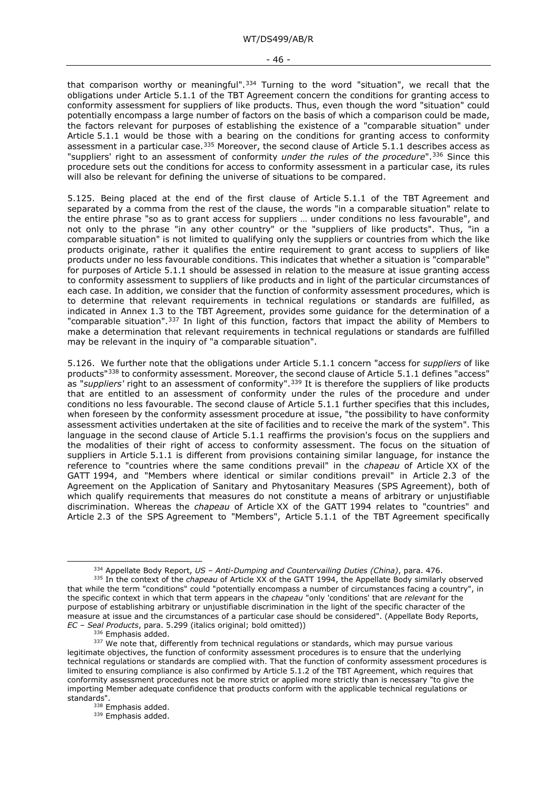that comparison worthy or meaningful".<sup>[334](#page-45-0)</sup> Turning to the word "situation", we recall that the obligations under Article 5.1.1 of the TBT Agreement concern the conditions for granting access to conformity assessment for suppliers of like products. Thus, even though the word "situation" could potentially encompass a large number of factors on the basis of which a comparison could be made, the factors relevant for purposes of establishing the existence of a "comparable situation" under Article 5.1.1 would be those with a bearing on the conditions for granting access to conformity assessment in a particular case.<sup>[335](#page-45-1)</sup> Moreover, the second clause of Article 5.1.1 describes access as "suppliers' right to an assessment of conformity *under the rules of the procedure*".<sup>[336](#page-45-2)</sup> Since this procedure sets out the conditions for access to conformity assessment in a particular case, its rules will also be relevant for defining the universe of situations to be compared.

5.125. Being placed at the end of the first clause of Article 5.1.1 of the TBT Agreement and separated by a comma from the rest of the clause, the words "in a comparable situation" relate to the entire phrase "so as to grant access for suppliers … under conditions no less favourable", and not only to the phrase "in any other country" or the "suppliers of like products". Thus, "in a comparable situation" is not limited to qualifying only the suppliers or countries from which the like products originate, rather it qualifies the entire requirement to grant access to suppliers of like products under no less favourable conditions. This indicates that whether a situation is "comparable" for purposes of Article 5.1.1 should be assessed in relation to the measure at issue granting access to conformity assessment to suppliers of like products and in light of the particular circumstances of each case. In addition, we consider that the function of conformity assessment procedures, which is to determine that relevant requirements in technical regulations or standards are fulfilled, as indicated in Annex 1.3 to the TBT Agreement, provides some guidance for the determination of a "comparable situation".<sup>[337](#page-45-3)</sup> In light of this function, factors that impact the ability of Members to make a determination that relevant requirements in technical regulations or standards are fulfilled may be relevant in the inquiry of "a comparable situation".

5.126. We further note that the obligations under Article 5.1.1 concern "access for *suppliers* of like products"[338](#page-45-4) to conformity assessment. Moreover, the second clause of Article 5.1.1 defines "access" as "*suppliers'* right to an assessment of conformity".<sup>[339](#page-45-5)</sup> It is therefore the suppliers of like products that are entitled to an assessment of conformity under the rules of the procedure and under conditions no less favourable. The second clause of Article 5.1.1 further specifies that this includes, when foreseen by the conformity assessment procedure at issue, "the possibility to have conformity assessment activities undertaken at the site of facilities and to receive the mark of the system". This language in the second clause of Article 5.1.1 reaffirms the provision's focus on the suppliers and the modalities of their right of access to conformity assessment. The focus on the situation of suppliers in Article 5.1.1 is different from provisions containing similar language, for instance the reference to "countries where the same conditions prevail" in the *chapeau* of Article XX of the GATT 1994, and "Members where identical or similar conditions prevail" in Article 2.3 of the Agreement on the Application of Sanitary and Phytosanitary Measures (SPS Agreement), both of which qualify requirements that measures do not constitute a means of arbitrary or unjustifiable discrimination. Whereas the *chapeau* of Article XX of the GATT 1994 relates to "countries" and Article 2.3 of the SPS Agreement to "Members", Article 5.1.1 of the TBT Agreement specifically

<sup>334</sup> Appellate Body Report, *US – Anti-Dumping and Countervailing Duties (China)*, para. 476.

<span id="page-45-1"></span><span id="page-45-0"></span><sup>&</sup>lt;sup>335</sup> In the context of the *chapeau* of Article XX of the GATT 1994, the Appellate Body similarly observed that while the term "conditions" could "potentially encompass a number of circumstances facing a country", in the specific context in which that term appears in the *chapeau* "only 'conditions' that are *relevant* for the purpose of establishing arbitrary or unjustifiable discrimination in the light of the specific character of the measure at issue and the circumstances of a particular case should be considered". (Appellate Body Reports, *EC – Seal Products*, para. 5.299 (italics original; bold omitted))

<sup>336</sup> Emphasis added.

<span id="page-45-3"></span><span id="page-45-2"></span><sup>&</sup>lt;sup>337</sup> We note that, differently from technical regulations or standards, which may pursue various legitimate objectives, the function of conformity assessment procedures is to ensure that the underlying technical regulations or standards are complied with. That the function of conformity assessment procedures is limited to ensuring compliance is also confirmed by Article 5.1.2 of the TBT Agreement, which requires that conformity assessment procedures not be more strict or applied more strictly than is necessary "to give the importing Member adequate confidence that products conform with the applicable technical regulations or standards".

<span id="page-45-5"></span><span id="page-45-4"></span><sup>338</sup> Emphasis added.

<sup>339</sup> Emphasis added.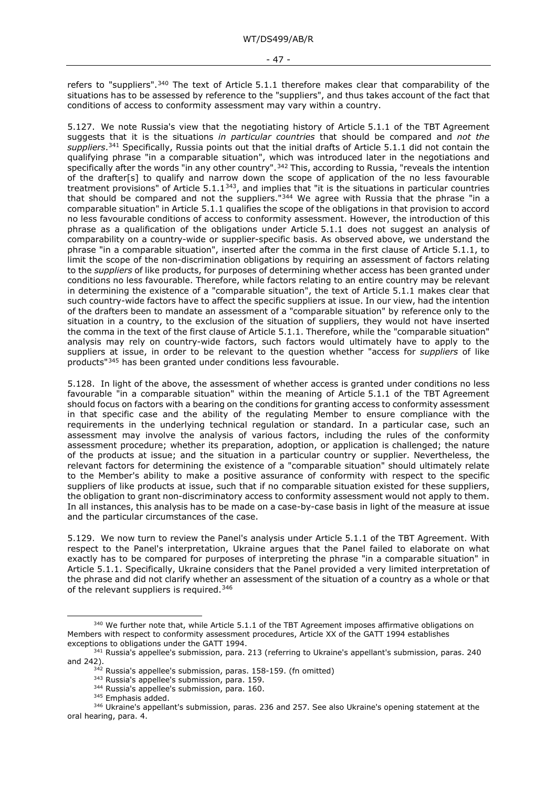refers to "suppliers".<sup>[340](#page-46-0)</sup> The text of Article 5.1.1 therefore makes clear that comparability of the situations has to be assessed by reference to the "suppliers", and thus takes account of the fact that conditions of access to conformity assessment may vary within a country.

5.127. We note Russia's view that the negotiating history of Article 5.1.1 of the TBT Agreement suggests that it is the situations *in particular countries* that should be compared and *not the suppliers*.[341](#page-46-1) Specifically, Russia points out that the initial drafts of Article 5.1.1 did not contain the qualifying phrase "in a comparable situation", which was introduced later in the negotiations and specifically after the words "in any other country".<sup>[342](#page-46-2)</sup> This, according to Russia, "reveals the intention of the drafter[s] to qualify and narrow down the scope of application of the no less favourable treatment provisions" of Article  $5.1.1^{343}$ , and implies that "it is the situations in particular countries that should be compared and not the suppliers."<sup>[344](#page-46-4)</sup> We agree with Russia that the phrase "in a comparable situation" in Article 5.1.1 qualifies the scope of the obligations in that provision to accord no less favourable conditions of access to conformity assessment. However, the introduction of this phrase as a qualification of the obligations under Article 5.1.1 does not suggest an analysis of comparability on a country-wide or supplier-specific basis. As observed above, we understand the phrase "in a comparable situation", inserted after the comma in the first clause of Article 5.1.1, to limit the scope of the non-discrimination obligations by requiring an assessment of factors relating to the *suppliers* of like products, for purposes of determining whether access has been granted under conditions no less favourable. Therefore, while factors relating to an entire country may be relevant in determining the existence of a "comparable situation", the text of Article 5.1.1 makes clear that such country-wide factors have to affect the specific suppliers at issue. In our view, had the intention of the drafters been to mandate an assessment of a "comparable situation" by reference only to the situation in a country, to the exclusion of the situation of suppliers, they would not have inserted the comma in the text of the first clause of Article 5.1.1. Therefore, while the "comparable situation" analysis may rely on country-wide factors, such factors would ultimately have to apply to the suppliers at issue, in order to be relevant to the question whether "access for *suppliers* of like products"[345](#page-46-5) has been granted under conditions less favourable.

5.128. In light of the above, the assessment of whether access is granted under conditions no less favourable "in a comparable situation" within the meaning of Article 5.1.1 of the TBT Agreement should focus on factors with a bearing on the conditions for granting access to conformity assessment in that specific case and the ability of the regulating Member to ensure compliance with the requirements in the underlying technical regulation or standard. In a particular case, such an assessment may involve the analysis of various factors, including the rules of the conformity assessment procedure; whether its preparation, adoption, or application is challenged; the nature of the products at issue; and the situation in a particular country or supplier. Nevertheless, the relevant factors for determining the existence of a "comparable situation" should ultimately relate to the Member's ability to make a positive assurance of conformity with respect to the specific suppliers of like products at issue, such that if no comparable situation existed for these suppliers, the obligation to grant non-discriminatory access to conformity assessment would not apply to them. In all instances, this analysis has to be made on a case-by-case basis in light of the measure at issue and the particular circumstances of the case.

5.129. We now turn to review the Panel's analysis under Article 5.1.1 of the TBT Agreement. With respect to the Panel's interpretation, Ukraine argues that the Panel failed to elaborate on what exactly has to be compared for purposes of interpreting the phrase "in a comparable situation" in Article 5.1.1. Specifically, Ukraine considers that the Panel provided a very limited interpretation of the phrase and did not clarify whether an assessment of the situation of a country as a whole or that of the relevant suppliers is required.<sup>[346](#page-46-6)</sup>

<sup>344</sup> Russia's appellee's submission, para. 160.

<span id="page-46-0"></span><sup>&</sup>lt;sup>340</sup> We further note that, while Article 5.1.1 of the TBT Agreement imposes affirmative obligations on Members with respect to conformity assessment procedures, Article XX of the GATT 1994 establishes exceptions to obligations under the GATT 1994.

<sup>&</sup>lt;sup>341</sup> Russia's appellee's submission, para. 213 (referring to Ukraine's appellant's submission, paras. 240

<span id="page-46-3"></span><span id="page-46-2"></span><span id="page-46-1"></span>and 242).<br> $342$  Russia's appellee's submission, paras. 158-159. (fn omitted)

<sup>343</sup> Russia's appellee's submission, para. 159.

<sup>345</sup> Emphasis added.

<span id="page-46-6"></span><span id="page-46-5"></span><span id="page-46-4"></span><sup>346</sup> Ukraine's appellant's submission, paras. 236 and 257. See also Ukraine's opening statement at the oral hearing, para. 4.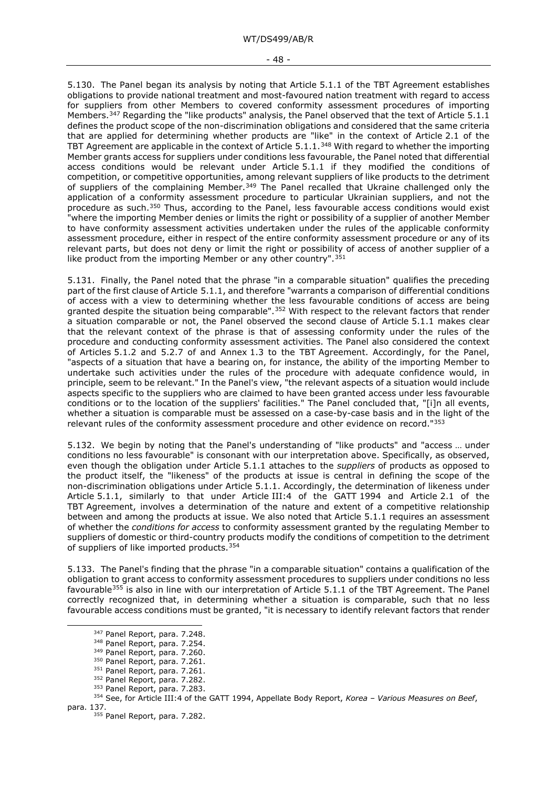#### - 48 -

5.130. The Panel began its analysis by noting that Article 5.1.1 of the TBT Agreement establishes obligations to provide national treatment and most-favoured nation treatment with regard to access for suppliers from other Members to covered conformity assessment procedures of importing Members.[347](#page-47-0) Regarding the "like products" analysis, the Panel observed that the text of Article 5.1.1 defines the product scope of the non-discrimination obligations and considered that the same criteria that are applied for determining whether products are "like" in the context of Article 2.1 of the TBT Agreement are applicable in the context of Article 5.1.1.[348](#page-47-1) With regard to whether the importing Member grants access for suppliers under conditions less favourable, the Panel noted that differential access conditions would be relevant under Article 5.1.1 if they modified the conditions of competition, or competitive opportunities, among relevant suppliers of like products to the detriment of suppliers of the complaining Member.<sup>[349](#page-47-2)</sup> The Panel recalled that Ukraine challenged only the application of a conformity assessment procedure to particular Ukrainian suppliers, and not the procedure as such.[350](#page-47-3) Thus, according to the Panel, less favourable access conditions would exist "where the importing Member denies or limits the right or possibility of a supplier of another Member to have conformity assessment activities undertaken under the rules of the applicable conformity assessment procedure, either in respect of the entire conformity assessment procedure or any of its relevant parts, but does not deny or limit the right or possibility of access of another supplier of a like product from the importing Member or any other country".<sup>[351](#page-47-4)</sup>

5.131. Finally, the Panel noted that the phrase "in a comparable situation" qualifies the preceding part of the first clause of Article 5.1.1, and therefore "warrants a comparison of differential conditions of access with a view to determining whether the less favourable conditions of access are being granted despite the situation being comparable".<sup>[352](#page-47-5)</sup> With respect to the relevant factors that render a situation comparable or not, the Panel observed the second clause of Article 5.1.1 makes clear that the relevant context of the phrase is that of assessing conformity under the rules of the procedure and conducting conformity assessment activities. The Panel also considered the context of Articles 5.1.2 and 5.2.7 of and Annex 1.3 to the TBT Agreement. Accordingly, for the Panel, "aspects of a situation that have a bearing on, for instance, the ability of the importing Member to undertake such activities under the rules of the procedure with adequate confidence would, in principle, seem to be relevant." In the Panel's view, "the relevant aspects of a situation would include aspects specific to the suppliers who are claimed to have been granted access under less favourable conditions or to the location of the suppliers' facilities." The Panel concluded that, "[i]n all events, whether a situation is comparable must be assessed on a case-by-case basis and in the light of the relevant rules of the conformity assessment procedure and other evidence on record."[353](#page-47-6)

5.132. We begin by noting that the Panel's understanding of "like products" and "access … under conditions no less favourable" is consonant with our interpretation above. Specifically, as observed, even though the obligation under Article 5.1.1 attaches to the *suppliers* of products as opposed to the product itself, the "likeness" of the products at issue is central in defining the scope of the non-discrimination obligations under Article 5.1.1. Accordingly, the determination of likeness under Article 5.1.1, similarly to that under Article III:4 of the GATT 1994 and Article 2.1 of the TBT Agreement, involves a determination of the nature and extent of a competitive relationship between and among the products at issue. We also noted that Article 5.1.1 requires an assessment of whether the *conditions for access* to conformity assessment granted by the regulating Member to suppliers of domestic or third-country products modify the conditions of competition to the detriment of suppliers of like imported products.<sup>[354](#page-47-7)</sup>

5.133. The Panel's finding that the phrase "in a comparable situation" contains a qualification of the obligation to grant access to conformity assessment procedures to suppliers under conditions no less favourable<sup>[355](#page-47-8)</sup> is also in line with our interpretation of Article 5.1.1 of the TBT Agreement. The Panel correctly recognized that, in determining whether a situation is comparable, such that no less favourable access conditions must be granted, "it is necessary to identify relevant factors that render

<sup>347</sup> Panel Report, para. 7.248.

<sup>348</sup> Panel Report, para. 7.254.

<sup>349</sup> Panel Report, para. 7.260.

<sup>350</sup> Panel Report, para. 7.261.

<sup>351</sup> Panel Report, para. 7.261.

<sup>352</sup> Panel Report, para. 7.282.

<sup>353</sup> Panel Report, para. 7.283.

<span id="page-47-8"></span><span id="page-47-7"></span><span id="page-47-6"></span><span id="page-47-5"></span><span id="page-47-4"></span><span id="page-47-3"></span><span id="page-47-2"></span><span id="page-47-1"></span><span id="page-47-0"></span><sup>354</sup> See, for Article III:4 of the GATT 1994, Appellate Body Report, *Korea – Various Measures on Beef*, para. 137.

<sup>355</sup> Panel Report, para. 7.282.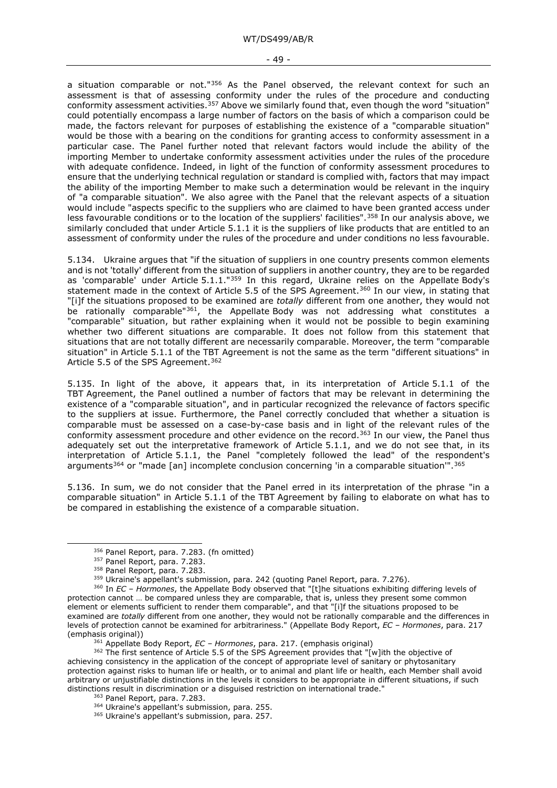#### - 49 -

a situation comparable or not." $356$  As the Panel observed, the relevant context for such an assessment is that of assessing conformity under the rules of the procedure and conducting conformity assessment activities.<sup>[357](#page-48-1)</sup> Above we similarly found that, even though the word "situation" could potentially encompass a large number of factors on the basis of which a comparison could be made, the factors relevant for purposes of establishing the existence of a "comparable situation" would be those with a bearing on the conditions for granting access to conformity assessment in a particular case. The Panel further noted that relevant factors would include the ability of the importing Member to undertake conformity assessment activities under the rules of the procedure with adequate confidence. Indeed, in light of the function of conformity assessment procedures to ensure that the underlying technical regulation or standard is complied with, factors that may impact the ability of the importing Member to make such a determination would be relevant in the inquiry of "a comparable situation". We also agree with the Panel that the relevant aspects of a situation would include "aspects specific to the suppliers who are claimed to have been granted access under less favourable conditions or to the location of the suppliers' facilities".<sup>[358](#page-48-2)</sup> In our analysis above, we similarly concluded that under Article 5.1.1 it is the suppliers of like products that are entitled to an assessment of conformity under the rules of the procedure and under conditions no less favourable.

5.134. Ukraine argues that "if the situation of suppliers in one country presents common elements and is not 'totally' different from the situation of suppliers in another country, they are to be regarded as 'comparable' under Article 5.1.1."<sup>[359](#page-48-3)</sup> In this regard, Ukraine relies on the Appellate Body's statement made in the context of Article 5.5 of the SPS Agreement.<sup>[360](#page-48-4)</sup> In our view, in stating that "[i]f the situations proposed to be examined are *totally* different from one another, they would not be rationally comparable"<sup>361</sup>, the Appellate Body was not addressing what constitutes a "comparable" situation, but rather explaining when it would not be possible to begin examining whether two different situations are comparable. It does not follow from this statement that situations that are not totally different are necessarily comparable. Moreover, the term "comparable situation" in Article 5.1.1 of the TBT Agreement is not the same as the term "different situations" in Article 5.5 of the SPS Agreement.<sup>362</sup>

5.135. In light of the above, it appears that, in its interpretation of Article 5.1.1 of the TBT Agreement, the Panel outlined a number of factors that may be relevant in determining the existence of a "comparable situation", and in particular recognized the relevance of factors specific to the suppliers at issue. Furthermore, the Panel correctly concluded that whether a situation is comparable must be assessed on a case-by-case basis and in light of the relevant rules of the conformity assessment procedure and other evidence on the record.<sup>[363](#page-48-7)</sup> In our view, the Panel thus adequately set out the interpretative framework of Article 5.1.1, and we do not see that, in its interpretation of Article 5.1.1, the Panel "completely followed the lead" of the respondent's arguments<sup>[364](#page-48-8)</sup> or "made [an] incomplete conclusion concerning 'in a comparable situation'".<sup>[365](#page-48-9)</sup>

5.136. In sum, we do not consider that the Panel erred in its interpretation of the phrase "in a comparable situation" in Article 5.1.1 of the TBT Agreement by failing to elaborate on what has to be compared in establishing the existence of a comparable situation.

<sup>356</sup> Panel Report, para. 7.283. (fn omitted)

<sup>357</sup> Panel Report, para. 7.283.

<sup>358</sup> Panel Report, para. 7.283.

<sup>&</sup>lt;sup>359</sup> Ukraine's appellant's submission, para. 242 (quoting Panel Report, para. 7.276).

<span id="page-48-4"></span><span id="page-48-3"></span><span id="page-48-2"></span><span id="page-48-1"></span><span id="page-48-0"></span><sup>360</sup> In *EC – Hormones*, the Appellate Body observed that "[t]he situations exhibiting differing levels of protection cannot … be compared unless they are comparable, that is, unless they present some common element or elements sufficient to render them comparable", and that "[i]f the situations proposed to be examined are *totally* different from one another, they would not be rationally comparable and the differences in levels of protection cannot be examined for arbitrariness." (Appellate Body Report, *EC – Hormones*, para. 217 (emphasis original))

<sup>361</sup> Appellate Body Report, *EC – Hormones*, para. 217. (emphasis original)

<span id="page-48-9"></span><span id="page-48-8"></span><span id="page-48-7"></span><span id="page-48-6"></span><span id="page-48-5"></span><sup>&</sup>lt;sup>362</sup> The first sentence of Article 5.5 of the SPS Agreement provides that "[w]ith the objective of achieving consistency in the application of the concept of appropriate level of sanitary or phytosanitary protection against risks to human life or health, or to animal and plant life or health, each Member shall avoid arbitrary or unjustifiable distinctions in the levels it considers to be appropriate in different situations, if such distinctions result in discrimination or a disguised restriction on international trade."

<sup>363</sup> Panel Report, para. 7.283.

<sup>364</sup> Ukraine's appellant's submission, para. 255.

<sup>365</sup> Ukraine's appellant's submission, para. 257.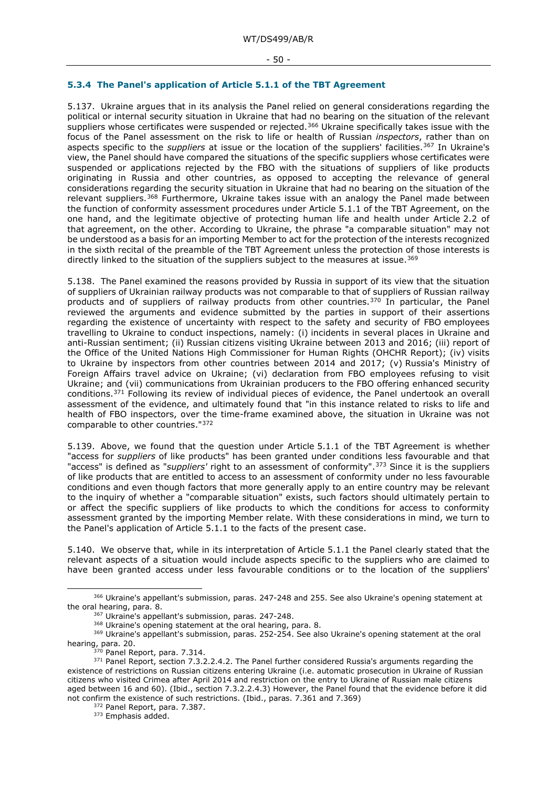#### - 50 -

### **5.3.4 The Panel's application of Article 5.1.1 of the TBT Agreement**

5.137. Ukraine argues that in its analysis the Panel relied on general considerations regarding the political or internal security situation in Ukraine that had no bearing on the situation of the relevant suppliers whose certificates were suspended or rejected.<sup>[366](#page-49-0)</sup> Ukraine specifically takes issue with the focus of the Panel assessment on the risk to life or health of Russian *inspectors*, rather than on aspects specific to the *suppliers* at issue or the location of the suppliers' facilities.[367](#page-49-1) In Ukraine's view, the Panel should have compared the situations of the specific suppliers whose certificates were suspended or applications rejected by the FBO with the situations of suppliers of like products originating in Russia and other countries, as opposed to accepting the relevance of general considerations regarding the security situation in Ukraine that had no bearing on the situation of the relevant suppliers.<sup>[368](#page-49-2)</sup> Furthermore, Ukraine takes issue with an analogy the Panel made between the function of conformity assessment procedures under Article 5.1.1 of the TBT Agreement, on the one hand, and the legitimate objective of protecting human life and health under Article 2.2 of that agreement, on the other. According to Ukraine, the phrase "a comparable situation" may not be understood as a basis for an importing Member to act for the protection of the interests recognized in the sixth recital of the preamble of the TBT Agreement unless the protection of those interests is directly linked to the situation of the suppliers subject to the measures at issue.<sup>369</sup>

5.138. The Panel examined the reasons provided by Russia in support of its view that the situation of suppliers of Ukrainian railway products was not comparable to that of suppliers of Russian railway products and of suppliers of railway products from other countries.<sup>[370](#page-49-4)</sup> In particular, the Panel reviewed the arguments and evidence submitted by the parties in support of their assertions regarding the existence of uncertainty with respect to the safety and security of FBO employees travelling to Ukraine to conduct inspections, namely: (i) incidents in several places in Ukraine and anti-Russian sentiment; (ii) Russian citizens visiting Ukraine between 2013 and 2016; (iii) report of the Office of the United Nations High Commissioner for Human Rights (OHCHR Report); (iv) visits to Ukraine by inspectors from other countries between 2014 and 2017; (v) Russia's Ministry of Foreign Affairs travel advice on Ukraine; (vi) declaration from FBO employees refusing to visit Ukraine; and (vii) communications from Ukrainian producers to the FBO offering enhanced security conditions.[371](#page-49-5) Following its review of individual pieces of evidence, the Panel undertook an overall assessment of the evidence, and ultimately found that "in this instance related to risks to life and health of FBO inspectors, over the time-frame examined above, the situation in Ukraine was not comparable to other countries."[372](#page-49-6)

5.139. Above, we found that the question under Article 5.1.1 of the TBT Agreement is whether "access for *suppliers* of like products" has been granted under conditions less favourable and that "access" is defined as "*suppliers'* right to an assessment of conformity".[373](#page-49-7) Since it is the suppliers of like products that are entitled to access to an assessment of conformity under no less favourable conditions and even though factors that more generally apply to an entire country may be relevant to the inquiry of whether a "comparable situation" exists, such factors should ultimately pertain to or affect the specific suppliers of like products to which the conditions for access to conformity assessment granted by the importing Member relate. With these considerations in mind, we turn to the Panel's application of Article 5.1.1 to the facts of the present case.

5.140. We observe that, while in its interpretation of Article 5.1.1 the Panel clearly stated that the relevant aspects of a situation would include aspects specific to the suppliers who are claimed to have been granted access under less favourable conditions or to the location of the suppliers'

<span id="page-49-0"></span><sup>366</sup> Ukraine's appellant's submission, paras. 247-248 and 255. See also Ukraine's opening statement at the oral hearing, para. 8.<br>
<sup>367</sup> Ukraine's appellant's submission, paras. 247-248.

<sup>&</sup>lt;sup>367</sup> Ukraine's appellant's submission, paras. 247-248.<br><sup>368</sup> Ukraine's opening statement at the oral hearing, para. 8.

<span id="page-49-3"></span><span id="page-49-2"></span><span id="page-49-1"></span><sup>&</sup>lt;sup>369</sup> Ukraine's appellant's submission, paras. 252-254. See also Ukraine's opening statement at the oral hearing, para. 20.

 $^{\circ}$  Panel Report, para. 7.314.

<span id="page-49-7"></span><span id="page-49-6"></span><span id="page-49-5"></span><span id="page-49-4"></span><sup>&</sup>lt;sup>371</sup> Panel Report, section 7.3.2.2.4.2. The Panel further considered Russia's arguments regarding the existence of restrictions on Russian citizens entering Ukraine (i.e. automatic prosecution in Ukraine of Russian citizens who visited Crimea after April 2014 and restriction on the entry to Ukraine of Russian male citizens aged between 16 and 60). (Ibid., section 7.3.2.2.4.3) However, the Panel found that the evidence before it did not confirm the existence of such restrictions. (Ibid., paras. 7.361 and 7.369)

<sup>372</sup> Panel Report, para. 7.387.

<sup>373</sup> Emphasis added.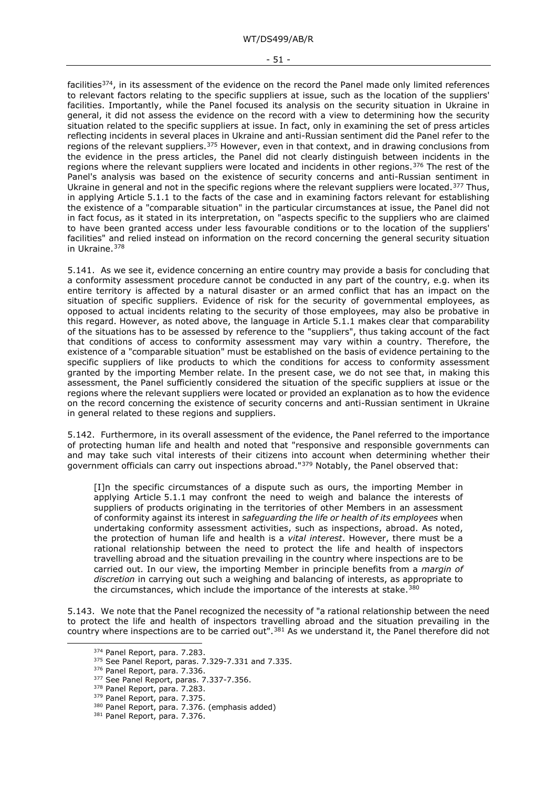#### - 51 -

facilities[374,](#page-50-0) in its assessment of the evidence on the record the Panel made only limited references to relevant factors relating to the specific suppliers at issue, such as the location of the suppliers' facilities. Importantly, while the Panel focused its analysis on the security situation in Ukraine in general, it did not assess the evidence on the record with a view to determining how the security situation related to the specific suppliers at issue. In fact, only in examining the set of press articles reflecting incidents in several places in Ukraine and anti-Russian sentiment did the Panel refer to the regions of the relevant suppliers.<sup>[375](#page-50-1)</sup> However, even in that context, and in drawing conclusions from the evidence in the press articles, the Panel did not clearly distinguish between incidents in the regions where the relevant suppliers were located and incidents in other regions.[376](#page-50-2) The rest of the Panel's analysis was based on the existence of security concerns and anti-Russian sentiment in Ukraine in general and not in the specific regions where the relevant suppliers were located.<sup>[377](#page-50-3)</sup> Thus, in applying Article 5.1.1 to the facts of the case and in examining factors relevant for establishing the existence of a "comparable situation" in the particular circumstances at issue, the Panel did not in fact focus, as it stated in its interpretation, on "aspects specific to the suppliers who are claimed to have been granted access under less favourable conditions or to the location of the suppliers' facilities" and relied instead on information on the record concerning the general security situation in Ukraine.[378](#page-50-4)

5.141. As we see it, evidence concerning an entire country may provide a basis for concluding that a conformity assessment procedure cannot be conducted in any part of the country, e.g. when its entire territory is affected by a natural disaster or an armed conflict that has an impact on the situation of specific suppliers. Evidence of risk for the security of governmental employees, as opposed to actual incidents relating to the security of those employees, may also be probative in this regard. However, as noted above, the language in Article 5.1.1 makes clear that comparability of the situations has to be assessed by reference to the "suppliers", thus taking account of the fact that conditions of access to conformity assessment may vary within a country. Therefore, the existence of a "comparable situation" must be established on the basis of evidence pertaining to the specific suppliers of like products to which the conditions for access to conformity assessment granted by the importing Member relate. In the present case, we do not see that, in making this assessment, the Panel sufficiently considered the situation of the specific suppliers at issue or the regions where the relevant suppliers were located or provided an explanation as to how the evidence on the record concerning the existence of security concerns and anti-Russian sentiment in Ukraine in general related to these regions and suppliers.

5.142. Furthermore, in its overall assessment of the evidence, the Panel referred to the importance of protecting human life and health and noted that "responsive and responsible governments can and may take such vital interests of their citizens into account when determining whether their government officials can carry out inspections abroad."<sup>[379](#page-50-5)</sup> Notably, the Panel observed that:

[I]n the specific circumstances of a dispute such as ours, the importing Member in applying Article 5.1.1 may confront the need to weigh and balance the interests of suppliers of products originating in the territories of other Members in an assessment of conformity against its interest in *safeguarding the life or health of its employees* when undertaking conformity assessment activities, such as inspections, abroad. As noted, the protection of human life and health is a *vital interest*. However, there must be a rational relationship between the need to protect the life and health of inspectors travelling abroad and the situation prevailing in the country where inspections are to be carried out. In our view, the importing Member in principle benefits from a *margin of discretion* in carrying out such a weighing and balancing of interests, as appropriate to the circumstances, which include the importance of the interests at stake.<sup>[380](#page-50-6)</sup>

<span id="page-50-2"></span><span id="page-50-1"></span><span id="page-50-0"></span>5.143. We note that the Panel recognized the necessity of "a rational relationship between the need to protect the life and health of inspectors travelling abroad and the situation prevailing in the country where inspections are to be carried out".[381](#page-50-7) As we understand it, the Panel therefore did not

<sup>374</sup> Panel Report, para. 7.283.

<sup>375</sup> See Panel Report, paras. 7.329-7.331 and 7.335.

<sup>376</sup> Panel Report, para. 7.336.

<span id="page-50-3"></span><sup>377</sup> See Panel Report, paras. 7.337-7.356.

<span id="page-50-4"></span><sup>378</sup> Panel Report, para. 7.283.

<span id="page-50-5"></span><sup>379</sup> Panel Report, para. 7.375.

<span id="page-50-6"></span><sup>380</sup> Panel Report, para. 7.376. (emphasis added)

<span id="page-50-7"></span><sup>381</sup> Panel Report, para. 7.376.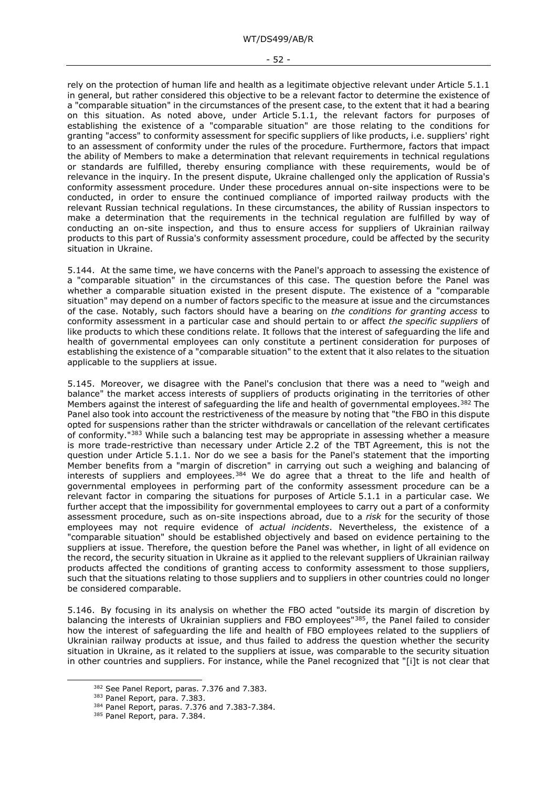rely on the protection of human life and health as a legitimate objective relevant under Article 5.1.1 in general, but rather considered this objective to be a relevant factor to determine the existence of a "comparable situation" in the circumstances of the present case, to the extent that it had a bearing on this situation. As noted above, under Article 5.1.1, the relevant factors for purposes of establishing the existence of a "comparable situation" are those relating to the conditions for granting "access" to conformity assessment for specific suppliers of like products, i.e. suppliers' right to an assessment of conformity under the rules of the procedure. Furthermore, factors that impact the ability of Members to make a determination that relevant requirements in technical regulations or standards are fulfilled, thereby ensuring compliance with these requirements, would be of relevance in the inquiry. In the present dispute, Ukraine challenged only the application of Russia's conformity assessment procedure. Under these procedures annual on-site inspections were to be conducted, in order to ensure the continued compliance of imported railway products with the relevant Russian technical regulations. In these circumstances, the ability of Russian inspectors to make a determination that the requirements in the technical regulation are fulfilled by way of conducting an on-site inspection, and thus to ensure access for suppliers of Ukrainian railway products to this part of Russia's conformity assessment procedure, could be affected by the security situation in Ukraine.

5.144. At the same time, we have concerns with the Panel's approach to assessing the existence of a "comparable situation" in the circumstances of this case. The question before the Panel was whether a comparable situation existed in the present dispute. The existence of a "comparable situation" may depend on a number of factors specific to the measure at issue and the circumstances of the case. Notably, such factors should have a bearing on *the conditions for granting access* to conformity assessment in a particular case and should pertain to or affect *the specific suppliers* of like products to which these conditions relate. It follows that the interest of safeguarding the life and health of governmental employees can only constitute a pertinent consideration for purposes of establishing the existence of a "comparable situation" to the extent that it also relates to the situation applicable to the suppliers at issue.

5.145. Moreover, we disagree with the Panel's conclusion that there was a need to "weigh and balance" the market access interests of suppliers of products originating in the territories of other Members against the interest of safeguarding the life and health of governmental employees.<sup>[382](#page-51-0)</sup> The Panel also took into account the restrictiveness of the measure by noting that "the FBO in this dispute opted for suspensions rather than the stricter withdrawals or cancellation of the relevant certificates of conformity."[383](#page-51-1) While such a balancing test may be appropriate in assessing whether a measure is more trade-restrictive than necessary under Article 2.2 of the TBT Agreement, this is not the question under Article 5.1.1. Nor do we see a basis for the Panel's statement that the importing Member benefits from a "margin of discretion" in carrying out such a weighing and balancing of interests of suppliers and employees.<sup>[384](#page-51-2)</sup> We do agree that a threat to the life and health of governmental employees in performing part of the conformity assessment procedure can be a relevant factor in comparing the situations for purposes of Article 5.1.1 in a particular case. We further accept that the impossibility for governmental employees to carry out a part of a conformity assessment procedure, such as on-site inspections abroad, due to a *risk* for the security of those employees may not require evidence of *actual incidents*. Nevertheless, the existence of a "comparable situation" should be established objectively and based on evidence pertaining to the suppliers at issue. Therefore, the question before the Panel was whether, in light of all evidence on the record, the security situation in Ukraine as it applied to the relevant suppliers of Ukrainian railway products affected the conditions of granting access to conformity assessment to those suppliers, such that the situations relating to those suppliers and to suppliers in other countries could no longer be considered comparable.

5.146. By focusing in its analysis on whether the FBO acted "outside its margin of discretion by balancing the interests of Ukrainian suppliers and FBO employees["385,](#page-51-3) the Panel failed to consider how the interest of safeguarding the life and health of FBO employees related to the suppliers of Ukrainian railway products at issue, and thus failed to address the question whether the security situation in Ukraine, as it related to the suppliers at issue, was comparable to the security situation in other countries and suppliers. For instance, while the Panel recognized that "[i]t is not clear that

<span id="page-51-1"></span><span id="page-51-0"></span><sup>382</sup> See Panel Report, paras. 7.376 and 7.383.

<sup>383</sup> Panel Report, para. 7.383.

<span id="page-51-2"></span><sup>384</sup> Panel Report, paras. 7.376 and 7.383-7.384.

<span id="page-51-3"></span><sup>385</sup> Panel Report, para. 7.384.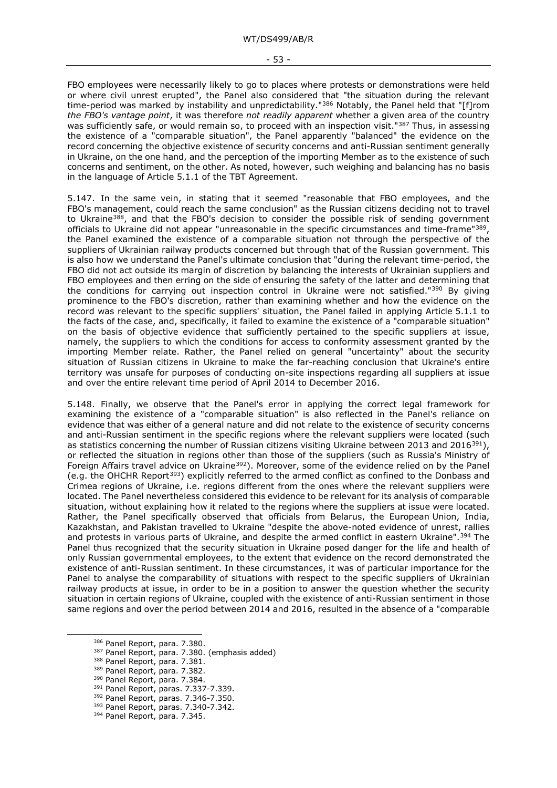- 53 -

FBO employees were necessarily likely to go to places where protests or demonstrations were held or where civil unrest erupted", the Panel also considered that "the situation during the relevant time-period was marked by instability and unpredictability."<sup>[386](#page-52-0)</sup> Notably, the Panel held that "[f]rom *the FBO's vantage point*, it was therefore *not readily apparent* whether a given area of the country was sufficiently safe, or would remain so, to proceed with an inspection visit."<sup>[387](#page-52-1)</sup> Thus, in assessing the existence of a "comparable situation", the Panel apparently "balanced" the evidence on the record concerning the objective existence of security concerns and anti-Russian sentiment generally in Ukraine, on the one hand, and the perception of the importing Member as to the existence of such concerns and sentiment, on the other. As noted, however, such weighing and balancing has no basis in the language of Article 5.1.1 of the TBT Agreement.

5.147. In the same vein, in stating that it seemed "reasonable that FBO employees, and the FBO's management, could reach the same conclusion" as the Russian citizens deciding not to travel to Ukraine<sup>388</sup>, and that the FBO's decision to consider the possible risk of sending government officials to Ukraine did not appear "unreasonable in the specific circumstances and time-frame"[389](#page-52-3), the Panel examined the existence of a comparable situation not through the perspective of the suppliers of Ukrainian railway products concerned but through that of the Russian government. This is also how we understand the Panel's ultimate conclusion that "during the relevant time-period, the FBO did not act outside its margin of discretion by balancing the interests of Ukrainian suppliers and FBO employees and then erring on the side of ensuring the safety of the latter and determining that the conditions for carrying out inspection control in Ukraine were not satisfied."<sup>[390](#page-52-4)</sup> By giving prominence to the FBO's discretion, rather than examining whether and how the evidence on the record was relevant to the specific suppliers' situation, the Panel failed in applying Article 5.1.1 to the facts of the case, and, specifically, it failed to examine the existence of a "comparable situation" on the basis of objective evidence that sufficiently pertained to the specific suppliers at issue, namely, the suppliers to which the conditions for access to conformity assessment granted by the importing Member relate. Rather, the Panel relied on general "uncertainty" about the security situation of Russian citizens in Ukraine to make the far-reaching conclusion that Ukraine's entire territory was unsafe for purposes of conducting on-site inspections regarding all suppliers at issue and over the entire relevant time period of April 2014 to December 2016.

5.148. Finally, we observe that the Panel's error in applying the correct legal framework for examining the existence of a "comparable situation" is also reflected in the Panel's reliance on evidence that was either of a general nature and did not relate to the existence of security concerns and anti-Russian sentiment in the specific regions where the relevant suppliers were located (such as statistics concerning the number of Russian citizens visiting Ukraine between 2013 and 2016<sup>391</sup>), or reflected the situation in regions other than those of the suppliers (such as Russia's Ministry of Foreign Affairs travel advice on Ukraine<sup>392</sup>). Moreover, some of the evidence relied on by the Panel (e.g. the OHCHR Report[393](#page-52-7)) explicitly referred to the armed conflict as confined to the Donbass and Crimea regions of Ukraine, i.e. regions different from the ones where the relevant suppliers were located. The Panel nevertheless considered this evidence to be relevant for its analysis of comparable situation, without explaining how it related to the regions where the suppliers at issue were located. Rather, the Panel specifically observed that officials from Belarus, the European Union, India, Kazakhstan, and Pakistan travelled to Ukraine "despite the above-noted evidence of unrest, rallies and protests in various parts of Ukraine, and despite the armed conflict in eastern Ukraine".<sup>[394](#page-52-8)</sup> The Panel thus recognized that the security situation in Ukraine posed danger for the life and health of only Russian governmental employees, to the extent that evidence on the record demonstrated the existence of anti-Russian sentiment. In these circumstances, it was of particular importance for the Panel to analyse the comparability of situations with respect to the specific suppliers of Ukrainian railway products at issue, in order to be in a position to answer the question whether the security situation in certain regions of Ukraine, coupled with the existence of anti-Russian sentiment in those same regions and over the period between 2014 and 2016, resulted in the absence of a "comparable

- <span id="page-52-3"></span><sup>389</sup> Panel Report, para. 7.382.
- 390 Panel Report, para. 7.384.

- <span id="page-52-6"></span><span id="page-52-5"></span>
- 392 Panel Report, paras. 7.346-7.350. <sup>393</sup> Panel Report, paras. 7.340-7.342.
- <span id="page-52-8"></span><span id="page-52-7"></span>394 Panel Report, para. 7.345.

<span id="page-52-0"></span><sup>386</sup> Panel Report, para. 7.380.

<span id="page-52-1"></span><sup>387</sup> Panel Report, para. 7.380. (emphasis added)

<span id="page-52-2"></span><sup>388</sup> Panel Report, para. 7.381.

<span id="page-52-4"></span><sup>391</sup> Panel Report, paras. 7.337-7.339.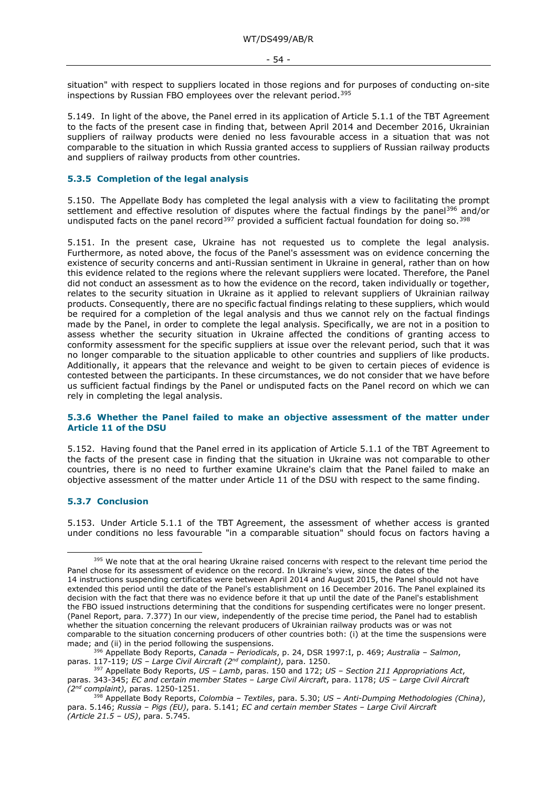- 54 -

situation" with respect to suppliers located in those regions and for purposes of conducting on-site inspections by Russian FBO employees over the relevant period.[395](#page-53-0)

5.149. In light of the above, the Panel erred in its application of Article 5.1.1 of the TBT Agreement to the facts of the present case in finding that, between April 2014 and December 2016, Ukrainian suppliers of railway products were denied no less favourable access in a situation that was not comparable to the situation in which Russia granted access to suppliers of Russian railway products and suppliers of railway products from other countries.

## **5.3.5 Completion of the legal analysis**

5.150. The Appellate Body has completed the legal analysis with a view to facilitating the prompt settlement and effective resolution of disputes where the factual findings by the panel<sup>[396](#page-53-1)</sup> and/or undisputed facts on the panel record<sup>[397](#page-53-2)</sup> provided a sufficient factual foundation for doing so.<sup>[398](#page-53-3)</sup>

5.151. In the present case, Ukraine has not requested us to complete the legal analysis. Furthermore, as noted above, the focus of the Panel's assessment was on evidence concerning the existence of security concerns and anti-Russian sentiment in Ukraine in general, rather than on how this evidence related to the regions where the relevant suppliers were located. Therefore, the Panel did not conduct an assessment as to how the evidence on the record, taken individually or together, relates to the security situation in Ukraine as it applied to relevant suppliers of Ukrainian railway products. Consequently, there are no specific factual findings relating to these suppliers, which would be required for a completion of the legal analysis and thus we cannot rely on the factual findings made by the Panel, in order to complete the legal analysis. Specifically, we are not in a position to assess whether the security situation in Ukraine affected the conditions of granting access to conformity assessment for the specific suppliers at issue over the relevant period, such that it was no longer comparable to the situation applicable to other countries and suppliers of like products. Additionally, it appears that the relevance and weight to be given to certain pieces of evidence is contested between the participants. In these circumstances, we do not consider that we have before us sufficient factual findings by the Panel or undisputed facts on the Panel record on which we can rely in completing the legal analysis.

### **5.3.6 Whether the Panel failed to make an objective assessment of the matter under Article 11 of the DSU**

5.152. Having found that the Panel erred in its application of Article 5.1.1 of the TBT Agreement to the facts of the present case in finding that the situation in Ukraine was not comparable to other countries, there is no need to further examine Ukraine's claim that the Panel failed to make an objective assessment of the matter under Article 11 of the DSU with respect to the same finding.

## **5.3.7 Conclusion**

5.153. Under Article 5.1.1 of the TBT Agreement, the assessment of whether access is granted under conditions no less favourable "in a comparable situation" should focus on factors having a

<span id="page-53-0"></span><sup>395</sup> We note that at the oral hearing Ukraine raised concerns with respect to the relevant time period the Panel chose for its assessment of evidence on the record. In Ukraine's view, since the dates of the 14 instructions suspending certificates were between April 2014 and August 2015, the Panel should not have extended this period until the date of the Panel's establishment on 16 December 2016. The Panel explained its decision with the fact that there was no evidence before it that up until the date of the Panel's establishment the FBO issued instructions determining that the conditions for suspending certificates were no longer present. (Panel Report, para. 7.377) In our view, independently of the precise time period, the Panel had to establish whether the situation concerning the relevant producers of Ukrainian railway products was or was not comparable to the situation concerning producers of other countries both: (i) at the time the suspensions were made; and (ii) in the period following the suspensions.

<span id="page-53-1"></span><sup>396</sup> Appellate Body Reports, *Canada – Periodicals*, p. 24, DSR 1997:I, p. 469; *Australia – Salmon*, paras. 117-119; *US – Large Civil Aircraft (2nd complaint)*, para. 1250.

<span id="page-53-2"></span><sup>397</sup> Appellate Body Reports, *US – Lamb*, paras. 150 and 172; *US – Section 211 Appropriations Act*, paras. 343-345; *EC and certain member States – Large Civil Aircraft*, para. 1178; *US – Large Civil Aircraft (2nd complaint)*, paras. 1250-1251.

<span id="page-53-3"></span><sup>398</sup> Appellate Body Reports, *Colombia – Textiles*, para. 5.30; *US – Anti-Dumping Methodologies (China)*, para. 5.146; *Russia – Pigs (EU)*, para. 5.141; *EC and certain member States – Large Civil Aircraft (Article 21.5 – US)*, para. 5.745.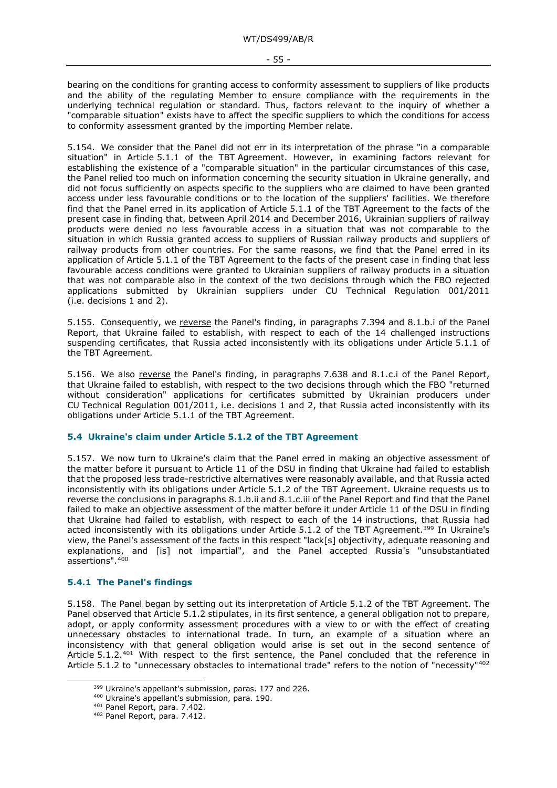- 55 -

bearing on the conditions for granting access to conformity assessment to suppliers of like products and the ability of the regulating Member to ensure compliance with the requirements in the underlying technical regulation or standard. Thus, factors relevant to the inquiry of whether a "comparable situation" exists have to affect the specific suppliers to which the conditions for access to conformity assessment granted by the importing Member relate.

5.154. We consider that the Panel did not err in its interpretation of the phrase "in a comparable situation" in Article 5.1.1 of the TBT Agreement. However, in examining factors relevant for establishing the existence of a "comparable situation" in the particular circumstances of this case, the Panel relied too much on information concerning the security situation in Ukraine generally, and did not focus sufficiently on aspects specific to the suppliers who are claimed to have been granted access under less favourable conditions or to the location of the suppliers' facilities. We therefore find that the Panel erred in its application of Article 5.1.1 of the TBT Agreement to the facts of the present case in finding that, between April 2014 and December 2016, Ukrainian suppliers of railway products were denied no less favourable access in a situation that was not comparable to the situation in which Russia granted access to suppliers of Russian railway products and suppliers of railway products from other countries. For the same reasons, we find that the Panel erred in its application of Article 5.1.1 of the TBT Agreement to the facts of the present case in finding that less favourable access conditions were granted to Ukrainian suppliers of railway products in a situation that was not comparable also in the context of the two decisions through which the FBO rejected applications submitted by Ukrainian suppliers under CU Technical Regulation 001/2011 (i.e. decisions 1 and 2).

5.155. Consequently, we reverse the Panel's finding, in paragraphs 7.394 and 8.1.b.i of the Panel Report, that Ukraine failed to establish, with respect to each of the 14 challenged instructions suspending certificates, that Russia acted inconsistently with its obligations under Article 5.1.1 of the TBT Agreement.

5.156. We also reverse the Panel's finding, in paragraphs 7.638 and 8.1.c.i of the Panel Report, that Ukraine failed to establish, with respect to the two decisions through which the FBO "returned without consideration" applications for certificates submitted by Ukrainian producers under CU Technical Regulation 001/2011, i.e. decisions 1 and 2, that Russia acted inconsistently with its obligations under Article 5.1.1 of the TBT Agreement.

# **5.4 Ukraine's claim under Article 5.1.2 of the TBT Agreement**

5.157. We now turn to Ukraine's claim that the Panel erred in making an objective assessment of the matter before it pursuant to Article 11 of the DSU in finding that Ukraine had failed to establish that the proposed less trade-restrictive alternatives were reasonably available, and that Russia acted inconsistently with its obligations under Article 5.1.2 of the TBT Agreement. Ukraine requests us to reverse the conclusions in paragraphs 8.1.b.ii and 8.1.c.iii of the Panel Report and find that the Panel failed to make an objective assessment of the matter before it under Article 11 of the DSU in finding that Ukraine had failed to establish, with respect to each of the 14 instructions, that Russia had acted inconsistently with its obligations under Article 5.1.2 of the TBT Agreement.<sup>[399](#page-54-0)</sup> In Ukraine's view, the Panel's assessment of the facts in this respect "lack[s] objectivity, adequate reasoning and explanations, and [is] not impartial", and the Panel accepted Russia's "unsubstantiated assertions".[400](#page-54-1)

## **5.4.1 The Panel's findings**

5.158. The Panel began by setting out its interpretation of Article 5.1.2 of the TBT Agreement. The Panel observed that Article 5.1.2 stipulates, in its first sentence, a general obligation not to prepare, adopt, or apply conformity assessment procedures with a view to or with the effect of creating unnecessary obstacles to international trade. In turn, an example of a situation where an inconsistency with that general obligation would arise is set out in the second sentence of Article 5.1.2.<sup>[401](#page-54-2)</sup> With respect to the first sentence, the Panel concluded that the reference in Article 5.1.2 to "unnecessary obstacles to international trade" refers to the notion of "necessity"<sup>[402](#page-54-3)</sup>

<span id="page-54-0"></span><sup>&</sup>lt;sup>399</sup> Ukraine's appellant's submission, paras. 177 and 226.

<span id="page-54-1"></span><sup>400</sup> Ukraine's appellant's submission, para. 190.

<span id="page-54-2"></span><sup>401</sup> Panel Report, para. 7.402.

<span id="page-54-3"></span><sup>402</sup> Panel Report, para. 7.412.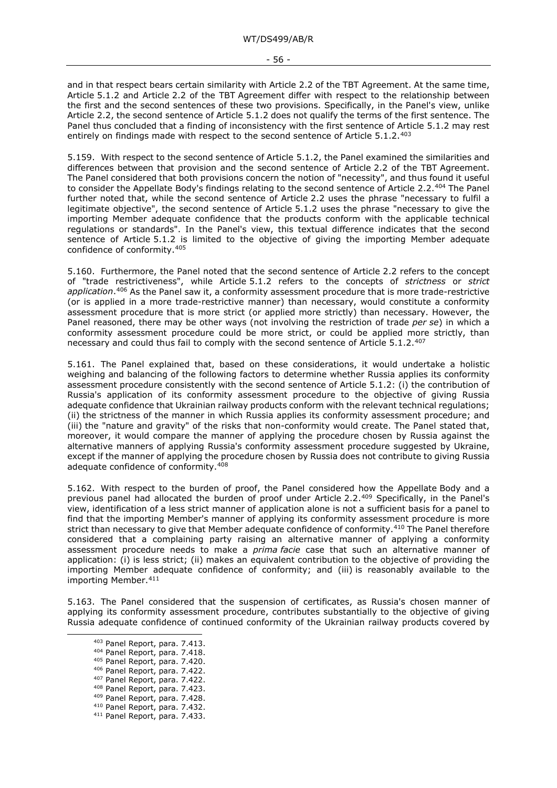and in that respect bears certain similarity with Article 2.2 of the TBT Agreement. At the same time, Article 5.1.2 and Article 2.2 of the TBT Agreement differ with respect to the relationship between the first and the second sentences of these two provisions. Specifically, in the Panel's view, unlike Article 2.2, the second sentence of Article 5.1.2 does not qualify the terms of the first sentence. The Panel thus concluded that a finding of inconsistency with the first sentence of Article 5.1.2 may rest entirely on findings made with respect to the second sentence of Article 5.1.2.<sup>[403](#page-55-0)</sup>

5.159. With respect to the second sentence of Article 5.1.2, the Panel examined the similarities and differences between that provision and the second sentence of Article 2.2 of the TBT Agreement. The Panel considered that both provisions concern the notion of "necessity", and thus found it useful to consider the Appellate Body's findings relating to the second sentence of Article 2.2.[404](#page-55-1) The Panel further noted that, while the second sentence of Article 2.2 uses the phrase "necessary to fulfil a legitimate objective", the second sentence of Article 5.1.2 uses the phrase "necessary to give the importing Member adequate confidence that the products conform with the applicable technical regulations or standards". In the Panel's view, this textual difference indicates that the second sentence of Article 5.1.2 is limited to the objective of giving the importing Member adequate confidence of conformity.[405](#page-55-2)

5.160. Furthermore, the Panel noted that the second sentence of Article 2.2 refers to the concept of "trade restrictiveness", while Article 5.1.2 refers to the concepts of *strictness* or *strict application*.[406](#page-55-3) As the Panel saw it, a conformity assessment procedure that is more trade-restrictive (or is applied in a more trade-restrictive manner) than necessary, would constitute a conformity assessment procedure that is more strict (or applied more strictly) than necessary. However, the Panel reasoned, there may be other ways (not involving the restriction of trade *per se*) in which a conformity assessment procedure could be more strict, or could be applied more strictly, than necessary and could thus fail to comply with the second sentence of Article 5.1.2.[407](#page-55-4)

5.161. The Panel explained that, based on these considerations, it would undertake a holistic weighing and balancing of the following factors to determine whether Russia applies its conformity assessment procedure consistently with the second sentence of Article 5.1.2: (i) the contribution of Russia's application of its conformity assessment procedure to the objective of giving Russia adequate confidence that Ukrainian railway products conform with the relevant technical regulations; (ii) the strictness of the manner in which Russia applies its conformity assessment procedure; and (iii) the "nature and gravity" of the risks that non-conformity would create. The Panel stated that, moreover, it would compare the manner of applying the procedure chosen by Russia against the alternative manners of applying Russia's conformity assessment procedure suggested by Ukraine, except if the manner of applying the procedure chosen by Russia does not contribute to giving Russia adequate confidence of conformity[.408](#page-55-5)

5.162. With respect to the burden of proof, the Panel considered how the Appellate Body and a previous panel had allocated the burden of proof under Article 2.2.[409](#page-55-6) Specifically, in the Panel's view, identification of a less strict manner of application alone is not a sufficient basis for a panel to find that the importing Member's manner of applying its conformity assessment procedure is more strict than necessary to give that Member adequate confidence of conformity.<sup>[410](#page-55-7)</sup> The Panel therefore considered that a complaining party raising an alternative manner of applying a conformity assessment procedure needs to make a *prima facie* case that such an alternative manner of application: (i) is less strict; (ii) makes an equivalent contribution to the objective of providing the importing Member adequate confidence of conformity; and (iii) is reasonably available to the importing Member.<sup>[411](#page-55-8)</sup>

<span id="page-55-2"></span><span id="page-55-1"></span><span id="page-55-0"></span>5.163. The Panel considered that the suspension of certificates, as Russia's chosen manner of applying its conformity assessment procedure, contributes substantially to the objective of giving Russia adequate confidence of continued conformity of the Ukrainian railway products covered by

<sup>403</sup> Panel Report, para. 7.413.

<sup>404</sup> Panel Report, para. 7.418.

<sup>405</sup> Panel Report, para. 7.420.

<sup>406</sup> Panel Report, para. 7.422.

<span id="page-55-4"></span><span id="page-55-3"></span><sup>407</sup> Panel Report, para. 7.422.

<span id="page-55-5"></span><sup>408</sup> Panel Report, para. 7.423.

<span id="page-55-6"></span><sup>409</sup> Panel Report, para. 7.428.

<span id="page-55-8"></span><span id="page-55-7"></span><sup>410</sup> Panel Report, para. 7.432. <sup>411</sup> Panel Report, para. 7.433.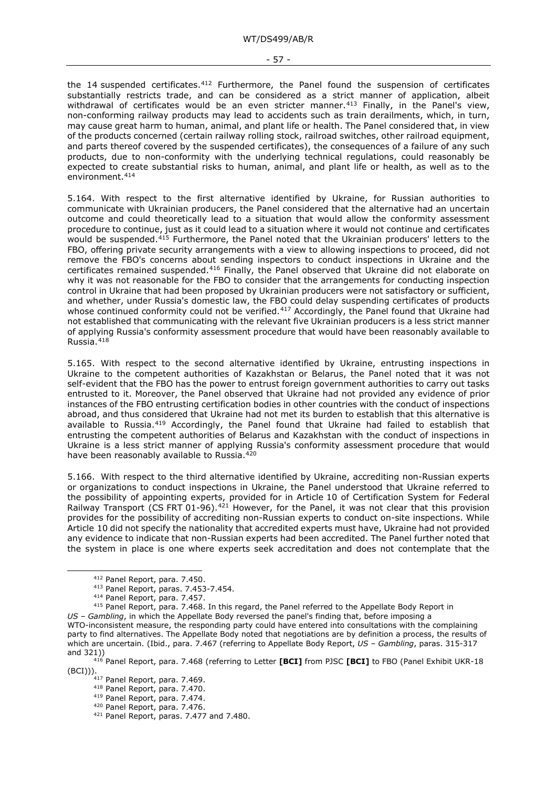- 57 -

the 14 suspended certificates. $412$  Furthermore, the Panel found the suspension of certificates substantially restricts trade, and can be considered as a strict manner of application, albeit withdrawal of certificates would be an even stricter manner.<sup>[413](#page-56-1)</sup> Finally, in the Panel's view, non-conforming railway products may lead to accidents such as train derailments, which, in turn, may cause great harm to human, animal, and plant life or health. The Panel considered that, in view of the products concerned (certain railway rolling stock, railroad switches, other railroad equipment, and parts thereof covered by the suspended certificates), the consequences of a failure of any such products, due to non-conformity with the underlying technical regulations, could reasonably be expected to create substantial risks to human, animal, and plant life or health, as well as to the environment.[414](#page-56-2)

5.164. With respect to the first alternative identified by Ukraine, for Russian authorities to communicate with Ukrainian producers, the Panel considered that the alternative had an uncertain outcome and could theoretically lead to a situation that would allow the conformity assessment procedure to continue, just as it could lead to a situation where it would not continue and certificates would be suspended[.415](#page-56-3) Furthermore, the Panel noted that the Ukrainian producers' letters to the FBO, offering private security arrangements with a view to allowing inspections to proceed, did not remove the FBO's concerns about sending inspectors to conduct inspections in Ukraine and the certificates remained suspended.[416](#page-56-4) Finally, the Panel observed that Ukraine did not elaborate on why it was not reasonable for the FBO to consider that the arrangements for conducting inspection control in Ukraine that had been proposed by Ukrainian producers were not satisfactory or sufficient, and whether, under Russia's domestic law, the FBO could delay suspending certificates of products whose continued conformity could not be verified.<sup>[417](#page-56-5)</sup> Accordingly, the Panel found that Ukraine had not established that communicating with the relevant five Ukrainian producers is a less strict manner of applying Russia's conformity assessment procedure that would have been reasonably available to Russia.[418](#page-56-6)

5.165. With respect to the second alternative identified by Ukraine, entrusting inspections in Ukraine to the competent authorities of Kazakhstan or Belarus, the Panel noted that it was not self-evident that the FBO has the power to entrust foreign government authorities to carry out tasks entrusted to it. Moreover, the Panel observed that Ukraine had not provided any evidence of prior instances of the FBO entrusting certification bodies in other countries with the conduct of inspections abroad, and thus considered that Ukraine had not met its burden to establish that this alternative is available to Russia.<sup>[419](#page-56-7)</sup> Accordingly, the Panel found that Ukraine had failed to establish that entrusting the competent authorities of Belarus and Kazakhstan with the conduct of inspections in Ukraine is a less strict manner of applying Russia's conformity assessment procedure that would have been reasonably available to Russia.<sup>[420](#page-56-8)</sup>

5.166. With respect to the third alternative identified by Ukraine, accrediting non-Russian experts or organizations to conduct inspections in Ukraine, the Panel understood that Ukraine referred to the possibility of appointing experts, provided for in Article 10 of Certification System for Federal Railway Transport (CS FRT 01-96).<sup>[421](#page-56-9)</sup> However, for the Panel, it was not clear that this provision provides for the possibility of accrediting non-Russian experts to conduct on-site inspections. While Article 10 did not specify the nationality that accredited experts must have, Ukraine had not provided any evidence to indicate that non-Russian experts had been accredited. The Panel further noted that the system in place is one where experts seek accreditation and does not contemplate that the

<sup>412</sup> Panel Report, para. 7.450.

<sup>413</sup> Panel Report, paras. 7.453-7.454.

<sup>414</sup> Panel Report, para. 7.457.

<span id="page-56-3"></span><span id="page-56-2"></span><span id="page-56-1"></span><span id="page-56-0"></span><sup>415</sup> Panel Report, para. 7.468. In this regard, the Panel referred to the Appellate Body Report in *US – Gambling*, in which the Appellate Body reversed the panel's finding that, before imposing a WTO-inconsistent measure, the responding party could have entered into consultations with the complaining party to find alternatives. The Appellate Body noted that negotiations are by definition a process, the results of which are uncertain. (Ibid., para. 7.467 (referring to Appellate Body Report, *US – Gambling*, paras. 315-317 and 321))

<span id="page-56-9"></span><span id="page-56-8"></span><span id="page-56-7"></span><span id="page-56-6"></span><span id="page-56-5"></span><span id="page-56-4"></span><sup>416</sup> Panel Report, para. 7.468 (referring to Letter **[BCI]** from PJSC **[BCI]** to FBO (Panel Exhibit UKR-18 (BCI))).<br><sup>417</sup> Panel Report, para. 7.469.

<sup>418</sup> Panel Report, para. 7.470.

<sup>419</sup> Panel Report, para. 7.474.

<sup>420</sup> Panel Report, para. 7.476.

<sup>421</sup> Panel Report, paras. 7.477 and 7.480.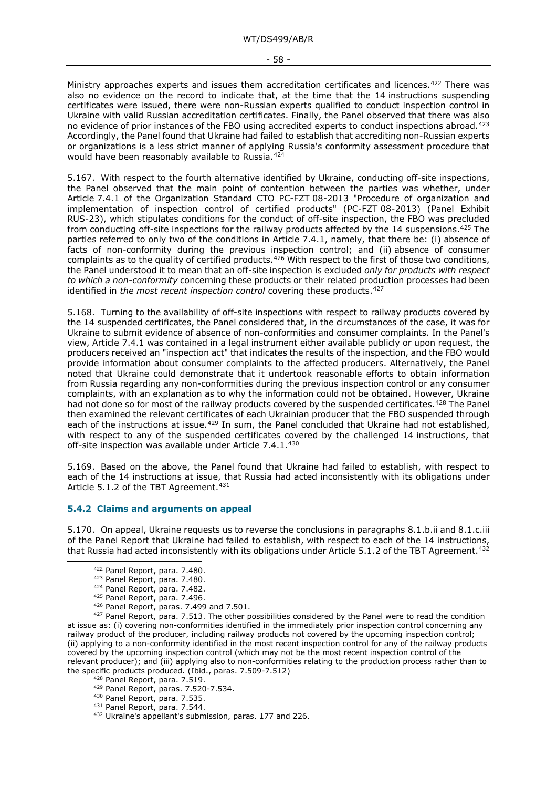- 58 -

Ministry approaches experts and issues them accreditation certificates and licences.[422](#page-57-0) There was also no evidence on the record to indicate that, at the time that the 14 instructions suspending certificates were issued, there were non-Russian experts qualified to conduct inspection control in Ukraine with valid Russian accreditation certificates. Finally, the Panel observed that there was also no evidence of prior instances of the FBO using accredited experts to conduct inspections abroad.[423](#page-57-1) Accordingly, the Panel found that Ukraine had failed to establish that accrediting non-Russian experts or organizations is a less strict manner of applying Russia's conformity assessment procedure that would have been reasonably available to Russia.[424](#page-57-2)

5.167. With respect to the fourth alternative identified by Ukraine, conducting off-site inspections, the Panel observed that the main point of contention between the parties was whether, under Article 7.4.1 of the Organization Standard СTO PC-FZT 08-2013 "Procedure of organization and implementation of inspection control of certified products" (PC-FZT 08-2013) (Panel Exhibit RUS-23), which stipulates conditions for the conduct of off-site inspection, the FBO was precluded from conducting off-site inspections for the railway products affected by the 14 suspensions.<sup>[425](#page-57-3)</sup> The parties referred to only two of the conditions in Article 7.4.1, namely, that there be: (i) absence of facts of non-conformity during the previous inspection control; and (ii) absence of consumer complaints as to the quality of certified products. $426$  With respect to the first of those two conditions, the Panel understood it to mean that an off-site inspection is excluded *only for products with respect to which a non-conformity* concerning these products or their related production processes had been identified in *the most recent inspection control* covering these products.<sup>[427](#page-57-5)</sup>

5.168. Turning to the availability of off-site inspections with respect to railway products covered by the 14 suspended certificates, the Panel considered that, in the circumstances of the case, it was for Ukraine to submit evidence of absence of non-conformities and consumer complaints. In the Panel's view, Article 7.4.1 was contained in a legal instrument either available publicly or upon request, the producers received an "inspection act" that indicates the results of the inspection, and the FBO would provide information about consumer complaints to the affected producers. Alternatively, the Panel noted that Ukraine could demonstrate that it undertook reasonable efforts to obtain information from Russia regarding any non-conformities during the previous inspection control or any consumer complaints, with an explanation as to why the information could not be obtained. However, Ukraine had not done so for most of the railway products covered by the suspended certificates.<sup>[428](#page-57-6)</sup> The Panel then examined the relevant certificates of each Ukrainian producer that the FBO suspended through each of the instructions at issue.<sup>[429](#page-57-7)</sup> In sum, the Panel concluded that Ukraine had not established, with respect to any of the suspended certificates covered by the challenged 14 instructions, that off-site inspection was available under Article 7.4.1.[430](#page-57-8)

5.169. Based on the above, the Panel found that Ukraine had failed to establish, with respect to each of the 14 instructions at issue, that Russia had acted inconsistently with its obligations under Article 5.1.2 of the TBT Agreement.<sup>[431](#page-57-9)</sup>

## **5.4.2 Claims and arguments on appeal**

<span id="page-57-0"></span>5.170. On appeal, Ukraine requests us to reverse the conclusions in paragraphs 8.1.b.ii and 8.1.c.iii of the Panel Report that Ukraine had failed to establish, with respect to each of the 14 instructions, that Russia had acted inconsistently with its obligations under Article 5.1.2 of the TBT Agreement.<sup>[432](#page-57-10)</sup>

426 Panel Report, paras. 7.499 and 7.501.

<span id="page-57-6"></span><span id="page-57-5"></span><span id="page-57-4"></span><span id="page-57-3"></span><span id="page-57-2"></span><span id="page-57-1"></span>427 Panel Report, para. 7.513. The other possibilities considered by the Panel were to read the condition at issue as: (i) covering non-conformities identified in the immediately prior inspection control concerning any railway product of the producer, including railway products not covered by the upcoming inspection control; (ii) applying to a non-conformity identified in the most recent inspection control for any of the railway products covered by the upcoming inspection control (which may not be the most recent inspection control of the relevant producer); and (iii) applying also to non-conformities relating to the production process rather than to the specific products produced. (Ibid., paras. 7.509-7.512)

428 Panel Report, para. 7.519.

<span id="page-57-7"></span><sup>429</sup> Panel Report, paras. 7.520-7.534.

- <sup>430</sup> Panel Report, para. 7.535.
- <span id="page-57-10"></span><span id="page-57-9"></span><span id="page-57-8"></span><sup>431</sup> Panel Report, para. 7.544.
- <sup>432</sup> Ukraine's appellant's submission, paras. 177 and 226.

<sup>422</sup> Panel Report, para. 7.480.

<sup>423</sup> Panel Report, para. 7.480.

<sup>424</sup> Panel Report, para. 7.482.

<sup>425</sup> Panel Report, para. 7.496.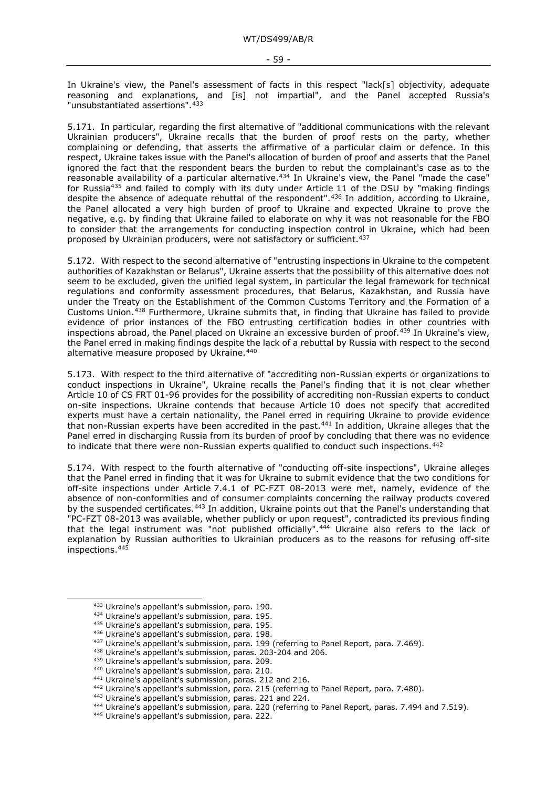In Ukraine's view, the Panel's assessment of facts in this respect "lack[s] objectivity, adequate reasoning and explanations, and [is] not impartial", and the Panel accepted Russia's "unsubstantiated assertions". [433](#page-58-0)

5.171. In particular, regarding the first alternative of "additional communications with the relevant Ukrainian producers", Ukraine recalls that the burden of proof rests on the party, whether complaining or defending, that asserts the affirmative of a particular claim or defence. In this respect, Ukraine takes issue with the Panel's allocation of burden of proof and asserts that the Panel ignored the fact that the respondent bears the burden to rebut the complainant's case as to the reasonable availability of a particular alternative.<sup>434</sup> In Ukraine's view, the Panel "made the case" for Russia[435](#page-58-2) and failed to comply with its duty under Article 11 of the DSU by "making findings despite the absence of adequate rebuttal of the respondent".[436](#page-58-3) In addition, according to Ukraine, the Panel allocated a very high burden of proof to Ukraine and expected Ukraine to prove the negative, e.g. by finding that Ukraine failed to elaborate on why it was not reasonable for the FBO to consider that the arrangements for conducting inspection control in Ukraine, which had been proposed by Ukrainian producers, were not satisfactory or sufficient.[437](#page-58-4)

5.172. With respect to the second alternative of "entrusting inspections in Ukraine to the competent authorities of Kazakhstan or Belarus", Ukraine asserts that the possibility of this alternative does not seem to be excluded, given the unified legal system, in particular the legal framework for technical regulations and conformity assessment procedures, that Belarus, Kazakhstan, and Russia have under the Treaty on the Establishment of the Common Customs Territory and the Formation of a Customs Union.[438](#page-58-5) Furthermore, Ukraine submits that, in finding that Ukraine has failed to provide evidence of prior instances of the FBO entrusting certification bodies in other countries with inspections abroad, the Panel placed on Ukraine an excessive burden of proof[.439](#page-58-6) In Ukraine's view, the Panel erred in making findings despite the lack of a rebuttal by Russia with respect to the second alternative measure proposed by Ukraine.<sup>[440](#page-58-7)</sup>

5.173. With respect to the third alternative of "accrediting non-Russian experts or organizations to conduct inspections in Ukraine", Ukraine recalls the Panel's finding that it is not clear whether Article 10 of CS FRT 01-96 provides for the possibility of accrediting non-Russian experts to conduct on-site inspections. Ukraine contends that because Article 10 does not specify that accredited experts must have a certain nationality, the Panel erred in requiring Ukraine to provide evidence that non-Russian experts have been accredited in the past.[441](#page-58-8) In addition, Ukraine alleges that the Panel erred in discharging Russia from its burden of proof by concluding that there was no evidence to indicate that there were non-Russian experts qualified to conduct such inspections.<sup>[442](#page-58-9)</sup>

5.174. With respect to the fourth alternative of "conducting off-site inspections", Ukraine alleges that the Panel erred in finding that it was for Ukraine to submit evidence that the two conditions for off-site inspections under Article 7.4.1 of PC-FZT 08-2013 were met, namely, evidence of the absence of non-conformities and of consumer complaints concerning the railway products covered by the suspended certificates.<sup>[443](#page-58-10)</sup> In addition, Ukraine points out that the Panel's understanding that "PC-FZT 08-2013 was available, whether publicly or upon request", contradicted its previous finding that the legal instrument was "not published officially".[444](#page-58-11) Ukraine also refers to the lack of explanation by Russian authorities to Ukrainian producers as to the reasons for refusing off-site inspections.[445](#page-58-12)

<span id="page-58-0"></span><sup>433</sup> Ukraine's appellant's submission, para. 190.

<span id="page-58-1"></span><sup>434</sup> Ukraine's appellant's submission, para. 195.

<span id="page-58-2"></span><sup>435</sup> Ukraine's appellant's submission, para. 195.

<span id="page-58-3"></span><sup>436</sup> Ukraine's appellant's submission, para. 198.

<sup>437</sup> Ukraine's appellant's submission, para. 199 (referring to Panel Report, para. 7.469).

<span id="page-58-5"></span><span id="page-58-4"></span><sup>438</sup> Ukraine's appellant's submission, paras. 203-204 and 206.

<sup>439</sup> Ukraine's appellant's submission, para. 209.

<span id="page-58-7"></span><span id="page-58-6"></span><sup>440</sup> Ukraine's appellant's submission, para. 210.

<sup>441</sup> Ukraine's appellant's submission, paras. 212 and 216.

<span id="page-58-11"></span><span id="page-58-10"></span><span id="page-58-9"></span><span id="page-58-8"></span><sup>&</sup>lt;sup>442</sup> Ukraine's appellant's submission, para. 215 (referring to Panel Report, para. 7.480).

<sup>443</sup> Ukraine's appellant's submission, paras. 221 and 224.

<sup>444</sup> Ukraine's appellant's submission, para. 220 (referring to Panel Report, paras. 7.494 and 7.519).

<span id="page-58-12"></span><sup>445</sup> Ukraine's appellant's submission, para. 222.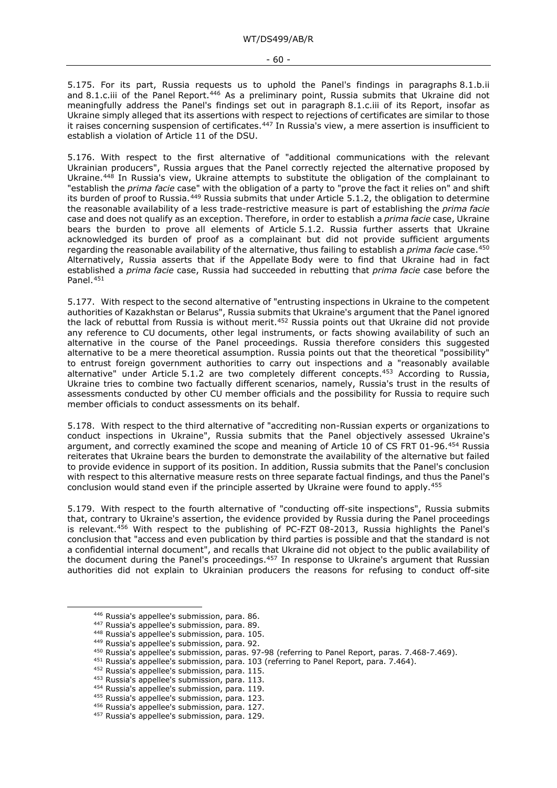5.175. For its part, Russia requests us to uphold the Panel's findings in paragraphs 8.1.b.ii and 8.1.c.iii of the Panel Report.<sup>[446](#page-59-0)</sup> As a preliminary point, Russia submits that Ukraine did not meaningfully address the Panel's findings set out in paragraph 8.1.c.iii of its Report, insofar as Ukraine simply alleged that its assertions with respect to rejections of certificates are similar to those it raises concerning suspension of certificates.<sup>[447](#page-59-1)</sup> In Russia's view, a mere assertion is insufficient to establish a violation of Article 11 of the DSU.

5.176. With respect to the first alternative of "additional communications with the relevant Ukrainian producers", Russia argues that the Panel correctly rejected the alternative proposed by Ukraine.<sup>[448](#page-59-2)</sup> In Russia's view, Ukraine attempts to substitute the obligation of the complainant to "establish the *prima facie* case" with the obligation of a party to "prove the fact it relies on" and shift its burden of proof to Russia.[449](#page-59-3) Russia submits that under Article 5.1.2, the obligation to determine the reasonable availability of a less trade-restrictive measure is part of establishing the *prima facie* case and does not qualify as an exception. Therefore, in order to establish a *prima facie* case, Ukraine bears the burden to prove all elements of Article 5.1.2. Russia further asserts that Ukraine acknowledged its burden of proof as a complainant but did not provide sufficient arguments regarding the reasonable availability of the alternative, thus failing to establish a *prima facie* case.[450](#page-59-4) Alternatively, Russia asserts that if the Appellate Body were to find that Ukraine had in fact established a *prima facie* case, Russia had succeeded in rebutting that *prima facie* case before the Panel.[451](#page-59-5)

5.177. With respect to the second alternative of "entrusting inspections in Ukraine to the competent authorities of Kazakhstan or Belarus", Russia submits that Ukraine's argument that the Panel ignored the lack of rebuttal from Russia is without merit.<sup>[452](#page-59-6)</sup> Russia points out that Ukraine did not provide any reference to CU documents, other legal instruments, or facts showing availability of such an alternative in the course of the Panel proceedings. Russia therefore considers this suggested alternative to be a mere theoretical assumption. Russia points out that the theoretical "possibility" to entrust foreign government authorities to carry out inspections and a "reasonably available alternative" under Article 5.1.2 are two completely different concepts.[453](#page-59-7) According to Russia, Ukraine tries to combine two factually different scenarios, namely, Russia's trust in the results of assessments conducted by other CU member officials and the possibility for Russia to require such member officials to conduct assessments on its behalf.

5.178. With respect to the third alternative of "accrediting non-Russian experts or organizations to conduct inspections in Ukraine", Russia submits that the Panel objectively assessed Ukraine's argument, and correctly examined the scope and meaning of Article 10 of CS FRT 01-96.[454](#page-59-8) Russia reiterates that Ukraine bears the burden to demonstrate the availability of the alternative but failed to provide evidence in support of its position. In addition, Russia submits that the Panel's conclusion with respect to this alternative measure rests on three separate factual findings, and thus the Panel's conclusion would stand even if the principle asserted by Ukraine were found to apply.[455](#page-59-9)

5.179. With respect to the fourth alternative of "conducting off-site inspections", Russia submits that, contrary to Ukraine's assertion, the evidence provided by Russia during the Panel proceedings is relevant.<sup>[456](#page-59-10)</sup> With respect to the publishing of PC-FZT 08-2013, Russia highlights the Panel's conclusion that "access and even publication by third parties is possible and that the standard is not a confidential internal document", and recalls that Ukraine did not object to the public availability of the document during the Panel's proceedings.<sup>[457](#page-59-11)</sup> In response to Ukraine's argument that Russian authorities did not explain to Ukrainian producers the reasons for refusing to conduct off-site

<sup>451</sup> Russia's appellee's submission, para. 103 (referring to Panel Report, para. 7.464).

<span id="page-59-0"></span><sup>446</sup> Russia's appellee's submission, para. 86.

<sup>447</sup> Russia's appellee's submission, para. 89.

<sup>448</sup> Russia's appellee's submission, para. 105.

<sup>449</sup> Russia's appellee's submission, para. 92.

<span id="page-59-7"></span><span id="page-59-6"></span><span id="page-59-5"></span><span id="page-59-4"></span><span id="page-59-3"></span><span id="page-59-2"></span><span id="page-59-1"></span><sup>450</sup> Russia's appellee's submission, paras. 97-98 (referring to Panel Report, paras. 7.468-7.469).

<sup>452</sup> Russia's appellee's submission, para. 115.

<sup>453</sup> Russia's appellee's submission, para. 113.

<span id="page-59-8"></span><sup>454</sup> Russia's appellee's submission, para. 119.

<span id="page-59-9"></span><sup>455</sup> Russia's appellee's submission, para. 123.

<span id="page-59-10"></span><sup>456</sup> Russia's appellee's submission, para. 127.

<span id="page-59-11"></span><sup>457</sup> Russia's appellee's submission, para. 129.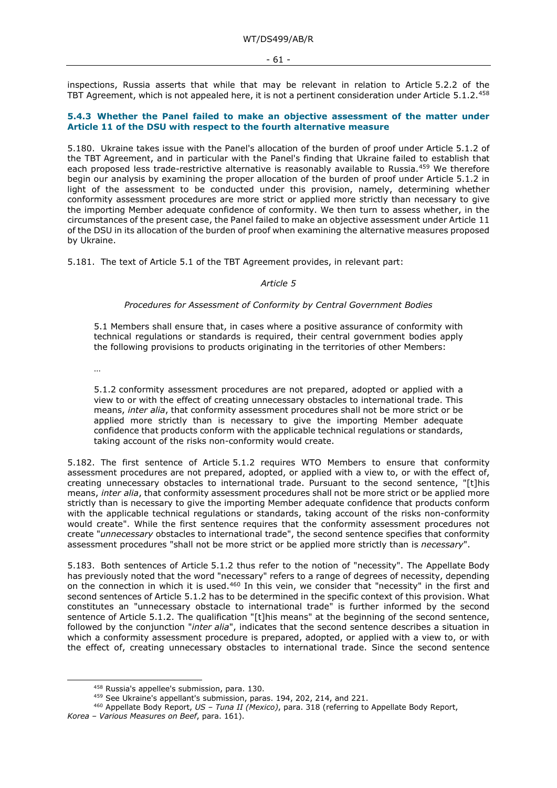inspections, Russia asserts that while that may be relevant in relation to Article 5.2.2 of the TBT Agreement, which is not appealed here, it is not a pertinent consideration under Article 5.1.2.[458](#page-60-0)

## **5.4.3 Whether the Panel failed to make an objective assessment of the matter under Article 11 of the DSU with respect to the fourth alternative measure**

5.180. Ukraine takes issue with the Panel's allocation of the burden of proof under Article 5.1.2 of the TBT Agreement, and in particular with the Panel's finding that Ukraine failed to establish that each proposed less trade-restrictive alternative is reasonably available to Russia.<sup>[459](#page-60-1)</sup> We therefore begin our analysis by examining the proper allocation of the burden of proof under Article 5.1.2 in light of the assessment to be conducted under this provision, namely, determining whether conformity assessment procedures are more strict or applied more strictly than necessary to give the importing Member adequate confidence of conformity. We then turn to assess whether, in the circumstances of the present case, the Panel failed to make an objective assessment under Article 11 of the DSU in its allocation of the burden of proof when examining the alternative measures proposed by Ukraine.

5.181. The text of Article 5.1 of the TBT Agreement provides, in relevant part:

### *Article 5*

### *Procedures for Assessment of Conformity by Central Government Bodies*

5.1 Members shall ensure that, in cases where a positive assurance of conformity with technical regulations or standards is required, their central government bodies apply the following provisions to products originating in the territories of other Members:

…

5.1.2 conformity assessment procedures are not prepared, adopted or applied with a view to or with the effect of creating unnecessary obstacles to international trade. This means, *inter alia*, that conformity assessment procedures shall not be more strict or be applied more strictly than is necessary to give the importing Member adequate confidence that products conform with the applicable technical regulations or standards, taking account of the risks non-conformity would create.

5.182. The first sentence of Article 5.1.2 requires WTO Members to ensure that conformity assessment procedures are not prepared, adopted, or applied with a view to, or with the effect of, creating unnecessary obstacles to international trade. Pursuant to the second sentence, "[t]his means, *inter alia*, that conformity assessment procedures shall not be more strict or be applied more strictly than is necessary to give the importing Member adequate confidence that products conform with the applicable technical regulations or standards, taking account of the risks non-conformity would create". While the first sentence requires that the conformity assessment procedures not create "*unnecessary* obstacles to international trade", the second sentence specifies that conformity assessment procedures "shall not be more strict or be applied more strictly than is *necessary*".

5.183. Both sentences of Article 5.1.2 thus refer to the notion of "necessity". The Appellate Body has previously noted that the word "necessary" refers to a range of degrees of necessity, depending on the connection in which it is used.<sup>[460](#page-60-2)</sup> In this vein, we consider that "necessity" in the first and second sentences of Article 5.1.2 has to be determined in the specific context of this provision. What constitutes an "unnecessary obstacle to international trade" is further informed by the second sentence of Article 5.1.2. The qualification "[t]his means" at the beginning of the second sentence, followed by the conjunction "*inter alia*", indicates that the second sentence describes a situation in which a conformity assessment procedure is prepared, adopted, or applied with a view to, or with the effect of, creating unnecessary obstacles to international trade. Since the second sentence

<sup>458</sup> Russia's appellee's submission, para. 130.

<sup>459</sup> See Ukraine's appellant's submission, paras. 194, 202, 214, and 221.

<sup>460</sup> Appellate Body Report, *US – Tuna II (Mexico)*, para. 318 (referring to Appellate Body Report,

<span id="page-60-2"></span><span id="page-60-1"></span><span id="page-60-0"></span>*Korea – Various Measures on Beef*, para. 161).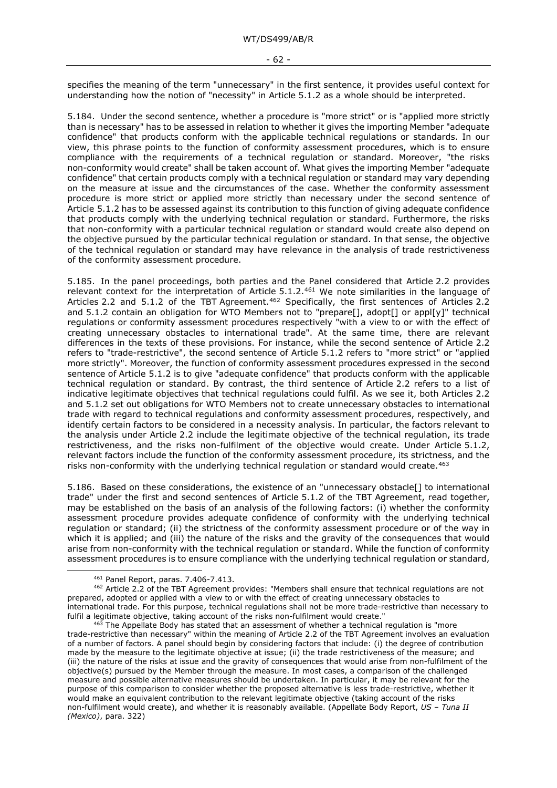specifies the meaning of the term "unnecessary" in the first sentence, it provides useful context for understanding how the notion of "necessity" in Article 5.1.2 as a whole should be interpreted.

5.184. Under the second sentence, whether a procedure is "more strict" or is "applied more strictly than is necessary" has to be assessed in relation to whether it gives the importing Member "adequate confidence" that products conform with the applicable technical regulations or standards. In our view, this phrase points to the function of conformity assessment procedures, which is to ensure compliance with the requirements of a technical regulation or standard. Moreover, "the risks non-conformity would create" shall be taken account of. What gives the importing Member "adequate confidence" that certain products comply with a technical regulation or standard may vary depending on the measure at issue and the circumstances of the case. Whether the conformity assessment procedure is more strict or applied more strictly than necessary under the second sentence of Article 5.1.2 has to be assessed against its contribution to this function of giving adequate confidence that products comply with the underlying technical regulation or standard. Furthermore, the risks that non-conformity with a particular technical regulation or standard would create also depend on the objective pursued by the particular technical regulation or standard. In that sense, the objective of the technical regulation or standard may have relevance in the analysis of trade restrictiveness of the conformity assessment procedure.

5.185. In the panel proceedings, both parties and the Panel considered that Article 2.2 provides relevant context for the interpretation of Article 5.1.2.<sup>[461](#page-61-0)</sup> We note similarities in the language of Articles 2.2 and 5.1.2 of the TBT Agreement.<sup>[462](#page-61-1)</sup> Specifically, the first sentences of Articles 2.2 and 5.1.2 contain an obligation for WTO Members not to "prepare[], adopt[] or appl[y]" technical regulations or conformity assessment procedures respectively "with a view to or with the effect of creating unnecessary obstacles to international trade". At the same time, there are relevant differences in the texts of these provisions. For instance, while the second sentence of Article 2.2 refers to "trade-restrictive", the second sentence of Article 5.1.2 refers to "more strict" or "applied more strictly". Moreover, the function of conformity assessment procedures expressed in the second sentence of Article 5.1.2 is to give "adequate confidence" that products conform with the applicable technical regulation or standard. By contrast, the third sentence of Article 2.2 refers to a list of indicative legitimate objectives that technical regulations could fulfil. As we see it, both Articles 2.2 and 5.1.2 set out obligations for WTO Members not to create unnecessary obstacles to international trade with regard to technical regulations and conformity assessment procedures, respectively, and identify certain factors to be considered in a necessity analysis. In particular, the factors relevant to the analysis under Article 2.2 include the legitimate objective of the technical regulation, its trade restrictiveness, and the risks non-fulfilment of the objective would create. Under Article 5.1.2, relevant factors include the function of the conformity assessment procedure, its strictness, and the risks non-conformity with the underlying technical regulation or standard would create.<sup>[463](#page-61-2)</sup>

5.186. Based on these considerations, the existence of an "unnecessary obstacle[] to international trade" under the first and second sentences of Article 5.1.2 of the TBT Agreement, read together, may be established on the basis of an analysis of the following factors: (i) whether the conformity assessment procedure provides adequate confidence of conformity with the underlying technical regulation or standard; (ii) the strictness of the conformity assessment procedure or of the way in which it is applied; and (iii) the nature of the risks and the gravity of the consequences that would arise from non-conformity with the technical regulation or standard. While the function of conformity assessment procedures is to ensure compliance with the underlying technical regulation or standard,

<sup>461</sup> Panel Report, paras. 7.406-7.413.

<span id="page-61-1"></span><span id="page-61-0"></span><sup>462</sup> Article 2.2 of the TBT Agreement provides: "Members shall ensure that technical regulations are not prepared, adopted or applied with a view to or with the effect of creating unnecessary obstacles to international trade. For this purpose, technical regulations shall not be more trade-restrictive than necessary to fulfil a legitimate objective, taking account of the risks non-fulfilment would create."

<span id="page-61-2"></span><sup>&</sup>lt;sup>463</sup> The Appellate Body has stated that an assessment of whether a technical regulation is "more trade-restrictive than necessary" within the meaning of Article 2.2 of the TBT Agreement involves an evaluation of a number of factors. A panel should begin by considering factors that include: (i) the degree of contribution made by the measure to the legitimate objective at issue; (ii) the trade restrictiveness of the measure; and (iii) the nature of the risks at issue and the gravity of consequences that would arise from non-fulfilment of the objective(s) pursued by the Member through the measure. In most cases, a comparison of the challenged measure and possible alternative measures should be undertaken. In particular, it may be relevant for the purpose of this comparison to consider whether the proposed alternative is less trade-restrictive, whether it would make an equivalent contribution to the relevant legitimate objective (taking account of the risks non-fulfilment would create), and whether it is reasonably available. (Appellate Body Report, *US – Tuna II (Mexico)*, para. 322)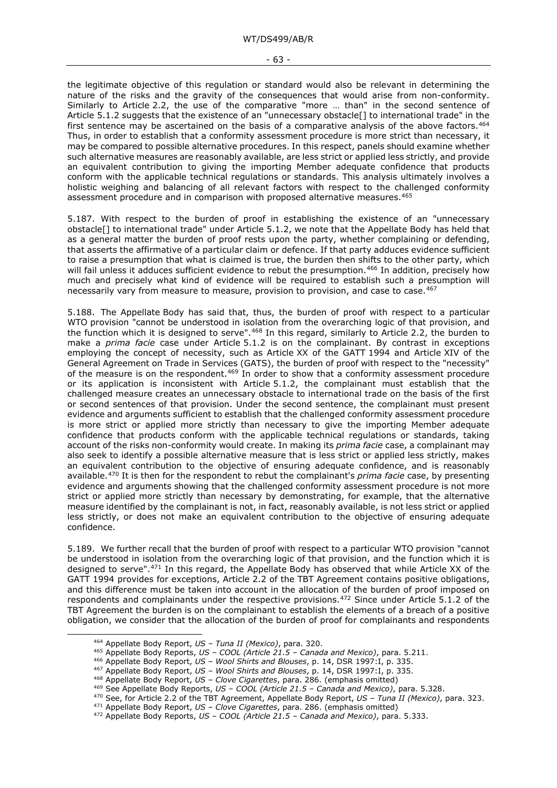the legitimate objective of this regulation or standard would also be relevant in determining the nature of the risks and the gravity of the consequences that would arise from non-conformity. Similarly to Article 2.2, the use of the comparative "more … than" in the second sentence of Article 5.1.2 suggests that the existence of an "unnecessary obstacle[] to international trade" in the first sentence may be ascertained on the basis of a comparative analysis of the above factors.<sup>[464](#page-62-0)</sup> Thus, in order to establish that a conformity assessment procedure is more strict than necessary, it may be compared to possible alternative procedures. In this respect, panels should examine whether such alternative measures are reasonably available, are less strict or applied less strictly, and provide an equivalent contribution to giving the importing Member adequate confidence that products conform with the applicable technical regulations or standards. This analysis ultimately involves a holistic weighing and balancing of all relevant factors with respect to the challenged conformity assessment procedure and in comparison with proposed alternative measures.<sup>465</sup>

5.187. With respect to the burden of proof in establishing the existence of an "unnecessary obstacle[] to international trade" under Article 5.1.2, we note that the Appellate Body has held that as a general matter the burden of proof rests upon the party, whether complaining or defending, that asserts the affirmative of a particular claim or defence. If that party adduces evidence sufficient to raise a presumption that what is claimed is true, the burden then shifts to the other party, which will fail unless it adduces sufficient evidence to rebut the presumption.<sup>[466](#page-62-2)</sup> In addition, precisely how much and precisely what kind of evidence will be required to establish such a presumption will necessarily vary from measure to measure, provision to provision, and case to case.<sup>[467](#page-62-3)</sup>

5.188. The Appellate Body has said that, thus, the burden of proof with respect to a particular WTO provision "cannot be understood in isolation from the overarching logic of that provision, and the function which it is designed to serve".[468](#page-62-4) In this regard, similarly to Article 2.2, the burden to make a *prima facie* case under Article 5.1.2 is on the complainant. By contrast in exceptions employing the concept of necessity, such as Article XX of the GATT 1994 and Article XIV of the General Agreement on Trade in Services (GATS), the burden of proof with respect to the "necessity" of the measure is on the respondent[.469](#page-62-5) In order to show that a conformity assessment procedure or its application is inconsistent with Article 5.1.2, the complainant must establish that the challenged measure creates an unnecessary obstacle to international trade on the basis of the first or second sentences of that provision. Under the second sentence, the complainant must present evidence and arguments sufficient to establish that the challenged conformity assessment procedure is more strict or applied more strictly than necessary to give the importing Member adequate confidence that products conform with the applicable technical regulations or standards, taking account of the risks non-conformity would create. In making its *prima facie* case, a complainant may also seek to identify a possible alternative measure that is less strict or applied less strictly, makes an equivalent contribution to the objective of ensuring adequate confidence, and is reasonably available.[470](#page-62-6) It is then for the respondent to rebut the complainant's *prima facie* case, by presenting evidence and arguments showing that the challenged conformity assessment procedure is not more strict or applied more strictly than necessary by demonstrating, for example, that the alternative measure identified by the complainant is not, in fact, reasonably available, is not less strict or applied less strictly, or does not make an equivalent contribution to the objective of ensuring adequate confidence.

5.189. We further recall that the burden of proof with respect to a particular WTO provision "cannot be understood in isolation from the overarching logic of that provision, and the function which it is designed to serve".[471](#page-62-7) In this regard, the Appellate Body has observed that while Article XX of the GATT 1994 provides for exceptions, Article 2.2 of the TBT Agreement contains positive obligations, and this difference must be taken into account in the allocation of the burden of proof imposed on respondents and complainants under the respective provisions.[472](#page-62-8) Since under Article 5.1.2 of the TBT Agreement the burden is on the complainant to establish the elements of a breach of a positive obligation, we consider that the allocation of the burden of proof for complainants and respondents

<span id="page-62-7"></span><span id="page-62-6"></span><sup>471</sup> Appellate Body Report, *US – Clove Cigarettes*, para. 286. (emphasis omitted)

<span id="page-62-0"></span><sup>464</sup> Appellate Body Report, *US – Tuna II (Mexico)*, para. 320.

<span id="page-62-1"></span><sup>465</sup> Appellate Body Reports, *US – COOL (Article 21.5 – Canada and Mexico)*, para. 5.211.

<sup>466</sup> Appellate Body Report, *US – Wool Shirts and Blouses*, p. 14, DSR 1997:I, p. 335.

<span id="page-62-3"></span><span id="page-62-2"></span><sup>467</sup> Appellate Body Report, *US – Wool Shirts and Blouses*, p. 14, DSR 1997:I, p. 335.

<span id="page-62-4"></span><sup>468</sup> Appellate Body Report, *US – Clove Cigarettes*, para. 286. (emphasis omitted)

<span id="page-62-5"></span><sup>469</sup> See Appellate Body Reports, *US – COOL (Article 21.5 – Canada and Mexico)*, para. 5.328.

<sup>470</sup> See, for Article 2.2 of the TBT Agreement, Appellate Body Report, *US – Tuna II (Mexico)*, para. 323.

<span id="page-62-8"></span><sup>472</sup> Appellate Body Reports, *US – COOL (Article 21.5 – Canada and Mexico)*, para. 5.333.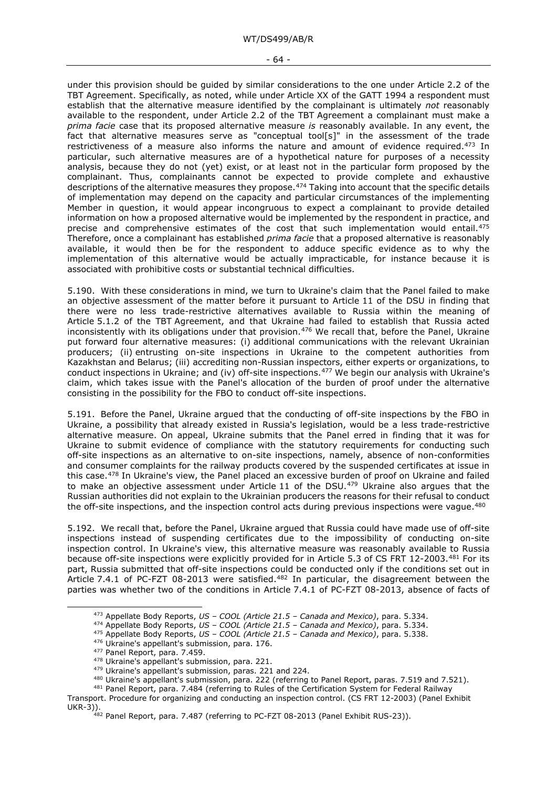under this provision should be guided by similar considerations to the one under Article 2.2 of the TBT Agreement. Specifically, as noted, while under Article XX of the GATT 1994 a respondent must establish that the alternative measure identified by the complainant is ultimately *not* reasonably available to the respondent, under Article 2.2 of the TBT Agreement a complainant must make a *prima facie* case that its proposed alternative measure *is* reasonably available. In any event, the fact that alternative measures serve as "conceptual tool[s]" in the assessment of the trade restrictiveness of a measure also informs the nature and amount of evidence required.<sup>[473](#page-63-0)</sup> In particular, such alternative measures are of a hypothetical nature for purposes of a necessity analysis, because they do not (yet) exist, or at least not in the particular form proposed by the complainant. Thus, complainants cannot be expected to provide complete and exhaustive descriptions of the alternative measures they propose.[474](#page-63-1) Taking into account that the specific details of implementation may depend on the capacity and particular circumstances of the implementing Member in question, it would appear incongruous to expect a complainant to provide detailed information on how a proposed alternative would be implemented by the respondent in practice, and precise and comprehensive estimates of the cost that such implementation would entail.<sup>[475](#page-63-2)</sup> Therefore, once a complainant has established *prima facie* that a proposed alternative is reasonably available, it would then be for the respondent to adduce specific evidence as to why the implementation of this alternative would be actually impracticable, for instance because it is associated with prohibitive costs or substantial technical difficulties.

5.190. With these considerations in mind, we turn to Ukraine's claim that the Panel failed to make an objective assessment of the matter before it pursuant to Article 11 of the DSU in finding that there were no less trade-restrictive alternatives available to Russia within the meaning of Article 5.1.2 of the TBT Agreement, and that Ukraine had failed to establish that Russia acted inconsistently with its obligations under that provision.<sup>[476](#page-63-3)</sup> We recall that, before the Panel, Ukraine put forward four alternative measures: (i) additional communications with the relevant Ukrainian producers; (ii) entrusting on-site inspections in Ukraine to the competent authorities from Kazakhstan and Belarus; (iii) accrediting non-Russian inspectors, either experts or organizations, to conduct inspections in Ukraine; and (iv) off-site inspections.[477](#page-63-4) We begin our analysis with Ukraine's claim, which takes issue with the Panel's allocation of the burden of proof under the alternative consisting in the possibility for the FBO to conduct off-site inspections.

5.191. Before the Panel, Ukraine argued that the conducting of off-site inspections by the FBO in Ukraine, a possibility that already existed in Russia's legislation, would be a less trade-restrictive alternative measure. On appeal, Ukraine submits that the Panel erred in finding that it was for Ukraine to submit evidence of compliance with the statutory requirements for conducting such off-site inspections as an alternative to on-site inspections, namely, absence of non-conformities and consumer complaints for the railway products covered by the suspended certificates at issue in this case.[478](#page-63-5) In Ukraine's view, the Panel placed an excessive burden of proof on Ukraine and failed to make an objective assessment under Article 11 of the DSU.<sup>[479](#page-63-6)</sup> Ukraine also argues that the Russian authorities did not explain to the Ukrainian producers the reasons for their refusal to conduct the off-site inspections, and the inspection control acts during previous inspections were vague.<sup>[480](#page-63-7)</sup>

5.192. We recall that, before the Panel, Ukraine argued that Russia could have made use of off-site inspections instead of suspending certificates due to the impossibility of conducting on-site inspection control. In Ukraine's view, this alternative measure was reasonably available to Russia because off-site inspections were explicitly provided for in Article 5.3 of CS FRT 12-2003.[481](#page-63-8) For its part, Russia submitted that off-site inspections could be conducted only if the conditions set out in Article 7.4.1 of PC-FZT 08-2013 were satisfied.<sup>[482](#page-63-9)</sup> In particular, the disagreement between the parties was whether two of the conditions in Article 7.4.1 of PC-FZT 08-2013, absence of facts of

<span id="page-63-0"></span><sup>473</sup> Appellate Body Reports, *US – COOL (Article 21.5 – Canada and Mexico)*, para. 5.334.

<sup>474</sup> Appellate Body Reports, *US – COOL (Article 21.5 – Canada and Mexico)*, para. 5.334.

<sup>475</sup> Appellate Body Reports, *US – COOL (Article 21.5 – Canada and Mexico)*, para. 5.338.

<sup>476</sup> Ukraine's appellant's submission, para. 176.

<sup>477</sup> Panel Report, para. 7.459.

<sup>478</sup> Ukraine's appellant's submission, para. 221.

<sup>&</sup>lt;sup>479</sup> Ukraine's appellant's submission, paras. 221 and 224.

<sup>480</sup> Ukraine's appellant's submission, para. 222 (referring to Panel Report, paras. 7.519 and 7.521).

<span id="page-63-9"></span><span id="page-63-8"></span><span id="page-63-7"></span><span id="page-63-6"></span><span id="page-63-5"></span><span id="page-63-4"></span><span id="page-63-3"></span><span id="page-63-2"></span><span id="page-63-1"></span><sup>481</sup> Panel Report, para. 7.484 (referring to Rules of the Certification System for Federal Railway Transport. Procedure for organizing and conducting an inspection control. (CS FRT 12-2003) (Panel Exhibit UKR-3)).

<sup>&</sup>lt;sup>482</sup> Panel Report, para. 7.487 (referring to PC-FZT 08-2013 (Panel Exhibit RUS-23)).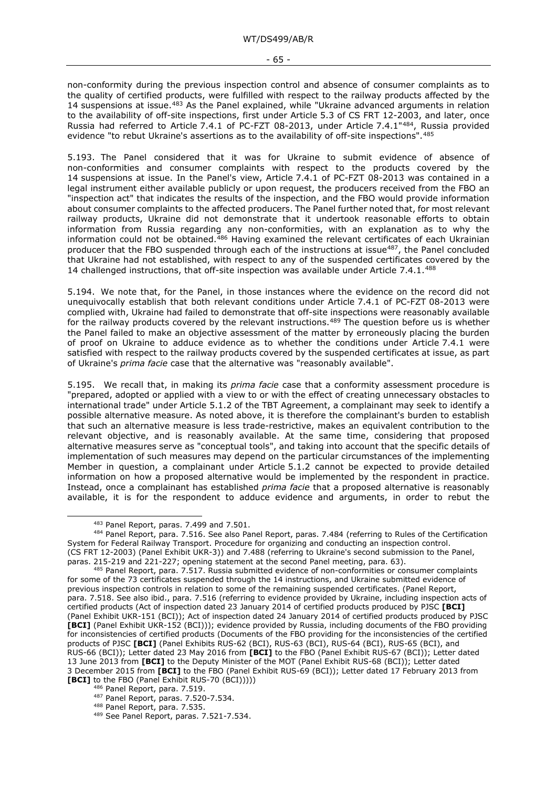- 65 -

non-conformity during the previous inspection control and absence of consumer complaints as to the quality of certified products, were fulfilled with respect to the railway products affected by the 14 suspensions at issue.<sup>[483](#page-64-0)</sup> As the Panel explained, while "Ukraine advanced arguments in relation to the availability of off-site inspections, first under Article 5.3 of CS FRT 12-2003, and later, once Russia had referred to Article 7.4.1 of PC-FZT 08-2013, under Article 7.4.1"[484](#page-64-1), Russia provided evidence "to rebut Ukraine's assertions as to the availability of off-site inspections". [485](#page-64-2)

5.193. The Panel considered that it was for Ukraine to submit evidence of absence of non-conformities and consumer complaints with respect to the products covered by the 14 suspensions at issue. In the Panel's view, Article 7.4.1 of PC-FZT 08-2013 was contained in a legal instrument either available publicly or upon request, the producers received from the FBO an "inspection act" that indicates the results of the inspection, and the FBO would provide information about consumer complaints to the affected producers. The Panel further noted that, for most relevant railway products, Ukraine did not demonstrate that it undertook reasonable efforts to obtain information from Russia regarding any non-conformities, with an explanation as to why the information could not be obtained.[486](#page-64-3) Having examined the relevant certificates of each Ukrainian producer that the FBO suspended through each of the instructions at issue<sup>487</sup>, the Panel concluded that Ukraine had not established, with respect to any of the suspended certificates covered by the 14 challenged instructions, that off-site inspection was available under Article 7.4.1.[488](#page-64-5)

5.194. We note that, for the Panel, in those instances where the evidence on the record did not unequivocally establish that both relevant conditions under Article 7.4.1 of PC-FZT 08-2013 were complied with, Ukraine had failed to demonstrate that off-site inspections were reasonably available for the railway products covered by the relevant instructions.<sup>[489](#page-64-6)</sup> The question before us is whether the Panel failed to make an objective assessment of the matter by erroneously placing the burden of proof on Ukraine to adduce evidence as to whether the conditions under Article 7.4.1 were satisfied with respect to the railway products covered by the suspended certificates at issue, as part of Ukraine's *prima facie* case that the alternative was "reasonably available".

5.195. We recall that, in making its *prima facie* case that a conformity assessment procedure is "prepared, adopted or applied with a view to or with the effect of creating unnecessary obstacles to international trade" under Article 5.1.2 of the TBT Agreement, a complainant may seek to identify a possible alternative measure. As noted above, it is therefore the complainant's burden to establish that such an alternative measure is less trade-restrictive, makes an equivalent contribution to the relevant objective, and is reasonably available. At the same time, considering that proposed alternative measures serve as "conceptual tools", and taking into account that the specific details of implementation of such measures may depend on the particular circumstances of the implementing Member in question, a complainant under Article 5.1.2 cannot be expected to provide detailed information on how a proposed alternative would be implemented by the respondent in practice. Instead, once a complainant has established *prima facie* that a proposed alternative is reasonably available, it is for the respondent to adduce evidence and arguments, in order to rebut the

<sup>483</sup> Panel Report, paras. 7.499 and 7.501.

<span id="page-64-1"></span><span id="page-64-0"></span><sup>484</sup> Panel Report, para. 7.516. See also Panel Report, paras. 7.484 (referring to Rules of the Certification System for Federal Railway Transport. Procedure for organizing and conducting an inspection control. (CS FRT 12-2003) (Panel Exhibit UKR-3)) and 7.488 (referring to Ukraine's second submission to the Panel, paras. 215-219 and 221-227; opening statement at the second Panel meeting, para. 63).

<span id="page-64-2"></span><sup>485</sup> Panel Report, para. 7.517. Russia submitted evidence of non-conformities or consumer complaints for some of the 73 certificates suspended through the 14 instructions, and Ukraine submitted evidence of previous inspection controls in relation to some of the remaining suspended certificates. (Panel Report, para. 7.518. See also ibid., para. 7.516 (referring to evidence provided by Ukraine, including inspection acts of certified products (Act of inspection dated 23 January 2014 of certified products produced by PJSC **[BCI]** (Panel Exhibit UKR-151 (BCI)); Act of inspection dated 24 January 2014 of certified products produced by PJSC **[BCI]** (Panel Exhibit UKR-152 (BCI))); evidence provided by Russia, including documents of the FBO providing for inconsistencies of certified products (Documents of the FBO providing for the inconsistencies of the certified products of PJSC **[BCI]** (Panel Exhibits RUS-62 (BCI), RUS-63 (BCI), RUS-64 (BCI), RUS-65 (BCI), and RUS-66 (BCI)); Letter dated 23 May 2016 from **[BCI]** to the FBO (Panel Exhibit RUS-67 (BCI)); Letter dated 13 June 2013 from **[BCI]** to the Deputy Minister of the MOT (Panel Exhibit RUS-68 (BCI)); Letter dated 3 December 2015 from **[BCI]** to the FBO (Panel Exhibit RUS-69 (BCI)); Letter dated 17 February 2013 from **[BCI]** to the FBO (Panel Exhibit RUS-70 (BCI)))))

<sup>486</sup> Panel Report, para. 7.519.

<span id="page-64-4"></span><span id="page-64-3"></span><sup>487</sup> Panel Report, paras. 7.520-7.534.

<span id="page-64-5"></span><sup>488</sup> Panel Report, para. 7.535.

<span id="page-64-6"></span><sup>489</sup> See Panel Report, paras. 7.521-7.534.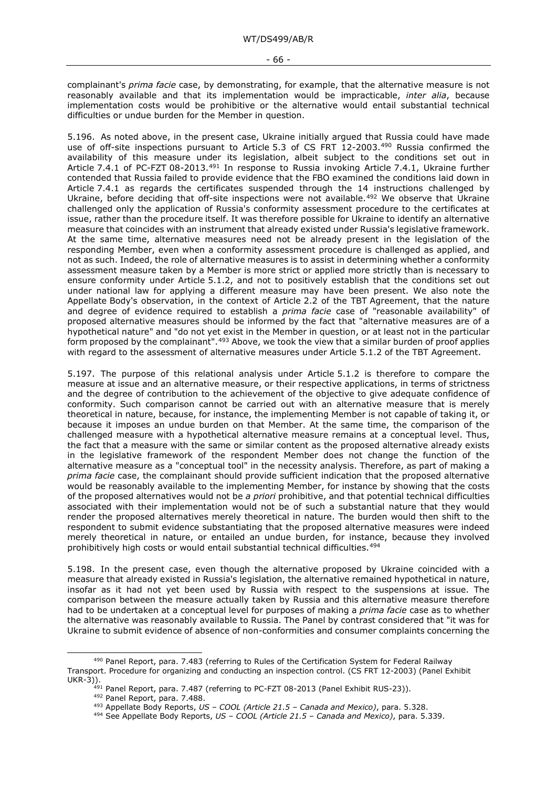complainant's *prima facie* case, by demonstrating, for example, that the alternative measure is not reasonably available and that its implementation would be impracticable, *inter alia*, because implementation costs would be prohibitive or the alternative would entail substantial technical difficulties or undue burden for the Member in question.

5.196. As noted above, in the present case, Ukraine initially argued that Russia could have made use of off-site inspections pursuant to Article 5.3 of CS FRT 12-2003.<sup>[490](#page-65-0)</sup> Russia confirmed the availability of this measure under its legislation, albeit subject to the conditions set out in Article 7.4.1 of PC-FZT 08-2013[.491](#page-65-1) In response to Russia invoking Article 7.4.1, Ukraine further contended that Russia failed to provide evidence that the FBO examined the conditions laid down in Article 7.4.1 as regards the certificates suspended through the 14 instructions challenged by Ukraine, before deciding that off-site inspections were not available.<sup>[492](#page-65-2)</sup> We observe that Ukraine challenged only the application of Russia's conformity assessment procedure to the certificates at issue, rather than the procedure itself. It was therefore possible for Ukraine to identify an alternative measure that coincides with an instrument that already existed under Russia's legislative framework. At the same time, alternative measures need not be already present in the legislation of the responding Member, even when a conformity assessment procedure is challenged as applied, and not as such. Indeed, the role of alternative measures is to assist in determining whether a conformity assessment measure taken by a Member is more strict or applied more strictly than is necessary to ensure conformity under Article 5.1.2, and not to positively establish that the conditions set out under national law for applying a different measure may have been present. We also note the Appellate Body's observation, in the context of Article 2.2 of the TBT Agreement, that the nature and degree of evidence required to establish a *prima facie* case of "reasonable availability" of proposed alternative measures should be informed by the fact that "alternative measures are of a hypothetical nature" and "do not yet exist in the Member in question, or at least not in the particular form proposed by the complainant".[493](#page-65-3) Above, we took the view that a similar burden of proof applies with regard to the assessment of alternative measures under Article 5.1.2 of the TBT Agreement.

5.197. The purpose of this relational analysis under Article 5.1.2 is therefore to compare the measure at issue and an alternative measure, or their respective applications, in terms of strictness and the degree of contribution to the achievement of the objective to give adequate confidence of conformity. Such comparison cannot be carried out with an alternative measure that is merely theoretical in nature, because, for instance, the implementing Member is not capable of taking it, or because it imposes an undue burden on that Member. At the same time, the comparison of the challenged measure with a hypothetical alternative measure remains at a conceptual level. Thus, the fact that a measure with the same or similar content as the proposed alternative already exists in the legislative framework of the respondent Member does not change the function of the alternative measure as a "conceptual tool" in the necessity analysis. Therefore, as part of making a *prima facie* case, the complainant should provide sufficient indication that the proposed alternative would be reasonably available to the implementing Member, for instance by showing that the costs of the proposed alternatives would not be *a priori* prohibitive, and that potential technical difficulties associated with their implementation would not be of such a substantial nature that they would render the proposed alternatives merely theoretical in nature. The burden would then shift to the respondent to submit evidence substantiating that the proposed alternative measures were indeed merely theoretical in nature, or entailed an undue burden, for instance, because they involved prohibitively high costs or would entail substantial technical difficulties.[494](#page-65-4)

5.198. In the present case, even though the alternative proposed by Ukraine coincided with a measure that already existed in Russia's legislation, the alternative remained hypothetical in nature, insofar as it had not yet been used by Russia with respect to the suspensions at issue. The comparison between the measure actually taken by Russia and this alternative measure therefore had to be undertaken at a conceptual level for purposes of making a *prima facie* case as to whether the alternative was reasonably available to Russia. The Panel by contrast considered that "it was for Ukraine to submit evidence of absence of non-conformities and consumer complaints concerning the

<span id="page-65-4"></span><span id="page-65-3"></span><span id="page-65-2"></span><span id="page-65-1"></span><span id="page-65-0"></span><sup>490</sup> Panel Report, para. 7.483 (referring to Rules of the Certification System for Federal Railway Transport. Procedure for organizing and conducting an inspection control. (CS FRT 12-2003) (Panel Exhibit UKR-3)).

 $^{491}$  Panel Report, para. 7.487 (referring to PC-FZT 08-2013 (Panel Exhibit RUS-23)).

<sup>492</sup> Panel Report, para. 7.488.

<sup>493</sup> Appellate Body Reports, *US – COOL (Article 21.5 – Canada and Mexico)*, para. 5.328.

<sup>494</sup> See Appellate Body Reports, *US – COOL (Article 21.5 – Canada and Mexico)*, para. 5.339.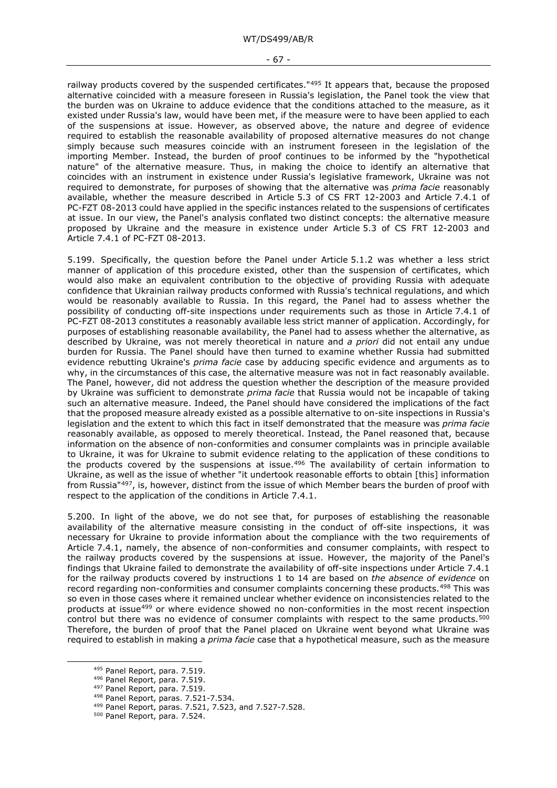#### - 67 -

railway products covered by the suspended certificates."[495](#page-66-0) It appears that, because the proposed alternative coincided with a measure foreseen in Russia's legislation, the Panel took the view that the burden was on Ukraine to adduce evidence that the conditions attached to the measure, as it existed under Russia's law, would have been met, if the measure were to have been applied to each of the suspensions at issue. However, as observed above, the nature and degree of evidence required to establish the reasonable availability of proposed alternative measures do not change simply because such measures coincide with an instrument foreseen in the legislation of the importing Member. Instead, the burden of proof continues to be informed by the "hypothetical nature" of the alternative measure. Thus, in making the choice to identify an alternative that coincides with an instrument in existence under Russia's legislative framework, Ukraine was not required to demonstrate, for purposes of showing that the alternative was *prima facie* reasonably available, whether the measure described in Article 5.3 of CS FRT 12-2003 and Article 7.4.1 of PC-FZT 08-2013 could have applied in the specific instances related to the suspensions of certificates at issue. In our view, the Panel's analysis conflated two distinct concepts: the alternative measure proposed by Ukraine and the measure in existence under Article 5.3 of CS FRT 12-2003 and Article 7.4.1 of PC-FZT 08-2013.

5.199. Specifically, the question before the Panel under Article 5.1.2 was whether a less strict manner of application of this procedure existed, other than the suspension of certificates, which would also make an equivalent contribution to the objective of providing Russia with adequate confidence that Ukrainian railway products conformed with Russia's technical regulations, and which would be reasonably available to Russia. In this regard, the Panel had to assess whether the possibility of conducting off-site inspections under requirements such as those in Article 7.4.1 of PC-FZT 08-2013 constitutes a reasonably available less strict manner of application. Accordingly, for purposes of establishing reasonable availability, the Panel had to assess whether the alternative, as described by Ukraine, was not merely theoretical in nature and *a priori* did not entail any undue burden for Russia. The Panel should have then turned to examine whether Russia had submitted evidence rebutting Ukraine's *prima facie* case by adducing specific evidence and arguments as to why, in the circumstances of this case, the alternative measure was not in fact reasonably available. The Panel, however, did not address the question whether the description of the measure provided by Ukraine was sufficient to demonstrate *prima facie* that Russia would not be incapable of taking such an alternative measure. Indeed, the Panel should have considered the implications of the fact that the proposed measure already existed as a possible alternative to on-site inspections in Russia's legislation and the extent to which this fact in itself demonstrated that the measure was *prima facie* reasonably available, as opposed to merely theoretical. Instead, the Panel reasoned that, because information on the absence of non-conformities and consumer complaints was in principle available to Ukraine, it was for Ukraine to submit evidence relating to the application of these conditions to the products covered by the suspensions at issue.<sup>[496](#page-66-1)</sup> The availability of certain information to Ukraine, as well as the issue of whether "it undertook reasonable efforts to obtain [this] information from Russia"[497](#page-66-2), is, however, distinct from the issue of which Member bears the burden of proof with respect to the application of the conditions in Article 7.4.1.

5.200. In light of the above, we do not see that, for purposes of establishing the reasonable availability of the alternative measure consisting in the conduct of off-site inspections, it was necessary for Ukraine to provide information about the compliance with the two requirements of Article 7.4.1, namely, the absence of non-conformities and consumer complaints, with respect to the railway products covered by the suspensions at issue. However, the majority of the Panel's findings that Ukraine failed to demonstrate the availability of off-site inspections under Article 7.4.1 for the railway products covered by instructions 1 to 14 are based on *the absence of evidence* on record regarding non-conformities and consumer complaints concerning these products.[498](#page-66-3) This was so even in those cases where it remained unclear whether evidence on inconsistencies related to the products at issue<sup>[499](#page-66-4)</sup> or where evidence showed no non-conformities in the most recent inspection control but there was no evidence of consumer complaints with respect to the same products.<sup>[500](#page-66-5)</sup> Therefore, the burden of proof that the Panel placed on Ukraine went beyond what Ukraine was required to establish in making a *prima facie* case that a hypothetical measure, such as the measure

<span id="page-66-0"></span><sup>495</sup> Panel Report, para. 7.519.

<span id="page-66-1"></span><sup>496</sup> Panel Report, para. 7.519.

<span id="page-66-2"></span><sup>497</sup> Panel Report, para. 7.519.

<span id="page-66-3"></span><sup>498</sup> Panel Report, paras. 7.521-7.534.

<span id="page-66-4"></span><sup>499</sup> Panel Report, paras. 7.521, 7.523, and 7.527-7.528.

<span id="page-66-5"></span><sup>500</sup> Panel Report, para. 7.524.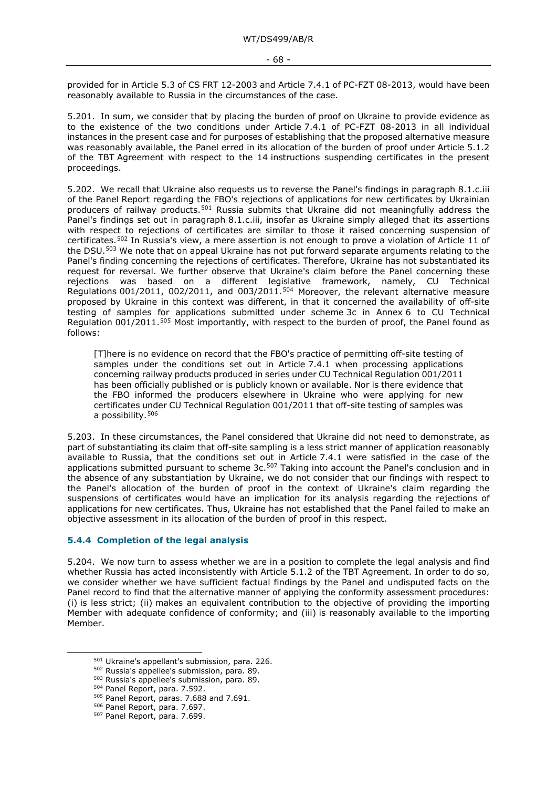provided for in Article 5.3 of CS FRT 12-2003 and Article 7.4.1 of PC-FZT 08-2013, would have been reasonably available to Russia in the circumstances of the case.

5.201. In sum, we consider that by placing the burden of proof on Ukraine to provide evidence as to the existence of the two conditions under Article 7.4.1 of PC-FZT 08-2013 in all individual instances in the present case and for purposes of establishing that the proposed alternative measure was reasonably available, the Panel erred in its allocation of the burden of proof under Article 5.1.2 of the TBT Agreement with respect to the 14 instructions suspending certificates in the present proceedings.

5.202. We recall that Ukraine also requests us to reverse the Panel's findings in paragraph 8.1.c.iii of the Panel Report regarding the FBO's rejections of applications for new certificates by Ukrainian producers of railway products.[501](#page-67-0) Russia submits that Ukraine did not meaningfully address the Panel's findings set out in paragraph 8.1.c.iii, insofar as Ukraine simply alleged that its assertions with respect to rejections of certificates are similar to those it raised concerning suspension of certificates.[502](#page-67-1) In Russia's view, a mere assertion is not enough to prove a violation of Article 11 of the DSU.[503](#page-67-2) We note that on appeal Ukraine has not put forward separate arguments relating to the Panel's finding concerning the rejections of certificates. Therefore, Ukraine has not substantiated its request for reversal. We further observe that Ukraine's claim before the Panel concerning these rejections was based on a different legislative framework, namely, CU Technical Regulations 001/2011, 002/2011, and 003/2011.<sup>[504](#page-67-3)</sup> Moreover, the relevant alternative measure proposed by Ukraine in this context was different, in that it concerned the availability of off-site testing of samples for applications submitted under scheme 3c in Annex 6 to CU Technical Regulation 001/2011.<sup>[505](#page-67-4)</sup> Most importantly, with respect to the burden of proof, the Panel found as follows:

[T]here is no evidence on record that the FBO's practice of permitting off-site testing of samples under the conditions set out in Article 7.4.1 when processing applications concerning railway products produced in series under CU Technical Regulation 001/2011 has been officially published or is publicly known or available. Nor is there evidence that the FBO informed the producers elsewhere in Ukraine who were applying for new certificates under CU Technical Regulation 001/2011 that off-site testing of samples was a possibility[.506](#page-67-5)

5.203. In these circumstances, the Panel considered that Ukraine did not need to demonstrate, as part of substantiating its claim that off-site sampling is a less strict manner of application reasonably available to Russia, that the conditions set out in Article 7.4.1 were satisfied in the case of the applications submitted pursuant to scheme 3c.<sup>[507](#page-67-6)</sup> Taking into account the Panel's conclusion and in the absence of any substantiation by Ukraine, we do not consider that our findings with respect to the Panel's allocation of the burden of proof in the context of Ukraine's claim regarding the suspensions of certificates would have an implication for its analysis regarding the rejections of applications for new certificates. Thus, Ukraine has not established that the Panel failed to make an objective assessment in its allocation of the burden of proof in this respect.

#### **5.4.4 Completion of the legal analysis**

5.204. We now turn to assess whether we are in a position to complete the legal analysis and find whether Russia has acted inconsistently with Article 5.1.2 of the TBT Agreement. In order to do so, we consider whether we have sufficient factual findings by the Panel and undisputed facts on the Panel record to find that the alternative manner of applying the conformity assessment procedures: (i) is less strict; (ii) makes an equivalent contribution to the objective of providing the importing Member with adequate confidence of conformity; and (iii) is reasonably available to the importing Member.

<span id="page-67-0"></span><sup>501</sup> Ukraine's appellant's submission, para. 226.

<sup>502</sup> Russia's appellee's submission, para. 89.

<span id="page-67-3"></span><span id="page-67-2"></span><span id="page-67-1"></span><sup>503</sup> Russia's appellee's submission, para. 89.

<sup>504</sup> Panel Report, para. 7.592.

<span id="page-67-4"></span><sup>505</sup> Panel Report, paras. 7.688 and 7.691.

<span id="page-67-5"></span><sup>506</sup> Panel Report, para. 7.697.

<span id="page-67-6"></span><sup>507</sup> Panel Report, para. 7.699.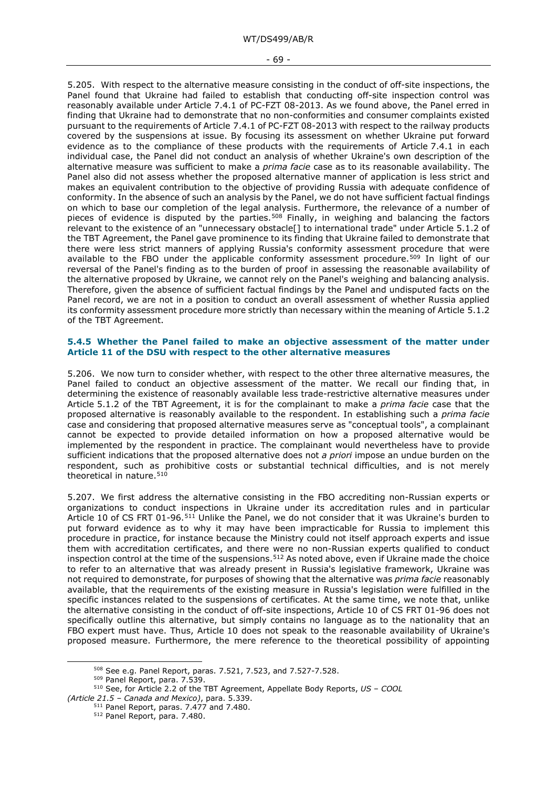#### - 69 -

5.205. With respect to the alternative measure consisting in the conduct of off-site inspections, the Panel found that Ukraine had failed to establish that conducting off-site inspection control was reasonably available under Article 7.4.1 of PC-FZT 08-2013. As we found above, the Panel erred in finding that Ukraine had to demonstrate that no non-conformities and consumer complaints existed pursuant to the requirements of Article 7.4.1 of PC-FZT 08-2013 with respect to the railway products covered by the suspensions at issue. By focusing its assessment on whether Ukraine put forward evidence as to the compliance of these products with the requirements of Article 7.4.1 in each individual case, the Panel did not conduct an analysis of whether Ukraine's own description of the alternative measure was sufficient to make a *prima facie* case as to its reasonable availability. The Panel also did not assess whether the proposed alternative manner of application is less strict and makes an equivalent contribution to the objective of providing Russia with adequate confidence of conformity. In the absence of such an analysis by the Panel, we do not have sufficient factual findings on which to base our completion of the legal analysis. Furthermore, the relevance of a number of pieces of evidence is disputed by the parties.<sup>[508](#page-68-0)</sup> Finally, in weighing and balancing the factors relevant to the existence of an "unnecessary obstacle[] to international trade" under Article 5.1.2 of the TBT Agreement, the Panel gave prominence to its finding that Ukraine failed to demonstrate that there were less strict manners of applying Russia's conformity assessment procedure that were available to the FBO under the applicable conformity assessment procedure.<sup>[509](#page-68-1)</sup> In light of our reversal of the Panel's finding as to the burden of proof in assessing the reasonable availability of the alternative proposed by Ukraine, we cannot rely on the Panel's weighing and balancing analysis. Therefore, given the absence of sufficient factual findings by the Panel and undisputed facts on the Panel record, we are not in a position to conduct an overall assessment of whether Russia applied its conformity assessment procedure more strictly than necessary within the meaning of Article 5.1.2 of the TBT Agreement.

#### **5.4.5 Whether the Panel failed to make an objective assessment of the matter under Article 11 of the DSU with respect to the other alternative measures**

5.206. We now turn to consider whether, with respect to the other three alternative measures, the Panel failed to conduct an objective assessment of the matter. We recall our finding that, in determining the existence of reasonably available less trade-restrictive alternative measures under Article 5.1.2 of the TBT Agreement, it is for the complainant to make a *prima facie* case that the proposed alternative is reasonably available to the respondent. In establishing such a *prima facie*  case and considering that proposed alternative measures serve as "conceptual tools", a complainant cannot be expected to provide detailed information on how a proposed alternative would be implemented by the respondent in practice. The complainant would nevertheless have to provide sufficient indications that the proposed alternative does not *a priori* impose an undue burden on the respondent, such as prohibitive costs or substantial technical difficulties, and is not merely theoretical in nature.<sup>[510](#page-68-2)</sup>

5.207. We first address the alternative consisting in the FBO accrediting non-Russian experts or organizations to conduct inspections in Ukraine under its accreditation rules and in particular Article 10 of CS FRT 01-96.[511](#page-68-3) Unlike the Panel, we do not consider that it was Ukraine's burden to put forward evidence as to why it may have been impracticable for Russia to implement this procedure in practice, for instance because the Ministry could not itself approach experts and issue them with accreditation certificates, and there were no non-Russian experts qualified to conduct inspection control at the time of the suspensions.<sup>[512](#page-68-4)</sup> As noted above, even if Ukraine made the choice to refer to an alternative that was already present in Russia's legislative framework, Ukraine was not required to demonstrate, for purposes of showing that the alternative was *prima facie* reasonably available, that the requirements of the existing measure in Russia's legislation were fulfilled in the specific instances related to the suspensions of certificates. At the same time, we note that, unlike the alternative consisting in the conduct of off-site inspections, Article 10 of CS FRT 01-96 does not specifically outline this alternative, but simply contains no language as to the nationality that an FBO expert must have. Thus, Article 10 does not speak to the reasonable availability of Ukraine's proposed measure. Furthermore, the mere reference to the theoretical possibility of appointing

<sup>508</sup> See e.g. Panel Report, paras. 7.521, 7.523, and 7.527-7.528.

<sup>509</sup> Panel Report, para. 7.539.

<span id="page-68-4"></span><span id="page-68-3"></span><span id="page-68-2"></span><span id="page-68-1"></span><span id="page-68-0"></span><sup>510</sup> See, for Article 2.2 of the TBT Agreement, Appellate Body Reports, *US – COOL (Article 21.5 – Canada and Mexico)*, para. 5.339.

<sup>&</sup>lt;sup>511</sup> Panel Report, paras. 7.477 and 7.480.

<sup>512</sup> Panel Report, para. 7.480.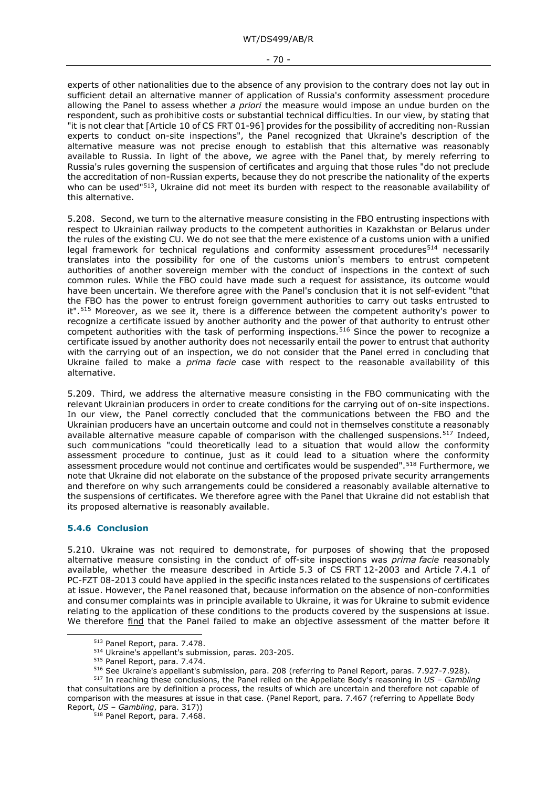- 70 -

experts of other nationalities due to the absence of any provision to the contrary does not lay out in sufficient detail an alternative manner of application of Russia's conformity assessment procedure allowing the Panel to assess whether *a priori* the measure would impose an undue burden on the respondent, such as prohibitive costs or substantial technical difficulties. In our view, by stating that "it is not clear that [Article 10 of CS FRT 01-96] provides for the possibility of accrediting non-Russian experts to conduct on-site inspections", the Panel recognized that Ukraine's description of the alternative measure was not precise enough to establish that this alternative was reasonably available to Russia. In light of the above, we agree with the Panel that, by merely referring to Russia's rules governing the suspension of certificates and arguing that those rules "do not preclude the accreditation of non-Russian experts, because they do not prescribe the nationality of the experts who can be used"<sup>513</sup>, Ukraine did not meet its burden with respect to the reasonable availability of this alternative.

5.208. Second, we turn to the alternative measure consisting in the FBO entrusting inspections with respect to Ukrainian railway products to the competent authorities in Kazakhstan or Belarus under the rules of the existing CU. We do not see that the mere existence of a customs union with a unified legal framework for technical regulations and conformity assessment procedures<sup>514</sup> necessarily translates into the possibility for one of the customs union's members to entrust competent authorities of another sovereign member with the conduct of inspections in the context of such common rules. While the FBO could have made such a request for assistance, its outcome would have been uncertain. We therefore agree with the Panel's conclusion that it is not self-evident "that the FBO has the power to entrust foreign government authorities to carry out tasks entrusted to it".<sup>[515](#page-69-2)</sup> Moreover, as we see it, there is a difference between the competent authority's power to recognize a certificate issued by another authority and the power of that authority to entrust other competent authorities with the task of performing inspections.<sup>[516](#page-69-3)</sup> Since the power to recognize a certificate issued by another authority does not necessarily entail the power to entrust that authority with the carrying out of an inspection, we do not consider that the Panel erred in concluding that Ukraine failed to make a *prima facie* case with respect to the reasonable availability of this alternative.

5.209. Third, we address the alternative measure consisting in the FBO communicating with the relevant Ukrainian producers in order to create conditions for the carrying out of on-site inspections. In our view, the Panel correctly concluded that the communications between the FBO and the Ukrainian producers have an uncertain outcome and could not in themselves constitute a reasonably available alternative measure capable of comparison with the challenged suspensions.<sup>[517](#page-69-4)</sup> Indeed, such communications "could theoretically lead to a situation that would allow the conformity assessment procedure to continue, just as it could lead to a situation where the conformity assessment procedure would not continue and certificates would be suspended".<sup>[518](#page-69-5)</sup> Furthermore, we note that Ukraine did not elaborate on the substance of the proposed private security arrangements and therefore on why such arrangements could be considered a reasonably available alternative to the suspensions of certificates. We therefore agree with the Panel that Ukraine did not establish that its proposed alternative is reasonably available.

# **5.4.6 Conclusion**

5.210. Ukraine was not required to demonstrate, for purposes of showing that the proposed alternative measure consisting in the conduct of off-site inspections was *prima facie* reasonably available, whether the measure described in Article 5.3 of CS FRT 12-2003 and Article 7.4.1 of PC-FZT 08-2013 could have applied in the specific instances related to the suspensions of certificates at issue. However, the Panel reasoned that, because information on the absence of non-conformities and consumer complaints was in principle available to Ukraine, it was for Ukraine to submit evidence relating to the application of these conditions to the products covered by the suspensions at issue. We therefore find that the Panel failed to make an objective assessment of the matter before it

<sup>513</sup> Panel Report, para. 7.478.

<sup>514</sup> Ukraine's appellant's submission, paras. 203-205.

<sup>515</sup> Panel Report, para. 7.474.

<sup>516</sup> See Ukraine's appellant's submission, para. 208 (referring to Panel Report, paras. 7.927-7.928).

<span id="page-69-5"></span><span id="page-69-4"></span><span id="page-69-3"></span><span id="page-69-2"></span><span id="page-69-1"></span><span id="page-69-0"></span><sup>517</sup> In reaching these conclusions, the Panel relied on the Appellate Body's reasoning in *US – Gambling*  that consultations are by definition a process, the results of which are uncertain and therefore not capable of comparison with the measures at issue in that case. (Panel Report, para. 7.467 (referring to Appellate Body Report, *US – Gambling*, para. 317))

<sup>518</sup> Panel Report, para. 7.468.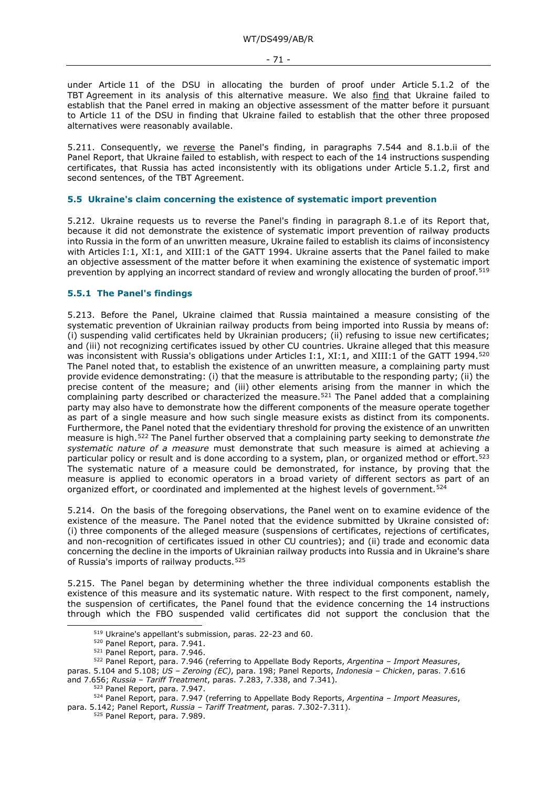under Article 11 of the DSU in allocating the burden of proof under Article 5.1.2 of the TBT Agreement in its analysis of this alternative measure. We also find that Ukraine failed to establish that the Panel erred in making an objective assessment of the matter before it pursuant to Article 11 of the DSU in finding that Ukraine failed to establish that the other three proposed alternatives were reasonably available.

5.211. Consequently, we reverse the Panel's finding, in paragraphs 7.544 and 8.1.b.ii of the Panel Report, that Ukraine failed to establish, with respect to each of the 14 instructions suspending certificates, that Russia has acted inconsistently with its obligations under Article 5.1.2, first and second sentences, of the TBT Agreement.

## **5.5 Ukraine's claim concerning the existence of systematic import prevention**

5.212. Ukraine requests us to reverse the Panel's finding in paragraph 8.1.e of its Report that, because it did not demonstrate the existence of systematic import prevention of railway products into Russia in the form of an unwritten measure, Ukraine failed to establish its claims of inconsistency with Articles I:1, XI:1, and XIII:1 of the GATT 1994. Ukraine asserts that the Panel failed to make an objective assessment of the matter before it when examining the existence of systematic import prevention by applying an incorrect standard of review and wrongly allocating the burden of proof.<sup>[519](#page-70-0)</sup>

### **5.5.1 The Panel's findings**

5.213. Before the Panel, Ukraine claimed that Russia maintained a measure consisting of the systematic prevention of Ukrainian railway products from being imported into Russia by means of: (i) suspending valid certificates held by Ukrainian producers; (ii) refusing to issue new certificates; and (iii) not recognizing certificates issued by other CU countries. Ukraine alleged that this measure was inconsistent with Russia's obligations under Articles I:1, XI:1, and XIII:1 of the GATT 1994.<sup>[520](#page-70-1)</sup> The Panel noted that, to establish the existence of an unwritten measure, a complaining party must provide evidence demonstrating: (i) that the measure is attributable to the responding party; (ii) the precise content of the measure; and (iii) other elements arising from the manner in which the complaining party described or characterized the measure.[521](#page-70-2) The Panel added that a complaining party may also have to demonstrate how the different components of the measure operate together as part of a single measure and how such single measure exists as distinct from its components. Furthermore, the Panel noted that the evidentiary threshold for proving the existence of an unwritten measure is high.[522](#page-70-3) The Panel further observed that a complaining party seeking to demonstrate *the systematic nature of a measure* must demonstrate that such measure is aimed at achieving a particular policy or result and is done according to a system, plan, or organized method or effort.<sup>[523](#page-70-4)</sup> The systematic nature of a measure could be demonstrated, for instance, by proving that the measure is applied to economic operators in a broad variety of different sectors as part of an organized effort, or coordinated and implemented at the highest levels of government.<sup>[524](#page-70-5)</sup>

5.214. On the basis of the foregoing observations, the Panel went on to examine evidence of the existence of the measure. The Panel noted that the evidence submitted by Ukraine consisted of: (i) three components of the alleged measure (suspensions of certificates, rejections of certificates, and non-recognition of certificates issued in other CU countries); and (ii) trade and economic data concerning the decline in the imports of Ukrainian railway products into Russia and in Ukraine's share of Russia's imports of railway products.<sup>[525](#page-70-6)</sup>

5.215. The Panel began by determining whether the three individual components establish the existence of this measure and its systematic nature. With respect to the first component, namely, the suspension of certificates, the Panel found that the evidence concerning the 14 instructions through which the FBO suspended valid certificates did not support the conclusion that the

<sup>519</sup> Ukraine's appellant's submission, paras. 22-23 and 60.

<sup>520</sup> Panel Report, para. 7.941.

<sup>521</sup> Panel Report, para. 7.946.

<span id="page-70-3"></span><span id="page-70-2"></span><span id="page-70-1"></span><span id="page-70-0"></span><sup>522</sup> Panel Report, para. 7.946 (referring to Appellate Body Reports, *Argentina – Import Measures*, paras. 5.104 and 5.108; *US – Zeroing (EC)*, para. 198; Panel Reports, *Indonesia – Chicken*, paras. 7.616 and 7.656; *Russia – Tariff Treatment*, paras. 7.283, 7.338, and 7.341).

<sup>523</sup> Panel Report, para. 7.947.

<span id="page-70-6"></span><span id="page-70-5"></span><span id="page-70-4"></span><sup>524</sup> Panel Report, para. 7.947 (referring to Appellate Body Reports, *Argentina – Import Measures*, para. 5.142; Panel Report, *Russia – Tariff Treatment*, paras. 7.302-7.311).

<sup>525</sup> Panel Report, para. 7.989.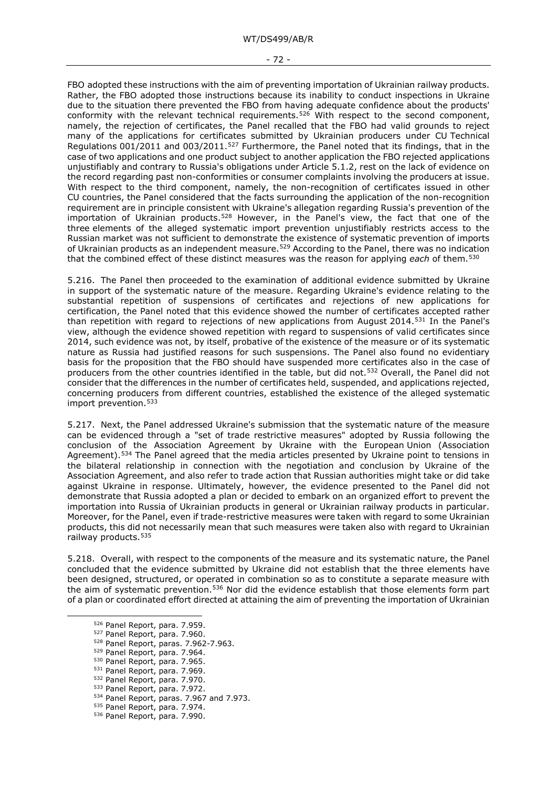#### - 72 -

FBO adopted these instructions with the aim of preventing importation of Ukrainian railway products. Rather, the FBO adopted those instructions because its inability to conduct inspections in Ukraine due to the situation there prevented the FBO from having adequate confidence about the products' conformity with the relevant technical requirements.<sup>[526](#page-71-0)</sup> With respect to the second component, namely, the rejection of certificates, the Panel recalled that the FBO had valid grounds to reject many of the applications for certificates submitted by Ukrainian producers under CU Technical Regulations 001/2011 and 003/2011.[527](#page-71-1) Furthermore, the Panel noted that its findings, that in the case of two applications and one product subject to another application the FBO rejected applications unjustifiably and contrary to Russia's obligations under Article 5.1.2, rest on the lack of evidence on the record regarding past non-conformities or consumer complaints involving the producers at issue. With respect to the third component, namely, the non-recognition of certificates issued in other CU countries, the Panel considered that the facts surrounding the application of the non-recognition requirement are in principle consistent with Ukraine's allegation regarding Russia's prevention of the importation of Ukrainian products.<sup>[528](#page-71-2)</sup> However, in the Panel's view, the fact that one of the three elements of the alleged systematic import prevention unjustifiably restricts access to the Russian market was not sufficient to demonstrate the existence of systematic prevention of imports of Ukrainian products as an independent measure.<sup>[529](#page-71-3)</sup> According to the Panel, there was no indication that the combined effect of these distinct measures was the reason for applying *each* of them.[530](#page-71-4)

5.216. The Panel then proceeded to the examination of additional evidence submitted by Ukraine in support of the systematic nature of the measure. Regarding Ukraine's evidence relating to the substantial repetition of suspensions of certificates and rejections of new applications for certification, the Panel noted that this evidence showed the number of certificates accepted rather than repetition with regard to rejections of new applications from August 2014.[531](#page-71-5) In the Panel's view, although the evidence showed repetition with regard to suspensions of valid certificates since 2014, such evidence was not, by itself, probative of the existence of the measure or of its systematic nature as Russia had justified reasons for such suspensions. The Panel also found no evidentiary basis for the proposition that the FBO should have suspended more certificates also in the case of producers from the other countries identified in the table, but did not.[532](#page-71-6) Overall, the Panel did not consider that the differences in the number of certificates held, suspended, and applications rejected, concerning producers from different countries, established the existence of the alleged systematic import prevention.<sup>[533](#page-71-7)</sup>

5.217. Next, the Panel addressed Ukraine's submission that the systematic nature of the measure can be evidenced through a "set of trade restrictive measures" adopted by Russia following the conclusion of the Association Agreement by Ukraine with the European Union (Association Agreement).<sup>[534](#page-71-8)</sup> The Panel agreed that the media articles presented by Ukraine point to tensions in the bilateral relationship in connection with the negotiation and conclusion by Ukraine of the Association Agreement, and also refer to trade action that Russian authorities might take or did take against Ukraine in response. Ultimately, however, the evidence presented to the Panel did not demonstrate that Russia adopted a plan or decided to embark on an organized effort to prevent the importation into Russia of Ukrainian products in general or Ukrainian railway products in particular. Moreover, for the Panel, even if trade-restrictive measures were taken with regard to some Ukrainian products, this did not necessarily mean that such measures were taken also with regard to Ukrainian railway products.<sup>535</sup>

5.218. Overall, with respect to the components of the measure and its systematic nature, the Panel concluded that the evidence submitted by Ukraine did not establish that the three elements have been designed, structured, or operated in combination so as to constitute a separate measure with the aim of systematic prevention.<sup>[536](#page-71-10)</sup> Nor did the evidence establish that those elements form part of a plan or coordinated effort directed at attaining the aim of preventing the importation of Ukrainian

<span id="page-71-9"></span><span id="page-71-8"></span>534 Panel Report, paras. 7.967 and 7.973.

<span id="page-71-0"></span><sup>526</sup> Panel Report, para. 7.959.

<span id="page-71-1"></span><sup>527</sup> Panel Report, para. 7.960.

<span id="page-71-2"></span><sup>528</sup> Panel Report, paras. 7.962-7.963.

<span id="page-71-3"></span><sup>&</sup>lt;sup>529</sup> Panel Report, para. 7.964.<br><sup>530</sup> Panel Report, para. 7.965.

<span id="page-71-4"></span><sup>531</sup> Panel Report, para. 7.969.

<span id="page-71-6"></span><span id="page-71-5"></span><sup>532</sup> Panel Report, para. 7.970.

<span id="page-71-7"></span><sup>533</sup> Panel Report, para. 7.972.

<sup>535</sup> Panel Report, para. 7.974.

<span id="page-71-10"></span><sup>536</sup> Panel Report, para. 7.990.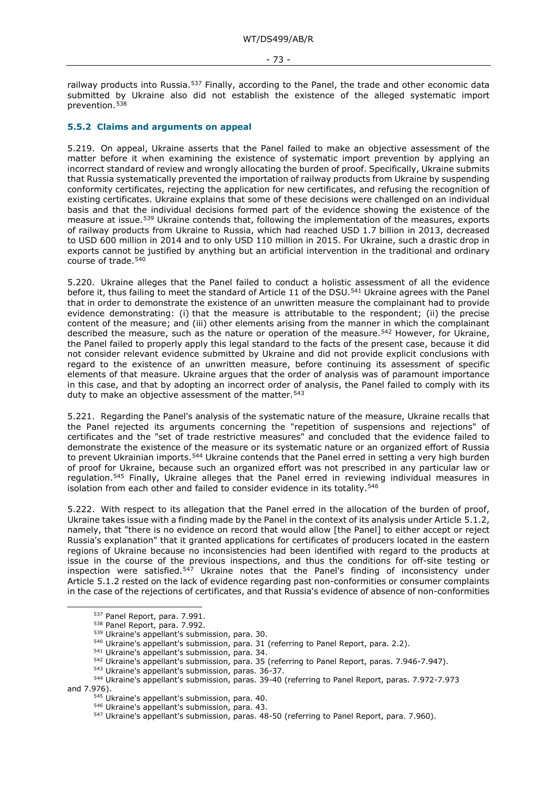railway products into Russia.<sup>[537](#page-72-0)</sup> Finally, according to the Panel, the trade and other economic data submitted by Ukraine also did not establish the existence of the alleged systematic import prevention.[538](#page-72-1)

### **5.5.2 Claims and arguments on appeal**

5.219. On appeal, Ukraine asserts that the Panel failed to make an objective assessment of the matter before it when examining the existence of systematic import prevention by applying an incorrect standard of review and wrongly allocating the burden of proof. Specifically, Ukraine submits that Russia systematically prevented the importation of railway products from Ukraine by suspending conformity certificates, rejecting the application for new certificates, and refusing the recognition of existing certificates. Ukraine explains that some of these decisions were challenged on an individual basis and that the individual decisions formed part of the evidence showing the existence of the measure at issue.[539](#page-72-2) Ukraine contends that, following the implementation of the measures, exports of railway products from Ukraine to Russia, which had reached USD 1.7 billion in 2013, decreased to USD 600 million in 2014 and to only USD 110 million in 2015. For Ukraine, such a drastic drop in exports cannot be justified by anything but an artificial intervention in the traditional and ordinary course of trade.<sup>[540](#page-72-3)</sup>

5.220. Ukraine alleges that the Panel failed to conduct a holistic assessment of all the evidence before it, thus failing to meet the standard of Article 11 of the DSU.<sup>[541](#page-72-4)</sup> Ukraine agrees with the Panel that in order to demonstrate the existence of an unwritten measure the complainant had to provide evidence demonstrating: (i) that the measure is attributable to the respondent; (ii) the precise content of the measure; and (iii) other elements arising from the manner in which the complainant described the measure, such as the nature or operation of the measure.<sup>[542](#page-72-5)</sup> However, for Ukraine, the Panel failed to properly apply this legal standard to the facts of the present case, because it did not consider relevant evidence submitted by Ukraine and did not provide explicit conclusions with regard to the existence of an unwritten measure, before continuing its assessment of specific elements of that measure. Ukraine argues that the order of analysis was of paramount importance in this case, and that by adopting an incorrect order of analysis, the Panel failed to comply with its duty to make an objective assessment of the matter.<sup>[543](#page-72-6)</sup>

5.221. Regarding the Panel's analysis of the systematic nature of the measure, Ukraine recalls that the Panel rejected its arguments concerning the "repetition of suspensions and rejections" of certificates and the "set of trade restrictive measures" and concluded that the evidence failed to demonstrate the existence of the measure or its systematic nature or an organized effort of Russia to prevent Ukrainian imports.<sup>[544](#page-72-7)</sup> Ukraine contends that the Panel erred in setting a very high burden of proof for Ukraine, because such an organized effort was not prescribed in any particular law or regulation.[545](#page-72-8) Finally, Ukraine alleges that the Panel erred in reviewing individual measures in isolation from each other and failed to consider evidence in its totality.<sup>[546](#page-72-9)</sup>

5.222. With respect to its allegation that the Panel erred in the allocation of the burden of proof, Ukraine takes issue with a finding made by the Panel in the context of its analysis under Article 5.1.2, namely, that "there is no evidence on record that would allow [the Panel] to either accept or reject Russia's explanation" that it granted applications for certificates of producers located in the eastern regions of Ukraine because no inconsistencies had been identified with regard to the products at issue in the course of the previous inspections, and thus the conditions for off-site testing or inspection were satisfied.<sup>[547](#page-72-10)</sup> Ukraine notes that the Panel's finding of inconsistency under Article 5.1.2 rested on the lack of evidence regarding past non-conformities or consumer complaints in the case of the rejections of certificates, and that Russia's evidence of absence of non-conformities

- <sup>541</sup> Ukraine's appellant's submission, para. 34.
- <sup>542</sup> Ukraine's appellant's submission, para. 35 (referring to Panel Report, paras. 7.946-7.947).
- <sup>543</sup> Ukraine's appellant's submission, paras. 36-37.

<sup>537</sup> Panel Report, para. 7.991.

<sup>538</sup> Panel Report, para. 7.992.

<sup>539</sup> Ukraine's appellant's submission, para. 30.

<sup>540</sup> Ukraine's appellant's submission, para. 31 (referring to Panel Report, para. 2.2).

<span id="page-72-10"></span><span id="page-72-9"></span><span id="page-72-8"></span><span id="page-72-7"></span><span id="page-72-6"></span><span id="page-72-5"></span><span id="page-72-4"></span><span id="page-72-3"></span><span id="page-72-2"></span><span id="page-72-1"></span><span id="page-72-0"></span><sup>544</sup> Ukraine's appellant's submission, paras. 39-40 (referring to Panel Report, paras. 7.972-7.973 and 7.976).

<sup>545</sup> Ukraine's appellant's submission, para. 40.

<sup>546</sup> Ukraine's appellant's submission, para. 43.

<sup>547</sup> Ukraine's appellant's submission, paras. 48-50 (referring to Panel Report, para. 7.960).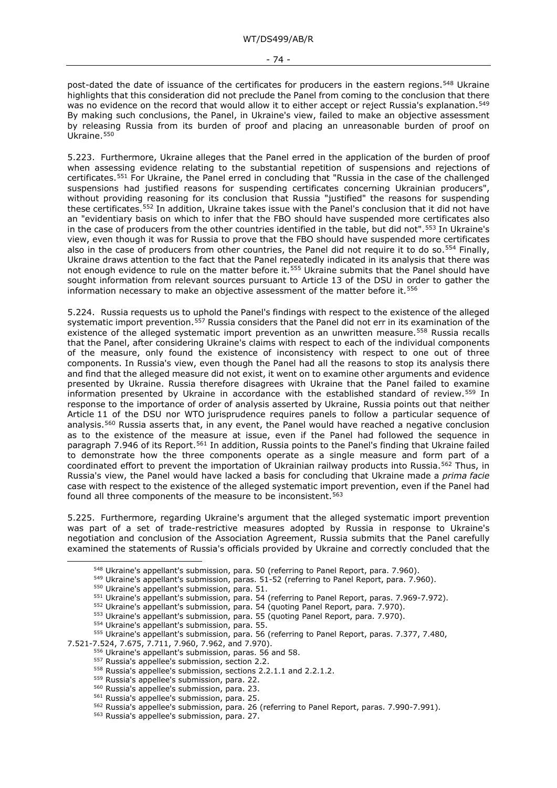- 74 -

post-dated the date of issuance of the certificates for producers in the eastern regions.<sup>[548](#page-73-0)</sup> Ukraine highlights that this consideration did not preclude the Panel from coming to the conclusion that there was no evidence on the record that would allow it to either accept or reject Russia's explanation.<sup>[549](#page-73-1)</sup> By making such conclusions, the Panel, in Ukraine's view, failed to make an objective assessment by releasing Russia from its burden of proof and placing an unreasonable burden of proof on Ukraine.<sup>[550](#page-73-2)</sup>

5.223. Furthermore, Ukraine alleges that the Panel erred in the application of the burden of proof when assessing evidence relating to the substantial repetition of suspensions and rejections of certificates.[551](#page-73-3) For Ukraine, the Panel erred in concluding that "Russia in the case of the challenged suspensions had justified reasons for suspending certificates concerning Ukrainian producers", without providing reasoning for its conclusion that Russia "justified" the reasons for suspending these certificates.[552](#page-73-4) In addition, Ukraine takes issue with the Panel's conclusion that it did not have an "evidentiary basis on which to infer that the FBO should have suspended more certificates also in the case of producers from the other countries identified in the table, but did not".[553](#page-73-5) In Ukraine's view, even though it was for Russia to prove that the FBO should have suspended more certificates also in the case of producers from other countries, the Panel did not require it to do so.<sup>[554](#page-73-6)</sup> Finally, Ukraine draws attention to the fact that the Panel repeatedly indicated in its analysis that there was not enough evidence to rule on the matter before it.<sup>555</sup> Ukraine submits that the Panel should have sought information from relevant sources pursuant to Article 13 of the DSU in order to gather the information necessary to make an objective assessment of the matter before it.<sup>[556](#page-73-8)</sup>

5.224. Russia requests us to uphold the Panel's findings with respect to the existence of the alleged systematic import prevention.<sup>[557](#page-73-9)</sup> Russia considers that the Panel did not err in its examination of the existence of the alleged systematic import prevention as an unwritten measure.<sup>[558](#page-73-10)</sup> Russia recalls that the Panel, after considering Ukraine's claims with respect to each of the individual components of the measure, only found the existence of inconsistency with respect to one out of three components. In Russia's view, even though the Panel had all the reasons to stop its analysis there and find that the alleged measure did not exist, it went on to examine other arguments and evidence presented by Ukraine. Russia therefore disagrees with Ukraine that the Panel failed to examine information presented by Ukraine in accordance with the established standard of review.[559](#page-73-11) In response to the importance of order of analysis asserted by Ukraine, Russia points out that neither Article 11 of the DSU nor WTO jurisprudence requires panels to follow a particular sequence of analysis.<sup>[560](#page-73-12)</sup> Russia asserts that, in any event, the Panel would have reached a negative conclusion as to the existence of the measure at issue, even if the Panel had followed the sequence in paragraph 7.946 of its Report.<sup>[561](#page-73-13)</sup> In addition, Russia points to the Panel's finding that Ukraine failed to demonstrate how the three components operate as a single measure and form part of a coordinated effort to prevent the importation of Ukrainian railway products into Russia.<sup>[562](#page-73-14)</sup> Thus, in Russia's view, the Panel would have lacked a basis for concluding that Ukraine made a *prima facie*  case with respect to the existence of the alleged systematic import prevention, even if the Panel had found all three components of the measure to be inconsistent.<sup>[563](#page-73-15)</sup>

<span id="page-73-1"></span><span id="page-73-0"></span>5.225. Furthermore, regarding Ukraine's argument that the alleged systematic import prevention was part of a set of trade-restrictive measures adopted by Russia in response to Ukraine's negotiation and conclusion of the Association Agreement, Russia submits that the Panel carefully examined the statements of Russia's officials provided by Ukraine and correctly concluded that the

<span id="page-73-14"></span><span id="page-73-13"></span><span id="page-73-12"></span><span id="page-73-11"></span><span id="page-73-10"></span><span id="page-73-9"></span><span id="page-73-8"></span><span id="page-73-7"></span><span id="page-73-6"></span><span id="page-73-5"></span><span id="page-73-4"></span><span id="page-73-3"></span><span id="page-73-2"></span>7.521-7.524, 7.675, 7.711, 7.960, 7.962, and 7.970).

<sup>&</sup>lt;sup>548</sup> Ukraine's appellant's submission, para. 50 (referring to Panel Report, para. 7.960).

<sup>&</sup>lt;sup>549</sup> Ukraine's appellant's submission, paras. 51-52 (referring to Panel Report, para. 7.960).

<sup>550</sup> Ukraine's appellant's submission, para. 51.

<sup>551</sup> Ukraine's appellant's submission, para. 54 (referring to Panel Report, paras. 7.969-7.972).

<sup>552</sup> Ukraine's appellant's submission, para. 54 (quoting Panel Report, para. 7.970).

<sup>553</sup> Ukraine's appellant's submission, para. 55 (quoting Panel Report, para. 7.970).

<sup>554</sup> Ukraine's appellant's submission, para. 55.

<sup>555</sup> Ukraine's appellant's submission, para. 56 (referring to Panel Report, paras. 7.377, 7.480,

<sup>556</sup> Ukraine's appellant's submission, paras. 56 and 58.

<sup>557</sup> Russia's appellee's submission, section 2.2.

<sup>558</sup> Russia's appellee's submission, sections 2.2.1.1 and 2.2.1.2.

<sup>559</sup> Russia's appellee's submission, para. 22.

<sup>560</sup> Russia's appellee's submission, para. 23.

<sup>561</sup> Russia's appellee's submission, para. 25.

<sup>562</sup> Russia's appellee's submission, para. 26 (referring to Panel Report, paras. 7.990-7.991).

<span id="page-73-15"></span><sup>563</sup> Russia's appellee's submission, para. 27.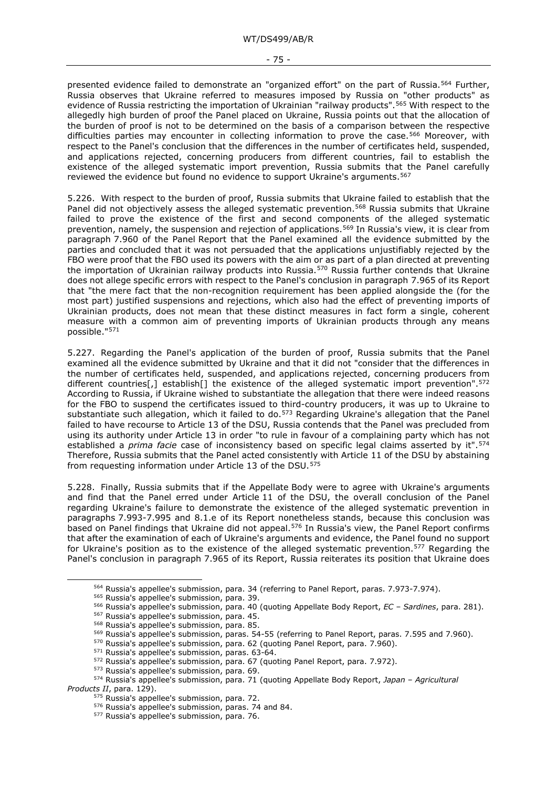presented evidence failed to demonstrate an "organized effort" on the part of Russia.<sup>[564](#page-74-0)</sup> Further, Russia observes that Ukraine referred to measures imposed by Russia on "other products" as evidence of Russia restricting the importation of Ukrainian "railway products".[565](#page-74-1) With respect to the allegedly high burden of proof the Panel placed on Ukraine, Russia points out that the allocation of the burden of proof is not to be determined on the basis of a comparison between the respective difficulties parties may encounter in collecting information to prove the case.<sup>[566](#page-74-2)</sup> Moreover, with respect to the Panel's conclusion that the differences in the number of certificates held, suspended, and applications rejected, concerning producers from different countries, fail to establish the existence of the alleged systematic import prevention, Russia submits that the Panel carefully reviewed the evidence but found no evidence to support Ukraine's arguments.<sup>[567](#page-74-3)</sup>

5.226. With respect to the burden of proof, Russia submits that Ukraine failed to establish that the Panel did not objectively assess the alleged systematic prevention.<sup>[568](#page-74-4)</sup> Russia submits that Ukraine failed to prove the existence of the first and second components of the alleged systematic prevention, namely, the suspension and rejection of applications[.569](#page-74-5) In Russia's view, it is clear from paragraph 7.960 of the Panel Report that the Panel examined all the evidence submitted by the parties and concluded that it was not persuaded that the applications unjustifiably rejected by the FBO were proof that the FBO used its powers with the aim or as part of a plan directed at preventing the importation of Ukrainian railway products into Russia.[570](#page-74-6) Russia further contends that Ukraine does not allege specific errors with respect to the Panel's conclusion in paragraph 7.965 of its Report that "the mere fact that the non-recognition requirement has been applied alongside the (for the most part) justified suspensions and rejections, which also had the effect of preventing imports of Ukrainian products, does not mean that these distinct measures in fact form a single, coherent measure with a common aim of preventing imports of Ukrainian products through any means possible."[571](#page-74-7)

5.227. Regarding the Panel's application of the burden of proof, Russia submits that the Panel examined all the evidence submitted by Ukraine and that it did not "consider that the differences in the number of certificates held, suspended, and applications rejected, concerning producers from different countries[,] establish[] the existence of the alleged systematic import prevention".<sup>[572](#page-74-8)</sup> According to Russia, if Ukraine wished to substantiate the allegation that there were indeed reasons for the FBO to suspend the certificates issued to third-country producers, it was up to Ukraine to substantiate such allegation, which it failed to do.<sup>[573](#page-74-9)</sup> Regarding Ukraine's allegation that the Panel failed to have recourse to Article 13 of the DSU, Russia contends that the Panel was precluded from using its authority under Article 13 in order "to rule in favour of a complaining party which has not established a *prima facie* case of inconsistency based on specific legal claims asserted by it".<sup>[574](#page-74-10)</sup> Therefore, Russia submits that the Panel acted consistently with Article 11 of the DSU by abstaining from requesting information under Article 13 of the DSU.<sup>[575](#page-74-11)</sup>

5.228. Finally, Russia submits that if the Appellate Body were to agree with Ukraine's arguments and find that the Panel erred under Article 11 of the DSU, the overall conclusion of the Panel regarding Ukraine's failure to demonstrate the existence of the alleged systematic prevention in paragraphs 7.993-7.995 and 8.1.e of its Report nonetheless stands, because this conclusion was based on Panel findings that Ukraine did not appeal.[576](#page-74-12) In Russia's view, the Panel Report confirms that after the examination of each of Ukraine's arguments and evidence, the Panel found no support for Ukraine's position as to the existence of the alleged systematic prevention.<sup>[577](#page-74-13)</sup> Regarding the Panel's conclusion in paragraph 7.965 of its Report, Russia reiterates its position that Ukraine does

<sup>&</sup>lt;sup>564</sup> Russia's appellee's submission, para. 34 (referring to Panel Report, paras. 7.973-7.974).<br><sup>565</sup> Russia's appellee's submission, para. 39.

<span id="page-74-3"></span><span id="page-74-2"></span><span id="page-74-1"></span><span id="page-74-0"></span><sup>565</sup> Russia's appellee's submission, para. 39. 566 Russia's appellee's submission, para. 40 (quoting Appellate Body Report, *EC – Sardines*, para. 281).

<sup>567</sup> Russia's appellee's submission, para. 45.

<sup>568</sup> Russia's appellee's submission, para. 85.

<sup>569</sup> Russia's appellee's submission, paras. 54-55 (referring to Panel Report, paras. 7.595 and 7.960).

<sup>570</sup> Russia's appellee's submission, para. 62 (quoting Panel Report, para. 7.960).

<sup>571</sup> Russia's appellee's submission, paras. 63-64.

<sup>572</sup> Russia's appellee's submission, para. 67 (quoting Panel Report, para. 7.972).

<sup>573</sup> Russia's appellee's submission, para. 69.

<span id="page-74-13"></span><span id="page-74-12"></span><span id="page-74-11"></span><span id="page-74-10"></span><span id="page-74-9"></span><span id="page-74-8"></span><span id="page-74-7"></span><span id="page-74-6"></span><span id="page-74-5"></span><span id="page-74-4"></span><sup>574</sup> Russia's appellee's submission, para. 71 (quoting Appellate Body Report, *Japan – Agricultural Products II*, para. 129).

<sup>575</sup> Russia's appellee's submission, para. 72.

<sup>576</sup> Russia's appellee's submission, paras. 74 and 84.

<sup>577</sup> Russia's appellee's submission, para. 76.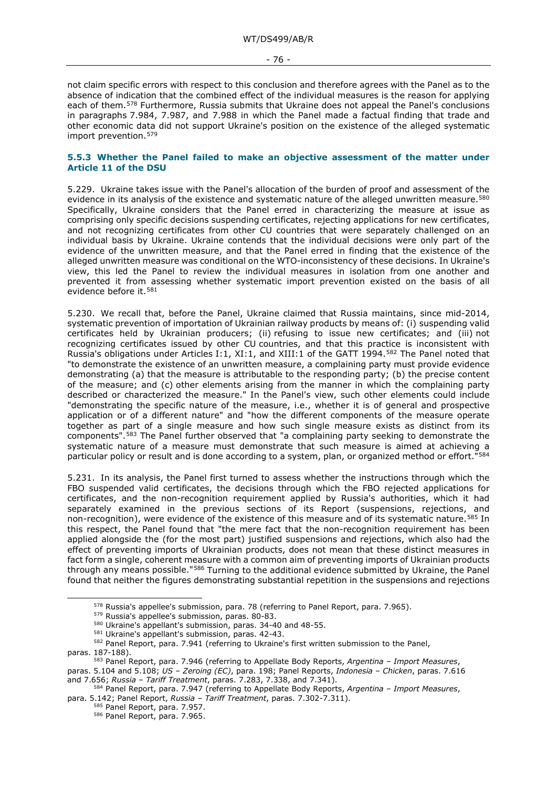not claim specific errors with respect to this conclusion and therefore agrees with the Panel as to the absence of indication that the combined effect of the individual measures is the reason for applying each of them[.578](#page-75-0) Furthermore, Russia submits that Ukraine does not appeal the Panel's conclusions in paragraphs 7.984, 7.987, and 7.988 in which the Panel made a factual finding that trade and other economic data did not support Ukraine's position on the existence of the alleged systematic import prevention.[579](#page-75-1)

### **5.5.3 Whether the Panel failed to make an objective assessment of the matter under Article 11 of the DSU**

5.229. Ukraine takes issue with the Panel's allocation of the burden of proof and assessment of the evidence in its analysis of the existence and systematic nature of the alleged unwritten measure.<sup>[580](#page-75-2)</sup> Specifically, Ukraine considers that the Panel erred in characterizing the measure at issue as comprising only specific decisions suspending certificates, rejecting applications for new certificates, and not recognizing certificates from other CU countries that were separately challenged on an individual basis by Ukraine. Ukraine contends that the individual decisions were only part of the evidence of the unwritten measure, and that the Panel erred in finding that the existence of the alleged unwritten measure was conditional on the WTO-inconsistency of these decisions. In Ukraine's view, this led the Panel to review the individual measures in isolation from one another and prevented it from assessing whether systematic import prevention existed on the basis of all evidence before it.[581](#page-75-3)

5.230. We recall that, before the Panel, Ukraine claimed that Russia maintains, since mid-2014, systematic prevention of importation of Ukrainian railway products by means of: (i) suspending valid certificates held by Ukrainian producers; (ii) refusing to issue new certificates; and (iii) not recognizing certificates issued by other CU countries, and that this practice is inconsistent with Russia's obligations under Articles I:1, XI:1, and XIII:1 of the GATT 1994.[582](#page-75-4) The Panel noted that "to demonstrate the existence of an unwritten measure, a complaining party must provide evidence demonstrating (a) that the measure is attributable to the responding party; (b) the precise content of the measure; and (c) other elements arising from the manner in which the complaining party described or characterized the measure." In the Panel's view, such other elements could include "demonstrating the specific nature of the measure, i.e., whether it is of general and prospective application or of a different nature" and "how the different components of the measure operate together as part of a single measure and how such single measure exists as distinct from its components".[583](#page-75-5) The Panel further observed that "a complaining party seeking to demonstrate the systematic nature of a measure must demonstrate that such measure is aimed at achieving a particular policy or result and is done according to a system, plan, or organized method or effort.<sup>"[584](#page-75-6)</sup>

5.231. In its analysis, the Panel first turned to assess whether the instructions through which the FBO suspended valid certificates, the decisions through which the FBO rejected applications for certificates, and the non-recognition requirement applied by Russia's authorities, which it had separately examined in the previous sections of its Report (suspensions, rejections, and non-recognition), were evidence of the existence of this measure and of its systematic nature.<sup>[585](#page-75-7)</sup> In this respect, the Panel found that "the mere fact that the non-recognition requirement has been applied alongside the (for the most part) justified suspensions and rejections, which also had the effect of preventing imports of Ukrainian products, does not mean that these distinct measures in fact form a single, coherent measure with a common aim of preventing imports of Ukrainian products through any means possible."[586](#page-75-8) Turning to the additional evidence submitted by Ukraine, the Panel found that neither the figures demonstrating substantial repetition in the suspensions and rejections

<sup>578</sup> Russia's appellee's submission, para. 78 (referring to Panel Report, para. 7.965).

<sup>579</sup> Russia's appellee's submission, paras. 80-83.

<sup>&</sup>lt;sup>580</sup> Ukraine's appellant's submission, paras. 34-40 and 48-55.<br><sup>581</sup> Ukraine's appellant's submission, paras. 42-43.

<span id="page-75-4"></span><span id="page-75-3"></span><span id="page-75-2"></span><span id="page-75-1"></span><span id="page-75-0"></span><sup>582</sup> Panel Report, para. 7.941 (referring to Ukraine's first written submission to the Panel, paras. 187-188).

<span id="page-75-5"></span><sup>583</sup> Panel Report, para. 7.946 (referring to Appellate Body Reports, *Argentina – Import Measures*, paras. 5.104 and 5.108; *US – Zeroing (EC)*, para. 198; Panel Reports, *Indonesia – Chicken*, paras. 7.616 and 7.656; *Russia – Tariff Treatment*, paras. 7.283, 7.338, and 7.341).

<span id="page-75-8"></span><span id="page-75-7"></span><span id="page-75-6"></span><sup>584</sup> Panel Report, para. 7.947 (referring to Appellate Body Reports, *Argentina – Import Measures*, para. 5.142; Panel Report, *Russia – Tariff Treatment*, paras. 7.302-7.311).

<sup>585</sup> Panel Report, para. 7.957.

<sup>586</sup> Panel Report, para. 7.965.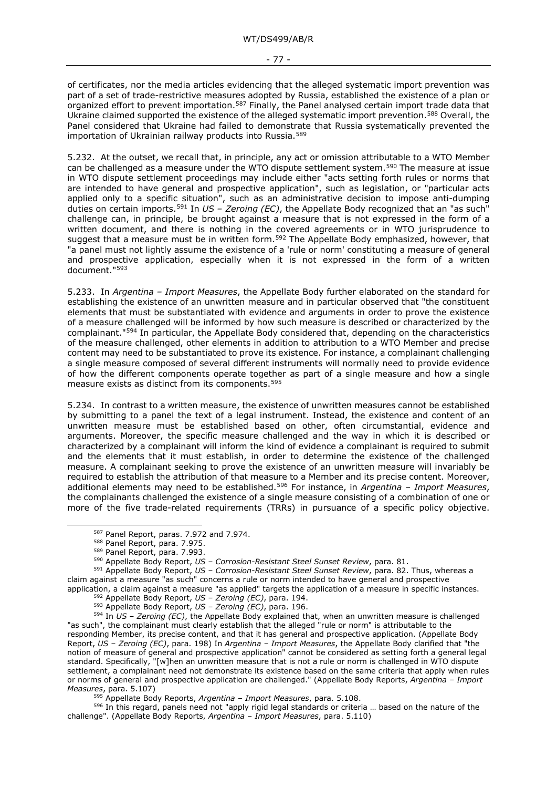of certificates, nor the media articles evidencing that the alleged systematic import prevention was part of a set of trade-restrictive measures adopted by Russia, established the existence of a plan or organized effort to prevent importation.<sup>[587](#page-76-0)</sup> Finally, the Panel analysed certain import trade data that Ukraine claimed supported the existence of the alleged systematic import prevention.[588](#page-76-1) Overall, the Panel considered that Ukraine had failed to demonstrate that Russia systematically prevented the importation of Ukrainian railway products into Russia.<sup>[589](#page-76-2)</sup>

5.232. At the outset, we recall that, in principle, any act or omission attributable to a WTO Member can be challenged as a measure under the WTO dispute settlement system.<sup>[590](#page-76-3)</sup> The measure at issue in WTO dispute settlement proceedings may include either "acts setting forth rules or norms that are intended to have general and prospective application", such as legislation, or "particular acts applied only to a specific situation", such as an administrative decision to impose anti-dumping duties on certain imports.[591](#page-76-4) In *US – Zeroing (EC)*, the Appellate Body recognized that an "as such" challenge can, in principle, be brought against a measure that is not expressed in the form of a written document, and there is nothing in the covered agreements or in WTO jurisprudence to suggest that a measure must be in written form.<sup>592</sup> The Appellate Body emphasized, however, that "a panel must not lightly assume the existence of a 'rule or norm' constituting a measure of general and prospective application, especially when it is not expressed in the form of a written document."[593](#page-76-6)

5.233. In *Argentina – Import Measures*, the Appellate Body further elaborated on the standard for establishing the existence of an unwritten measure and in particular observed that "the constituent elements that must be substantiated with evidence and arguments in order to prove the existence of a measure challenged will be informed by how such measure is described or characterized by the complainant."[594](#page-76-7) In particular, the Appellate Body considered that, depending on the characteristics of the measure challenged, other elements in addition to attribution to a WTO Member and precise content may need to be substantiated to prove its existence. For instance, a complainant challenging a single measure composed of several different instruments will normally need to provide evidence of how the different components operate together as part of a single measure and how a single measure exists as distinct from its components.<sup>[595](#page-76-8)</sup>

5.234. In contrast to a written measure, the existence of unwritten measures cannot be established by submitting to a panel the text of a legal instrument. Instead, the existence and content of an unwritten measure must be established based on other, often circumstantial, evidence and arguments. Moreover, the specific measure challenged and the way in which it is described or characterized by a complainant will inform the kind of evidence a complainant is required to submit and the elements that it must establish, in order to determine the existence of the challenged measure. A complainant seeking to prove the existence of an unwritten measure will invariably be required to establish the attribution of that measure to a Member and its precise content. Moreover, additional elements may need to be established.[596](#page-76-9) For instance, in *Argentina – Import Measures*, the complainants challenged the existence of a single measure consisting of a combination of one or more of the five trade-related requirements (TRRs) in pursuance of a specific policy objective.

<sup>587</sup> Panel Report, paras. 7.972 and 7.974.

<sup>588</sup> Panel Report, para. 7.975.

<sup>589</sup> Panel Report, para. 7.993.

<sup>590</sup> Appellate Body Report, *US – Corrosion-Resistant Steel Sunset Review*, para. 81.

<span id="page-76-4"></span><span id="page-76-3"></span><span id="page-76-2"></span><span id="page-76-1"></span><span id="page-76-0"></span><sup>591</sup> Appellate Body Report, *US – Corrosion-Resistant Steel Sunset Review*, para. 82. Thus, whereas a claim against a measure "as such" concerns a rule or norm intended to have general and prospective application, a claim against a measure "as applied" targets the application of a measure in specific instances.

<sup>592</sup> Appellate Body Report, *US – Zeroing (EC)*, para. 194.

<sup>593</sup> Appellate Body Report, *US – Zeroing (EC)*, para. 196.

<span id="page-76-7"></span><span id="page-76-6"></span><span id="page-76-5"></span><sup>594</sup> In *US – Zeroing (EC)*, the Appellate Body explained that, when an unwritten measure is challenged "as such", the complainant must clearly establish that the alleged "rule or norm" is attributable to the responding Member, its precise content, and that it has general and prospective application. (Appellate Body Report, *US – Zeroing (EC)*, para. 198) In *Argentina – Import Measures*, the Appellate Body clarified that "the notion of measure of general and prospective application" cannot be considered as setting forth a general legal standard. Specifically, "[w]hen an unwritten measure that is not a rule or norm is challenged in WTO dispute settlement, a complainant need not demonstrate its existence based on the same criteria that apply when rules or norms of general and prospective application are challenged." (Appellate Body Reports, *Argentina – Import Measures*, para. 5.107)

<sup>595</sup> Appellate Body Reports, *Argentina – Import Measures*, para. 5.108.

<span id="page-76-9"></span><span id="page-76-8"></span><sup>596</sup> In this regard, panels need not "apply rigid legal standards or criteria ... based on the nature of the challenge". (Appellate Body Reports, *Argentina – Import Measures*, para. 5.110)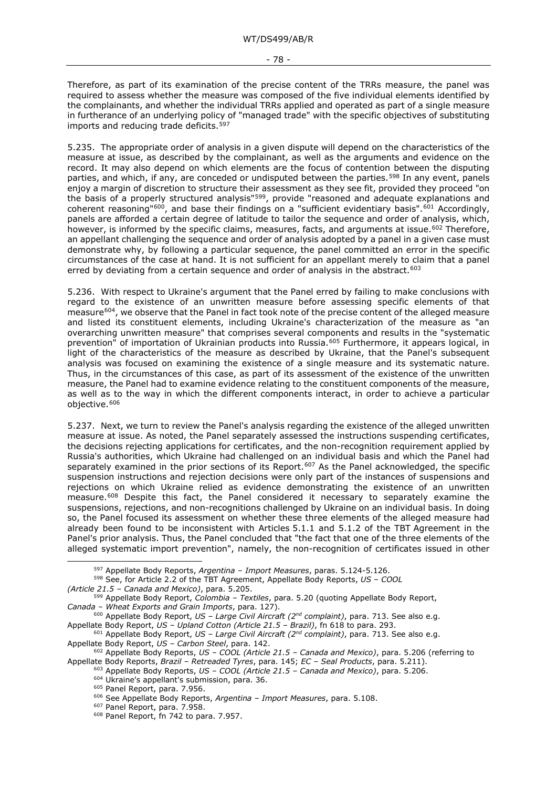Therefore, as part of its examination of the precise content of the TRRs measure, the panel was required to assess whether the measure was composed of the five individual elements identified by the complainants, and whether the individual TRRs applied and operated as part of a single measure in furtherance of an underlying policy of "managed trade" with the specific objectives of substituting imports and reducing trade deficits.<sup>[597](#page-77-0)</sup>

5.235. The appropriate order of analysis in a given dispute will depend on the characteristics of the measure at issue, as described by the complainant, as well as the arguments and evidence on the record. It may also depend on which elements are the focus of contention between the disputing parties, and which, if any, are conceded or undisputed between the parties.<sup>[598](#page-77-1)</sup> In any event, panels enjoy a margin of discretion to structure their assessment as they see fit, provided they proceed "on the basis of a properly structured analysis"<sup>[599](#page-77-2)</sup>, provide "reasoned and adequate explanations and coherent reasoning"<sup>[600](#page-77-3)</sup>, and base their findings on a "sufficient evidentiary basis".<sup>[601](#page-77-4)</sup> Accordingly, panels are afforded a certain degree of latitude to tailor the sequence and order of analysis, which, however, is informed by the specific claims, measures, facts, and arguments at issue.<sup>[602](#page-77-5)</sup> Therefore, an appellant challenging the sequence and order of analysis adopted by a panel in a given case must demonstrate why, by following a particular sequence, the panel committed an error in the specific circumstances of the case at hand. It is not sufficient for an appellant merely to claim that a panel erred by deviating from a certain sequence and order of analysis in the abstract.<sup>[603](#page-77-6)</sup>

5.236. With respect to Ukraine's argument that the Panel erred by failing to make conclusions with regard to the existence of an unwritten measure before assessing specific elements of that measure<sup>[604](#page-77-7)</sup>, we observe that the Panel in fact took note of the precise content of the alleged measure and listed its constituent elements, including Ukraine's characterization of the measure as "an overarching unwritten measure" that comprises several components and results in the "systematic prevention" of importation of Ukrainian products into Russia.<sup>[605](#page-77-8)</sup> Furthermore, it appears logical, in light of the characteristics of the measure as described by Ukraine, that the Panel's subsequent analysis was focused on examining the existence of a single measure and its systematic nature. Thus, in the circumstances of this case, as part of its assessment of the existence of the unwritten measure, the Panel had to examine evidence relating to the constituent components of the measure, as well as to the way in which the different components interact, in order to achieve a particular objective.<sup>[606](#page-77-9)</sup>

5.237. Next, we turn to review the Panel's analysis regarding the existence of the alleged unwritten measure at issue. As noted, the Panel separately assessed the instructions suspending certificates, the decisions rejecting applications for certificates, and the non-recognition requirement applied by Russia's authorities, which Ukraine had challenged on an individual basis and which the Panel had separately examined in the prior sections of its Report.<sup>[607](#page-77-10)</sup> As the Panel acknowledged, the specific suspension instructions and rejection decisions were only part of the instances of suspensions and rejections on which Ukraine relied as evidence demonstrating the existence of an unwritten measure.[608](#page-77-11) Despite this fact, the Panel considered it necessary to separately examine the suspensions, rejections, and non-recognitions challenged by Ukraine on an individual basis. In doing so, the Panel focused its assessment on whether these three elements of the alleged measure had already been found to be inconsistent with Articles 5.1.1 and 5.1.2 of the TBT Agreement in the Panel's prior analysis. Thus, the Panel concluded that "the fact that one of the three elements of the alleged systematic import prevention", namely, the non-recognition of certificates issued in other

<sup>597</sup> Appellate Body Reports, *Argentina – Import Measures*, paras. 5.124-5.126.

<span id="page-77-1"></span><span id="page-77-0"></span><sup>598</sup> See, for Article 2.2 of the TBT Agreement, Appellate Body Reports, *US – COOL (Article 21.5 – Canada and Mexico)*, para. 5.205.

<span id="page-77-2"></span><sup>599</sup> Appellate Body Report, *Colombia – Textiles*, para. 5.20 (quoting Appellate Body Report, *Canada – Wheat Exports and Grain Imports*, para. 127).

<span id="page-77-3"></span><sup>600</sup> Appellate Body Report, *US – Large Civil Aircraft (2nd complaint)*, para. 713. See also e.g. Appellate Body Report, *US – Upland Cotton (Article 21.5 – Brazil)*, fn 618 to para. 293.

<span id="page-77-4"></span><sup>601</sup> Appellate Body Report, *US – Large Civil Aircraft (2nd complaint)*, para. 713. See also e.g. Appellate Body Report, *US – Carbon Steel*, para. 142.

<span id="page-77-11"></span><span id="page-77-10"></span><span id="page-77-9"></span><span id="page-77-8"></span><span id="page-77-7"></span><span id="page-77-6"></span><span id="page-77-5"></span><sup>602</sup> Appellate Body Reports, *US – COOL (Article 21.5 – Canada and Mexico)*, para. 5.206 (referring to Appellate Body Reports, *Brazil – Retreaded Tyres*, para. 145; *EC – Seal Products*, para. 5.211).

<sup>603</sup> Appellate Body Reports, *US – COOL (Article 21.5 – Canada and Mexico)*, para. 5.206.

<sup>604</sup> Ukraine's appellant's submission, para. 36.

<sup>&</sup>lt;sup>605</sup> Panel Report, para. 7.956.

<sup>606</sup> See Appellate Body Reports, *Argentina – Import Measures*, para. 5.108.

<sup>607</sup> Panel Report, para. 7.958.

<sup>608</sup> Panel Report, fn 742 to para. 7.957.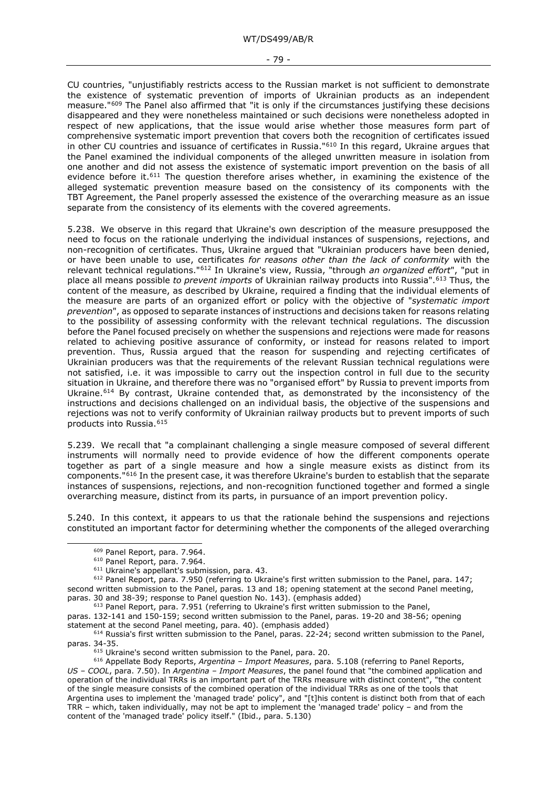CU countries, "unjustifiably restricts access to the Russian market is not sufficient to demonstrate the existence of systematic prevention of imports of Ukrainian products as an independent measure."[609](#page-78-0) The Panel also affirmed that "it is only if the circumstances justifying these decisions disappeared and they were nonetheless maintained or such decisions were nonetheless adopted in respect of new applications, that the issue would arise whether those measures form part of comprehensive systematic import prevention that covers both the recognition of certificates issued in other CU countries and issuance of certificates in Russia.["610](#page-78-1) In this regard, Ukraine argues that the Panel examined the individual components of the alleged unwritten measure in isolation from one another and did not assess the existence of systematic import prevention on the basis of all evidence before it.<sup>[611](#page-78-2)</sup> The question therefore arises whether, in examining the existence of the alleged systematic prevention measure based on the consistency of its components with the TBT Agreement, the Panel properly assessed the existence of the overarching measure as an issue separate from the consistency of its elements with the covered agreements.

5.238. We observe in this regard that Ukraine's own description of the measure presupposed the need to focus on the rationale underlying the individual instances of suspensions, rejections, and non-recognition of certificates. Thus, Ukraine argued that "Ukrainian producers have been denied, or have been unable to use, certificates *for reasons other than the lack of conformity* with the relevant technical regulations."[612](#page-78-3) In Ukraine's view, Russia, "through *an organized effort*", "put in place all means possible *to prevent imports* of Ukrainian railway products into Russia".[613](#page-78-4) Thus, the content of the measure, as described by Ukraine, required a finding that the individual elements of the measure are parts of an organized effort or policy with the objective of "*systematic import prevention*", as opposed to separate instances of instructions and decisions taken for reasons relating to the possibility of assessing conformity with the relevant technical regulations. The discussion before the Panel focused precisely on whether the suspensions and rejections were made for reasons related to achieving positive assurance of conformity, or instead for reasons related to import prevention. Thus, Russia argued that the reason for suspending and rejecting certificates of Ukrainian producers was that the requirements of the relevant Russian technical regulations were not satisfied, i.e. it was impossible to carry out the inspection control in full due to the security situation in Ukraine, and therefore there was no "organised effort" by Russia to prevent imports from Ukraine.<sup>[614](#page-78-5)</sup> By contrast, Ukraine contended that, as demonstrated by the inconsistency of the instructions and decisions challenged on an individual basis, the objective of the suspensions and rejections was not to verify conformity of Ukrainian railway products but to prevent imports of such products into Russia.[615](#page-78-6)

5.239. We recall that "a complainant challenging a single measure composed of several different instruments will normally need to provide evidence of how the different components operate together as part of a single measure and how a single measure exists as distinct from its components."[616](#page-78-7) In the present case, it was therefore Ukraine's burden to establish that the separate instances of suspensions, rejections, and non-recognition functioned together and formed a single overarching measure, distinct from its parts, in pursuance of an import prevention policy.

5.240. In this context, it appears to us that the rationale behind the suspensions and rejections constituted an important factor for determining whether the components of the alleged overarching

<span id="page-78-4"></span>paras. 132-141 and 150-159; second written submission to the Panel, paras. 19-20 and 38-56; opening statement at the second Panel meeting, para. 40). (emphasis added)

<span id="page-78-7"></span><span id="page-78-6"></span><sup>616</sup> Appellate Body Reports, *Argentina – Import Measures*, para. 5.108 (referring to Panel Reports, *US – COOL*, para. 7.50). In *Argentina – Import Measures*, the panel found that "the combined application and operation of the individual TRRs is an important part of the TRRs measure with distinct content", "the content of the single measure consists of the combined operation of the individual TRRs as one of the tools that Argentina uses to implement the 'managed trade' policy", and "[t]his content is distinct both from that of each TRR – which, taken individually, may not be apt to implement the 'managed trade' policy – and from the content of the 'managed trade' policy itself." (Ibid., para. 5.130)

<sup>609</sup> Panel Report, para. 7.964.

<sup>610</sup> Panel Report, para. 7.964.

 $611$  Ukraine's appellant's submission, para. 43.

<span id="page-78-3"></span><span id="page-78-2"></span><span id="page-78-1"></span><span id="page-78-0"></span><sup>612</sup> Panel Report, para. 7.950 (referring to Ukraine's first written submission to the Panel, para. 147; second written submission to the Panel, paras. 13 and 18; opening statement at the second Panel meeting, paras. 30 and 38-39; response to Panel question No. 143). (emphasis added)

<sup>613</sup> Panel Report, para. 7.951 (referring to Ukraine's first written submission to the Panel,

<span id="page-78-5"></span><sup>&</sup>lt;sup>614</sup> Russia's first written submission to the Panel, paras. 22-24; second written submission to the Panel, paras. 34-35.

<sup>&</sup>lt;sup>615</sup> Ukraine's second written submission to the Panel, para. 20.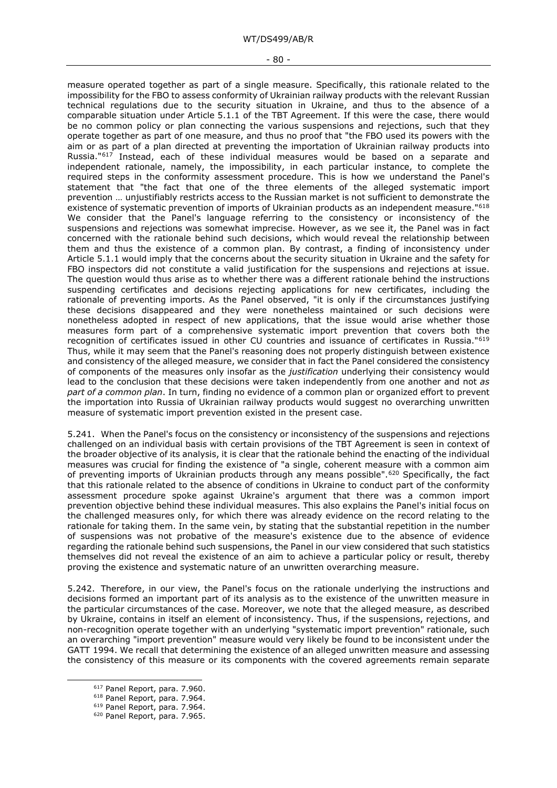#### - 80 -

measure operated together as part of a single measure. Specifically, this rationale related to the impossibility for the FBO to assess conformity of Ukrainian railway products with the relevant Russian technical regulations due to the security situation in Ukraine, and thus to the absence of a comparable situation under Article 5.1.1 of the TBT Agreement. If this were the case, there would be no common policy or plan connecting the various suspensions and rejections, such that they operate together as part of one measure, and thus no proof that "the FBO used its powers with the aim or as part of a plan directed at preventing the importation of Ukrainian railway products into Russia."<sup>[617](#page-79-0)</sup> Instead, each of these individual measures would be based on a separate and independent rationale, namely, the impossibility, in each particular instance, to complete the required steps in the conformity assessment procedure. This is how we understand the Panel's statement that "the fact that one of the three elements of the alleged systematic import prevention … unjustifiably restricts access to the Russian market is not sufficient to demonstrate the existence of systematic prevention of imports of Ukrainian products as an independent measure."[618](#page-79-1) We consider that the Panel's language referring to the consistency or inconsistency of the suspensions and rejections was somewhat imprecise. However, as we see it, the Panel was in fact concerned with the rationale behind such decisions, which would reveal the relationship between them and thus the existence of a common plan. By contrast, a finding of inconsistency under Article 5.1.1 would imply that the concerns about the security situation in Ukraine and the safety for FBO inspectors did not constitute a valid justification for the suspensions and rejections at issue. The question would thus arise as to whether there was a different rationale behind the instructions suspending certificates and decisions rejecting applications for new certificates, including the rationale of preventing imports. As the Panel observed, "it is only if the circumstances justifying these decisions disappeared and they were nonetheless maintained or such decisions were nonetheless adopted in respect of new applications, that the issue would arise whether those measures form part of a comprehensive systematic import prevention that covers both the recognition of certificates issued in other CU countries and issuance of certificates in Russia."[619](#page-79-2) Thus, while it may seem that the Panel's reasoning does not properly distinguish between existence and consistency of the alleged measure, we consider that in fact the Panel considered the consistency of components of the measures only insofar as the *justification* underlying their consistency would lead to the conclusion that these decisions were taken independently from one another and not *as part of a common plan*. In turn, finding no evidence of a common plan or organized effort to prevent the importation into Russia of Ukrainian railway products would suggest no overarching unwritten measure of systematic import prevention existed in the present case.

5.241. When the Panel's focus on the consistency or inconsistency of the suspensions and rejections challenged on an individual basis with certain provisions of the TBT Agreement is seen in context of the broader objective of its analysis, it is clear that the rationale behind the enacting of the individual measures was crucial for finding the existence of "a single, coherent measure with a common aim of preventing imports of Ukrainian products through any means possible".<sup>[620](#page-79-3)</sup> Specifically, the fact that this rationale related to the absence of conditions in Ukraine to conduct part of the conformity assessment procedure spoke against Ukraine's argument that there was a common import prevention objective behind these individual measures. This also explains the Panel's initial focus on the challenged measures only, for which there was already evidence on the record relating to the rationale for taking them. In the same vein, by stating that the substantial repetition in the number of suspensions was not probative of the measure's existence due to the absence of evidence regarding the rationale behind such suspensions, the Panel in our view considered that such statistics themselves did not reveal the existence of an aim to achieve a particular policy or result, thereby proving the existence and systematic nature of an unwritten overarching measure.

5.242. Therefore, in our view, the Panel's focus on the rationale underlying the instructions and decisions formed an important part of its analysis as to the existence of the unwritten measure in the particular circumstances of the case. Moreover, we note that the alleged measure, as described by Ukraine, contains in itself an element of inconsistency. Thus, if the suspensions, rejections, and non-recognition operate together with an underlying "systematic import prevention" rationale, such an overarching "import prevention" measure would very likely be found to be inconsistent under the GATT 1994. We recall that determining the existence of an alleged unwritten measure and assessing the consistency of this measure or its components with the covered agreements remain separate

<span id="page-79-1"></span><span id="page-79-0"></span><sup>617</sup> Panel Report, para. 7.960.

<sup>618</sup> Panel Report, para. 7.964.

<span id="page-79-2"></span><sup>619</sup> Panel Report, para. 7.964.

<span id="page-79-3"></span><sup>620</sup> Panel Report, para. 7.965.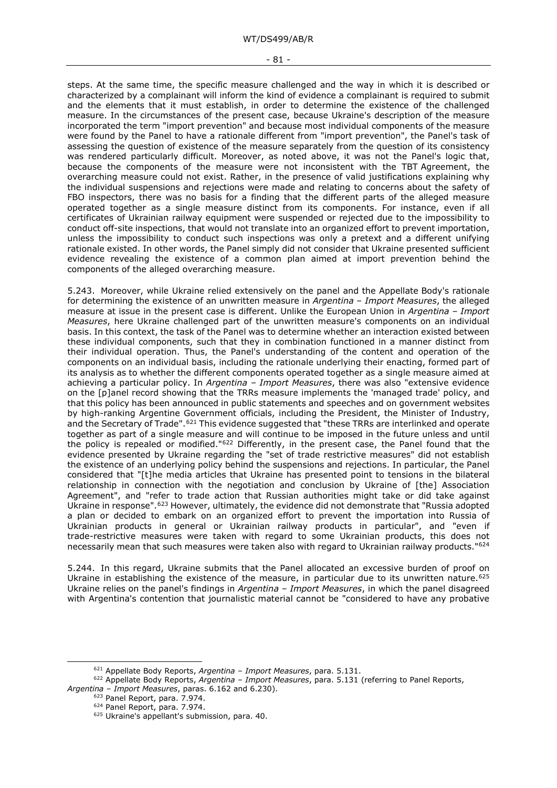steps. At the same time, the specific measure challenged and the way in which it is described or characterized by a complainant will inform the kind of evidence a complainant is required to submit and the elements that it must establish, in order to determine the existence of the challenged measure. In the circumstances of the present case, because Ukraine's description of the measure incorporated the term "import prevention" and because most individual components of the measure were found by the Panel to have a rationale different from "import prevention", the Panel's task of assessing the question of existence of the measure separately from the question of its consistency was rendered particularly difficult. Moreover, as noted above, it was not the Panel's logic that, because the components of the measure were not inconsistent with the TBT Agreement, the overarching measure could not exist. Rather, in the presence of valid justifications explaining why the individual suspensions and rejections were made and relating to concerns about the safety of FBO inspectors, there was no basis for a finding that the different parts of the alleged measure operated together as a single measure distinct from its components. For instance, even if all certificates of Ukrainian railway equipment were suspended or rejected due to the impossibility to conduct off-site inspections, that would not translate into an organized effort to prevent importation, unless the impossibility to conduct such inspections was only a pretext and a different unifying rationale existed. In other words, the Panel simply did not consider that Ukraine presented sufficient evidence revealing the existence of a common plan aimed at import prevention behind the components of the alleged overarching measure.

5.243. Moreover, while Ukraine relied extensively on the panel and the Appellate Body's rationale for determining the existence of an unwritten measure in *Argentina – Import Measures*, the alleged measure at issue in the present case is different. Unlike the European Union in *Argentina – Import Measures*, here Ukraine challenged part of the unwritten measure's components on an individual basis. In this context, the task of the Panel was to determine whether an interaction existed between these individual components, such that they in combination functioned in a manner distinct from their individual operation. Thus, the Panel's understanding of the content and operation of the components on an individual basis, including the rationale underlying their enacting, formed part of its analysis as to whether the different components operated together as a single measure aimed at achieving a particular policy. In *Argentina – Import Measures*, there was also "extensive evidence on the [p]anel record showing that the TRRs measure implements the 'managed trade' policy, and that this policy has been announced in public statements and speeches and on government websites by high-ranking Argentine Government officials, including the President, the Minister of Industry, and the Secretary of Trade".<sup>[621](#page-80-0)</sup> This evidence suggested that "these TRRs are interlinked and operate together as part of a single measure and will continue to be imposed in the future unless and until the policy is repealed or modified."[622](#page-80-1) Differently, in the present case, the Panel found that the evidence presented by Ukraine regarding the "set of trade restrictive measures" did not establish the existence of an underlying policy behind the suspensions and rejections. In particular, the Panel considered that "[t]he media articles that Ukraine has presented point to tensions in the bilateral relationship in connection with the negotiation and conclusion by Ukraine of [the] Association Agreement", and "refer to trade action that Russian authorities might take or did take against Ukraine in response".<sup>[623](#page-80-2)</sup> However, ultimately, the evidence did not demonstrate that "Russia adopted a plan or decided to embark on an organized effort to prevent the importation into Russia of Ukrainian products in general or Ukrainian railway products in particular", and "even if trade-restrictive measures were taken with regard to some Ukrainian products, this does not necessarily mean that such measures were taken also with regard to Ukrainian railway products."[624](#page-80-3)

5.244. In this regard, Ukraine submits that the Panel allocated an excessive burden of proof on Ukraine in establishing the existence of the measure, in particular due to its unwritten nature.<sup>[625](#page-80-4)</sup> Ukraine relies on the panel's findings in *Argentina – Import Measures*, in which the panel disagreed with Argentina's contention that journalistic material cannot be "considered to have any probative

<sup>621</sup> Appellate Body Reports, *Argentina – Import Measures*, para. 5.131.

<span id="page-80-4"></span><span id="page-80-3"></span><span id="page-80-2"></span><span id="page-80-1"></span><span id="page-80-0"></span><sup>622</sup> Appellate Body Reports, *Argentina – Import Measures*, para. 5.131 (referring to Panel Reports, *Argentina – Import Measures*, paras. 6.162 and 6.230).

<sup>623</sup> Panel Report, para. 7.974.

<sup>624</sup> Panel Report, para. 7.974.

<sup>625</sup> Ukraine's appellant's submission, para. 40.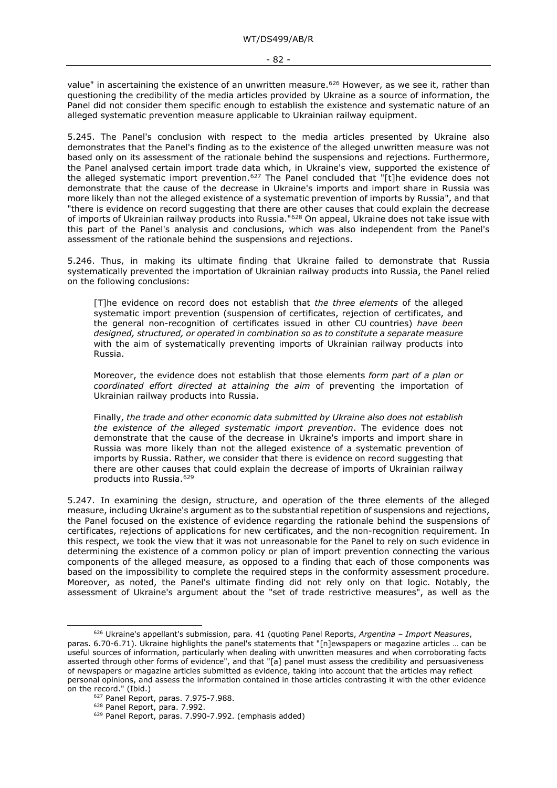value" in ascertaining the existence of an unwritten measure.<sup>[626](#page-81-0)</sup> However, as we see it, rather than questioning the credibility of the media articles provided by Ukraine as a source of information, the Panel did not consider them specific enough to establish the existence and systematic nature of an alleged systematic prevention measure applicable to Ukrainian railway equipment.

5.245. The Panel's conclusion with respect to the media articles presented by Ukraine also demonstrates that the Panel's finding as to the existence of the alleged unwritten measure was not based only on its assessment of the rationale behind the suspensions and rejections. Furthermore, the Panel analysed certain import trade data which, in Ukraine's view, supported the existence of the alleged systematic import prevention.<sup>[627](#page-81-1)</sup> The Panel concluded that "[t]he evidence does not demonstrate that the cause of the decrease in Ukraine's imports and import share in Russia was more likely than not the alleged existence of a systematic prevention of imports by Russia", and that "there is evidence on record suggesting that there are other causes that could explain the decrease of imports of Ukrainian railway products into Russia."[628](#page-81-2) On appeal, Ukraine does not take issue with this part of the Panel's analysis and conclusions, which was also independent from the Panel's assessment of the rationale behind the suspensions and rejections.

5.246. Thus, in making its ultimate finding that Ukraine failed to demonstrate that Russia systematically prevented the importation of Ukrainian railway products into Russia, the Panel relied on the following conclusions:

[T]he evidence on record does not establish that *the three elements* of the alleged systematic import prevention (suspension of certificates, rejection of certificates, and the general non-recognition of certificates issued in other CU countries) *have been designed, structured, or operated in combination so as to constitute a separate measure* with the aim of systematically preventing imports of Ukrainian railway products into Russia.

Moreover, the evidence does not establish that those elements *form part of a plan or coordinated effort directed at attaining the aim* of preventing the importation of Ukrainian railway products into Russia.

Finally, *the trade and other economic data submitted by Ukraine also does not establish the existence of the alleged systematic import prevention*. The evidence does not demonstrate that the cause of the decrease in Ukraine's imports and import share in Russia was more likely than not the alleged existence of a systematic prevention of imports by Russia. Rather, we consider that there is evidence on record suggesting that there are other causes that could explain the decrease of imports of Ukrainian railway products into Russia.[629](#page-81-3)

5.247. In examining the design, structure, and operation of the three elements of the alleged measure, including Ukraine's argument as to the substantial repetition of suspensions and rejections, the Panel focused on the existence of evidence regarding the rationale behind the suspensions of certificates, rejections of applications for new certificates, and the non-recognition requirement. In this respect, we took the view that it was not unreasonable for the Panel to rely on such evidence in determining the existence of a common policy or plan of import prevention connecting the various components of the alleged measure, as opposed to a finding that each of those components was based on the impossibility to complete the required steps in the conformity assessment procedure. Moreover, as noted, the Panel's ultimate finding did not rely only on that logic. Notably, the assessment of Ukraine's argument about the "set of trade restrictive measures", as well as the

<span id="page-81-0"></span><sup>626</sup> Ukraine's appellant's submission, para. 41 (quoting Panel Reports, *Argentina – Import Measures*, paras. 6.70-6.71). Ukraine highlights the panel's statements that "[n]ewspapers or magazine articles … can be useful sources of information, particularly when dealing with unwritten measures and when corroborating facts asserted through other forms of evidence", and that "[a] panel must assess the credibility and persuasiveness of newspapers or magazine articles submitted as evidence, taking into account that the articles may reflect personal opinions, and assess the information contained in those articles contrasting it with the other evidence on the record." (Ibid.)

<span id="page-81-2"></span><span id="page-81-1"></span><sup>627</sup> Panel Report, paras. 7.975-7.988.

<span id="page-81-3"></span><sup>628</sup> Panel Report, para. 7.992.

<sup>629</sup> Panel Report, paras. 7.990-7.992. (emphasis added)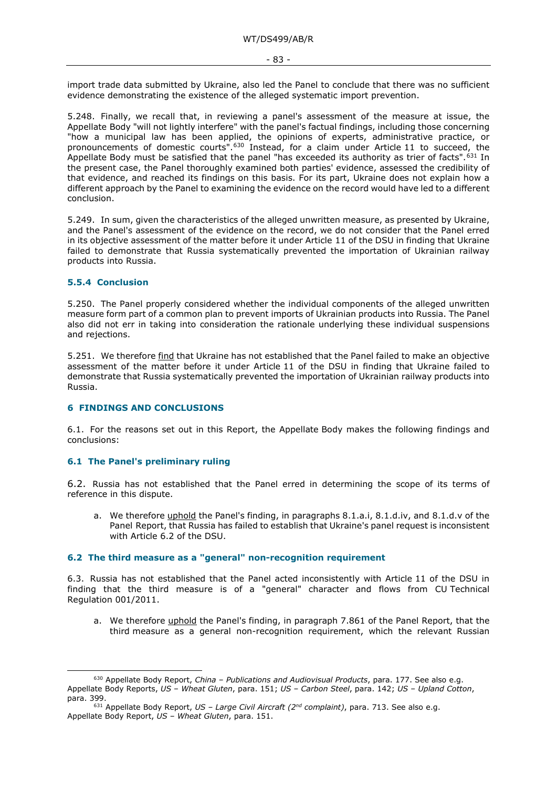import trade data submitted by Ukraine, also led the Panel to conclude that there was no sufficient evidence demonstrating the existence of the alleged systematic import prevention.

5.248. Finally, we recall that, in reviewing a panel's assessment of the measure at issue, the Appellate Body "will not lightly interfere" with the panel's factual findings, including those concerning "how a municipal law has been applied, the opinions of experts, administrative practice, or pronouncements of domestic courts".[630](#page-82-0) Instead, for a claim under Article 11 to succeed, the Appellate Body must be satisfied that the panel "has exceeded its authority as trier of facts".<sup>[631](#page-82-1)</sup> In the present case, the Panel thoroughly examined both parties' evidence, assessed the credibility of that evidence, and reached its findings on this basis. For its part, Ukraine does not explain how a different approach by the Panel to examining the evidence on the record would have led to a different conclusion.

5.249. In sum, given the characteristics of the alleged unwritten measure, as presented by Ukraine, and the Panel's assessment of the evidence on the record, we do not consider that the Panel erred in its objective assessment of the matter before it under Article 11 of the DSU in finding that Ukraine failed to demonstrate that Russia systematically prevented the importation of Ukrainian railway products into Russia.

# **5.5.4 Conclusion**

5.250. The Panel properly considered whether the individual components of the alleged unwritten measure form part of a common plan to prevent imports of Ukrainian products into Russia. The Panel also did not err in taking into consideration the rationale underlying these individual suspensions and rejections.

5.251. We therefore find that Ukraine has not established that the Panel failed to make an objective assessment of the matter before it under Article 11 of the DSU in finding that Ukraine failed to demonstrate that Russia systematically prevented the importation of Ukrainian railway products into Russia.

### **6 FINDINGS AND CONCLUSIONS**

6.1. For the reasons set out in this Report, the Appellate Body makes the following findings and conclusions:

### **6.1 The Panel's preliminary ruling**

6.2. Russia has not established that the Panel erred in determining the scope of its terms of reference in this dispute.

a. We therefore uphold the Panel's finding, in paragraphs 8.1.a.i, 8.1.d.iv, and 8.1.d.v of the Panel Report, that Russia has failed to establish that Ukraine's panel request is inconsistent with Article 6.2 of the DSU.

#### **6.2 The third measure as a "general" non-recognition requirement**

6.3. Russia has not established that the Panel acted inconsistently with Article 11 of the DSU in finding that the third measure is of a "general" character and flows from CU Technical Regulation 001/2011.

a. We therefore uphold the Panel's finding, in paragraph 7.861 of the Panel Report, that the third measure as a general non-recognition requirement, which the relevant Russian

<span id="page-82-0"></span><sup>630</sup> Appellate Body Report, *China – Publications and Audiovisual Products*, para. 177. See also e.g. Appellate Body Reports, *US – Wheat Gluten*, para. 151; *US – Carbon Steel*, para. 142; *US – Upland Cotton*, para. 399.

<span id="page-82-1"></span><sup>631</sup> Appellate Body Report, *US – Large Civil Aircraft (2nd complaint)*, para. 713. See also e.g. Appellate Body Report, *US – Wheat Gluten*, para. 151.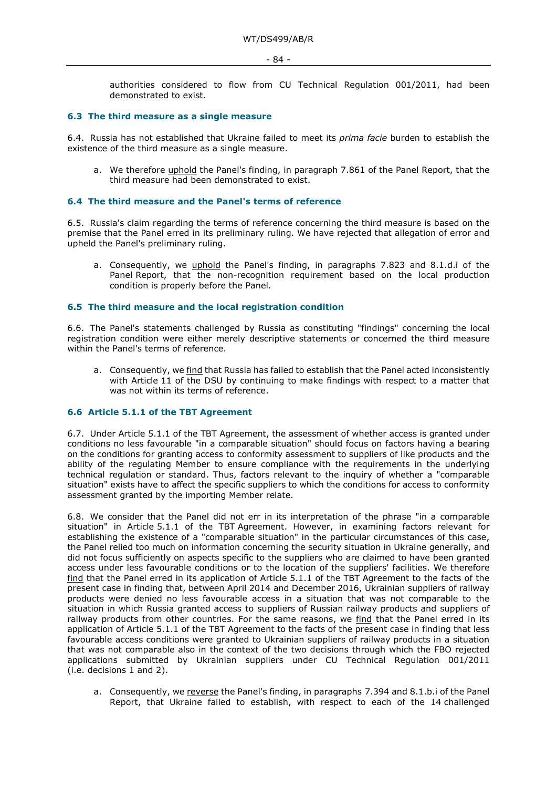authorities considered to flow from CU Technical Regulation 001/2011, had been demonstrated to exist.

### **6.3 The third measure as a single measure**

6.4. Russia has not established that Ukraine failed to meet its *prima facie* burden to establish the existence of the third measure as a single measure.

a. We therefore uphold the Panel's finding, in paragraph 7.861 of the Panel Report, that the third measure had been demonstrated to exist.

### **6.4 The third measure and the Panel's terms of reference**

6.5. Russia's claim regarding the terms of reference concerning the third measure is based on the premise that the Panel erred in its preliminary ruling. We have rejected that allegation of error and upheld the Panel's preliminary ruling.

a. Consequently, we uphold the Panel's finding, in paragraphs 7.823 and 8.1.d.i of the Panel Report, that the non-recognition requirement based on the local production condition is properly before the Panel.

### **6.5 The third measure and the local registration condition**

6.6. The Panel's statements challenged by Russia as constituting "findings" concerning the local registration condition were either merely descriptive statements or concerned the third measure within the Panel's terms of reference.

a. Consequently, we find that Russia has failed to establish that the Panel acted inconsistently with Article 11 of the DSU by continuing to make findings with respect to a matter that was not within its terms of reference.

### **6.6 Article 5.1.1 of the TBT Agreement**

6.7. Under Article 5.1.1 of the TBT Agreement, the assessment of whether access is granted under conditions no less favourable "in a comparable situation" should focus on factors having a bearing on the conditions for granting access to conformity assessment to suppliers of like products and the ability of the regulating Member to ensure compliance with the requirements in the underlying technical regulation or standard. Thus, factors relevant to the inquiry of whether a "comparable situation" exists have to affect the specific suppliers to which the conditions for access to conformity assessment granted by the importing Member relate.

6.8. We consider that the Panel did not err in its interpretation of the phrase "in a comparable situation" in Article 5.1.1 of the TBT Agreement. However, in examining factors relevant for establishing the existence of a "comparable situation" in the particular circumstances of this case, the Panel relied too much on information concerning the security situation in Ukraine generally, and did not focus sufficiently on aspects specific to the suppliers who are claimed to have been granted access under less favourable conditions or to the location of the suppliers' facilities. We therefore find that the Panel erred in its application of Article 5.1.1 of the TBT Agreement to the facts of the present case in finding that, between April 2014 and December 2016, Ukrainian suppliers of railway products were denied no less favourable access in a situation that was not comparable to the situation in which Russia granted access to suppliers of Russian railway products and suppliers of railway products from other countries. For the same reasons, we find that the Panel erred in its application of Article 5.1.1 of the TBT Agreement to the facts of the present case in finding that less favourable access conditions were granted to Ukrainian suppliers of railway products in a situation that was not comparable also in the context of the two decisions through which the FBO rejected applications submitted by Ukrainian suppliers under CU Technical Regulation 001/2011 (i.e. decisions 1 and 2).

a. Consequently, we reverse the Panel's finding, in paragraphs 7.394 and 8.1.b.i of the Panel Report, that Ukraine failed to establish, with respect to each of the 14 challenged